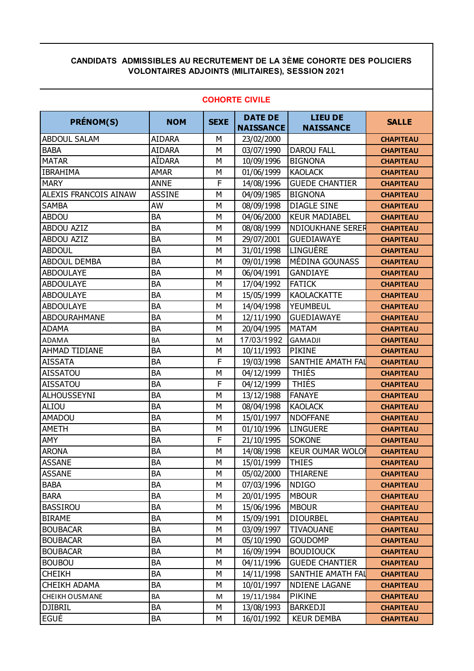## **CANDIDATS ADMISSIBLES AU RECRUTEMENT DE LA 3ÈME COHORTE DES POLICIERS VOLONTAIRES ADJOINTS (MILITAIRES), SESSION 2021**

| <b>PRÉNOM(S)</b>      | <b>NOM</b>    | <b>SEXE</b> | <b>DATE DE</b><br><b>NAISSANCE</b> | <b>LIEU DE</b><br><b>NAISSANCE</b> | <b>SALLE</b>     |
|-----------------------|---------------|-------------|------------------------------------|------------------------------------|------------------|
| <b>ABDOUL SALAM</b>   | <b>AIDARA</b> | М           | 23/02/2000                         |                                    | <b>CHAPITEAU</b> |
| <b>BABA</b>           | <b>AIDARA</b> | M           | 03/07/1990                         | <b>DAROU FALL</b>                  | <b>CHAPITEAU</b> |
| <b>MATAR</b>          | AÏDARA        | М           | 10/09/1996                         | <b>BIGNONA</b>                     | <b>CHAPITEAU</b> |
| <b>IBRAHIMA</b>       | AMAR          | М           | 01/06/1999                         | <b>KAOLACK</b>                     | <b>CHAPITEAU</b> |
| <b>MARY</b>           | <b>ANNE</b>   | F           | 14/08/1996                         | <b>GUEDE CHANTIER</b>              | <b>CHAPITEAU</b> |
| ALEXIS FRANCOIS AINAW | <b>ASSINE</b> | M           | 04/09/1985                         | <b>BIGNONA</b>                     | <b>CHAPITEAU</b> |
| <b>SAMBA</b>          | AW            | M           | 08/09/1998                         | <b>DIAGLE SINE</b>                 | <b>CHAPITEAU</b> |
| <b>ABDOU</b>          | BA            | M           | 04/06/2000                         | <b>KEUR MADIABEL</b>               | <b>CHAPITEAU</b> |
| <b>ABDOU AZIZ</b>     | <b>BA</b>     | M           | 08/08/1999                         | <b>NDIOUKHANE SERER</b>            | <b>CHAPITEAU</b> |
| <b>ABDOU AZIZ</b>     | BA            | M           | 29/07/2001                         | <b>GUEDIAWAYE</b>                  | <b>CHAPITEAU</b> |
| <b>ABDOUL</b>         | BA            | M           | 31/01/1998                         | LINGUÈRE                           | <b>CHAPITEAU</b> |
| <b>ABDOUL DEMBA</b>   | BA            | M           | 09/01/1998                         | MÉDINA GOUNASS                     | <b>CHAPITEAU</b> |
| <b>ABDOULAYE</b>      | BA            | M           | 06/04/1991                         | <b>GANDIAYE</b>                    | <b>CHAPITEAU</b> |
| <b>ABDOULAYE</b>      | <b>BA</b>     | M           | 17/04/1992                         | <b>FATICK</b>                      | <b>CHAPITEAU</b> |
| <b>ABDOULAYE</b>      | <b>BA</b>     | M           | 15/05/1999                         | <b>KAOLACKATTE</b>                 | <b>CHAPITEAU</b> |
| <b>ABDOULAYE</b>      | BA            | M           | 14/04/1998                         | YEUMBEUL                           | <b>CHAPITEAU</b> |
| <b>ABDOURAHMANE</b>   | BA            | M           | 12/11/1990                         | <b>GUEDIAWAYE</b>                  | <b>CHAPITEAU</b> |
| <b>ADAMA</b>          | <b>BA</b>     | M           | 20/04/1995                         | <b>MATAM</b>                       | <b>CHAPITEAU</b> |
| ADAMA                 | <b>BA</b>     | M           | 17/03/1992                         | <b>GAMADJI</b>                     | <b>CHAPITEAU</b> |
| <b>AHMAD TIDIANE</b>  | <b>BA</b>     | M           | 10/11/1993                         | <b>PIKINE</b>                      | <b>CHAPITEAU</b> |
| <b>AISSATA</b>        | <b>BA</b>     | F           | 19/03/1998                         | SANTHIE AMATH FAL                  | <b>CHAPITEAU</b> |
| <b>AISSATOU</b>       | BA            | М           | 04/12/1999                         | <b>THIÉS</b>                       | <b>CHAPITEAU</b> |
| <b>AISSATOU</b>       | BA            | F           | 04/12/1999                         | <b>THIÉS</b>                       | <b>CHAPITEAU</b> |
| <b>ALHOUSSEYNI</b>    | BA            | M           | 13/12/1988                         | <b>FANAYE</b>                      | <b>CHAPITEAU</b> |
| ALIOU                 | <b>BA</b>     | M           | 08/04/1998                         | <b>KAOLACK</b>                     | <b>CHAPITEAU</b> |
| <b>AMADOU</b>         | <b>BA</b>     | M           | 15/01/1997                         | <b>NDOFFANE</b>                    | <b>CHAPITEAU</b> |
| <b>AMETH</b>          | <b>BA</b>     | М           | 01/10/1996                         | <b>LINGUERE</b>                    | <b>CHAPITEAU</b> |
| AMY                   | <b>BA</b>     | F           | 21/10/1995                         | <b>SOKONE</b>                      | <b>CHAPITEAU</b> |
| <b>ARONA</b>          | <b>BA</b>     | M           | 14/08/1998                         | <b>KEUR OUMAR WOLOR</b>            | <b>CHAPITEAU</b> |
| <b>ASSANE</b>         | BA            | М           | 15/01/1999                         | <b>THIES</b>                       | <b>CHAPITEAU</b> |
| <b>ASSANE</b>         | BA            | М           | 05/02/2000                         | <b>THIARENE</b>                    | <b>CHAPITEAU</b> |
| <b>BABA</b>           | BA            | М           | 07/03/1996                         | <b>NDIGO</b>                       | <b>CHAPITEAU</b> |
| <b>BARA</b>           | BA            | М           | 20/01/1995                         | <b>MBOUR</b>                       | <b>CHAPITEAU</b> |
| <b>BASSIROU</b>       | BA            | М           | 15/06/1996                         | <b>MBOUR</b>                       | <b>CHAPITEAU</b> |
| <b>BIRAME</b>         | BA            | М           | 15/09/1991                         | <b>DIOURBEL</b>                    | <b>CHAPITEAU</b> |
| <b>BOUBACAR</b>       | BA            | М           | 03/09/1997                         | <b>TIVAOUANE</b>                   | <b>CHAPITEAU</b> |
| <b>BOUBACAR</b>       | BA            | М           | 05/10/1990                         | <b>GOUDOMP</b>                     | <b>CHAPITEAU</b> |
| <b>BOUBACAR</b>       | BA            | М           | 16/09/1994                         | <b>BOUDIOUCK</b>                   | <b>CHAPITEAU</b> |
| <b>BOUBOU</b>         | BA            | М           | 04/11/1996                         | <b>GUEDE CHANTIER</b>              | <b>CHAPITEAU</b> |
| <b>CHEIKH</b>         | BA            | М           | 14/11/1998                         | SANTHIE AMATH FAL                  | <b>CHAPITEAU</b> |
| <b>CHEIKH ADAMA</b>   | BA            | М           | 10/01/1997                         | <b>NDIENE LAGANE</b>               | <b>CHAPITEAU</b> |
| <b>CHEIKH OUSMANE</b> | BA            | M           | 19/11/1984                         | <b>PIKINE</b>                      | <b>CHAPITEAU</b> |
| <b>DJIBRIL</b>        | BA            | М           | 13/08/1993                         | <b>BARKEDJI</b>                    | <b>CHAPITEAU</b> |
| EGUÉ                  | BA            | М           | 16/01/1992                         | <b>KEUR DEMBA</b>                  | <b>CHAPITEAU</b> |

## **COHORTE CIVILE**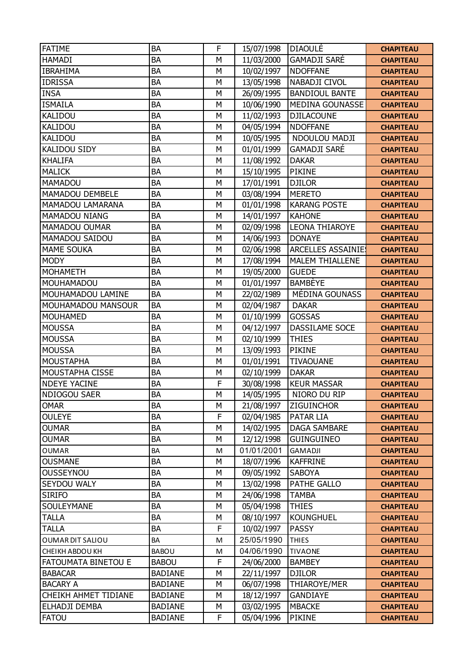| <b>FATIME</b>           | <b>BA</b>      | F | 15/07/1998 | <b>DIAOULÉ</b>           | <b>CHAPITEAU</b> |
|-------------------------|----------------|---|------------|--------------------------|------------------|
| <b>HAMADI</b>           | BA             | M | 11/03/2000 | <b>GAMADJI SARÉ</b>      | <b>CHAPITEAU</b> |
| <b>IBRAHIMA</b>         | BA             | M | 10/02/1997 | <b>NDOFFANE</b>          | <b>CHAPITEAU</b> |
| <b>IDRISSA</b>          | BA             | M | 13/05/1998 | NABADJI CIVOL            | <b>CHAPITEAU</b> |
| <b>INSA</b>             | BA             | M | 26/09/1995 | <b>BANDIOUL BANTE</b>    | <b>CHAPITEAU</b> |
| <b>ISMAILA</b>          | BA             | M | 10/06/1990 | <b>MEDINA GOUNASSE</b>   | <b>CHAPITEAU</b> |
| KALIDOU                 | BA             | M | 11/02/1993 | <b>DJILACOUNE</b>        | <b>CHAPITEAU</b> |
| KALIDOU                 | BA             | M | 04/05/1994 | <b>NDOFFANE</b>          | <b>CHAPITEAU</b> |
| <b>KALIDOU</b>          | BA             | M | 10/05/1995 | NDOULOU MADJI            | <b>CHAPITEAU</b> |
| KALIDOU SIDY            | BA             | M | 01/01/1999 | <b>GAMADJI SARÉ</b>      | <b>CHAPITEAU</b> |
| <b>KHALIFA</b>          | BA             | M | 11/08/1992 | <b>DAKAR</b>             | <b>CHAPITEAU</b> |
| <b>MALICK</b>           | BA             | M | 15/10/1995 | PIKINE                   | <b>CHAPITEAU</b> |
| <b>MAMADOU</b>          | BA             | M | 17/01/1991 | <b>DJILOR</b>            | <b>CHAPITEAU</b> |
| MAMADOU DEMBELE         | BA             | M | 03/08/1994 | <b>MERETO</b>            | <b>CHAPITEAU</b> |
| <b>MAMADOU LAMARANA</b> | BA             | M | 01/01/1998 | <b>KARANG POSTE</b>      | <b>CHAPITEAU</b> |
| <b>MAMADOU NIANG</b>    | BA             | M | 14/01/1997 | <b>KAHONE</b>            | <b>CHAPITEAU</b> |
| MAMADOU OUMAR           | BA             | M | 02/09/1998 | <b>LEONA THIAROYE</b>    | <b>CHAPITEAU</b> |
| MAMADOU SAIDOU          | BA             | M | 14/06/1993 | <b>DONAYE</b>            | <b>CHAPITEAU</b> |
| <b>MAME SOUKA</b>       | BA             | M | 02/06/1998 | <b>ARCELLES ASSAINIE</b> | <b>CHAPITEAU</b> |
| <b>MODY</b>             | BA             | M | 17/08/1994 | <b>MALEM THIALLENE</b>   | <b>CHAPITEAU</b> |
| <b>MOHAMETH</b>         | BA             | M | 19/05/2000 | <b>GUEDE</b>             | <b>CHAPITEAU</b> |
| MOUHAMADOU              | BA             | M | 01/01/1997 | <b>BAMBEYE</b>           | <b>CHAPITEAU</b> |
| MOUHAMADOU LAMINE       | BA             | M | 22/02/1989 | MÉDINA GOUNASS           | <b>CHAPITEAU</b> |
| MOUHAMADOU MANSOUR      | <b>BA</b>      | M | 02/04/1987 | <b>DAKAR</b>             | <b>CHAPITEAU</b> |
| <b>MOUHAMED</b>         | <b>BA</b>      | M | 01/10/1999 | <b>GOSSAS</b>            | <b>CHAPITEAU</b> |
| <b>MOUSSA</b>           | BA             | M | 04/12/1997 | DASSILAME SOCE           | <b>CHAPITEAU</b> |
| <b>MOUSSA</b>           | <b>BA</b>      | M | 02/10/1999 | <b>THIES</b>             | <b>CHAPITEAU</b> |
| <b>MOUSSA</b>           | <b>BA</b>      | M | 13/09/1993 | <b>PIKINE</b>            | <b>CHAPITEAU</b> |
| <b>MOUSTAPHA</b>        | BA             | M | 01/01/1991 | <b>TIVAOUANE</b>         | <b>CHAPITEAU</b> |
| MOUSTAPHA CISSE         | BA             | M | 02/10/1999 | <b>DAKAR</b>             | <b>CHAPITEAU</b> |
| <b>NDEYE YACINE</b>     | BA             | F | 30/08/1998 | <b>KEUR MASSAR</b>       | <b>CHAPITEAU</b> |
| NDIOGOU SAER            | <b>BA</b>      | M | 14/05/1995 | NIORO DU RIP             | <b>CHAPITEAU</b> |
| <b>OMAR</b>             | BA             | M | 21/08/1997 | <b>ZIGUINCHOR</b>        | <b>CHAPITEAU</b> |
| <b>OULEYE</b>           | BA             | F | 02/04/1985 | <b>PATAR LIA</b>         | <b>CHAPITEAU</b> |
| <b>OUMAR</b>            | BA             | M | 14/02/1995 | <b>DAGA SAMBARE</b>      | <b>CHAPITEAU</b> |
| <b>OUMAR</b>            | BA             | М | 12/12/1998 | <b>GUINGUINEO</b>        | <b>CHAPITEAU</b> |
| <b>OUMAR</b>            | BA             | M | 01/01/2001 | GAMADJI                  | <b>CHAPITEAU</b> |
| <b>OUSMANE</b>          | BA             | M | 18/07/1996 | <b>KAFFRINE</b>          | <b>CHAPITEAU</b> |
| <b>OUSSEYNOU</b>        | BA             | M | 09/05/1992 | <b>SABOYA</b>            | <b>CHAPITEAU</b> |
| SEYDOU WALY             | BA             | М | 13/02/1998 | PATHE GALLO              | <b>CHAPITEAU</b> |
| <b>SIRIFO</b>           | BA             | M | 24/06/1998 | <b>TAMBA</b>             | <b>CHAPITEAU</b> |
| SOULEYMANE              | BA             | M | 05/04/1998 | <b>THIES</b>             | <b>CHAPITEAU</b> |
| <b>TALLA</b>            | BA             | М | 08/10/1997 | <b>KOUNGHUEL</b>         | <b>CHAPITEAU</b> |
| <b>TALLA</b>            | BA             | F | 10/02/1997 | <b>PASSY</b>             | <b>CHAPITEAU</b> |
| OUMAR DIT SALIOU        | BA             | M | 25/05/1990 | <b>THIES</b>             | <b>CHAPITEAU</b> |
| CHEIKH ABDOU KH         | <b>BABOU</b>   | M | 04/06/1990 | <b>TIVAONE</b>           | <b>CHAPITEAU</b> |
| FATOUMATA BINETOU E     | <b>BABOU</b>   | F | 24/06/2000 | <b>BAMBEY</b>            | <b>CHAPITEAU</b> |
| <b>BABACAR</b>          | <b>BADIANE</b> | M | 22/11/1997 | <b>DJILOR</b>            | <b>CHAPITEAU</b> |
| <b>BACARY A</b>         | <b>BADIANE</b> | М | 06/07/1998 | THIAROYE/MER             | <b>CHAPITEAU</b> |
| CHEIKH AHMET TIDIANE    | <b>BADIANE</b> | M | 18/12/1997 | <b>GANDIAYE</b>          | <b>CHAPITEAU</b> |
| ELHADJI DEMBA           | <b>BADIANE</b> | M | 03/02/1995 | <b>MBACKE</b>            | <b>CHAPITEAU</b> |
| <b>FATOU</b>            | <b>BADIANE</b> | F | 05/04/1996 | PIKINE                   | <b>CHAPITEAU</b> |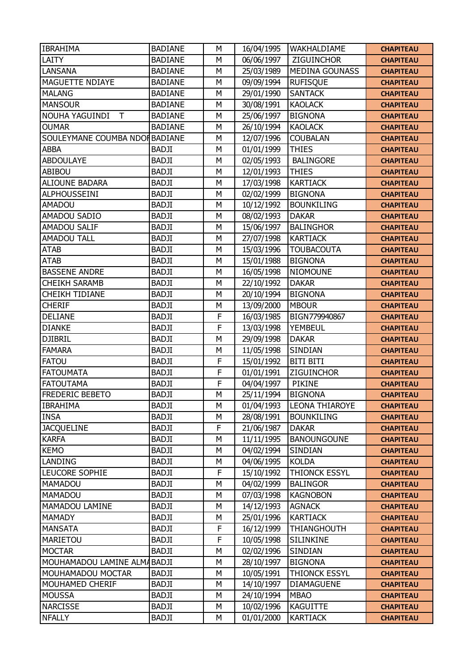| <b>IBRAHIMA</b>                | <b>BADIANE</b> | M            | 16/04/1995 | <b>WAKHALDIAME</b>    | <b>CHAPITEAU</b> |
|--------------------------------|----------------|--------------|------------|-----------------------|------------------|
| LAITY                          | <b>BADIANE</b> | M            | 06/06/1997 | ZIGUINCHOR            | <b>CHAPITEAU</b> |
| <b>LANSANA</b>                 | <b>BADIANE</b> | M            | 25/03/1989 | <b>MEDINA GOUNASS</b> | <b>CHAPITEAU</b> |
| MAGUETTE NDIAYE                | <b>BADIANE</b> | M            | 09/09/1994 | <b>RUFISQUE</b>       | <b>CHAPITEAU</b> |
| <b>MALANG</b>                  | <b>BADIANE</b> | M            | 29/01/1990 | <b>SANTACK</b>        | <b>CHAPITEAU</b> |
| <b>MANSOUR</b>                 | <b>BADIANE</b> | M            | 30/08/1991 | <b>KAOLACK</b>        | <b>CHAPITEAU</b> |
| NOUHA YAGUINDI<br>$\mathsf{T}$ | <b>BADIANE</b> | M            | 25/06/1997 | <b>BIGNONA</b>        | <b>CHAPITEAU</b> |
| <b>OUMAR</b>                   | <b>BADIANE</b> | M            | 26/10/1994 | <b>KAOLACK</b>        | <b>CHAPITEAU</b> |
| SOULEYMANE COUMBA NDOI BADIANE |                | M            | 12/07/1996 | <b>COUBALAN</b>       | <b>CHAPITEAU</b> |
| <b>ABBA</b>                    | <b>BADJI</b>   | M            | 01/01/1999 | <b>THIES</b>          | <b>CHAPITEAU</b> |
| <b>ABDOULAYE</b>               | <b>BADJI</b>   | M            | 02/05/1993 | <b>BALINGORE</b>      | <b>CHAPITEAU</b> |
| ABIBOU                         | <b>BADJI</b>   | M            | 12/01/1993 | <b>THIES</b>          | <b>CHAPITEAU</b> |
| <b>ALIOUNE BADARA</b>          | <b>BADJI</b>   | M            | 17/03/1998 | <b>KARTIACK</b>       | <b>CHAPITEAU</b> |
| ALPHOUSSEINI                   | <b>BADJI</b>   | M            | 02/02/1999 | <b>BIGNONA</b>        | <b>CHAPITEAU</b> |
| <b>AMADOU</b>                  | <b>BADJI</b>   | M            | 10/12/1992 | <b>BOUNKILING</b>     | <b>CHAPITEAU</b> |
| AMADOU SADIO                   | <b>BADJI</b>   | M            | 08/02/1993 | <b>DAKAR</b>          | <b>CHAPITEAU</b> |
| AMADOU SALIF                   | <b>BADJI</b>   | M            | 15/06/1997 | <b>BALINGHOR</b>      | <b>CHAPITEAU</b> |
| <b>AMADOU TALL</b>             | <b>BADJI</b>   | M            | 27/07/1998 | <b>KARTIACK</b>       | <b>CHAPITEAU</b> |
| <b>ATAB</b>                    | <b>BADJI</b>   | M            | 15/03/1996 | <b>TOUBACOUTA</b>     | <b>CHAPITEAU</b> |
| <b>ATAB</b>                    | <b>BADJI</b>   | M            | 15/01/1988 | <b>BIGNONA</b>        | <b>CHAPITEAU</b> |
| <b>BASSENE ANDRE</b>           | <b>BADJI</b>   | M            | 16/05/1998 | <b>NIOMOUNE</b>       | <b>CHAPITEAU</b> |
| <b>CHEIKH SARAMB</b>           | <b>BADJI</b>   | M            | 22/10/1992 | <b>DAKAR</b>          | <b>CHAPITEAU</b> |
| <b>CHEIKH TIDIANE</b>          | <b>BADJI</b>   | M            | 20/10/1994 | <b>BIGNONA</b>        | <b>CHAPITEAU</b> |
| <b>CHERIF</b>                  | <b>BADJI</b>   | M            | 13/09/2000 | <b>MBOUR</b>          | <b>CHAPITEAU</b> |
| <b>DELIANE</b>                 | <b>BADJI</b>   | F            | 16/03/1985 | BIGN779940867         | <b>CHAPITEAU</b> |
| <b>DIANKE</b>                  | <b>BADJI</b>   | $\mathsf{F}$ | 13/03/1998 | <b>YEMBEUL</b>        | <b>CHAPITEAU</b> |
| <b>DJIBRIL</b>                 | <b>BADJI</b>   | M            | 29/09/1998 | <b>DAKAR</b>          | <b>CHAPITEAU</b> |
| <b>FAMARA</b>                  | <b>BADJI</b>   | M            | 11/05/1998 | SINDIAN               | <b>CHAPITEAU</b> |
| <b>FATOU</b>                   | <b>BADJI</b>   | $\mathsf{F}$ | 15/01/1992 | <b>BITI BITI</b>      | <b>CHAPITEAU</b> |
| <b>FATOUMATA</b>               | <b>BADJI</b>   | $\mathsf F$  | 01/01/1991 | <b>ZIGUINCHOR</b>     | <b>CHAPITEAU</b> |
| <b>FATOUTAMA</b>               | <b>BADJI</b>   | F            | 04/04/1997 | <b>PIKINE</b>         | <b>CHAPITEAU</b> |
| <b>FREDERIC BEBETO</b>         | <b>BADJI</b>   | M            | 25/11/1994 | <b>BIGNONA</b>        | <b>CHAPITEAU</b> |
| <b>IBRAHIMA</b>                | <b>BADJI</b>   | M            | 01/04/1993 | <b>LEONA THIAROYE</b> | <b>CHAPITEAU</b> |
| <b>INSA</b>                    | <b>BADJI</b>   | M            | 28/08/1991 | <b>BOUNKILING</b>     | <b>CHAPITEAU</b> |
| <b>JACQUELINE</b>              | <b>BADJI</b>   | F            | 21/06/1987 | <b>DAKAR</b>          | <b>CHAPITEAU</b> |
| <b>KARFA</b>                   | <b>BADJI</b>   | M            | 11/11/1995 | <b>BANOUNGOUNE</b>    | <b>CHAPITEAU</b> |
| <b>KEMO</b>                    | <b>BADJI</b>   | М            | 04/02/1994 | SINDIAN               | <b>CHAPITEAU</b> |
| LANDING                        | <b>BADJI</b>   | M            | 04/06/1995 | <b>KOLDA</b>          | <b>CHAPITEAU</b> |
| LEUCORE SOPHIE                 | <b>BADJI</b>   | $\mathsf{F}$ | 15/10/1992 | THIONCK ESSYL         | <b>CHAPITEAU</b> |
| MAMADOU                        | <b>BADJI</b>   | M            | 04/02/1999 | <b>BALINGOR</b>       | <b>CHAPITEAU</b> |
| MAMADOU                        | <b>BADJI</b>   | M            | 07/03/1998 | <b>KAGNOBON</b>       | <b>CHAPITEAU</b> |
| MAMADOU LAMINE                 | <b>BADJI</b>   | M            | 14/12/1993 | <b>AGNACK</b>         | <b>CHAPITEAU</b> |
| <b>MAMADY</b>                  | <b>BADJI</b>   | M            | 25/01/1996 | <b>KARTIACK</b>       | <b>CHAPITEAU</b> |
| <b>MANSATA</b>                 | <b>BADJI</b>   | $\mathsf{F}$ | 16/12/1999 | <b>THIANGHOUTH</b>    | <b>CHAPITEAU</b> |
| <b>MARIETOU</b>                | <b>BADJI</b>   | $\mathsf{F}$ | 10/05/1998 | <b>SILINKINE</b>      | <b>CHAPITEAU</b> |
| <b>MOCTAR</b>                  | <b>BADJI</b>   | М            | 02/02/1996 | <b>SINDIAN</b>        | <b>CHAPITEAU</b> |
| MOUHAMADOU LAMINE ALMABADJI    |                | M            | 28/10/1997 | <b>BIGNONA</b>        | <b>CHAPITEAU</b> |
| MOUHAMADOU MOCTAR              | <b>BADJI</b>   | M            | 10/05/1991 | <b>THIONCK ESSYL</b>  | <b>CHAPITEAU</b> |
| MOUHAMED CHERIF                | <b>BADJI</b>   | М            | 14/10/1997 | <b>DIAMAGUENE</b>     | <b>CHAPITEAU</b> |
| <b>MOUSSA</b>                  | <b>BADJI</b>   | M            | 24/10/1994 | <b>MBAO</b>           | <b>CHAPITEAU</b> |
| <b>NARCISSE</b>                | <b>BADJI</b>   | М            | 10/02/1996 | <b>KAGUITTE</b>       | <b>CHAPITEAU</b> |
| <b>NFALLY</b>                  | <b>BADJI</b>   | М            | 01/01/2000 | <b>KARTIACK</b>       | <b>CHAPITEAU</b> |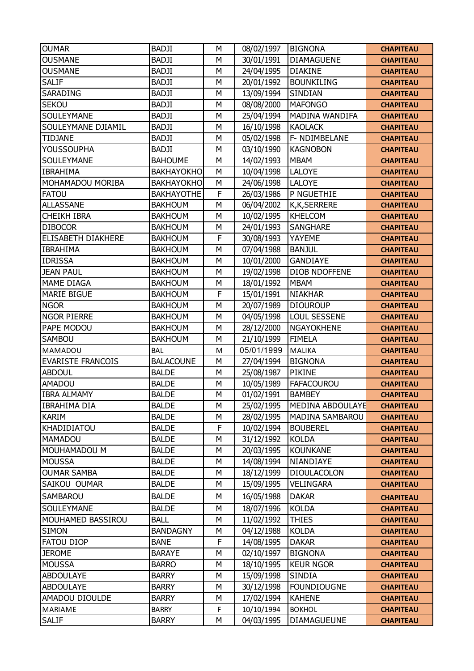| <b>OUMAR</b>             | <b>BADJI</b>      | M | 08/02/1997 | <b>BIGNONA</b>       | <b>CHAPITEAU</b> |
|--------------------------|-------------------|---|------------|----------------------|------------------|
| <b>OUSMANE</b>           | <b>BADJI</b>      | M | 30/01/1991 | <b>DIAMAGUENE</b>    | <b>CHAPITEAU</b> |
| <b>OUSMANE</b>           | <b>BADJI</b>      | M | 24/04/1995 | <b>DIAKINE</b>       | <b>CHAPITEAU</b> |
| <b>SALIF</b>             | <b>BADJI</b>      | M | 20/01/1992 | <b>BOUNKILING</b>    | <b>CHAPITEAU</b> |
| SARADING                 | <b>BADJI</b>      | M | 13/09/1994 | SINDIAN              | <b>CHAPITEAU</b> |
| <b>SEKOU</b>             | <b>BADJI</b>      | M | 08/08/2000 | <b>MAFONGO</b>       | <b>CHAPITEAU</b> |
| SOULEYMANE               | <b>BADJI</b>      | M | 25/04/1994 | MADINA WANDIFA       | <b>CHAPITEAU</b> |
| SOULEYMANE DJIAMIL       | <b>BADJI</b>      | M | 16/10/1998 | <b>KAOLACK</b>       | <b>CHAPITEAU</b> |
| <b>TIDJANE</b>           | <b>BADJI</b>      | M | 05/02/1998 | F- NDIMBELANE        | <b>CHAPITEAU</b> |
| <b>YOUSSOUPHA</b>        | <b>BADJI</b>      | M | 03/10/1990 | <b>KAGNOBON</b>      | <b>CHAPITEAU</b> |
| SOULEYMANE               | <b>BAHOUME</b>    | M | 14/02/1993 | <b>MBAM</b>          | <b>CHAPITEAU</b> |
| <b>IBRAHIMA</b>          | <b>BAKHAYOKHO</b> | M | 10/04/1998 | <b>LALOYE</b>        | <b>CHAPITEAU</b> |
| MOHAMADOU MORIBA         | <b>BAKHAYOKHO</b> | M | 24/06/1998 | <b>LALOYE</b>        | <b>CHAPITEAU</b> |
| <b>FATOU</b>             | <b>BAKHAYOTHE</b> | F | 26/03/1986 | P NGUETHIE           | <b>CHAPITEAU</b> |
| <b>ALLASSANE</b>         | <b>BAKHOUM</b>    | M | 06/04/2002 | <b>K,K,SERRERE</b>   | <b>CHAPITEAU</b> |
| <b>CHEIKH IBRA</b>       | <b>BAKHOUM</b>    | M | 10/02/1995 | <b>KHELCOM</b>       | <b>CHAPITEAU</b> |
| <b>DIBOCOR</b>           | <b>BAKHOUM</b>    | M | 24/01/1993 | <b>SANGHARE</b>      | <b>CHAPITEAU</b> |
| ELISABETH DIAKHERE       | <b>BAKHOUM</b>    | F | 30/08/1993 | YAYEME               | <b>CHAPITEAU</b> |
| <b>IBRAHIMA</b>          | <b>BAKHOUM</b>    | M | 07/04/1988 | <b>BANJUL</b>        | <b>CHAPITEAU</b> |
| <b>IDRISSA</b>           | <b>BAKHOUM</b>    | M | 10/01/2000 | GANDIAYE             | <b>CHAPITEAU</b> |
| <b>JEAN PAUL</b>         | <b>BAKHOUM</b>    | M | 19/02/1998 | <b>DIOB NDOFFENE</b> | <b>CHAPITEAU</b> |
| <b>MAME DIAGA</b>        | <b>BAKHOUM</b>    | M | 18/01/1992 | <b>MBAM</b>          | <b>CHAPITEAU</b> |
| <b>MARIE BIGUE</b>       | <b>BAKHOUM</b>    | F | 15/01/1991 | <b>NIAKHAR</b>       | <b>CHAPITEAU</b> |
| <b>NGOR</b>              | <b>BAKHOUM</b>    | M | 20/07/1989 | <b>DIOUROUP</b>      | <b>CHAPITEAU</b> |
| <b>NGOR PIERRE</b>       | <b>BAKHOUM</b>    | M | 04/05/1998 | <b>LOUL SESSENE</b>  | <b>CHAPITEAU</b> |
| PAPE MODOU               | <b>BAKHOUM</b>    | M | 28/12/2000 | <b>NGAYOKHENE</b>    |                  |
| <b>SAMBOU</b>            | <b>BAKHOUM</b>    | M |            | <b>FIMELA</b>        | <b>CHAPITEAU</b> |
|                          |                   |   | 21/10/1999 |                      | <b>CHAPITEAU</b> |
| <b>MAMADOU</b>           | <b>BAL</b>        | M | 05/01/1999 | <b>MALIKA</b>        | <b>CHAPITEAU</b> |
| <b>EVARISTE FRANCOIS</b> | <b>BALACOUNE</b>  | M | 27/04/1994 | <b>BIGNONA</b>       | <b>CHAPITEAU</b> |
| <b>ABDOUL</b>            | <b>BALDE</b>      | M | 25/08/1987 | <b>PIKINE</b>        | <b>CHAPITEAU</b> |
| AMADOU                   | <b>BALDE</b>      | M | 10/05/1989 | <b>FAFACOUROU</b>    | <b>CHAPITEAU</b> |
| <b>IBRA ALMAMY</b>       | <b>BALDE</b>      | M | 01/02/1991 | <b>BAMBEY</b>        | <b>CHAPITEAU</b> |
| <b>IBRAHIMA DIA</b>      | <b>BALDE</b>      | M | 25/02/1995 | MEDINA ABDOULAYE     | <b>CHAPITEAU</b> |
| <b>KARIM</b>             | <b>BALDE</b>      | M | 28/02/1995 | MADINA SAMBAROU      | <b>CHAPITEAU</b> |
| KHADIDIATOU              | <b>BALDE</b>      | F | 10/02/1994 | <b>BOUBEREL</b>      | <b>CHAPITEAU</b> |
| MAMADOU                  | <b>BALDE</b>      | M | 31/12/1992 | <b>KOLDA</b>         | <b>CHAPITEAU</b> |
| MOUHAMADOU M             | <b>BALDE</b>      | М | 20/03/1995 | <b>KOUNKANE</b>      | <b>CHAPITEAU</b> |
| <b>MOUSSA</b>            | <b>BALDE</b>      | M | 14/08/1994 | NIANDIAYE            | <b>CHAPITEAU</b> |
| <b>OUMAR SAMBA</b>       | <b>BALDE</b>      | M | 18/12/1999 | <b>DIOULACOLON</b>   | <b>CHAPITEAU</b> |
| SAIKOU OUMAR             | <b>BALDE</b>      | М | 15/09/1995 | <b>VELINGARA</b>     | <b>CHAPITEAU</b> |
| SAMBAROU                 | <b>BALDE</b>      | M | 16/05/1988 | <b>DAKAR</b>         | <b>CHAPITEAU</b> |
| SOULEYMANE               | <b>BALDE</b>      | M | 18/07/1996 | <b>KOLDA</b>         | <b>CHAPITEAU</b> |
| MOUHAMED BASSIROU        | <b>BALL</b>       | M | 11/02/1992 | <b>THIES</b>         | <b>CHAPITEAU</b> |
| <b>SIMON</b>             | <b>BANDAGNY</b>   | M | 04/12/1988 | <b>KOLDA</b>         | <b>CHAPITEAU</b> |
| <b>FATOU DIOP</b>        | <b>BANE</b>       | F | 14/08/1995 | <b>DAKAR</b>         | <b>CHAPITEAU</b> |
| <b>JEROME</b>            | <b>BARAYE</b>     | M | 02/10/1997 | <b>BIGNONA</b>       | <b>CHAPITEAU</b> |
| <b>MOUSSA</b>            | <b>BARRO</b>      | М | 18/10/1995 | <b>KEUR NGOR</b>     | <b>CHAPITEAU</b> |
| <b>ABDOULAYE</b>         | <b>BARRY</b>      | M | 15/09/1998 | <b>SINDIA</b>        | <b>CHAPITEAU</b> |
| <b>ABDOULAYE</b>         | <b>BARRY</b>      | M | 30/12/1998 | <b>FOUNDIOUGNE</b>   | <b>CHAPITEAU</b> |
| AMADOU DIOULDE           | <b>BARRY</b>      | М | 17/02/1994 | <b>KAHENE</b>        | <b>CHAPITEAU</b> |
| MARIAME                  | <b>BARRY</b>      | F | 10/10/1994 | <b>BOKHOL</b>        | <b>CHAPITEAU</b> |
| <b>SALIF</b>             | <b>BARRY</b>      | М | 04/03/1995 | <b>DIAMAGUEUNE</b>   |                  |
|                          |                   |   |            |                      | <b>CHAPITEAU</b> |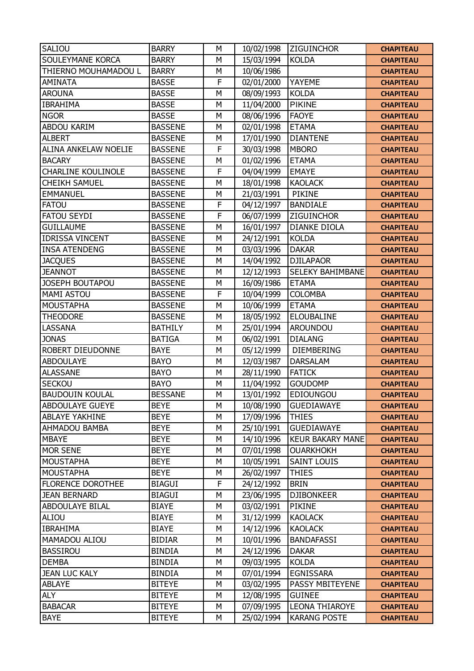| <b>SALIOU</b>               | <b>BARRY</b>   | M            | 10/02/1998 | <b>ZIGUINCHOR</b>       | <b>CHAPITEAU</b> |
|-----------------------------|----------------|--------------|------------|-------------------------|------------------|
| SOULEYMANE KORCA            | <b>BARRY</b>   | M            | 15/03/1994 | <b>KOLDA</b>            | <b>CHAPITEAU</b> |
| THIERNO MOUHAMADOU L        | <b>BARRY</b>   | M            | 10/06/1986 |                         | <b>CHAPITEAU</b> |
| <b>AMINATA</b>              | <b>BASSE</b>   | F            | 02/01/2000 | YAYEME                  | <b>CHAPITEAU</b> |
| <b>AROUNA</b>               | <b>BASSE</b>   | M            | 08/09/1993 | <b>KOLDA</b>            | <b>CHAPITEAU</b> |
| <b>IBRAHIMA</b>             | <b>BASSE</b>   | M            | 11/04/2000 | <b>PIKINE</b>           | <b>CHAPITEAU</b> |
| <b>NGOR</b>                 | <b>BASSE</b>   | M            | 08/06/1996 | <b>FAOYE</b>            | <b>CHAPITEAU</b> |
| <b>ABDOU KARIM</b>          | <b>BASSENE</b> | M            | 02/01/1998 | <b>ETAMA</b>            | <b>CHAPITEAU</b> |
| <b>ALBERT</b>               | <b>BASSENE</b> | M            | 17/01/1990 | <b>DIANTENE</b>         | <b>CHAPITEAU</b> |
| <b>ALINA ANKELAW NOELIE</b> | <b>BASSENE</b> | F            | 30/03/1998 | <b>MBORO</b>            | <b>CHAPITEAU</b> |
| <b>BACARY</b>               | <b>BASSENE</b> | M            | 01/02/1996 | <b>ETAMA</b>            | <b>CHAPITEAU</b> |
| <b>CHARLINE KOULINOLE</b>   | <b>BASSENE</b> | F            | 04/04/1999 | <b>EMAYE</b>            | <b>CHAPITEAU</b> |
| <b>CHEIKH SAMUEL</b>        | <b>BASSENE</b> | M            | 18/01/1998 | <b>KAOLACK</b>          | <b>CHAPITEAU</b> |
| <b>EMMANUEL</b>             | <b>BASSENE</b> | M            | 21/03/1991 | <b>PIKINE</b>           | <b>CHAPITEAU</b> |
| <b>FATOU</b>                | <b>BASSENE</b> | $\mathsf F$  | 04/12/1997 | <b>BANDIALE</b>         | <b>CHAPITEAU</b> |
| <b>FATOU SEYDI</b>          | <b>BASSENE</b> | F            | 06/07/1999 | <b>ZIGUINCHOR</b>       | <b>CHAPITEAU</b> |
| <b>GUILLAUME</b>            | <b>BASSENE</b> | M            | 16/01/1997 | <b>DIANKE DIOLA</b>     | <b>CHAPITEAU</b> |
| <b>IDRISSA VINCENT</b>      | <b>BASSENE</b> | M            | 24/12/1991 | <b>KOLDA</b>            | <b>CHAPITEAU</b> |
| <b>INSA ATENDENG</b>        | <b>BASSENE</b> | M            | 03/03/1996 | <b>DAKAR</b>            | <b>CHAPITEAU</b> |
| <b>JACQUES</b>              | <b>BASSENE</b> | M            | 14/04/1992 | <b>DJILAPAOR</b>        | <b>CHAPITEAU</b> |
| <b>JEANNOT</b>              | <b>BASSENE</b> | M            | 12/12/1993 | <b>SELEKY BAHIMBANE</b> | <b>CHAPITEAU</b> |
| JOSEPH BOUTAPOU             | <b>BASSENE</b> | M            | 16/09/1986 | <b>ETAMA</b>            | <b>CHAPITEAU</b> |
| <b>MAMI ASTOU</b>           | <b>BASSENE</b> | $\mathsf{F}$ | 10/04/1999 | <b>COLOMBA</b>          | <b>CHAPITEAU</b> |
| <b>MOUSTAPHA</b>            | <b>BASSENE</b> | M            | 10/06/1999 | <b>ETAMA</b>            | <b>CHAPITEAU</b> |
| <b>THEODORE</b>             | <b>BASSENE</b> | M            | 18/05/1992 | <b>ELOUBALINE</b>       | <b>CHAPITEAU</b> |
| LASSANA                     | <b>BATHILY</b> | M            | 25/01/1994 | <b>AROUNDOU</b>         | <b>CHAPITEAU</b> |
| <b>JONAS</b>                | <b>BATIGA</b>  | M            | 06/02/1991 | <b>DIALANG</b>          | <b>CHAPITEAU</b> |
| ROBERT DIEUDONNE            | <b>BAYE</b>    | M            | 05/12/1999 | <b>DIEMBERING</b>       | <b>CHAPITEAU</b> |
| <b>ABDOULAYE</b>            | <b>BAYO</b>    | M            | 12/03/1987 | <b>DARSALAM</b>         | <b>CHAPITEAU</b> |
| <b>ALASSANE</b>             | <b>BAYO</b>    | M            | 28/11/1990 | <b>FATICK</b>           | <b>CHAPITEAU</b> |
| <b>SECKOU</b>               | <b>BAYO</b>    | M            | 11/04/1992 | <b>GOUDOMP</b>          | <b>CHAPITEAU</b> |
| <b>BAUDOUIN KOULAL</b>      | <b>BESSANE</b> | M            | 13/01/1992 | <b>EDIOUNGOU</b>        | <b>CHAPITEAU</b> |
| ABDOULAYE GUEYE             | <b>BEYE</b>    | M            | 10/08/1990 | <b>GUEDIAWAYE</b>       | <b>CHAPITEAU</b> |
| <b>ABLAYE YAKHINE</b>       | <b>BEYE</b>    | М            | 17/09/1996 | <b>THIES</b>            | <b>CHAPITEAU</b> |
| AHMADOU BAMBA               | <b>BEYE</b>    | M            | 25/10/1991 | <b>GUEDIAWAYE</b>       | <b>CHAPITEAU</b> |
| <b>MBAYE</b>                | <b>BEYE</b>    | M            | 14/10/1996 | <b>KEUR BAKARY MANE</b> | <b>CHAPITEAU</b> |
| <b>MOR SENE</b>             | <b>BEYE</b>    | М            | 07/01/1998 | <b>OUARKHOKH</b>        | <b>CHAPITEAU</b> |
| <b>MOUSTAPHA</b>            | <b>BEYE</b>    | M            | 10/05/1991 | <b>SAINT LOUIS</b>      | <b>CHAPITEAU</b> |
| <b>MOUSTAPHA</b>            | <b>BEYE</b>    | M            | 26/02/1997 | <b>THIES</b>            | <b>CHAPITEAU</b> |
| <b>FLORENCE DOROTHEE</b>    | <b>BIAGUI</b>  | F            | 24/12/1992 | <b>BRIN</b>             | <b>CHAPITEAU</b> |
| <b>JEAN BERNARD</b>         | <b>BIAGUI</b>  | M            | 23/06/1995 | <b>DJIBONKEER</b>       | <b>CHAPITEAU</b> |
| <b>ABDOULAYE BILAL</b>      | <b>BIAYE</b>   | M            | 03/02/1991 | <b>PIKINE</b>           | <b>CHAPITEAU</b> |
| ALIOU                       | <b>BIAYE</b>   | M            | 31/12/1999 | <b>KAOLACK</b>          | <b>CHAPITEAU</b> |
| <b>IBRAHIMA</b>             | <b>BIAYE</b>   | M            | 14/12/1996 | <b>KAOLACK</b>          | <b>CHAPITEAU</b> |
| MAMADOU ALIOU               | <b>BIDIAR</b>  | М            | 10/01/1996 | <b>BANDAFASSI</b>       | <b>CHAPITEAU</b> |
| <b>BASSIROU</b>             | <b>BINDIA</b>  | М            | 24/12/1996 | <b>DAKAR</b>            | <b>CHAPITEAU</b> |
| <b>DEMBA</b>                | <b>BINDIA</b>  | M            | 09/03/1995 | <b>KOLDA</b>            | <b>CHAPITEAU</b> |
| <b>JEAN LUC KALY</b>        | <b>BINDIA</b>  | M            | 07/01/1994 | EGNISSARA               | <b>CHAPITEAU</b> |
| <b>ABLAYE</b>               | <b>BITEYE</b>  | М            | 03/02/1995 | <b>PASSY MBITEYENE</b>  | <b>CHAPITEAU</b> |
| <b>ALY</b>                  | <b>BITEYE</b>  | M            | 12/08/1995 | <b>GUINEE</b>           | <b>CHAPITEAU</b> |
| <b>BABACAR</b>              | <b>BITEYE</b>  | М            | 07/09/1995 | <b>LEONA THIAROYE</b>   | <b>CHAPITEAU</b> |
| <b>BAYE</b>                 | <b>BITEYE</b>  | М            | 25/02/1994 | <b>KARANG POSTE</b>     | <b>CHAPITEAU</b> |
|                             |                |              |            |                         |                  |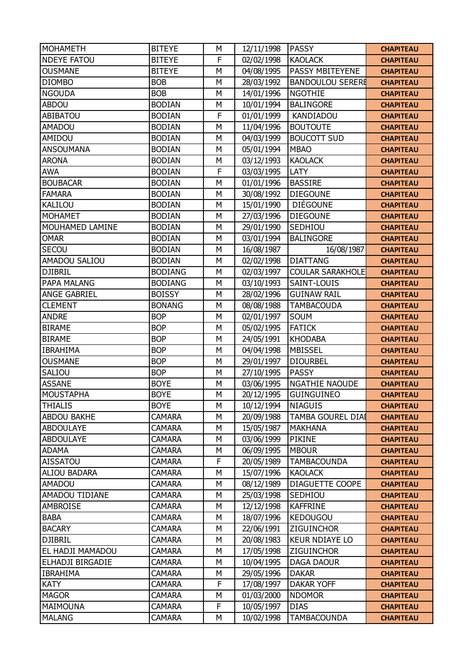| <b>MOHAMETH</b>      | <b>BITEYE</b>  | M            | 12/11/1998 | <b>PASSY</b>             | <b>CHAPITEAU</b> |
|----------------------|----------------|--------------|------------|--------------------------|------------------|
| <b>NDEYE FATOU</b>   | <b>BITEYE</b>  | $\mathsf{F}$ | 02/02/1998 | <b>KAOLACK</b>           | <b>CHAPITEAU</b> |
| <b>OUSMANE</b>       | <b>BITEYE</b>  | M            | 04/08/1995 | <b>PASSY MBITEYENE</b>   | <b>CHAPITEAU</b> |
| <b>DIOMBO</b>        | <b>BOB</b>     | M            | 28/03/1992 | <b>BANDOULOU SERERE</b>  | <b>CHAPITEAU</b> |
| <b>NGOUDA</b>        | <b>BOB</b>     | M            | 14/01/1996 | <b>NGOTHIE</b>           | <b>CHAPITEAU</b> |
| <b>ABDOU</b>         | <b>BODIAN</b>  | M            | 10/01/1994 | <b>BALINGORE</b>         | <b>CHAPITEAU</b> |
| ABIBATOU             | <b>BODIAN</b>  | F            | 01/01/1999 | <b>KANDIADOU</b>         | <b>CHAPITEAU</b> |
| <b>AMADOU</b>        | <b>BODIAN</b>  | M            | 11/04/1996 | <b>BOUTOUTE</b>          | <b>CHAPITEAU</b> |
| AMIDOU               | <b>BODIAN</b>  | M            | 04/03/1999 | <b>BOUCOTT SUD</b>       | <b>CHAPITEAU</b> |
| <b>ANSOUMANA</b>     | <b>BODIAN</b>  | M            | 05/01/1994 | <b>MBAO</b>              | <b>CHAPITEAU</b> |
| <b>ARONA</b>         | <b>BODIAN</b>  | M            | 03/12/1993 | <b>KAOLACK</b>           | <b>CHAPITEAU</b> |
| <b>AWA</b>           | <b>BODIAN</b>  | F            | 03/03/1995 | LATY                     | <b>CHAPITEAU</b> |
| <b>BOUBACAR</b>      | <b>BODIAN</b>  | M            | 01/01/1996 | <b>BASSIRE</b>           | <b>CHAPITEAU</b> |
| <b>FAMARA</b>        | <b>BODIAN</b>  | M            | 30/08/1992 | <b>DIEGOUNE</b>          | <b>CHAPITEAU</b> |
| KALILOU              | <b>BODIAN</b>  | M            | 15/01/1990 | <b>DIÉGOUNE</b>          | <b>CHAPITEAU</b> |
| <b>MOHAMET</b>       | <b>BODIAN</b>  | M            | 27/03/1996 | <b>DIEGOUNE</b>          | <b>CHAPITEAU</b> |
| MOUHAMED LAMINE      | <b>BODIAN</b>  | M            | 29/01/1990 | SEDHIOU                  | <b>CHAPITEAU</b> |
| <b>OMAR</b>          | <b>BODIAN</b>  | M            | 03/01/1994 | <b>BALINGORE</b>         | <b>CHAPITEAU</b> |
| SECOU                | <b>BODIAN</b>  | M            | 16/08/1987 | 16/08/1987               | <b>CHAPITEAU</b> |
| <b>AMADOU SALIOU</b> | <b>BODIAN</b>  | M            | 02/02/1998 | <b>DIATTANG</b>          | <b>CHAPITEAU</b> |
| <b>DJIBRIL</b>       | <b>BODIANG</b> | M            | 02/03/1997 | <b>COULAR SARAKHOLE</b>  | <b>CHAPITEAU</b> |
| PAPA MALANG          | <b>BODIANG</b> | M            | 03/10/1993 | SAINT-LOUIS              | <b>CHAPITEAU</b> |
| ANGE GABRIEL         | <b>BOISSY</b>  | M            | 28/02/1996 | <b>GUINAW RAIL</b>       | <b>CHAPITEAU</b> |
| <b>CLEMENT</b>       | <b>BONANG</b>  | M            | 08/08/1988 | <b>TAMBACOUDA</b>        | <b>CHAPITEAU</b> |
| <b>ANDRE</b>         | <b>BOP</b>     | M            | 02/01/1997 | <b>SOUM</b>              | <b>CHAPITEAU</b> |
| <b>BIRAME</b>        | <b>BOP</b>     | M            | 05/02/1995 | <b>FATICK</b>            | <b>CHAPITEAU</b> |
| <b>BIRAME</b>        | <b>BOP</b>     | M            | 24/05/1991 | <b>KHODABA</b>           | <b>CHAPITEAU</b> |
| <b>IBRAHIMA</b>      | <b>BOP</b>     | M            | 04/04/1998 | <b>MBISSEL</b>           | <b>CHAPITEAU</b> |
| <b>OUSMANE</b>       | <b>BOP</b>     | M            | 29/01/1997 | <b>DIOURBEL</b>          | <b>CHAPITEAU</b> |
| SALIOU               | <b>BOP</b>     | M            | 27/10/1995 | <b>PASSY</b>             | <b>CHAPITEAU</b> |
| <b>ASSANE</b>        | <b>BOYE</b>    | M            | 03/06/1995 | <b>NGATHIE NAOUDE</b>    | <b>CHAPITEAU</b> |
| <b>MOUSTAPHA</b>     | <b>BOYE</b>    | M            | 20/12/1995 | <b>GUINGUINEO</b>        | <b>CHAPITEAU</b> |
| <b>THIALIS</b>       | <b>BOYE</b>    | M            | 10/12/1994 | <b>NIAGUIS</b>           | <b>CHAPITEAU</b> |
| ABDOU BAKHE          | <b>CAMARA</b>  | M            | 20/09/1988 | <b>TAMBA GOUREL DIAI</b> | <b>CHAPITEAU</b> |
| <b>ABDOULAYE</b>     | <b>CAMARA</b>  | M            | 15/05/1987 | <b>MAKHANA</b>           | <b>CHAPITEAU</b> |
| <b>ABDOULAYE</b>     | <b>CAMARA</b>  | M            | 03/06/1999 | <b>PIKINE</b>            | <b>CHAPITEAU</b> |
| <b>ADAMA</b>         | <b>CAMARA</b>  | М            | 06/09/1995 | <b>MBOUR</b>             | <b>CHAPITEAU</b> |
| <b>AISSATOU</b>      | <b>CAMARA</b>  | F            | 20/05/1989 | <b>TAMBACOUNDA</b>       | <b>CHAPITEAU</b> |
| <b>ALIOU BADARA</b>  | <b>CAMARA</b>  | M            | 15/07/1996 | <b>KAOLACK</b>           | <b>CHAPITEAU</b> |
| <b>AMADOU</b>        | <b>CAMARA</b>  | M            | 08/12/1989 | <b>DIAGUETTE COOPE</b>   | <b>CHAPITEAU</b> |
| AMADOU TIDIANE       | <b>CAMARA</b>  | M            | 25/03/1998 | SEDHIOU                  | <b>CHAPITEAU</b> |
| <b>AMBROISE</b>      | <b>CAMARA</b>  | М            | 12/12/1998 | <b>KAFFRINE</b>          | <b>CHAPITEAU</b> |
| <b>BABA</b>          | <b>CAMARA</b>  | M            | 18/07/1996 | <b>KEDOUGOU</b>          | <b>CHAPITEAU</b> |
| <b>BACARY</b>        | <b>CAMARA</b>  | M            | 22/06/1991 | <b>ZIGUINCHOR</b>        | <b>CHAPITEAU</b> |
| <b>DJIBRIL</b>       | <b>CAMARA</b>  | M            | 20/08/1983 | <b>KEUR NDIAYE LO</b>    | <b>CHAPITEAU</b> |
| EL HADJI MAMADOU     | <b>CAMARA</b>  | М            | 17/05/1998 | ZIGUINCHOR               | <b>CHAPITEAU</b> |
| ELHADJI BIRGADIE     | <b>CAMARA</b>  | M            | 10/04/1995 | <b>DAGA DAOUR</b>        | <b>CHAPITEAU</b> |
| <b>IBRAHIMA</b>      | <b>CAMARA</b>  | М            | 29/05/1996 | <b>DAKAR</b>             | <b>CHAPITEAU</b> |
| <b>KATY</b>          | <b>CAMARA</b>  | F            | 17/08/1997 | <b>DAKAR YOFF</b>        | <b>CHAPITEAU</b> |
| <b>MAGOR</b>         | <b>CAMARA</b>  | M            | 01/03/2000 | <b>NDOMOR</b>            | <b>CHAPITEAU</b> |
| MAIMOUNA             | <b>CAMARA</b>  | F            | 10/05/1997 | <b>DIAS</b>              | <b>CHAPITEAU</b> |
| <b>MALANG</b>        | <b>CAMARA</b>  | М            | 10/02/1998 | <b>TAMBACOUNDA</b>       | <b>CHAPITEAU</b> |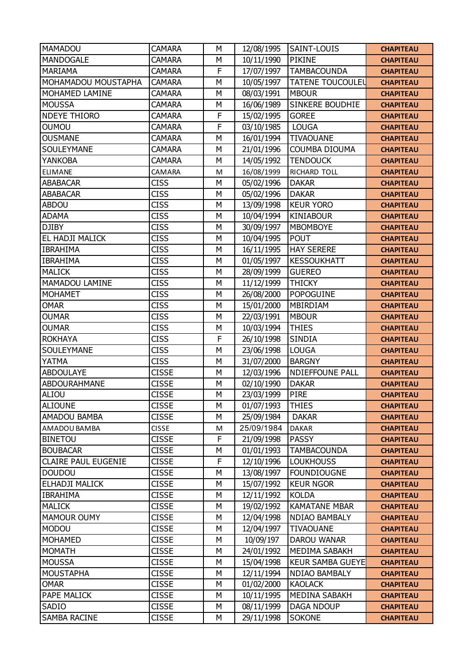| MAMADOU                    | <b>CAMARA</b> | M | 12/08/1995 | SAINT-LOUIS             | <b>CHAPITEAU</b> |
|----------------------------|---------------|---|------------|-------------------------|------------------|
| <b>MANDOGALE</b>           | <b>CAMARA</b> | M | 10/11/1990 | <b>PIKINE</b>           | <b>CHAPITEAU</b> |
| <b>MARIAMA</b>             | <b>CAMARA</b> | F | 17/07/1997 | <b>TAMBACOUNDA</b>      | <b>CHAPITEAU</b> |
| MOHAMADOU MOUSTAPHA        | <b>CAMARA</b> | М | 10/05/1997 | <b>TATENE TOUCOULEU</b> | <b>CHAPITEAU</b> |
| MOHAMED LAMINE             | <b>CAMARA</b> | M | 08/03/1991 | <b>MBOUR</b>            | <b>CHAPITEAU</b> |
| <b>MOUSSA</b>              | <b>CAMARA</b> | M | 16/06/1989 | SINKERE BOUDHIE         | <b>CHAPITEAU</b> |
| <b>NDEYE THIORO</b>        | <b>CAMARA</b> | F | 15/02/1995 | <b>GOREE</b>            | <b>CHAPITEAU</b> |
| <b>OUMOU</b>               | <b>CAMARA</b> | F | 03/10/1985 | <b>LOUGA</b>            | <b>CHAPITEAU</b> |
| <b>OUSMANE</b>             | <b>CAMARA</b> | M | 16/01/1994 | <b>TIVAOUANE</b>        | <b>CHAPITEAU</b> |
| SOULEYMANE                 | <b>CAMARA</b> | M | 21/01/1996 | COUMBA DIOUMA           | <b>CHAPITEAU</b> |
| <b>YANKOBA</b>             | <b>CAMARA</b> | M | 14/05/1992 | <b>TENDOUCK</b>         | <b>CHAPITEAU</b> |
| <b>ELIMANE</b>             | CAMARA        | M | 16/08/1999 | RICHARD TOLL            | <b>CHAPITEAU</b> |
| <b>ABABACAR</b>            | <b>CISS</b>   | M | 05/02/1996 | <b>DAKAR</b>            | <b>CHAPITEAU</b> |
| <b>ABABACAR</b>            | <b>CISS</b>   | M | 05/02/1996 | <b>DAKAR</b>            | <b>CHAPITEAU</b> |
| <b>ABDOU</b>               | <b>CISS</b>   | M | 13/09/1998 | <b>KEUR YORO</b>        | <b>CHAPITEAU</b> |
| <b>ADAMA</b>               | <b>CISS</b>   | M | 10/04/1994 | <b>KINIABOUR</b>        | <b>CHAPITEAU</b> |
| <b>DJIBY</b>               | <b>CISS</b>   | M | 30/09/1997 | <b>MBOMBOYE</b>         | <b>CHAPITEAU</b> |
| EL HADJI MALICK            | <b>CISS</b>   | M | 10/04/1995 | <b>POUT</b>             | <b>CHAPITEAU</b> |
| <b>IBRAHIMA</b>            | <b>CISS</b>   | M | 16/11/1995 | <b>HAY SERERE</b>       | <b>CHAPITEAU</b> |
| <b>IBRAHIMA</b>            | <b>CISS</b>   | M | 01/05/1997 | <b>KESSOUKHATT</b>      | <b>CHAPITEAU</b> |
| <b>MALICK</b>              | <b>CISS</b>   | M | 28/09/1999 | <b>GUEREO</b>           | <b>CHAPITEAU</b> |
| MAMADOU LAMINE             | <b>CISS</b>   | M | 11/12/1999 | <b>THICKY</b>           | <b>CHAPITEAU</b> |
| <b>MOHAMET</b>             | <b>CISS</b>   | M | 26/08/2000 | <b>POPOGUINE</b>        | <b>CHAPITEAU</b> |
| <b>OMAR</b>                | <b>CISS</b>   | M | 15/01/2000 | MBIRDIAM                | <b>CHAPITEAU</b> |
| <b>OUMAR</b>               | <b>CISS</b>   | M | 22/03/1991 | <b>MBOUR</b>            | <b>CHAPITEAU</b> |
| <b>OUMAR</b>               | <b>CISS</b>   | M | 10/03/1994 | <b>THIES</b>            | <b>CHAPITEAU</b> |
| <b>ROKHAYA</b>             | <b>CISS</b>   | F | 26/10/1998 | <b>SINDIA</b>           | <b>CHAPITEAU</b> |
| SOULEYMANE                 | <b>CISS</b>   | M | 23/06/1998 | <b>LOUGA</b>            | <b>CHAPITEAU</b> |
| YATMA                      | <b>CISS</b>   | M | 31/07/2000 | <b>BARGNY</b>           | <b>CHAPITEAU</b> |
| <b>ABDOULAYE</b>           | <b>CISSE</b>  | M | 12/03/1996 | <b>NDIEFFOUNE PALL</b>  | <b>CHAPITEAU</b> |
| <b>ABDOURAHMANE</b>        | <b>CISSE</b>  | M | 02/10/1990 | <b>DAKAR</b>            | <b>CHAPITEAU</b> |
| <b>ALIOU</b>               | <b>CISSE</b>  | M | 23/03/1999 | <b>PIRE</b>             | <b>CHAPITEAU</b> |
| <b>ALIOUNE</b>             | <b>CISSE</b>  | M | 01/07/1993 | <b>THIES</b>            | <b>CHAPITEAU</b> |
| AMADOU BAMBA               | <b>CISSE</b>  | M | 25/09/1984 | <b>DAKAR</b>            | <b>CHAPITEAU</b> |
| AMADOU BAMBA               | <b>CISSE</b>  | M | 25/09/1984 | <b>DAKAR</b>            | <b>CHAPITEAU</b> |
| <b>BINETOU</b>             | <b>CISSE</b>  | F | 21/09/1998 | <b>PASSY</b>            | <b>CHAPITEAU</b> |
| <b>BOUBACAR</b>            | <b>CISSE</b>  | М | 01/01/1993 | <b>TAMBACOUNDA</b>      | <b>CHAPITEAU</b> |
| <b>CLAIRE PAUL EUGENIE</b> | <b>CISSE</b>  | F | 12/10/1996 | <b>LOUKHOUSS</b>        | <b>CHAPITEAU</b> |
| <b>DOUDOU</b>              | <b>CISSE</b>  | M | 13/08/1997 | <b>FOUNDIOUGNE</b>      | <b>CHAPITEAU</b> |
| ELHADJI MALICK             | <b>CISSE</b>  | М | 15/07/1992 | <b>KEUR NGOR</b>        | <b>CHAPITEAU</b> |
| <b>IBRAHIMA</b>            | <b>CISSE</b>  | M | 12/11/1992 | <b>KOLDA</b>            | <b>CHAPITEAU</b> |
| <b>MALICK</b>              | <b>CISSE</b>  | M | 19/02/1992 | <b>KAMATANE MBAR</b>    | <b>CHAPITEAU</b> |
| <b>MAMOUR OUMY</b>         | <b>CISSE</b>  | M | 12/04/1998 | NDIAO BAMBALY           | <b>CHAPITEAU</b> |
| <b>MODOU</b>               | <b>CISSE</b>  | M | 12/04/1997 | <b>TIVAOUANE</b>        | <b>CHAPITEAU</b> |
| <b>MOHAMED</b>             | <b>CISSE</b>  | М | 10/09/197  | DAROU WANAR             | <b>CHAPITEAU</b> |
| <b>MOMATH</b>              | <b>CISSE</b>  | М | 24/01/1992 | MEDIMA SABAKH           | <b>CHAPITEAU</b> |
| <b>MOUSSA</b>              | <b>CISSE</b>  | M | 15/04/1998 | <b>KEUR SAMBA GUEYE</b> | <b>CHAPITEAU</b> |
| <b>MOUSTAPHA</b>           | <b>CISSE</b>  | M | 12/11/1994 | <b>NDIAO BAMBALY</b>    | <b>CHAPITEAU</b> |
| <b>OMAR</b>                | <b>CISSE</b>  | M | 01/02/2000 | <b>KAOLACK</b>          | <b>CHAPITEAU</b> |
| PAPE MALICK                | <b>CISSE</b>  | M | 10/11/1995 | MEDINA SABAKH           | <b>CHAPITEAU</b> |
| SADIO                      | <b>CISSE</b>  | М | 08/11/1999 | <b>DAGA NDOUP</b>       | <b>CHAPITEAU</b> |
| <b>SAMBA RACINE</b>        | <b>CISSE</b>  | М | 29/11/1998 | <b>SOKONE</b>           | <b>CHAPITEAU</b> |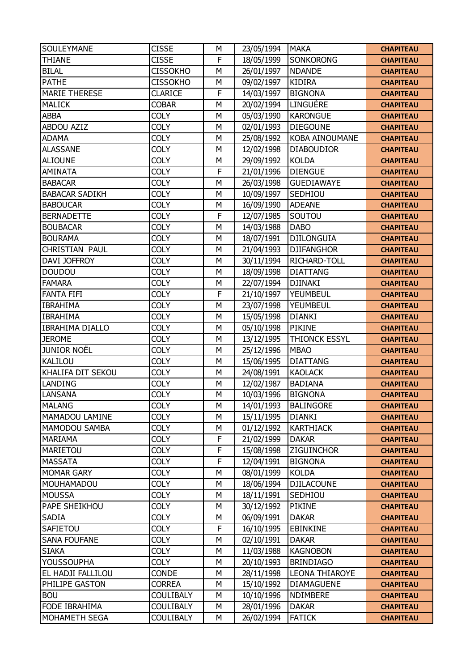| SOULEYMANE             | <b>CISSE</b>     | M | 23/05/1994 | <b>MAKA</b>           | <b>CHAPITEAU</b>                     |
|------------------------|------------------|---|------------|-----------------------|--------------------------------------|
| <b>THIANE</b>          | <b>CISSE</b>     | F | 18/05/1999 | SONKORONG             | <b>CHAPITEAU</b>                     |
| <b>BILAL</b>           | <b>CISSOKHO</b>  | M | 26/01/1997 | <b>NDANDE</b>         | <b>CHAPITEAU</b>                     |
| <b>PATHE</b>           | <b>CISSOKHO</b>  | М | 09/02/1997 | <b>KIDIRA</b>         | <b>CHAPITEAU</b>                     |
| <b>MARIE THERESE</b>   | <b>CLARICE</b>   | F | 14/03/1997 | <b>BIGNONA</b>        | <b>CHAPITEAU</b>                     |
| <b>MALICK</b>          | <b>COBAR</b>     | M | 20/02/1994 | LINGUÈRE              | <b>CHAPITEAU</b>                     |
| <b>ABBA</b>            | <b>COLY</b>      | M | 05/03/1990 | <b>KARONGUE</b>       | <b>CHAPITEAU</b>                     |
| <b>ABDOU AZIZ</b>      | <b>COLY</b>      | M | 02/01/1993 | <b>DIEGOUNE</b>       | <b>CHAPITEAU</b>                     |
| <b>ADAMA</b>           | <b>COLY</b>      | M | 25/08/1992 | <b>KOBA AINOUMANE</b> | <b>CHAPITEAU</b>                     |
| <b>ALASSANE</b>        | <b>COLY</b>      | M | 12/02/1998 | <b>DIABOUDIOR</b>     | <b>CHAPITEAU</b>                     |
| <b>ALIOUNE</b>         | <b>COLY</b>      | M | 29/09/1992 | <b>KOLDA</b>          | <b>CHAPITEAU</b>                     |
| <b>AMINATA</b>         | <b>COLY</b>      | F | 21/01/1996 | <b>DIENGUE</b>        | <b>CHAPITEAU</b>                     |
| <b>BABACAR</b>         | <b>COLY</b>      | M | 26/03/1998 | <b>GUEDIAWAYE</b>     | <b>CHAPITEAU</b>                     |
| <b>BABACAR SADIKH</b>  | <b>COLY</b>      | M | 10/09/1997 | SEDHIOU               | <b>CHAPITEAU</b>                     |
| <b>BABOUCAR</b>        | <b>COLY</b>      | M | 16/09/1990 | <b>ADEANE</b>         | <b>CHAPITEAU</b>                     |
| <b>BERNADETTE</b>      | <b>COLY</b>      | F | 12/07/1985 | SOUTOU                | <b>CHAPITEAU</b>                     |
| <b>BOUBACAR</b>        | <b>COLY</b>      | M | 14/03/1988 | <b>DABO</b>           | <b>CHAPITEAU</b>                     |
| <b>BOURAMA</b>         | <b>COLY</b>      | M | 18/07/1991 | <b>DJILONGUIA</b>     | <b>CHAPITEAU</b>                     |
| <b>CHRISTIAN PAUL</b>  | <b>COLY</b>      | M | 21/04/1993 | <b>DJIFANGHOR</b>     | <b>CHAPITEAU</b>                     |
| DAVI JOFFROY           | <b>COLY</b>      | M | 30/11/1994 | RICHARD-TOLL          | <b>CHAPITEAU</b>                     |
| <b>DOUDOU</b>          | <b>COLY</b>      | M | 18/09/1998 | <b>DIATTANG</b>       | <b>CHAPITEAU</b>                     |
| <b>FAMARA</b>          | <b>COLY</b>      | M | 22/07/1994 | <b>DJINAKI</b>        | <b>CHAPITEAU</b>                     |
| <b>FANTA FIFI</b>      | <b>COLY</b>      | F | 21/10/1997 | YEUMBEUL              | <b>CHAPITEAU</b>                     |
| <b>IBRAHIMA</b>        | <b>COLY</b>      | M | 23/07/1998 | YEUMBEUL              | <b>CHAPITEAU</b>                     |
| <b>IBRAHIMA</b>        | <b>COLY</b>      | M | 15/05/1998 | <b>DIANKI</b>         | <b>CHAPITEAU</b>                     |
| <b>IBRAHIMA DIALLO</b> | <b>COLY</b>      | M | 05/10/1998 | <b>PIKINE</b>         | <b>CHAPITEAU</b>                     |
| <b>JEROME</b>          | <b>COLY</b>      | M | 13/12/1995 | THIONCK ESSYL         | <b>CHAPITEAU</b>                     |
| <b>JUNIOR NOËL</b>     | <b>COLY</b>      | M | 25/12/1996 | <b>MBAO</b>           | <b>CHAPITEAU</b>                     |
| <b>KALILOU</b>         | <b>COLY</b>      | M | 15/06/1995 | <b>DIATTANG</b>       | <b>CHAPITEAU</b>                     |
| KHALIFA DIT SEKOU      | <b>COLY</b>      | M | 24/08/1991 | <b>KAOLACK</b>        | <b>CHAPITEAU</b>                     |
| <b>LANDING</b>         | <b>COLY</b>      | M | 12/02/1987 | <b>BADIANA</b>        | <b>CHAPITEAU</b>                     |
| LANSANA                | <b>COLY</b>      | M | 10/03/1996 | <b>BIGNONA</b>        | <b>CHAPITEAU</b>                     |
| <b>MALANG</b>          | <b>COLY</b>      | M | 14/01/1993 | BALINGORE             | <b>CHAPITEAU</b>                     |
| MAMADOU LAMINE         | <b>COLY</b>      | M | 15/11/1995 | <b>DIANKI</b>         | <b>CHAPITEAU</b>                     |
| MAMODOU SAMBA          | <b>COLY</b>      | M | 01/12/1992 | <b>KARTHIACK</b>      | <b>CHAPITEAU</b>                     |
| <b>MARIAMA</b>         | <b>COLY</b>      | F | 21/02/1999 | <b>DAKAR</b>          | <b>CHAPITEAU</b>                     |
| <b>MARIETOU</b>        | <b>COLY</b>      | F | 15/08/1998 | ZIGUINCHOR            | <b>CHAPITEAU</b>                     |
| <b>MASSATA</b>         | <b>COLY</b>      | F | 12/04/1991 | <b>BIGNONA</b>        | <b>CHAPITEAU</b>                     |
| <b>MOMAR GARY</b>      | <b>COLY</b>      | M | 08/01/1999 | <b>KOLDA</b>          | <b>CHAPITEAU</b>                     |
| MOUHAMADOU             | <b>COLY</b>      | M | 18/06/1994 | <b>DJILACOUNE</b>     | <b>CHAPITEAU</b>                     |
| <b>MOUSSA</b>          | <b>COLY</b>      | M | 18/11/1991 | SEDHIOU               | <b>CHAPITEAU</b>                     |
| PAPE SHEIKHOU          | <b>COLY</b>      | M | 30/12/1992 | PIKINE                | <b>CHAPITEAU</b>                     |
| SADIA                  | <b>COLY</b>      | M | 06/09/1991 | <b>DAKAR</b>          | <b>CHAPITEAU</b>                     |
| SAFIETOU               | <b>COLY</b>      | F | 16/10/1995 | <b>EBINKINE</b>       | <b>CHAPITEAU</b>                     |
| <b>SANA FOUFANE</b>    | <b>COLY</b>      | M | 02/10/1991 | <b>DAKAR</b>          | <b>CHAPITEAU</b>                     |
| <b>SIAKA</b>           | <b>COLY</b>      | M | 11/03/1988 | <b>KAGNOBON</b>       | <b>CHAPITEAU</b>                     |
| <b>YOUSSOUPHA</b>      | <b>COLY</b>      | M | 20/10/1993 | <b>BRINDIAGO</b>      | <b>CHAPITEAU</b>                     |
| EL HADJI FALLILOU      | CONDE            | M | 28/11/1998 | <b>LEONA THIAROYE</b> |                                      |
| PHILIPE GASTON         | <b>CORREA</b>    | M | 15/10/1992 | <b>DIAMAGUENE</b>     | <b>CHAPITEAU</b><br><b>CHAPITEAU</b> |
| <b>BOU</b>             | <b>COULIBALY</b> | M | 10/10/1996 | <b>NDIMBERE</b>       |                                      |
|                        |                  |   |            |                       | <b>CHAPITEAU</b>                     |
| FODE IBRAHIMA          | <b>COULIBALY</b> | М | 28/01/1996 | <b>DAKAR</b>          | <b>CHAPITEAU</b>                     |
| MOHAMETH SEGA          | <b>COULIBALY</b> | М | 26/02/1994 | <b>FATICK</b>         | <b>CHAPITEAU</b>                     |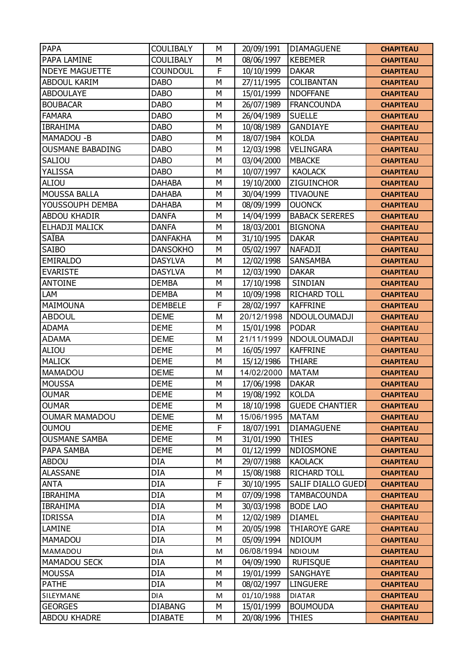| <b>PAPA</b>           | <b>COULIBALY</b> | М            | 20/09/1991 | <b>DIAMAGUENE</b>         | <b>CHAPITEAU</b> |
|-----------------------|------------------|--------------|------------|---------------------------|------------------|
| PAPA LAMINE           | <b>COULIBALY</b> | M            | 08/06/1997 | <b>KEBEMER</b>            | <b>CHAPITEAU</b> |
| <b>NDEYE MAGUETTE</b> | <b>COUNDOUL</b>  | $\mathsf{F}$ | 10/10/1999 | <b>DAKAR</b>              | <b>CHAPITEAU</b> |
| <b>ABDOUL KARIM</b>   | <b>DABO</b>      | M            | 27/11/1995 | COLIBANTAN                | <b>CHAPITEAU</b> |
| <b>ABDOULAYE</b>      | <b>DABO</b>      | M            | 15/01/1999 | <b>NDOFFANE</b>           | <b>CHAPITEAU</b> |
| <b>BOUBACAR</b>       | <b>DABO</b>      | M            | 26/07/1989 | <b>FRANCOUNDA</b>         | <b>CHAPITEAU</b> |
| <b>FAMARA</b>         | <b>DABO</b>      | M            | 26/04/1989 | <b>SUELLE</b>             | <b>CHAPITEAU</b> |
| <b>IBRAHIMA</b>       | <b>DABO</b>      | M            | 10/08/1989 | <b>GANDIAYE</b>           | <b>CHAPITEAU</b> |
| MAMADOU-B             | <b>DABO</b>      | M            | 18/07/1984 | <b>KOLDA</b>              | <b>CHAPITEAU</b> |
| OUSMANE BABADING      | <b>DABO</b>      | M            | 12/03/1998 | <b>VELINGARA</b>          | <b>CHAPITEAU</b> |
| <b>SALIOU</b>         | <b>DABO</b>      | M            | 03/04/2000 | <b>MBACKE</b>             | <b>CHAPITEAU</b> |
| YALISSA               | <b>DABO</b>      | M            | 10/07/1997 | <b>KAOLACK</b>            | <b>CHAPITEAU</b> |
| ALIOU                 | <b>DAHABA</b>    | M            | 19/10/2000 | <b>ZIGUINCHOR</b>         | <b>CHAPITEAU</b> |
| <b>MOUSSA BALLA</b>   | <b>DAHABA</b>    | M            | 30/04/1999 | <b>TIVAOUNE</b>           | <b>CHAPITEAU</b> |
| YOUSSOUPH DEMBA       | <b>DAHABA</b>    | M            | 08/09/1999 | <b>OUONCK</b>             | <b>CHAPITEAU</b> |
| <b>ABDOU KHADIR</b>   | <b>DANFA</b>     | M            | 14/04/1999 | <b>BABACK SERERES</b>     | <b>CHAPITEAU</b> |
| <b>ELHADJI MALICK</b> | <b>DANFA</b>     | M            | 18/03/2001 | <b>BIGNONA</b>            | <b>CHAPITEAU</b> |
| SAÏBA                 | <b>DANFAKHA</b>  | M            | 31/10/1995 | <b>DAKAR</b>              | <b>CHAPITEAU</b> |
| SAIBO                 | <b>DANSOKHO</b>  | M            | 05/02/1997 | <b>NAFADJI</b>            | <b>CHAPITEAU</b> |
| <b>EMIRALDO</b>       | <b>DASYLVA</b>   | M            | 12/02/1998 | <b>SANSAMBA</b>           | <b>CHAPITEAU</b> |
| <b>EVARISTE</b>       | <b>DASYLVA</b>   | M            | 12/03/1990 | <b>DAKAR</b>              | <b>CHAPITEAU</b> |
| <b>ANTOINE</b>        | <b>DEMBA</b>     | M            | 17/10/1998 | SINDIAN                   | <b>CHAPITEAU</b> |
| LAM                   | <b>DEMBA</b>     | M            | 10/09/1998 | <b>RICHARD TOLL</b>       | <b>CHAPITEAU</b> |
| MAIMOUNA              | <b>DEMBELE</b>   | F            | 28/02/1997 | <b>KAFFRINE</b>           | <b>CHAPITEAU</b> |
| <b>ABDOUL</b>         | <b>DEME</b>      | M            | 20/12/1998 | <b>NDOULOUMADJI</b>       | <b>CHAPITEAU</b> |
| <b>ADAMA</b>          | <b>DEME</b>      | M            | 15/01/1998 | <b>PODAR</b>              | <b>CHAPITEAU</b> |
| <b>ADAMA</b>          | <b>DEME</b>      | M            | 21/11/1999 | NDOULOUMADJI              | <b>CHAPITEAU</b> |
| ALIOU                 | <b>DEME</b>      | М            | 16/05/1997 | <b>KAFFRINE</b>           | <b>CHAPITEAU</b> |
| <b>MALICK</b>         | <b>DEME</b>      | M            | 15/12/1986 | <b>THIARE</b>             | <b>CHAPITEAU</b> |
| <b>MAMADOU</b>        | <b>DEME</b>      | M            | 14/02/2000 | <b>MATAM</b>              | <b>CHAPITEAU</b> |
| <b>MOUSSA</b>         | <b>DEME</b>      | M            | 17/06/1998 | <b>DAKAR</b>              | <b>CHAPITEAU</b> |
| <b>OUMAR</b>          | <b>DEME</b>      | M            | 19/08/1992 | <b>KOLDA</b>              | <b>CHAPITEAU</b> |
| <b>OUMAR</b>          | <b>DEME</b>      | M            | 18/10/1998 | <b>GUEDE CHANTIER</b>     | <b>CHAPITEAU</b> |
| <b>OUMAR MAMADOU</b>  | <b>DEME</b>      | M            | 15/06/1995 | <b>MATAM</b>              | <b>CHAPITEAU</b> |
| <b>UONUO</b>          | <b>DEME</b>      | F            | 18/07/1991 | <b>DIAMAGUENE</b>         | <b>CHAPITEAU</b> |
| <b>OUSMANE SAMBA</b>  | <b>DEME</b>      | M            | 31/01/1990 | <b>THIES</b>              | <b>CHAPITEAU</b> |
| PAPA SAMBA            | <b>DEME</b>      | М            | 01/12/1999 | <b>NDIOSMONE</b>          | <b>CHAPITEAU</b> |
| <b>ABDOU</b>          | <b>DIA</b>       | M            | 29/07/1988 | <b>KAOLACK</b>            | <b>CHAPITEAU</b> |
| <b>ALASSANE</b>       | DIA              | M            | 15/08/1988 | <b>RICHARD TOLL</b>       | <b>CHAPITEAU</b> |
| ANTA                  | <b>DIA</b>       | F            | 30/10/1995 | <b>SALIF DIALLO GUEDI</b> | <b>CHAPITEAU</b> |
| <b>IBRAHIMA</b>       | <b>DIA</b>       | M            | 07/09/1998 | <b>TAMBACOUNDA</b>        | <b>CHAPITEAU</b> |
| <b>IBRAHIMA</b>       | <b>DIA</b>       | M            | 30/03/1998 | <b>BODE LAO</b>           | <b>CHAPITEAU</b> |
| <b>IDRISSA</b>        | <b>DIA</b>       | М            | 12/02/1989 | <b>DIAMEL</b>             | <b>CHAPITEAU</b> |
| LAMINE                | <b>DIA</b>       | M            | 20/05/1998 | <b>THIAROYE GARE</b>      | <b>CHAPITEAU</b> |
| MAMADOU               | <b>DIA</b>       | M            | 05/09/1994 | <b>NDIOUM</b>             | <b>CHAPITEAU</b> |
| MAMADOU               | DIA              | M            | 06/08/1994 | NDIOUM                    | <b>CHAPITEAU</b> |
| <b>MAMADOU SECK</b>   | <b>DIA</b>       | M            | 04/09/1990 | <b>RUFISQUE</b>           | <b>CHAPITEAU</b> |
| <b>MOUSSA</b>         | <b>DIA</b>       | M            | 19/01/1999 | <b>SANGHAYE</b>           | <b>CHAPITEAU</b> |
| <b>PATHE</b>          | <b>DIA</b>       | M            | 08/02/1997 | <b>LINGUERE</b>           | <b>CHAPITEAU</b> |
| SILEYMANE             | <b>DIA</b>       | M            | 01/10/1988 | <b>DIATAR</b>             | <b>CHAPITEAU</b> |
| <b>GEORGES</b>        | <b>DIABANG</b>   | М            | 15/01/1999 | <b>BOUMOUDA</b>           | <b>CHAPITEAU</b> |
| <b>ABDOU KHADRE</b>   | <b>DIABATE</b>   | М            | 20/08/1996 | <b>THIES</b>              | <b>CHAPITEAU</b> |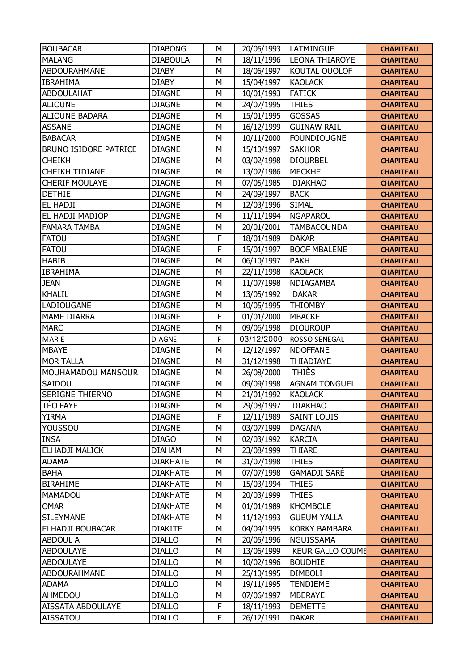| <b>BOUBACAR</b>              | <b>DIABONG</b>  | M           | 20/05/1993 | <b>ILATMINGUE</b>       | <b>CHAPITEAU</b> |
|------------------------------|-----------------|-------------|------------|-------------------------|------------------|
| <b>MALANG</b>                | <b>DIABOULA</b> | M           | 18/11/1996 | <b>LEONA THIAROYE</b>   | <b>CHAPITEAU</b> |
| <b>ABDOURAHMANE</b>          | <b>DIABY</b>    | M           | 18/06/1997 | KOUTAL OUOLOF           | <b>CHAPITEAU</b> |
| <b>IBRAHIMA</b>              | <b>DIABY</b>    | M           | 15/04/1997 | <b>KAOLACK</b>          | <b>CHAPITEAU</b> |
| <b>ABDOULAHAT</b>            | <b>DIAGNE</b>   | M           | 10/01/1993 | <b>FATICK</b>           | <b>CHAPITEAU</b> |
| <b>ALIOUNE</b>               | <b>DIAGNE</b>   | M           | 24/07/1995 | <b>THIES</b>            | <b>CHAPITEAU</b> |
| <b>ALIOUNE BADARA</b>        | <b>DIAGNE</b>   | M           | 15/01/1995 | <b>GOSSAS</b>           | <b>CHAPITEAU</b> |
| <b>ASSANE</b>                | <b>DIAGNE</b>   | M           | 16/12/1999 | <b>GUINAW RAIL</b>      | <b>CHAPITEAU</b> |
| <b>BABACAR</b>               | <b>DIAGNE</b>   | M           | 10/11/2000 | <b>FOUNDIOUGNE</b>      | <b>CHAPITEAU</b> |
| <b>BRUNO ISIDORE PATRICE</b> | <b>DIAGNE</b>   | M           | 15/10/1997 | <b>SAKHOR</b>           | <b>CHAPITEAU</b> |
| <b>CHEIKH</b>                | <b>DIAGNE</b>   | M           | 03/02/1998 | <b>DIOURBEL</b>         | <b>CHAPITEAU</b> |
| <b>CHEIKH TIDIANE</b>        | <b>DIAGNE</b>   | M           | 13/02/1986 | <b>MECKHE</b>           | <b>CHAPITEAU</b> |
| <b>CHERIF MOULAYE</b>        | <b>DIAGNE</b>   | M           | 07/05/1985 | <b>DIAKHAO</b>          | <b>CHAPITEAU</b> |
| <b>DETHIE</b>                | <b>DIAGNE</b>   | M           | 24/09/1997 | <b>BACK</b>             | <b>CHAPITEAU</b> |
| <b>EL HADJI</b>              | <b>DIAGNE</b>   | M           | 12/03/1996 | <b>SIMAL</b>            | <b>CHAPITEAU</b> |
| EL HADJI MADIOP              | <b>DIAGNE</b>   | M           | 11/11/1994 | <b>NGAPAROU</b>         | <b>CHAPITEAU</b> |
| <b>FAMARA TAMBA</b>          | <b>DIAGNE</b>   | M           | 20/01/2001 | <b>TAMBACOUNDA</b>      | <b>CHAPITEAU</b> |
| <b>FATOU</b>                 | <b>DIAGNE</b>   | $\mathsf F$ | 18/01/1989 | <b>DAKAR</b>            | <b>CHAPITEAU</b> |
| <b>FATOU</b>                 | <b>DIAGNE</b>   | F           | 15/01/1997 | <b>BOOF MBALENE</b>     | <b>CHAPITEAU</b> |
| <b>HABIB</b>                 | <b>DIAGNE</b>   | M           | 06/10/1997 | <b>PAKH</b>             | <b>CHAPITEAU</b> |
| <b>IBRAHIMA</b>              | <b>DIAGNE</b>   | M           | 22/11/1998 | <b>KAOLACK</b>          | <b>CHAPITEAU</b> |
| <b>JEAN</b>                  | <b>DIAGNE</b>   | M           | 11/07/1998 | NDIAGAMBA               | <b>CHAPITEAU</b> |
| <b>KHALIL</b>                | <b>DIAGNE</b>   | M           | 13/05/1992 | <b>DAKAR</b>            | <b>CHAPITEAU</b> |
| LADIOUGANE                   | <b>DIAGNE</b>   | M           | 10/05/1995 | <b>THIOMBY</b>          | <b>CHAPITEAU</b> |
| <b>MAME DIARRA</b>           | <b>DIAGNE</b>   | F           | 01/01/2000 | <b>MBACKE</b>           | <b>CHAPITEAU</b> |
| <b>MARC</b>                  | <b>DIAGNE</b>   | M           | 09/06/1998 | <b>DIOUROUP</b>         | <b>CHAPITEAU</b> |
| <b>MARIE</b>                 | <b>DIAGNE</b>   | F           | 03/12/2000 | ROSSO SENEGAL           | <b>CHAPITEAU</b> |
| <b>MBAYE</b>                 | <b>DIAGNE</b>   | M           | 12/12/1997 | <b>NDOFFANE</b>         | <b>CHAPITEAU</b> |
| <b>MOR TALLA</b>             | <b>DIAGNE</b>   | M           | 31/12/1998 | THIADIAYE               | <b>CHAPITEAU</b> |
| MOUHAMADOU MANSOUR           | <b>DIAGNE</b>   | M           | 26/08/2000 | <b>THIÈS</b>            | <b>CHAPITEAU</b> |
| SAIDOU                       | <b>DIAGNE</b>   | M           | 09/09/1998 | <b>AGNAM TONGUEL</b>    | <b>CHAPITEAU</b> |
| <b>SERIGNE THIERNO</b>       | <b>DIAGNE</b>   | M           | 21/01/1992 | <b>KAOLACK</b>          | <b>CHAPITEAU</b> |
| <b>TEO FAYE</b>              | <b>DIAGNE</b>   | М           | 29/08/1997 | <b>DIAKHAO</b>          | <b>CHAPITEAU</b> |
| <b>YIRMA</b>                 | <b>DIAGNE</b>   | F           | 12/11/1989 | <b>SAINT LOUIS</b>      | <b>CHAPITEAU</b> |
| YOUSSOU                      | <b>DIAGNE</b>   | M           | 03/07/1999 | <b>DAGANA</b>           | <b>CHAPITEAU</b> |
| <b>INSA</b>                  | <b>DIAGO</b>    | M           | 02/03/1992 | <b>KARCIA</b>           | <b>CHAPITEAU</b> |
| ELHADJI MALICK               | <b>DIAHAM</b>   | М           | 23/08/1999 | <b>THIARE</b>           | <b>CHAPITEAU</b> |
| <b>ADAMA</b>                 | <b>DIAKHATE</b> | M           | 31/07/1998 | <b>THIES</b>            | <b>CHAPITEAU</b> |
| <b>BAHA</b>                  | <b>DIAKHATE</b> | M           | 07/07/1998 | <b>GAMADJI SARE</b>     | <b>CHAPITEAU</b> |
| <b>BIRAHIME</b>              | <b>DIAKHATE</b> | М           | 15/03/1994 | <b>THIES</b>            | <b>CHAPITEAU</b> |
| MAMADOU                      | <b>DIAKHATE</b> | M           | 20/03/1999 | <b>THIES</b>            | <b>CHAPITEAU</b> |
| <b>OMAR</b>                  | <b>DIAKHATE</b> | M           | 01/01/1989 | <b>KHOMBOLE</b>         | <b>CHAPITEAU</b> |
| <b>SILEYMANE</b>             | <b>DIAKHATE</b> | M           | 11/12/1993 | <b>GUEUM YALLA</b>      | <b>CHAPITEAU</b> |
| ELHADJI BOUBACAR             | <b>DIAKITE</b>  | M           | 04/04/1995 | <b>KORKY BAMBARA</b>    | <b>CHAPITEAU</b> |
| <b>ABDOUL A</b>              | <b>DIALLO</b>   | M           | 20/05/1996 | NGUISSAMA               | <b>CHAPITEAU</b> |
| <b>ABDOULAYE</b>             | <b>DIALLO</b>   | М           | 13/06/1999 | <b>KEUR GALLO COUME</b> | <b>CHAPITEAU</b> |
| <b>ABDOULAYE</b>             | <b>DIALLO</b>   | M           | 10/02/1996 | <b>BOUDHIE</b>          | <b>CHAPITEAU</b> |
| <b>ABDOURAHMANE</b>          | <b>DIALLO</b>   | M           | 25/10/1995 | <b>DIMBOLI</b>          | <b>CHAPITEAU</b> |
| <b>ADAMA</b>                 | <b>DIALLO</b>   | М           | 19/11/1995 | <b>TENDIEME</b>         | <b>CHAPITEAU</b> |
| AHMEDOU                      | <b>DIALLO</b>   | M           | 07/06/1997 | <b>MBERAYE</b>          | <b>CHAPITEAU</b> |
| <b>AISSATA ABDOULAYE</b>     | <b>DIALLO</b>   | F           | 18/11/1993 | <b>DEMETTE</b>          | <b>CHAPITEAU</b> |
| <b>AISSATOU</b>              | <b>DIALLO</b>   | F           | 26/12/1991 | <b>DAKAR</b>            | <b>CHAPITEAU</b> |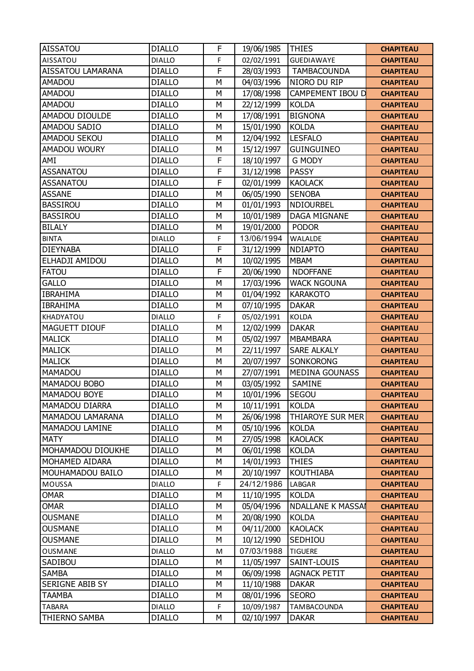| <b>AISSATOU</b>          | <b>DIALLO</b> | F            | 19/06/1985 | <b>THIES</b>             | <b>CHAPITEAU</b> |
|--------------------------|---------------|--------------|------------|--------------------------|------------------|
| AISSATOU                 | <b>DIALLO</b> | F            | 02/02/1991 | <b>GUEDIAWAYE</b>        | <b>CHAPITEAU</b> |
| <b>AISSATOU LAMARANA</b> | <b>DIALLO</b> | F            | 28/03/1993 | <b>TAMBACOUNDA</b>       | <b>CHAPITEAU</b> |
| <b>AMADOU</b>            | <b>DIALLO</b> | M            | 04/03/1996 | NIORO DU RIP             | <b>CHAPITEAU</b> |
| <b>AMADOU</b>            | <b>DIALLO</b> | M            | 17/08/1998 | <b>CAMPEMENT IBOU D</b>  | <b>CHAPITEAU</b> |
| <b>AMADOU</b>            | <b>DIALLO</b> | M            | 22/12/1999 | <b>KOLDA</b>             | <b>CHAPITEAU</b> |
| AMADOU DIOULDE           | <b>DIALLO</b> | M            | 17/08/1991 | <b>BIGNONA</b>           | <b>CHAPITEAU</b> |
| AMADOU SADIO             | <b>DIALLO</b> | M            | 15/01/1990 | <b>KOLDA</b>             | <b>CHAPITEAU</b> |
| AMADOU SEKOU             | <b>DIALLO</b> | M            | 12/04/1992 | <b>LESFALO</b>           | <b>CHAPITEAU</b> |
| AMADOU WOURY             | <b>DIALLO</b> | M            | 15/12/1997 | <b>GUINGUINEO</b>        | <b>CHAPITEAU</b> |
| AMI                      | <b>DIALLO</b> | F            | 18/10/1997 | <b>G MODY</b>            | <b>CHAPITEAU</b> |
| <b>ASSANATOU</b>         | <b>DIALLO</b> | F            | 31/12/1998 | <b>PASSY</b>             | <b>CHAPITEAU</b> |
| <b>ASSANATOU</b>         | <b>DIALLO</b> | F            | 02/01/1999 | <b>KAOLACK</b>           | <b>CHAPITEAU</b> |
| <b>ASSANE</b>            | <b>DIALLO</b> | M            | 06/05/1990 | <b>SENOBA</b>            | <b>CHAPITEAU</b> |
| <b>BASSIROU</b>          | <b>DIALLO</b> | M            | 01/01/1993 | <b>NDIOURBEL</b>         | <b>CHAPITEAU</b> |
| <b>BASSIROU</b>          | <b>DIALLO</b> | M            | 10/01/1989 | <b>DAGA MIGNANE</b>      | <b>CHAPITEAU</b> |
| <b>BILALY</b>            | <b>DIALLO</b> | M            | 19/01/2000 | <b>PODOR</b>             | <b>CHAPITEAU</b> |
| <b>BINTA</b>             | <b>DIALLO</b> | F            | 13/06/1994 | <b>WALALDE</b>           | <b>CHAPITEAU</b> |
| <b>DIEYNABA</b>          | <b>DIALLO</b> | $\mathsf{F}$ | 31/12/1999 | <b>NDIAPTO</b>           | <b>CHAPITEAU</b> |
| ELHADJI AMIDOU           | <b>DIALLO</b> | M            | 10/02/1995 | <b>MBAM</b>              | <b>CHAPITEAU</b> |
| <b>FATOU</b>             | <b>DIALLO</b> | $\mathsf{F}$ | 20/06/1990 | <b>NDOFFANE</b>          | <b>CHAPITEAU</b> |
| <b>GALLO</b>             | <b>DIALLO</b> | M            | 17/03/1996 | <b>WACK NGOUNA</b>       | <b>CHAPITEAU</b> |
| <b>IBRAHIMA</b>          | <b>DIALLO</b> | M            | 01/04/1992 | <b>KARAKOTO</b>          | <b>CHAPITEAU</b> |
| <b>IBRAHIMA</b>          | <b>DIALLO</b> | M            | 07/10/1995 | <b>DAKAR</b>             | <b>CHAPITEAU</b> |
| KHADYATOU                | <b>DIALLO</b> | F            | 05/02/1991 | <b>KOLDA</b>             | <b>CHAPITEAU</b> |
| MAGUETT DIOUF            | <b>DIALLO</b> | M            | 12/02/1999 | <b>DAKAR</b>             | <b>CHAPITEAU</b> |
| <b>MALICK</b>            | <b>DIALLO</b> | M            | 05/02/1997 | <b>MBAMBARA</b>          | <b>CHAPITEAU</b> |
| <b>MALICK</b>            | <b>DIALLO</b> | M            | 22/11/1997 | <b>SARE ALKALY</b>       | <b>CHAPITEAU</b> |
| <b>MALICK</b>            | <b>DIALLO</b> | M            | 20/07/1997 | <b>SONKORONG</b>         | <b>CHAPITEAU</b> |
| <b>MAMADOU</b>           | <b>DIALLO</b> | M            | 27/07/1991 | <b>MEDINA GOUNASS</b>    | <b>CHAPITEAU</b> |
| MAMADOU BOBO             | <b>DIALLO</b> | M            | 03/05/1992 | SAMINE                   | <b>CHAPITEAU</b> |
| MAMADOU BOYE             | <b>DIALLO</b> | M            | 10/01/1996 | <b>SEGOU</b>             | <b>CHAPITEAU</b> |
| MAMADOU DIARRA           | <b>DIALLO</b> | М            | 10/11/1991 | <b>KOLDA</b>             | <b>CHAPITEAU</b> |
| MAMADOU LAMARANA         | <b>DIALLO</b> | М            | 26/06/1998 | <b>THIAROYE SUR MER</b>  | <b>CHAPITEAU</b> |
| MAMADOU LAMINE           | <b>DIALLO</b> | M            | 05/10/1996 | <b>KOLDA</b>             | <b>CHAPITEAU</b> |
| <b>MATY</b>              | <b>DIALLO</b> | M            | 27/05/1998 | <b>KAOLACK</b>           | <b>CHAPITEAU</b> |
| MOHAMADOU DIOUKHE        | <b>DIALLO</b> | M            | 06/01/1998 | <b>KOLDA</b>             | <b>CHAPITEAU</b> |
| MOHAMED AIDARA           | <b>DIALLO</b> | M            | 14/01/1993 | <b>THIES</b>             | <b>CHAPITEAU</b> |
| MOUHAMADOU BAILO         | <b>DIALLO</b> | M            | 20/10/1997 | <b>KOUTHIABA</b>         | <b>CHAPITEAU</b> |
| MOUSSA                   | <b>DIALLO</b> | F            | 24/12/1986 | LABGAR                   | <b>CHAPITEAU</b> |
| <b>OMAR</b>              | <b>DIALLO</b> | M            | 11/10/1995 | <b>KOLDA</b>             | <b>CHAPITEAU</b> |
| <b>OMAR</b>              | <b>DIALLO</b> | M            | 05/04/1996 | <b>NDALLANE K MASSAI</b> | <b>CHAPITEAU</b> |
| <b>OUSMANE</b>           | <b>DIALLO</b> | M            | 20/08/1990 | <b>KOLDA</b>             | <b>CHAPITEAU</b> |
| <b>OUSMANE</b>           | <b>DIALLO</b> | M            | 04/11/2000 | <b>KAOLACK</b>           | <b>CHAPITEAU</b> |
| <b>OUSMANE</b>           | <b>DIALLO</b> | M            | 10/12/1990 | SEDHIOU                  | <b>CHAPITEAU</b> |
| OUSMANE                  | <b>DIALLO</b> | M            | 07/03/1988 | <b>TIGUERE</b>           | <b>CHAPITEAU</b> |
| SADIBOU                  | <b>DIALLO</b> | M            | 11/05/1997 | SAINT-LOUIS              | <b>CHAPITEAU</b> |
| <b>SAMBA</b>             | <b>DIALLO</b> | M            | 06/09/1998 | <b>AGNACK PETIT</b>      | <b>CHAPITEAU</b> |
| SERIGNE ABIB SY          | <b>DIALLO</b> | M            | 11/10/1988 | <b>DAKAR</b>             | <b>CHAPITEAU</b> |
| <b>TAAMBA</b>            | <b>DIALLO</b> | M            | 08/01/1996 | <b>SEORO</b>             | <b>CHAPITEAU</b> |
| <b>TABARA</b>            | <b>DIALLO</b> | F            | 10/09/1987 | TAMBACOUNDA              | <b>CHAPITEAU</b> |
| <b>THIERNO SAMBA</b>     | <b>DIALLO</b> | М            | 02/10/1997 | <b>DAKAR</b>             | <b>CHAPITEAU</b> |
|                          |               |              |            |                          |                  |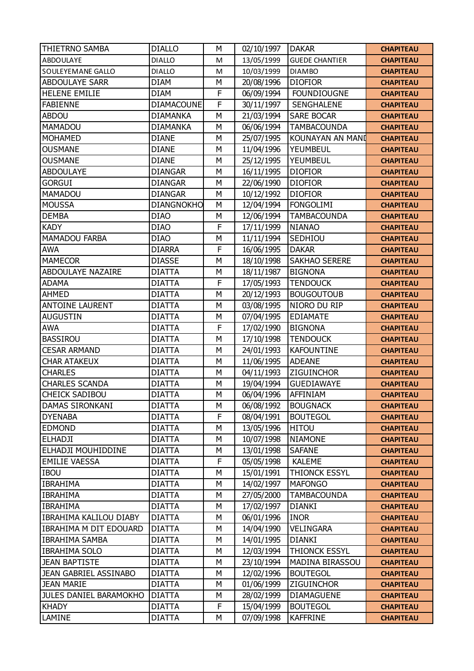| <b>THIETRNO SAMBA</b>         | <b>DIALLO</b>     | M | 02/10/1997 | <b>DAKAR</b>          | <b>CHAPITEAU</b> |
|-------------------------------|-------------------|---|------------|-----------------------|------------------|
| <b>ABDOULAYE</b>              | <b>DIALLO</b>     | M | 13/05/1999 | <b>GUEDE CHANTIER</b> | <b>CHAPITEAU</b> |
| SOULEYEMANE GALLO             | <b>DIALLO</b>     | M | 10/03/1999 | <b>DIAMBO</b>         | <b>CHAPITEAU</b> |
| <b>ABDOULAYE SARR</b>         | <b>DIAM</b>       | М | 20/08/1996 | <b>DIOFIOR</b>        | <b>CHAPITEAU</b> |
| <b>HELENE EMILIE</b>          | <b>DIAM</b>       | F | 06/09/1994 | <b>FOUNDIOUGNE</b>    | <b>CHAPITEAU</b> |
| <b>FABIENNE</b>               | <b>DIAMACOUNE</b> | F | 30/11/1997 | <b>SENGHALENE</b>     | <b>CHAPITEAU</b> |
| <b>ABDOU</b>                  | <b>DIAMANKA</b>   | M | 21/03/1994 | <b>SARE BOCAR</b>     | <b>CHAPITEAU</b> |
| <b>MAMADOU</b>                | <b>DIAMANKA</b>   | M | 06/06/1994 | <b>TAMBACOUNDA</b>    | <b>CHAPITEAU</b> |
| <b>MOHAMED</b>                | <b>DIANE</b>      | M | 25/07/1995 | KOUNAYAN AN MANI      | <b>CHAPITEAU</b> |
| <b>OUSMANE</b>                | <b>DIANE</b>      | M | 11/04/1996 | YEUMBEUL              | <b>CHAPITEAU</b> |
| <b>OUSMANE</b>                | <b>DIANE</b>      | M | 25/12/1995 | YEUMBEUL              | <b>CHAPITEAU</b> |
| <b>ABDOULAYE</b>              | <b>DIANGAR</b>    | M | 16/11/1995 | <b>DIOFIOR</b>        | <b>CHAPITEAU</b> |
| <b>GORGUI</b>                 | <b>DIANGAR</b>    | M | 22/06/1990 | <b>DIOFIOR</b>        | <b>CHAPITEAU</b> |
| MAMADOU                       | <b>DIANGAR</b>    | M | 10/12/1992 | <b>DIOFIOR</b>        | <b>CHAPITEAU</b> |
| <b>MOUSSA</b>                 | <b>DIANGNOKHO</b> | M | 12/04/1994 | <b>FONGOLIMI</b>      | <b>CHAPITEAU</b> |
| <b>DEMBA</b>                  | <b>DIAO</b>       | M | 12/06/1994 | <b>TAMBACOUNDA</b>    | <b>CHAPITEAU</b> |
| <b>KADY</b>                   | <b>DIAO</b>       | F | 17/11/1999 | <b>NIANAO</b>         | <b>CHAPITEAU</b> |
| <b>MAMADOU FARBA</b>          | <b>DIAO</b>       | M | 11/11/1994 | SEDHIOU               | <b>CHAPITEAU</b> |
| <b>AWA</b>                    | <b>DIARRA</b>     | F | 16/06/1995 | <b>DAKAR</b>          | <b>CHAPITEAU</b> |
| <b>MAMECOR</b>                | <b>DIASSE</b>     | M | 18/10/1998 | <b>SAKHAO SERERE</b>  | <b>CHAPITEAU</b> |
| <b>ABDOULAYE NAZAIRE</b>      | <b>DIATTA</b>     | M | 18/11/1987 | <b>BIGNONA</b>        | <b>CHAPITEAU</b> |
| <b>ADAMA</b>                  | <b>DIATTA</b>     | F | 17/05/1993 | <b>TENDOUCK</b>       | <b>CHAPITEAU</b> |
| <b>AHMED</b>                  | <b>DIATTA</b>     | M | 20/12/1993 | <b>BOUGOUTOUB</b>     | <b>CHAPITEAU</b> |
| <b>ANTOINE LAURENT</b>        | <b>DIATTA</b>     | M | 03/08/1995 | NIORO DU RIP          | <b>CHAPITEAU</b> |
| <b>AUGUSTIN</b>               | <b>DIATTA</b>     | M | 07/04/1995 | <b>EDIAMATE</b>       | <b>CHAPITEAU</b> |
| <b>AWA</b>                    | <b>DIATTA</b>     | F | 17/02/1990 | <b>BIGNONA</b>        | <b>CHAPITEAU</b> |
| <b>BASSIROU</b>               | <b>DIATTA</b>     | M | 17/10/1998 | <b>TENDOUCK</b>       | <b>CHAPITEAU</b> |
| <b>CESAR ARMAND</b>           | <b>DIATTA</b>     | M | 24/01/1993 | <b>KAFOUNTINE</b>     | <b>CHAPITEAU</b> |
| <b>CHAR ATAKEUX</b>           | <b>DIATTA</b>     | M | 11/06/1995 | <b>ADEANE</b>         | <b>CHAPITEAU</b> |
| <b>CHARLES</b>                | <b>DIATTA</b>     | M | 04/11/1993 | <b>ZIGUINCHOR</b>     | <b>CHAPITEAU</b> |
| <b>CHARLES SCANDA</b>         | <b>DIATTA</b>     | M | 19/04/1994 | <b>GUEDIAWAYE</b>     | <b>CHAPITEAU</b> |
| <b>CHEICK SADIBOU</b>         | <b>DIATTA</b>     | M | 06/04/1996 | AFFINIAM              | <b>CHAPITEAU</b> |
| DAMAS SIRONKANI               | <b>DIATTA</b>     | М | 06/08/1992 | <b>BOUGNACK</b>       | <b>CHAPITEAU</b> |
| <b>DYENABA</b>                | <b>DIATTA</b>     | F | 08/04/1991 | <b>BOUTEGOL</b>       | <b>CHAPITEAU</b> |
| <b>EDMOND</b>                 | <b>DIATTA</b>     | M | 13/05/1996 | <b>HITOU</b>          | <b>CHAPITEAU</b> |
| <b>ELHADJI</b>                | <b>DIATTA</b>     | M | 10/07/1998 | <b>NIAMONE</b>        | <b>CHAPITEAU</b> |
| ELHADJI MOUHIDDINE            | <b>DIATTA</b>     | М | 13/01/1998 | <b>SAFANE</b>         | <b>CHAPITEAU</b> |
| <b>EMILIE VAESSA</b>          | <b>DIATTA</b>     | F | 05/05/1998 | <b>KALEME</b>         | <b>CHAPITEAU</b> |
| <b>IBOU</b>                   | <b>DIATTA</b>     | M | 15/01/1991 | THIONCK ESSYL         | <b>CHAPITEAU</b> |
| <b>IBRAHIMA</b>               | <b>DIATTA</b>     | М | 14/02/1997 | <b>MAFONGO</b>        | <b>CHAPITEAU</b> |
| <b>IBRAHIMA</b>               | <b>DIATTA</b>     | M | 27/05/2000 | <b>TAMBACOUNDA</b>    | <b>CHAPITEAU</b> |
| <b>IBRAHIMA</b>               | <b>DIATTA</b>     | M | 17/02/1997 | <b>DIANKI</b>         | <b>CHAPITEAU</b> |
| IBRAHIMA KALILOU DIABY        | <b>DIATTA</b>     | M | 06/01/1996 | <b>INOR</b>           | <b>CHAPITEAU</b> |
| IBRAHIMA M DIT EDOUARD        | <b>DIATTA</b>     | M | 14/04/1990 | <b>VELINGARA</b>      | <b>CHAPITEAU</b> |
| <b>IBRAHIMA SAMBA</b>         | <b>DIATTA</b>     | M | 14/01/1995 | <b>DIANKI</b>         | <b>CHAPITEAU</b> |
| <b>IBRAHIMA SOLO</b>          | <b>DIATTA</b>     | M | 12/03/1994 | THIONCK ESSYL         | <b>CHAPITEAU</b> |
| <b>JEAN BAPTISTE</b>          | <b>DIATTA</b>     | M | 23/10/1994 | MADINA BIRASSOU       | <b>CHAPITEAU</b> |
| JEAN GABRIEL ASSINABO         | <b>DIATTA</b>     | M | 12/02/1996 | <b>BOUTEGOL</b>       | <b>CHAPITEAU</b> |
| <b>JEAN MARIE</b>             | <b>DIATTA</b>     | M | 01/06/1999 | <b>ZIGUINCHOR</b>     | <b>CHAPITEAU</b> |
| <b>JULES DANIEL BARAMOKHO</b> | <b>DIATTA</b>     | M | 28/02/1999 | <b>DIAMAGUENE</b>     | <b>CHAPITEAU</b> |
| <b>KHADY</b>                  | <b>DIATTA</b>     | F | 15/04/1999 | <b>BOUTEGOL</b>       | <b>CHAPITEAU</b> |
| LAMINE                        | <b>DIATTA</b>     | М | 07/09/1998 | <b>KAFFRINE</b>       | <b>CHAPITEAU</b> |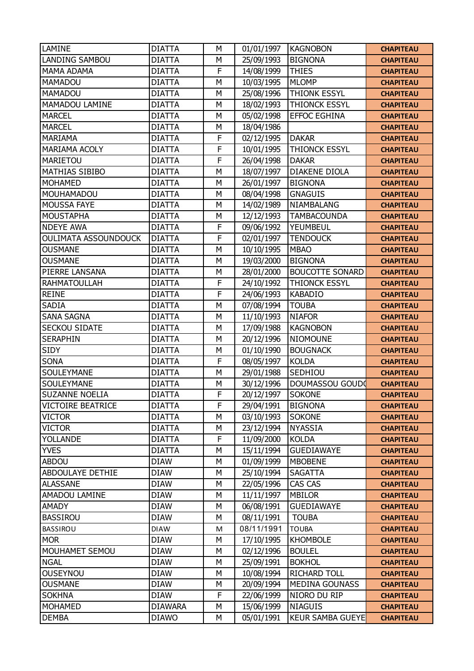| LAMINE                      | <b>DIATTA</b>  | M | 01/01/1997 | <b>KAGNOBON</b>         | <b>CHAPITEAU</b> |
|-----------------------------|----------------|---|------------|-------------------------|------------------|
| <b>LANDING SAMBOU</b>       | <b>DIATTA</b>  | M | 25/09/1993 | <b>BIGNONA</b>          | <b>CHAPITEAU</b> |
| <b>MAMA ADAMA</b>           | <b>DIATTA</b>  | F | 14/08/1999 | <b>THIES</b>            | <b>CHAPITEAU</b> |
| <b>MAMADOU</b>              | <b>DIATTA</b>  | M | 10/03/1995 | <b>MLOMP</b>            | <b>CHAPITEAU</b> |
| <b>MAMADOU</b>              | <b>DIATTA</b>  | M | 25/08/1996 | <b>THIONK ESSYL</b>     | <b>CHAPITEAU</b> |
| MAMADOU LAMINE              | <b>DIATTA</b>  | M | 18/02/1993 | <b>THIONCK ESSYL</b>    | <b>CHAPITEAU</b> |
| <b>MARCEL</b>               | <b>DIATTA</b>  | M | 05/02/1998 | <b>EFFOC EGHINA</b>     | <b>CHAPITEAU</b> |
| <b>MARCEL</b>               | <b>DIATTA</b>  | M | 18/04/1986 |                         | <b>CHAPITEAU</b> |
| <b>MARIAMA</b>              | <b>DIATTA</b>  | F | 02/12/1995 | <b>DAKAR</b>            | <b>CHAPITEAU</b> |
| MARIAMA ACOLY               | <b>DIATTA</b>  | F | 10/01/1995 | <b>THIONCK ESSYL</b>    | <b>CHAPITEAU</b> |
| MARIETOU                    | <b>DIATTA</b>  | F | 26/04/1998 | <b>DAKAR</b>            | <b>CHAPITEAU</b> |
| <b>MATHIAS SIBIBO</b>       | <b>DIATTA</b>  | M | 18/07/1997 | <b>DIAKENE DIOLA</b>    | <b>CHAPITEAU</b> |
| <b>MOHAMED</b>              | <b>DIATTA</b>  | M | 26/01/1997 | <b>BIGNONA</b>          | <b>CHAPITEAU</b> |
| MOUHAMADOU                  | <b>DIATTA</b>  | M | 08/04/1998 | <b>GNAGUIS</b>          | <b>CHAPITEAU</b> |
| <b>MOUSSA FAYE</b>          | <b>DIATTA</b>  | M | 14/02/1989 | NIAMBALANG              | <b>CHAPITEAU</b> |
| <b>MOUSTAPHA</b>            | <b>DIATTA</b>  | M | 12/12/1993 | <b>TAMBACOUNDA</b>      | <b>CHAPITEAU</b> |
| <b>NDEYE AWA</b>            | <b>DIATTA</b>  | F | 09/06/1992 | YEUMBEUL                | <b>CHAPITEAU</b> |
| <b>OULIMATA ASSOUNDOUCK</b> | <b>DIATTA</b>  | F | 02/01/1997 | <b>TENDOUCK</b>         | <b>CHAPITEAU</b> |
| <b>OUSMANE</b>              | <b>DIATTA</b>  | M | 10/10/1995 | <b>MBAO</b>             | <b>CHAPITEAU</b> |
| <b>OUSMANE</b>              | <b>DIATTA</b>  | M | 19/03/2000 | <b>BIGNONA</b>          | <b>CHAPITEAU</b> |
| PIERRE LANSANA              | <b>DIATTA</b>  | M | 28/01/2000 | <b>BOUCOTTE SONARD</b>  | <b>CHAPITEAU</b> |
| <b>RAHMATOULLAH</b>         | <b>DIATTA</b>  | F | 24/10/1992 | THIONCK ESSYL           | <b>CHAPITEAU</b> |
| <b>REINE</b>                | <b>DIATTA</b>  | F | 24/06/1993 | <b>KABADIO</b>          | <b>CHAPITEAU</b> |
| SADIA                       | <b>DIATTA</b>  | M | 07/08/1994 | <b>TOUBA</b>            | <b>CHAPITEAU</b> |
| <b>SANA SAGNA</b>           | <b>DIATTA</b>  | M | 11/10/1993 | <b>NIAFOR</b>           | <b>CHAPITEAU</b> |
| SECKOU SIDATE               | <b>DIATTA</b>  | M | 17/09/1988 | <b>KAGNOBON</b>         | <b>CHAPITEAU</b> |
| <b>SERAPHIN</b>             | <b>DIATTA</b>  | M | 20/12/1996 | <b>NIOMOUNE</b>         | <b>CHAPITEAU</b> |
| SIDY                        | <b>DIATTA</b>  | M | 01/10/1990 | <b>BOUGNACK</b>         | <b>CHAPITEAU</b> |
| <b>SONA</b>                 | <b>DIATTA</b>  | F | 08/05/1997 | <b>KOLDA</b>            | <b>CHAPITEAU</b> |
| SOULEYMANE                  | <b>DIATTA</b>  | M | 29/01/1988 | SEDHIOU                 | <b>CHAPITEAU</b> |
| SOULEYMANE                  | <b>DIATTA</b>  | M | 30/12/1996 | DOUMASSOU GOUDO         | <b>CHAPITEAU</b> |
| <b>SUZANNE NOELIA</b>       | <b>DIATTA</b>  | F | 20/12/1997 | <b>SOKONE</b>           | <b>CHAPITEAU</b> |
| <b>VICTOIRE BEATRICE</b>    | <b>DIATTA</b>  | F | 29/04/1991 | <b>BIGNONA</b>          | <b>CHAPITEAU</b> |
| <b>VICTOR</b>               | <b>DIATTA</b>  | М | 03/10/1993 | <b>SOKONE</b>           | <b>CHAPITEAU</b> |
| <b>VICTOR</b>               | <b>DIATTA</b>  | M | 23/12/1994 | <b>NYASSIA</b>          | <b>CHAPITEAU</b> |
| YOLLANDE                    | <b>DIATTA</b>  | F | 11/09/2000 | <b>KOLDA</b>            | <b>CHAPITEAU</b> |
| <b>YVES</b>                 | <b>DIATTA</b>  | М | 15/11/1994 | GUEDIAWAYE              | <b>CHAPITEAU</b> |
| <b>ABDOU</b>                | <b>DIAW</b>    | M | 01/09/1999 | <b>MBOBENE</b>          | <b>CHAPITEAU</b> |
| ABDOULAYE DETHIE            | <b>DIAW</b>    | M | 25/10/1994 | <b>SAGATTA</b>          | <b>CHAPITEAU</b> |
| <b>ALASSANE</b>             | <b>DIAW</b>    | М | 22/05/1996 | CAS CAS                 | <b>CHAPITEAU</b> |
| AMADOU LAMINE               | <b>DIAW</b>    | M | 11/11/1997 | <b>MBILOR</b>           | <b>CHAPITEAU</b> |
| AMADY                       | <b>DIAW</b>    | М | 06/08/1991 | <b>GUEDIAWAYE</b>       | <b>CHAPITEAU</b> |
| <b>BASSIROU</b>             | <b>DIAW</b>    | M | 08/11/1991 | <b>TOUBA</b>            | <b>CHAPITEAU</b> |
| <b>BASSIROU</b>             | <b>DIAW</b>    | M | 08/11/1991 | <b>TOUBA</b>            | <b>CHAPITEAU</b> |
| <b>MOR</b>                  | <b>DIAW</b>    | М | 17/10/1995 | <b>KHOMBOLE</b>         | <b>CHAPITEAU</b> |
| MOUHAMET SEMOU              | <b>DIAW</b>    | М | 02/12/1996 | <b>BOULEL</b>           | <b>CHAPITEAU</b> |
| <b>NGAL</b>                 | <b>DIAW</b>    | M | 25/09/1991 | <b>BOKHOL</b>           | <b>CHAPITEAU</b> |
| <b>OUSEYNOU</b>             | <b>DIAW</b>    | M | 10/08/1994 | <b>RICHARD TOLL</b>     | <b>CHAPITEAU</b> |
| <b>OUSMANE</b>              | <b>DIAW</b>    | М | 20/09/1994 | <b>MEDINA GOUNASS</b>   | <b>CHAPITEAU</b> |
| <b>SOKHNA</b>               | <b>DIAW</b>    | F | 22/06/1999 | NIORO DU RIP            | <b>CHAPITEAU</b> |
| <b>MOHAMED</b>              | <b>DIAWARA</b> | М | 15/06/1999 | <b>NIAGUIS</b>          | <b>CHAPITEAU</b> |
| <b>DEMBA</b>                | <b>DIAWO</b>   | М | 05/01/1991 | <b>KEUR SAMBA GUEYE</b> | <b>CHAPITEAU</b> |
|                             |                |   |            |                         |                  |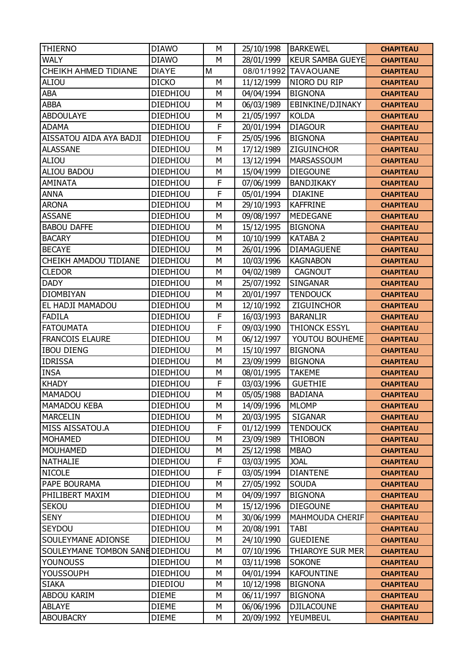| <b>THIERNO</b>                  | <b>DIAWO</b>    | M            | 25/10/1998 | <b>BARKEWEL</b>         | <b>CHAPITEAU</b> |
|---------------------------------|-----------------|--------------|------------|-------------------------|------------------|
| <b>WALY</b>                     | <b>DIAWO</b>    | M            | 28/01/1999 | <b>KEUR SAMBA GUEYE</b> | <b>CHAPITEAU</b> |
| <b>CHEIKH AHMED TIDIANE</b>     | <b>DIAYE</b>    | M            | 08/01/1992 | <b>TAVAOUANE</b>        | <b>CHAPITEAU</b> |
| <b>ALIOU</b>                    | <b>DICKO</b>    | M            | 11/12/1999 | NIORO DU RIP            | <b>CHAPITEAU</b> |
| ABA                             | DIEDHIOU        | M            | 04/04/1994 | <b>BIGNONA</b>          | <b>CHAPITEAU</b> |
| <b>ABBA</b>                     | DIEDHIOU        | M            | 06/03/1989 | EBINKINE/DJINAKY        | <b>CHAPITEAU</b> |
| <b>ABDOULAYE</b>                | DIEDHIOU        | M            | 21/05/1997 | <b>KOLDA</b>            | <b>CHAPITEAU</b> |
| <b>ADAMA</b>                    | <b>DIEDHIOU</b> | $\mathsf{F}$ | 20/01/1994 | <b>DIAGOUR</b>          | <b>CHAPITEAU</b> |
| AISSATOU AIDA AYA BADJI         | DIEDHIOU        | F            | 25/05/1996 | <b>BIGNONA</b>          | <b>CHAPITEAU</b> |
| <b>ALASSANE</b>                 | DIEDHIOU        | M            | 17/12/1989 | ZIGUINCHOR              | <b>CHAPITEAU</b> |
| ALIOU                           | DIEDHIOU        | M            | 13/12/1994 | MARSASSOUM              | <b>CHAPITEAU</b> |
| <b>ALIOU BADOU</b>              | DIEDHIOU        | M            | 15/04/1999 | <b>DIEGOUNE</b>         | <b>CHAPITEAU</b> |
| AMINATA                         | DIEDHIOU        | F            | 07/06/1999 | <b>BANDJIKAKY</b>       | <b>CHAPITEAU</b> |
| <b>ANNA</b>                     | DIEDHIOU        | F            | 05/01/1994 | <b>DIAKINE</b>          | <b>CHAPITEAU</b> |
| <b>ARONA</b>                    | DIEDHIOU        | M            | 29/10/1993 | <b>KAFFRINE</b>         | <b>CHAPITEAU</b> |
| <b>ASSANE</b>                   | DIEDHIOU        | M            | 09/08/1997 | <b>MEDEGANE</b>         | <b>CHAPITEAU</b> |
| <b>BABOU DAFFE</b>              | DIEDHIOU        | M            | 15/12/1995 | <b>BIGNONA</b>          | <b>CHAPITEAU</b> |
| <b>BACARY</b>                   | DIEDHIOU        | M            | 10/10/1999 | <b>KATABA 2</b>         | <b>CHAPITEAU</b> |
| <b>BECAYE</b>                   | DIEDHIOU        | M            | 26/01/1996 | <b>DIAMAGUENE</b>       | <b>CHAPITEAU</b> |
| CHEIKH AMADOU TIDIANE           | <b>DIEDHIOU</b> | M            | 10/03/1996 | <b>KAGNABON</b>         | <b>CHAPITEAU</b> |
| <b>CLEDOR</b>                   | DIEDHIOU        | M            | 04/02/1989 | <b>CAGNOUT</b>          | <b>CHAPITEAU</b> |
| <b>DADY</b>                     | DIEDHIOU        | M            | 25/07/1992 | SINGANAR                | <b>CHAPITEAU</b> |
| <b>DIOMBIYAN</b>                | DIEDHIOU        | M            | 20/01/1997 | <b>TENDOUCK</b>         | <b>CHAPITEAU</b> |
| EL HADJI MAMADOU                | DIEDHIOU        | M            | 12/10/1992 | ZIGUINCHOR              | <b>CHAPITEAU</b> |
| <b>FADILA</b>                   | DIEDHIOU        | F            | 16/03/1993 | <b>BARANLIR</b>         | <b>CHAPITEAU</b> |
| <b>FATOUMATA</b>                | DIEDHIOU        | F            | 09/03/1990 | <b>THIONCK ESSYL</b>    | <b>CHAPITEAU</b> |
| <b>FRANCOIS ELAURE</b>          | DIEDHIOU        | M            | 06/12/1997 | YOUTOU BOUHEME          | <b>CHAPITEAU</b> |
| <b>IBOU DIENG</b>               | DIEDHIOU        | M            | 15/10/1997 | <b>BIGNONA</b>          | <b>CHAPITEAU</b> |
| <b>IDRISSA</b>                  | DIEDHIOU        | M            | 23/09/1999 | <b>BIGNONA</b>          | <b>CHAPITEAU</b> |
| <b>INSA</b>                     | DIEDHIOU        | M            | 08/01/1995 | <b>TAKEME</b>           | <b>CHAPITEAU</b> |
| <b>KHADY</b>                    | DIEDHIOU        | F            | 03/03/1996 | <b>GUETHIE</b>          | <b>CHAPITEAU</b> |
| <b>MAMADOU</b>                  | DIEDHIOU        | M            | 05/05/1988 | <b>BADIANA</b>          | <b>CHAPITEAU</b> |
| MAMADOU KEBA                    | DIEDHIOU        | М            | 14/09/1996 | <b>MLOMP</b>            | <b>CHAPITEAU</b> |
| <b>MARCELIN</b>                 | DIEDHIOU        | М            | 20/03/1995 | <b>SIGANAR</b>          | <b>CHAPITEAU</b> |
| MISS AISSATOU.A                 | <b>DIEDHIOU</b> | $\mathsf F$  | 01/12/1999 | <b>TENDOUCK</b>         | <b>CHAPITEAU</b> |
| <b>MOHAMED</b>                  | DIEDHIOU        | M            | 23/09/1989 | <b>THIOBON</b>          | <b>CHAPITEAU</b> |
| <b>MOUHAMED</b>                 | DIEDHIOU        | M            | 25/12/1998 | <b>MBAO</b>             | <b>CHAPITEAU</b> |
| <b>NATHALIE</b>                 | <b>DIEDHIOU</b> | $\mathsf{F}$ | 03/03/1995 | <b>JOAL</b>             | <b>CHAPITEAU</b> |
| <b>NICOLE</b>                   | DIEDHIOU        | F            | 03/05/1994 | <b>DIANTENE</b>         | <b>CHAPITEAU</b> |
| PAPE BOURAMA                    | DIEDHIOU        | М            | 27/05/1992 | <b>SOUDA</b>            | <b>CHAPITEAU</b> |
| PHILIBERT MAXIM                 | DIEDHIOU        | M            | 04/09/1997 | <b>BIGNONA</b>          | <b>CHAPITEAU</b> |
| <b>SEKOU</b>                    | DIEDHIOU        | M            | 15/12/1996 | <b>DIEGOUNE</b>         | <b>CHAPITEAU</b> |
| <b>SENY</b>                     | DIEDHIOU        | M            | 30/06/1999 | <b>MAHMOUDA CHERIF</b>  | <b>CHAPITEAU</b> |
| SEYDOU                          | <b>DIEDHIOU</b> | M            | 20/08/1991 | <b>TABI</b>             | <b>CHAPITEAU</b> |
| SOULEYMANE ADIONSE              | DIEDHIOU        | M            | 24/10/1990 | <b>GUEDIENE</b>         | <b>CHAPITEAU</b> |
| SOULEYMANE TOMBON SANE DIEDHIOU |                 | M            | 07/10/1996 | <b>THIAROYE SUR MER</b> | <b>CHAPITEAU</b> |
| <b>YOUNOUSS</b>                 | DIEDHIOU        | M            | 03/11/1998 | <b>SOKONE</b>           | <b>CHAPITEAU</b> |
| <b>YOUSSOUPH</b>                | <b>DIEDHIOU</b> | M            | 04/01/1994 | <b>KAFOUNTINE</b>       | <b>CHAPITEAU</b> |
| <b>SIAKA</b>                    | DIEDIOU         | M            | 10/12/1998 | <b>BIGNONA</b>          | <b>CHAPITEAU</b> |
| <b>ABDOU KARIM</b>              | <b>DIEME</b>    | M            | 06/11/1997 | <b>BIGNONA</b>          | <b>CHAPITEAU</b> |
| <b>ABLAYE</b>                   | <b>DIEME</b>    | М            | 06/06/1996 | <b>DJILACOUNE</b>       | <b>CHAPITEAU</b> |
| <b>ABOUBACRY</b>                | <b>DIEME</b>    | М            | 20/09/1992 | <b>YEUMBEUL</b>         | <b>CHAPITEAU</b> |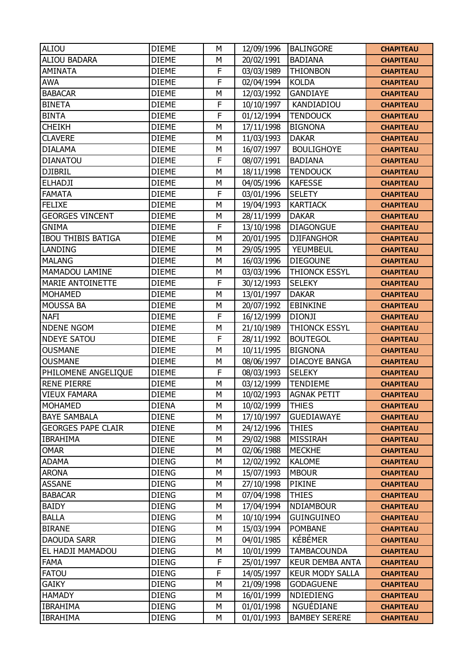| <b>ALIOU</b>              | <b>DIEME</b> | M            | 12/09/1996 | <b>BALINGORE</b>       | <b>CHAPITEAU</b> |
|---------------------------|--------------|--------------|------------|------------------------|------------------|
| <b>ALIOU BADARA</b>       | <b>DIEME</b> | M            | 20/02/1991 | <b>BADIANA</b>         | <b>CHAPITEAU</b> |
| <b>AMINATA</b>            | <b>DIEME</b> | F            | 03/03/1989 | <b>THIONBON</b>        | <b>CHAPITEAU</b> |
| <b>AWA</b>                | <b>DIEME</b> | $\mathsf{F}$ | 02/04/1994 | <b>KOLDA</b>           | <b>CHAPITEAU</b> |
| <b>BABACAR</b>            | <b>DIEME</b> | M            | 12/03/1992 | <b>GANDIAYE</b>        | <b>CHAPITEAU</b> |
| <b>BINETA</b>             | <b>DIEME</b> | F            | 10/10/1997 | KANDIADIOU             | <b>CHAPITEAU</b> |
| <b>BINTA</b>              | <b>DIEME</b> | $\mathsf{F}$ | 01/12/1994 | <b>TENDOUCK</b>        | <b>CHAPITEAU</b> |
| <b>CHEIKH</b>             | <b>DIEME</b> | M            | 17/11/1998 | <b>BIGNONA</b>         | <b>CHAPITEAU</b> |
| <b>CLAVERE</b>            | <b>DIEME</b> | M            | 11/03/1993 | <b>DAKAR</b>           | <b>CHAPITEAU</b> |
| <b>DIALAMA</b>            | <b>DIEME</b> | M            | 16/07/1997 | <b>BOULIGHOYE</b>      | <b>CHAPITEAU</b> |
| <b>DIANATOU</b>           | <b>DIEME</b> | $\mathsf{F}$ | 08/07/1991 | <b>BADIANA</b>         | <b>CHAPITEAU</b> |
| <b>DJIBRIL</b>            | <b>DIEME</b> | M            | 18/11/1998 | <b>TENDOUCK</b>        | <b>CHAPITEAU</b> |
| <b>ELHADJI</b>            | <b>DIEME</b> | M            | 04/05/1996 | <b>KAFESSE</b>         | <b>CHAPITEAU</b> |
| <b>FAMATA</b>             | <b>DIEME</b> | $\mathsf{F}$ | 03/01/1996 | <b>SELETY</b>          | <b>CHAPITEAU</b> |
| <b>FELIXE</b>             | <b>DIEME</b> | M            | 19/04/1993 | <b>KARTIACK</b>        | <b>CHAPITEAU</b> |
| <b>GEORGES VINCENT</b>    | <b>DIEME</b> | M            | 28/11/1999 | <b>DAKAR</b>           | <b>CHAPITEAU</b> |
| <b>GNIMA</b>              | <b>DIEME</b> | F            | 13/10/1998 | <b>DIAGONGUE</b>       | <b>CHAPITEAU</b> |
| <b>IBOU THIBIS BATIGA</b> | <b>DIEME</b> | M            | 20/01/1995 | <b>DJIFANGHOR</b>      | <b>CHAPITEAU</b> |
| LANDING                   | <b>DIEME</b> | M            | 29/05/1995 | YEUMBEUL               | <b>CHAPITEAU</b> |
| <b>MALANG</b>             | <b>DIEME</b> | M            | 16/03/1996 | <b>DIEGOUNE</b>        | <b>CHAPITEAU</b> |
| MAMADOU LAMINE            | <b>DIEME</b> | M            | 03/03/1996 | <b>THIONCK ESSYL</b>   | <b>CHAPITEAU</b> |
| <b>MARIE ANTOINETTE</b>   | <b>DIEME</b> | $\mathsf{F}$ | 30/12/1993 | <b>SELEKY</b>          | <b>CHAPITEAU</b> |
| <b>MOHAMED</b>            | <b>DIEME</b> | M            | 13/01/1997 | <b>DAKAR</b>           | <b>CHAPITEAU</b> |
| <b>MOUSSA BA</b>          | <b>DIEME</b> | M            | 20/07/1992 | <b>EBINKINE</b>        | <b>CHAPITEAU</b> |
| <b>NAFI</b>               | <b>DIEME</b> | F            | 16/12/1999 | <b>DIONJI</b>          | <b>CHAPITEAU</b> |
| <b>NDENE NGOM</b>         | <b>DIEME</b> | M            | 21/10/1989 | <b>THIONCK ESSYL</b>   | <b>CHAPITEAU</b> |
| <b>NDEYE SATOU</b>        | <b>DIEME</b> | F            | 28/11/1992 | <b>BOUTEGOL</b>        | <b>CHAPITEAU</b> |
| <b>OUSMANE</b>            | <b>DIEME</b> | M            | 10/11/1995 | <b>BIGNONA</b>         | <b>CHAPITEAU</b> |
| <b>OUSMANE</b>            | <b>DIEME</b> | M            | 08/06/1997 | <b>DIACOYE BANGA</b>   | <b>CHAPITEAU</b> |
| PHILOMENE ANGELIQUE       | <b>DIEME</b> | $\mathsf{F}$ | 08/03/1993 | <b>SELEKY</b>          | <b>CHAPITEAU</b> |
| <b>RENE PIERRE</b>        | <b>DIEME</b> | M            | 03/12/1999 | <b>TENDIEME</b>        | <b>CHAPITEAU</b> |
| <b>VIEUX FAMARA</b>       | <b>DIEME</b> | M            | 10/02/1993 | <b>AGNAK PETIT</b>     | <b>CHAPITEAU</b> |
| <b>MOHAMED</b>            | <b>DIENA</b> | М            | 10/02/1999 | <b>THIES</b>           | <b>CHAPITEAU</b> |
| <b>BAYE SAMBALA</b>       | <b>DIENE</b> | М            | 17/10/1997 | <b>GUEDIAWAYE</b>      | <b>CHAPITEAU</b> |
| <b>GEORGES PAPE CLAIR</b> | <b>DIENE</b> | M            | 24/12/1996 | <b>THIES</b>           | <b>CHAPITEAU</b> |
| <b>IBRAHIMA</b>           | <b>DIENE</b> | M            | 29/02/1988 | MISSIRAH               | <b>CHAPITEAU</b> |
| <b>OMAR</b>               | <b>DIENE</b> | M            | 02/06/1988 | <b>MECKHE</b>          | <b>CHAPITEAU</b> |
| <b>ADAMA</b>              | <b>DIENG</b> | M            | 12/02/1992 | <b>KALOME</b>          | <b>CHAPITEAU</b> |
| <b>ARONA</b>              | <b>DIENG</b> | M            | 15/07/1993 | <b>MBOUR</b>           | <b>CHAPITEAU</b> |
| <b>ASSANE</b>             | <b>DIENG</b> | М            | 27/10/1998 | <b>PIKINE</b>          | <b>CHAPITEAU</b> |
| <b>BABACAR</b>            | <b>DIENG</b> | M            | 07/04/1998 | <b>THIES</b>           | <b>CHAPITEAU</b> |
| <b>BAIDY</b>              | <b>DIENG</b> | M            | 17/04/1994 | <b>NDIAMBOUR</b>       | <b>CHAPITEAU</b> |
| <b>BALLA</b>              | <b>DIENG</b> | M            | 10/10/1994 | <b>GUINGUINEO</b>      | <b>CHAPITEAU</b> |
| <b>BIRANE</b>             | <b>DIENG</b> | M            | 15/03/1994 | <b>POMBANE</b>         | <b>CHAPITEAU</b> |
| <b>DAOUDA SARR</b>        | <b>DIENG</b> | M            | 04/01/1985 | <b>KÉBÉMER</b>         | <b>CHAPITEAU</b> |
| EL HADJI MAMADOU          | <b>DIENG</b> | M            | 10/01/1999 | <b>TAMBACOUNDA</b>     | <b>CHAPITEAU</b> |
| <b>FAMA</b>               | <b>DIENG</b> | $\mathsf{F}$ | 25/01/1997 | <b>KEUR DEMBA ANTA</b> | <b>CHAPITEAU</b> |
| <b>FATOU</b>              | <b>DIENG</b> | F            | 14/05/1997 | <b>KEUR MODY SALLA</b> | <b>CHAPITEAU</b> |
| <b>GAIKY</b>              | <b>DIENG</b> | M            | 21/09/1998 | <b>GODAGUENE</b>       | <b>CHAPITEAU</b> |
| <b>HAMADY</b>             | <b>DIENG</b> | M            | 16/01/1999 | <b>NDIEDIENG</b>       | <b>CHAPITEAU</b> |
| <b>IBRAHIMA</b>           | <b>DIENG</b> | M            | 01/01/1998 | NGUÉDIANE              | <b>CHAPITEAU</b> |
| <b>IBRAHIMA</b>           | <b>DIENG</b> | М            | 01/01/1993 | <b>BAMBEY SERERE</b>   | <b>CHAPITEAU</b> |
|                           |              |              |            |                        |                  |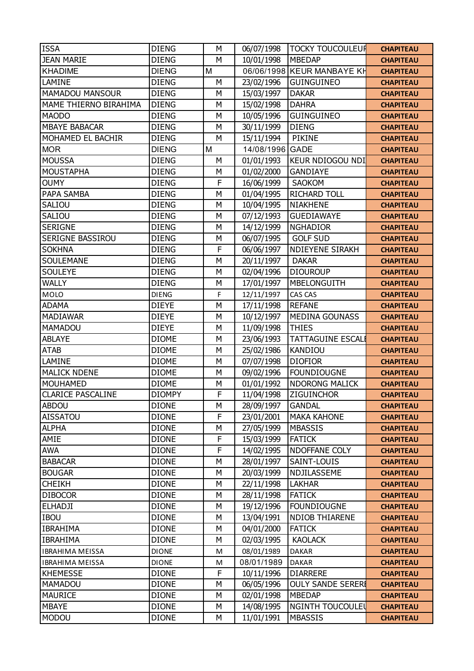| <b>ISSA</b>              | <b>DIENG</b>  | M | 06/07/1998 | <b>TOCKY TOUCOULEUR</b>    | <b>CHAPITEAU</b> |
|--------------------------|---------------|---|------------|----------------------------|------------------|
| <b>JEAN MARIE</b>        | <b>DIENG</b>  | M | 10/01/1998 | <b>MBEDAP</b>              | <b>CHAPITEAU</b> |
| <b>KHADIME</b>           | <b>DIENG</b>  | M |            | 06/06/1998 KEUR MANBAYE KH | <b>CHAPITEAU</b> |
| LAMINE                   | <b>DIENG</b>  | M | 23/02/1996 | <b>GUINGUINEO</b>          | <b>CHAPITEAU</b> |
| <b>MAMADOU MANSOUR</b>   | <b>DIENG</b>  | M | 15/03/1997 | <b>DAKAR</b>               | <b>CHAPITEAU</b> |
| MAME THIERNO BIRAHIMA    | <b>DIENG</b>  | M | 15/02/1998 | <b>DAHRA</b>               | <b>CHAPITEAU</b> |
| <b>MAODO</b>             | <b>DIENG</b>  | M | 10/05/1996 | <b>GUINGUINEO</b>          | <b>CHAPITEAU</b> |
| <b>MBAYE BABACAR</b>     | <b>DIENG</b>  | M | 30/11/1999 | <b>DIENG</b>               | <b>CHAPITEAU</b> |
| MOHAMED EL BACHIR        | <b>DIENG</b>  | M | 15/11/1994 | <b>PIKINE</b>              | <b>CHAPITEAU</b> |
| <b>MOR</b>               | <b>DIENG</b>  | M | 14/08/1996 | <b>GADE</b>                | <b>CHAPITEAU</b> |
| <b>MOUSSA</b>            | <b>DIENG</b>  | M | 01/01/1993 | <b>KEUR NDIOGOU NDI</b>    | <b>CHAPITEAU</b> |
| <b>MOUSTAPHA</b>         | <b>DIENG</b>  | M | 01/02/2000 | <b>GANDIAYE</b>            | <b>CHAPITEAU</b> |
| <b>OUMY</b>              | <b>DIENG</b>  | F | 16/06/1999 | SAOKOM                     | <b>CHAPITEAU</b> |
| PAPA SAMBA               | <b>DIENG</b>  | M | 01/04/1995 | <b>RICHARD TOLL</b>        | <b>CHAPITEAU</b> |
| SALIOU                   | <b>DIENG</b>  | M | 10/04/1995 | <b>NIAKHENE</b>            | <b>CHAPITEAU</b> |
| SALIOU                   | <b>DIENG</b>  | M | 07/12/1993 | <b>GUEDIAWAYE</b>          | <b>CHAPITEAU</b> |
| <b>SERIGNE</b>           | <b>DIENG</b>  | M | 14/12/1999 | <b>NGHADIOR</b>            | <b>CHAPITEAU</b> |
| SERIGNE BASSIROU         | <b>DIENG</b>  | M | 06/07/1995 | <b>GOLF SUD</b>            | <b>CHAPITEAU</b> |
| <b>SOKHNA</b>            | <b>DIENG</b>  | F | 06/06/1997 | <b>NDIEYENE SIRAKH</b>     | <b>CHAPITEAU</b> |
| <b>SOULEMANE</b>         | <b>DIENG</b>  | M | 20/11/1997 | <b>DAKAR</b>               | <b>CHAPITEAU</b> |
| <b>SOULEYE</b>           | <b>DIENG</b>  | M | 02/04/1996 | <b>DIOUROUP</b>            | <b>CHAPITEAU</b> |
| <b>WALLY</b>             | <b>DIENG</b>  | M | 17/01/1997 | <b>MBELONGUITH</b>         | <b>CHAPITEAU</b> |
| <b>MOLO</b>              | <b>DIENG</b>  | F | 12/11/1997 | CAS CAS                    | <b>CHAPITEAU</b> |
| <b>ADAMA</b>             | <b>DIEYE</b>  | M | 17/11/1998 | <b>REFANE</b>              | <b>CHAPITEAU</b> |
| <b>MADIAWAR</b>          | <b>DIEYE</b>  | M | 10/12/1997 | <b>MEDINA GOUNASS</b>      | <b>CHAPITEAU</b> |
| <b>MAMADOU</b>           | <b>DIEYE</b>  | M | 11/09/1998 | <b>THIES</b>               | <b>CHAPITEAU</b> |
| <b>ABLAYE</b>            | <b>DIOME</b>  | M | 23/06/1993 | <b>TATTAGUINE ESCALI</b>   | <b>CHAPITEAU</b> |
| <b>ATAB</b>              | <b>DIOME</b>  | M | 25/02/1986 | <b>KANDIOU</b>             | <b>CHAPITEAU</b> |
| LAMINE                   | <b>DIOME</b>  | M | 07/07/1998 | <b>DIOFIOR</b>             | <b>CHAPITEAU</b> |
| <b>MALICK NDENE</b>      | <b>DIOME</b>  | M | 09/02/1996 | <b>FOUNDIOUGNE</b>         | <b>CHAPITEAU</b> |
| <b>MOUHAMED</b>          | <b>DIOME</b>  | M | 01/01/1992 | <b>NDORONG MALICK</b>      | <b>CHAPITEAU</b> |
| <b>CLARICE PASCALINE</b> | <b>DIOMPY</b> | F | 11/04/1998 | <b>ZIGUINCHOR</b>          | <b>CHAPITEAU</b> |
| <b>ABDOU</b>             | <b>DIONE</b>  | M | 28/09/1997 | <b>GANDAL</b>              | <b>CHAPITEAU</b> |
| <b>AISSATOU</b>          | <b>DIONE</b>  | F | 23/01/2001 | <b>MAKA KAHONE</b>         | <b>CHAPITEAU</b> |
| <b>ALPHA</b>             | <b>DIONE</b>  | M | 27/05/1999 | <b>MBASSIS</b>             | <b>CHAPITEAU</b> |
| AMIE                     | <b>DIONE</b>  | F | 15/03/1999 | <b>FATICK</b>              | <b>CHAPITEAU</b> |
| <b>AWA</b>               | <b>DIONE</b>  | F | 14/02/1995 | <b>NDOFFANE COLY</b>       | <b>CHAPITEAU</b> |
| <b>BABACAR</b>           | <b>DIONE</b>  | M | 28/01/1997 | SAINT-LOUIS                | <b>CHAPITEAU</b> |
| <b>BOUGAR</b>            | <b>DIONE</b>  | M | 20/03/1999 | NDJILASSEME                | <b>CHAPITEAU</b> |
| <b>CHEIKH</b>            | <b>DIONE</b>  | M | 22/11/1998 | <b>LAKHAR</b>              | <b>CHAPITEAU</b> |
| <b>DIBOCOR</b>           | <b>DIONE</b>  | M | 28/11/1998 | <b>FATICK</b>              | <b>CHAPITEAU</b> |
| <b>ELHADJI</b>           | <b>DIONE</b>  | M | 19/12/1996 | <b>FOUNDIOUGNE</b>         | <b>CHAPITEAU</b> |
| <b>IBOU</b>              | <b>DIONE</b>  | M | 13/04/1991 | <b>NDIOB THIARENE</b>      | <b>CHAPITEAU</b> |
| <b>IBRAHIMA</b>          | <b>DIONE</b>  | M | 04/01/2000 | <b>FATICK</b>              | <b>CHAPITEAU</b> |
| <b>IBRAHIMA</b>          | <b>DIONE</b>  | M | 02/03/1995 | <b>KAOLACK</b>             | <b>CHAPITEAU</b> |
| <b>IBRAHIMA MEISSA</b>   | <b>DIONE</b>  | M | 08/01/1989 | <b>DAKAR</b>               | <b>CHAPITEAU</b> |
| <b>IBRAHIMA MEISSA</b>   | <b>DIONE</b>  | M | 08/01/1989 | <b>DAKAR</b>               | <b>CHAPITEAU</b> |
| <b>KHEMESSE</b>          | <b>DIONE</b>  | F | 10/11/1996 | <b>DIARRERE</b>            | <b>CHAPITEAU</b> |
| <b>MAMADOU</b>           | <b>DIONE</b>  | М | 06/05/1996 | <b>OULY SANDE SERERI</b>   | <b>CHAPITEAU</b> |
| <b>MAURICE</b>           | <b>DIONE</b>  | M | 02/01/1998 | <b>MBEDAP</b>              | <b>CHAPITEAU</b> |
| <b>MBAYE</b>             | <b>DIONE</b>  | М | 14/08/1995 | <b>NGINTH TOUCOULEL</b>    | <b>CHAPITEAU</b> |
| <b>MODOU</b>             | <b>DIONE</b>  | М | 11/01/1991 | <b>MBASSIS</b>             | <b>CHAPITEAU</b> |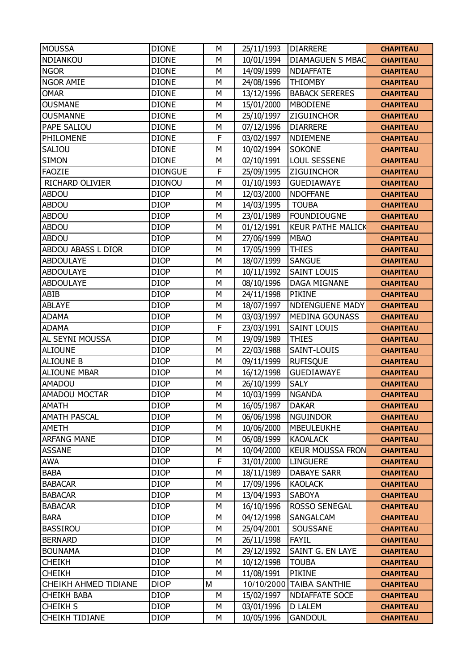| <b>MOUSSA</b>         | <b>DIONE</b>   | M            | 25/11/1993 | <b>DIARRERE</b>          | <b>CHAPITEAU</b> |
|-----------------------|----------------|--------------|------------|--------------------------|------------------|
| NDIANKOU              | <b>DIONE</b>   | M            | 10/01/1994 | <b>DIAMAGUEN S MBAC</b>  | <b>CHAPITEAU</b> |
| <b>NGOR</b>           | <b>DIONE</b>   | M            | 14/09/1999 | <b>NDIAFFATE</b>         | <b>CHAPITEAU</b> |
| <b>NGOR AMIE</b>      | <b>DIONE</b>   | M            | 24/08/1996 | <b>THIOMBY</b>           | <b>CHAPITEAU</b> |
| <b>OMAR</b>           | <b>DIONE</b>   | M            | 13/12/1996 | <b>BABACK SERERES</b>    | <b>CHAPITEAU</b> |
| <b>OUSMANE</b>        | <b>DIONE</b>   | M            | 15/01/2000 | <b>MBODIENE</b>          | <b>CHAPITEAU</b> |
| <b>OUSMANNE</b>       | <b>DIONE</b>   | M            | 25/10/1997 | <b>ZIGUINCHOR</b>        | <b>CHAPITEAU</b> |
| PAPE SALIOU           | <b>DIONE</b>   | M            | 07/12/1996 | <b>DIARRERE</b>          | <b>CHAPITEAU</b> |
| PHILOMENE             | <b>DIONE</b>   | $\mathsf{F}$ | 03/02/1997 | <b>NDIEMENE</b>          | <b>CHAPITEAU</b> |
| SALIOU                | <b>DIONE</b>   | M            | 10/02/1994 | <b>SOKONE</b>            | <b>CHAPITEAU</b> |
| <b>SIMON</b>          | <b>DIONE</b>   | M            | 02/10/1991 | <b>LOUL SESSENE</b>      | <b>CHAPITEAU</b> |
| <b>FAOZIE</b>         | <b>DIONGUE</b> | $\mathsf{F}$ | 25/09/1995 | <b>ZIGUINCHOR</b>        | <b>CHAPITEAU</b> |
| RICHARD OLIVIER       | <b>DIONOU</b>  | M            | 01/10/1993 | <b>GUEDIAWAYE</b>        | <b>CHAPITEAU</b> |
| <b>ABDOU</b>          | <b>DIOP</b>    | M            | 12/03/2000 | <b>NDOFFANE</b>          | <b>CHAPITEAU</b> |
| <b>ABDOU</b>          | <b>DIOP</b>    | M            | 14/03/1995 | <b>TOUBA</b>             | <b>CHAPITEAU</b> |
| <b>ABDOU</b>          | <b>DIOP</b>    | M            | 23/01/1989 | <b>FOUNDIOUGNE</b>       | <b>CHAPITEAU</b> |
| <b>ABDOU</b>          | <b>DIOP</b>    | M            | 01/12/1991 | <b>KEUR PATHE MALICK</b> | <b>CHAPITEAU</b> |
| <b>ABDOU</b>          | <b>DIOP</b>    | M            | 27/06/1999 | <b>MBAO</b>              | <b>CHAPITEAU</b> |
| ABDOU ABASS L DIOR    | <b>DIOP</b>    | M            | 17/05/1999 | <b>THIES</b>             | <b>CHAPITEAU</b> |
| <b>ABDOULAYE</b>      | <b>DIOP</b>    | M            | 18/07/1999 | <b>SANGUE</b>            | <b>CHAPITEAU</b> |
| <b>ABDOULAYE</b>      | <b>DIOP</b>    | M            | 10/11/1992 | <b>SAINT LOUIS</b>       | <b>CHAPITEAU</b> |
| <b>ABDOULAYE</b>      | <b>DIOP</b>    | M            | 08/10/1996 | <b>DAGA MIGNANE</b>      | <b>CHAPITEAU</b> |
| ABIB                  | <b>DIOP</b>    | M            | 24/11/1998 | <b>PIKINE</b>            | <b>CHAPITEAU</b> |
| <b>ABLAYE</b>         | <b>DIOP</b>    | M            | 18/07/1997 | <b>NDIENGUENE MADY</b>   | <b>CHAPITEAU</b> |
| <b>ADAMA</b>          | <b>DIOP</b>    | M            | 03/03/1997 | <b>MEDINA GOUNASS</b>    | <b>CHAPITEAU</b> |
| <b>ADAMA</b>          | <b>DIOP</b>    | $\mathsf{F}$ | 23/03/1991 | <b>SAINT LOUIS</b>       | <b>CHAPITEAU</b> |
| AL SEYNI MOUSSA       | <b>DIOP</b>    | M            | 19/09/1989 | <b>THIES</b>             | <b>CHAPITEAU</b> |
| <b>ALIOUNE</b>        | <b>DIOP</b>    | M            | 22/03/1988 | SAINT-LOUIS              | <b>CHAPITEAU</b> |
| <b>ALIOUNE B</b>      | <b>DIOP</b>    | M            | 09/11/1999 | <b>RUFISQUE</b>          | <b>CHAPITEAU</b> |
| <b>ALIOUNE MBAR</b>   | <b>DIOP</b>    | M            | 16/12/1998 | <b>GUEDIAWAYE</b>        | <b>CHAPITEAU</b> |
| <b>AMADOU</b>         | <b>DIOP</b>    | M            | 26/10/1999 | <b>SALY</b>              | <b>CHAPITEAU</b> |
| AMADOU MOCTAR         | <b>DIOP</b>    | M            | 10/03/1999 | <b>NGANDA</b>            | <b>CHAPITEAU</b> |
| <b>AMATH</b>          | <b>DIOP</b>    | M            | 16/05/1987 | <b>DAKAR</b>             | <b>CHAPITEAU</b> |
| <b>AMATH PASCAL</b>   | <b>DIOP</b>    | M            | 06/06/1998 | <b>NGUINDOR</b>          | <b>CHAPITEAU</b> |
| AMETH                 | <b>DIOP</b>    | M            | 10/06/2000 | <b>MBEULEUKHE</b>        | <b>CHAPITEAU</b> |
| <b>ARFANG MANE</b>    | <b>DIOP</b>    | M            | 06/08/1999 | <b>KAOALACK</b>          | <b>CHAPITEAU</b> |
| <b>ASSANE</b>         | <b>DIOP</b>    | М            | 10/04/2000 | <b>KEUR MOUSSA FRON</b>  | <b>CHAPITEAU</b> |
| <b>AWA</b>            | <b>DIOP</b>    | $\mathsf F$  | 31/01/2000 | <b>LINGUERE</b>          | <b>CHAPITEAU</b> |
| <b>BABA</b>           | <b>DIOP</b>    | M            | 18/11/1989 | <b>DABAYE SARR</b>       | <b>CHAPITEAU</b> |
| <b>BABACAR</b>        | <b>DIOP</b>    | M            | 17/09/1996 | <b>KAOLACK</b>           | <b>CHAPITEAU</b> |
| <b>BABACAR</b>        | <b>DIOP</b>    | M            | 13/04/1993 | <b>SABOYA</b>            | <b>CHAPITEAU</b> |
| <b>BABACAR</b>        | <b>DIOP</b>    | M            | 16/10/1996 | <b>ROSSO SENEGAL</b>     | <b>CHAPITEAU</b> |
| <b>BARA</b>           | <b>DIOP</b>    | M            | 04/12/1998 | SANGALCAM                | <b>CHAPITEAU</b> |
| <b>BASSIROU</b>       | <b>DIOP</b>    | M            | 25/04/2001 | SOUSSANE                 | <b>CHAPITEAU</b> |
| <b>BERNARD</b>        | <b>DIOP</b>    | M            | 26/11/1998 | <b>FAYIL</b>             | <b>CHAPITEAU</b> |
| <b>BOUNAMA</b>        | <b>DIOP</b>    | M            | 29/12/1992 | SAINT G. EN LAYE         | <b>CHAPITEAU</b> |
| <b>CHEIKH</b>         | <b>DIOP</b>    | M            | 10/12/1998 | <b>TOUBA</b>             | <b>CHAPITEAU</b> |
| <b>CHEIKH</b>         | <b>DIOP</b>    | M            | 11/08/1991 | <b>PIKINE</b>            | <b>CHAPITEAU</b> |
| CHEIKH AHMED TIDIANE  | <b>DIOP</b>    | M            |            | 10/10/2000 TAIBA SANTHIE | <b>CHAPITEAU</b> |
| <b>CHEIKH BABA</b>    | <b>DIOP</b>    | M            | 15/02/1997 | <b>NDIAFFATE SOCE</b>    | <b>CHAPITEAU</b> |
| CHEIKH S              | <b>DIOP</b>    | М            | 03/01/1996 | <b>D LALEM</b>           | <b>CHAPITEAU</b> |
| <b>CHEIKH TIDIANE</b> | <b>DIOP</b>    | М            | 10/05/1996 | <b>GANDOUL</b>           | <b>CHAPITEAU</b> |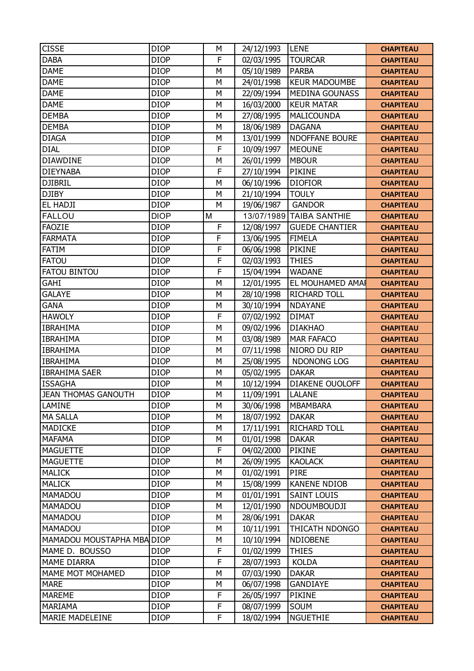| <b>CISSE</b>               | <b>DIOP</b> | M           | 24/12/1993 | <b>LENE</b>              | <b>CHAPITEAU</b> |
|----------------------------|-------------|-------------|------------|--------------------------|------------------|
| <b>DABA</b>                | <b>DIOP</b> | F           | 02/03/1995 | <b>TOURCAR</b>           | <b>CHAPITEAU</b> |
| <b>DAME</b>                | <b>DIOP</b> | M           | 05/10/1989 | <b>PARBA</b>             | <b>CHAPITEAU</b> |
| <b>DAME</b>                | <b>DIOP</b> | M           | 24/01/1998 | <b>KEUR MADOUMBE</b>     | <b>CHAPITEAU</b> |
| <b>DAME</b>                | <b>DIOP</b> | M           | 22/09/1994 | <b>MEDINA GOUNASS</b>    | <b>CHAPITEAU</b> |
| <b>DAME</b>                | <b>DIOP</b> | M           | 16/03/2000 | <b>KEUR MATAR</b>        | <b>CHAPITEAU</b> |
| <b>DEMBA</b>               | <b>DIOP</b> | M           | 27/08/1995 | MALICOUNDA               | <b>CHAPITEAU</b> |
| <b>DEMBA</b>               | <b>DIOP</b> | M           | 18/06/1989 | <b>DAGANA</b>            | <b>CHAPITEAU</b> |
| <b>DIAGA</b>               | <b>DIOP</b> | M           | 13/01/1999 | <b>NDOFFANE BOURE</b>    | <b>CHAPITEAU</b> |
| <b>DIAL</b>                | <b>DIOP</b> | F           | 10/09/1997 | <b>MEOUNE</b>            | <b>CHAPITEAU</b> |
| <b>DIAWDINE</b>            | <b>DIOP</b> | M           | 26/01/1999 | <b>MBOUR</b>             | <b>CHAPITEAU</b> |
| <b>DIEYNABA</b>            | <b>DIOP</b> | F           | 27/10/1994 | <b>PIKINE</b>            | <b>CHAPITEAU</b> |
| <b>DJIBRIL</b>             | <b>DIOP</b> | M           | 06/10/1996 | <b>DIOFIOR</b>           | <b>CHAPITEAU</b> |
| <b>DJIBY</b>               | <b>DIOP</b> | M           | 21/10/1994 | <b>TOULY</b>             | <b>CHAPITEAU</b> |
| EL HADJI                   | <b>DIOP</b> | M           | 19/06/1987 | <b>GANDOR</b>            | <b>CHAPITEAU</b> |
| <b>FALLOU</b>              | <b>DIOP</b> | M           |            | 13/07/1989 TAIBA SANTHIE | <b>CHAPITEAU</b> |
| <b>FAOZIE</b>              | <b>DIOP</b> | F           | 12/08/1997 | <b>GUEDE CHANTIER</b>    | <b>CHAPITEAU</b> |
| <b>FARMATA</b>             | <b>DIOP</b> | F           | 13/06/1995 | <b>FIMELA</b>            | <b>CHAPITEAU</b> |
| <b>FATIM</b>               | <b>DIOP</b> | F           | 06/06/1998 | <b>PIKINE</b>            | <b>CHAPITEAU</b> |
| <b>FATOU</b>               | <b>DIOP</b> | $\mathsf F$ | 02/03/1993 | <b>THIES</b>             | <b>CHAPITEAU</b> |
| <b>FATOU BINTOU</b>        | <b>DIOP</b> | F           | 15/04/1994 | <b>WADANE</b>            | <b>CHAPITEAU</b> |
| GAHI                       | <b>DIOP</b> | M           | 12/01/1995 | EL MOUHAMED AMAI         | <b>CHAPITEAU</b> |
| <b>GALAYE</b>              | <b>DIOP</b> | M           | 28/10/1998 | RICHARD TOLL             | <b>CHAPITEAU</b> |
| <b>GANA</b>                | <b>DIOP</b> | M           | 30/10/1994 | <b>NDAYANE</b>           | <b>CHAPITEAU</b> |
| <b>HAWOLY</b>              | <b>DIOP</b> | F           | 07/02/1992 | <b>DIMAT</b>             | <b>CHAPITEAU</b> |
| <b>IBRAHIMA</b>            | <b>DIOP</b> | M           | 09/02/1996 | <b>DIAKHAO</b>           | <b>CHAPITEAU</b> |
| <b>IBRAHIMA</b>            | <b>DIOP</b> | M           | 03/08/1989 | <b>MAR FAFACO</b>        | <b>CHAPITEAU</b> |
| <b>IBRAHIMA</b>            | <b>DIOP</b> | M           | 07/11/1998 | NIORO DU RIP             | <b>CHAPITEAU</b> |
| <b>IBRAHIMA</b>            | <b>DIOP</b> | M           | 25/08/1995 | NDONONG LOG              | <b>CHAPITEAU</b> |
| <b>IBRAHIMA SAER</b>       | <b>DIOP</b> | M           | 05/02/1995 | <b>DAKAR</b>             | <b>CHAPITEAU</b> |
| <b>ISSAGHA</b>             | <b>DIOP</b> | M           | 10/12/1994 | DIAKENE OUOLOFF          | <b>CHAPITEAU</b> |
| <b>JEAN THOMAS GANOUTH</b> | <b>DIOP</b> | M           | 11/09/1991 | <b>LALANE</b>            | <b>CHAPITEAU</b> |
| LAMINE                     | <b>DIOP</b> | M           | 30/06/1998 | <b>MBAMBARA</b>          | <b>CHAPITEAU</b> |
| <b>MA SALLA</b>            | <b>DIOP</b> | M           | 18/07/1992 | <b>DAKAR</b>             | <b>CHAPITEAU</b> |
| <b>MADICKE</b>             | <b>DIOP</b> | M           | 17/11/1991 | RICHARD TOLL             | <b>CHAPITEAU</b> |
| <b>MAFAMA</b>              | <b>DIOP</b> | М           | 01/01/1998 | <b>DAKAR</b>             | <b>CHAPITEAU</b> |
| <b>MAGUETTE</b>            | <b>DIOP</b> | F           | 04/02/2000 | <b>PIKINE</b>            | <b>CHAPITEAU</b> |
| <b>MAGUETTE</b>            | <b>DIOP</b> | M           | 26/09/1995 | <b>KAOLACK</b>           | <b>CHAPITEAU</b> |
| <b>MALICK</b>              | <b>DIOP</b> | M           | 01/02/1991 | <b>PIRE</b>              | <b>CHAPITEAU</b> |
| <b>MALICK</b>              | <b>DIOP</b> | M           | 15/08/1999 | <b>KANENE NDIOB</b>      | <b>CHAPITEAU</b> |
| MAMADOU                    | <b>DIOP</b> | M           | 01/01/1991 | <b>SAINT LOUIS</b>       | <b>CHAPITEAU</b> |
| MAMADOU                    | <b>DIOP</b> | M           | 12/01/1990 | NDOUMBOUDJI              | <b>CHAPITEAU</b> |
| <b>MAMADOU</b>             | <b>DIOP</b> | М           | 28/06/1991 | <b>DAKAR</b>             | <b>CHAPITEAU</b> |
| MAMADOU                    | <b>DIOP</b> | M           | 10/11/1991 | THICATH NDONGO           | <b>CHAPITEAU</b> |
| MAMADOU MOUSTAPHA MBA DIOP |             | M           | 10/10/1994 | <b>NDIOBENE</b>          | <b>CHAPITEAU</b> |
| MAME D. BOUSSO             | <b>DIOP</b> | F           | 01/02/1999 | <b>THIES</b>             | <b>CHAPITEAU</b> |
| MAME DIARRA                | <b>DIOP</b> | F           | 28/07/1993 | <b>KOLDA</b>             | <b>CHAPITEAU</b> |
| MAME MOT MOHAMED           | <b>DIOP</b> | M           | 07/03/1990 | <b>DAKAR</b>             | <b>CHAPITEAU</b> |
| <b>MARE</b>                | <b>DIOP</b> | М           | 06/07/1998 | <b>GANDIAYE</b>          | <b>CHAPITEAU</b> |
| <b>MAREME</b>              | <b>DIOP</b> | F           | 26/05/1997 | <b>PIKINE</b>            | <b>CHAPITEAU</b> |
| <b>MARIAMA</b>             | <b>DIOP</b> | F           | 08/07/1999 | SOUM                     | <b>CHAPITEAU</b> |
| <b>MARIE MADELEINE</b>     | <b>DIOP</b> | F           | 18/02/1994 | <b>NGUETHIE</b>          | <b>CHAPITEAU</b> |
|                            |             |             |            |                          |                  |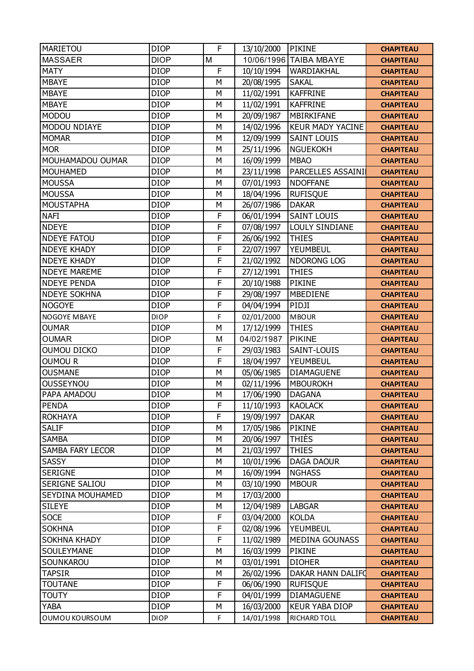| <b>MARIETOU</b>         | <b>DIOP</b> | F | 13/10/2000 | <b>PIKINE</b>           | <b>CHAPITEAU</b> |
|-------------------------|-------------|---|------------|-------------------------|------------------|
| <b>MASSAER</b>          | <b>DIOP</b> | M |            | 10/06/1996 TAIBA MBAYE  | <b>CHAPITEAU</b> |
| <b>MATY</b>             | <b>DIOP</b> | F | 10/10/1994 | WARDIAKHAL              | <b>CHAPITEAU</b> |
| <b>MBAYE</b>            | <b>DIOP</b> | М | 20/08/1995 | <b>SAKAL</b>            | <b>CHAPITEAU</b> |
| <b>MBAYE</b>            | <b>DIOP</b> | M | 11/02/1991 | <b>KAFFRINE</b>         | <b>CHAPITEAU</b> |
| <b>MBAYE</b>            | <b>DIOP</b> | M | 11/02/1991 | <b>KAFFRINE</b>         | <b>CHAPITEAU</b> |
| <b>MODOU</b>            | <b>DIOP</b> | M | 20/09/1987 | MBIRKIFANE              | <b>CHAPITEAU</b> |
| <b>MODOU NDIAYE</b>     | <b>DIOP</b> | M | 14/02/1996 | <b>KEUR MADY YACINE</b> | <b>CHAPITEAU</b> |
| <b>MOMAR</b>            | <b>DIOP</b> | M | 12/09/1999 | <b>SAINT LOUIS</b>      | <b>CHAPITEAU</b> |
| <b>MOR</b>              | <b>DIOP</b> | М | 25/11/1996 | <b>NGUEKOKH</b>         | <b>CHAPITEAU</b> |
| MOUHAMADOU OUMAR        | <b>DIOP</b> | M | 16/09/1999 | <b>MBAO</b>             | <b>CHAPITEAU</b> |
| <b>MOUHAMED</b>         | <b>DIOP</b> | M | 23/11/1998 | PARCELLES ASSAINI       | <b>CHAPITEAU</b> |
| <b>MOUSSA</b>           | <b>DIOP</b> | M | 07/01/1993 | <b>NDOFFANE</b>         | <b>CHAPITEAU</b> |
| <b>MOUSSA</b>           | <b>DIOP</b> | M | 18/04/1996 | <b>RUFISQUE</b>         | <b>CHAPITEAU</b> |
| <b>MOUSTAPHA</b>        | <b>DIOP</b> | М | 26/07/1986 | <b>DAKAR</b>            | <b>CHAPITEAU</b> |
| <b>NAFI</b>             | <b>DIOP</b> | F | 06/01/1994 | <b>SAINT LOUIS</b>      | <b>CHAPITEAU</b> |
| <b>NDEYE</b>            | <b>DIOP</b> | F | 07/08/1997 | LOULY SINDIANE          | <b>CHAPITEAU</b> |
| <b>NDEYE FATOU</b>      | <b>DIOP</b> | F | 26/06/1992 | <b>THIES</b>            | <b>CHAPITEAU</b> |
| <b>NDEYE KHADY</b>      | <b>DIOP</b> | F | 22/07/1997 | YEUMBEUL                | <b>CHAPITEAU</b> |
| <b>NDEYE KHADY</b>      | <b>DIOP</b> | F | 21/02/1992 | NDORONG LOG             | <b>CHAPITEAU</b> |
| <b>NDEYE MAREME</b>     | <b>DIOP</b> | F | 27/12/1991 | <b>THIES</b>            | <b>CHAPITEAU</b> |
| <b>NDEYE PENDA</b>      | <b>DIOP</b> | F | 20/10/1988 | <b>PIKINE</b>           | <b>CHAPITEAU</b> |
| <b>NDEYE SOKHNA</b>     | <b>DIOP</b> | F | 29/08/1997 | <b>MBEDIENE</b>         | <b>CHAPITEAU</b> |
| <b>NOGOYE</b>           | <b>DIOP</b> | F | 04/04/1994 | PIDJI                   | <b>CHAPITEAU</b> |
| NOGOYE MBAYE            | <b>DIOP</b> | F | 02/01/2000 | <b>MBOUR</b>            | <b>CHAPITEAU</b> |
| <b>OUMAR</b>            | <b>DIOP</b> | M | 17/12/1999 | <b>THIES</b>            | <b>CHAPITEAU</b> |
| <b>OUMAR</b>            | <b>DIOP</b> | M | 04/02/1987 | <b>PIKINE</b>           | <b>CHAPITEAU</b> |
| <b>OUMOU DICKO</b>      | <b>DIOP</b> | F | 29/03/1983 | SAINT-LOUIS             | <b>CHAPITEAU</b> |
| <b>OUMOUR</b>           | <b>DIOP</b> | F | 18/04/1997 | YEUMBEUL                | <b>CHAPITEAU</b> |
| <b>OUSMANE</b>          | <b>DIOP</b> | М | 05/06/1985 | <b>DIAMAGUENE</b>       | <b>CHAPITEAU</b> |
| OUSSEYNOU               | <b>DIOP</b> | М | 02/11/1996 | <b>MBOUROKH</b>         | <b>CHAPITEAU</b> |
| PAPA AMADOU             | <b>DIOP</b> | M | 17/06/1990 | <b>DAGANA</b>           | <b>CHAPITEAU</b> |
| <b>PENDA</b>            | <b>DIOP</b> | F | 11/10/1993 | <b>KAOLACK</b>          | <b>CHAPITEAU</b> |
| <b>ROKHAYA</b>          | <b>DIOP</b> | F | 19/09/1997 | <b>DAKAR</b>            | <b>CHAPITEAU</b> |
| <b>SALIF</b>            | <b>DIOP</b> | М | 17/05/1986 | <b>PIKINE</b>           | <b>CHAPITEAU</b> |
| <b>SAMBA</b>            | <b>DIOP</b> | М | 20/06/1997 | <b>THIÈS</b>            | <b>CHAPITEAU</b> |
| <b>SAMBA FARY LECOR</b> | <b>DIOP</b> | М | 21/03/1997 | <b>THIES</b>            | <b>CHAPITEAU</b> |
| SASSY                   | <b>DIOP</b> | M | 10/01/1996 | <b>DAGA DAOUR</b>       | <b>CHAPITEAU</b> |
| <b>SERIGNE</b>          | <b>DIOP</b> | М | 16/09/1994 | <b>NGHASS</b>           | <b>CHAPITEAU</b> |
| SERIGNE SALIOU          | <b>DIOP</b> | М | 03/10/1990 | <b>MBOUR</b>            | <b>CHAPITEAU</b> |
| SEYDINA MOUHAMED        | <b>DIOP</b> | M | 17/03/2000 |                         | <b>CHAPITEAU</b> |
| <b>SILEYE</b>           | <b>DIOP</b> | М | 12/04/1989 | <b>LABGAR</b>           | <b>CHAPITEAU</b> |
| <b>SOCE</b>             | <b>DIOP</b> | F | 03/04/2000 | <b>KOLDA</b>            | <b>CHAPITEAU</b> |
| <b>SOKHNA</b>           | <b>DIOP</b> | F | 02/08/1996 | YEUMBEUL                | <b>CHAPITEAU</b> |
| <b>SOKHNA KHADY</b>     | <b>DIOP</b> | F | 11/02/1989 | <b>MEDINA GOUNASS</b>   | <b>CHAPITEAU</b> |
| SOULEYMANE              | <b>DIOP</b> | М | 16/03/1999 | PIKINE                  | <b>CHAPITEAU</b> |
| SOUNKAROU               | <b>DIOP</b> | М | 03/01/1991 | <b>DIOHER</b>           | <b>CHAPITEAU</b> |
| <b>TAPSIR</b>           | <b>DIOP</b> | М | 26/02/1996 | DAKAR HANN DALIFO       | <b>CHAPITEAU</b> |
| <b>TOUTANE</b>          | <b>DIOP</b> | F | 06/06/1990 | <b>RUFISQUE</b>         | <b>CHAPITEAU</b> |
| <b>TOUTY</b>            | <b>DIOP</b> | F | 04/01/1999 | <b>DIAMAGUENE</b>       | <b>CHAPITEAU</b> |
| <b>YABA</b>             | <b>DIOP</b> | М | 16/03/2000 | <b>KEUR YABA DIOP</b>   | <b>CHAPITEAU</b> |
| OUMOU KOURSOUM          | <b>DIOP</b> | F | 14/01/1998 | RICHARD TOLL            | <b>CHAPITEAU</b> |
|                         |             |   |            |                         |                  |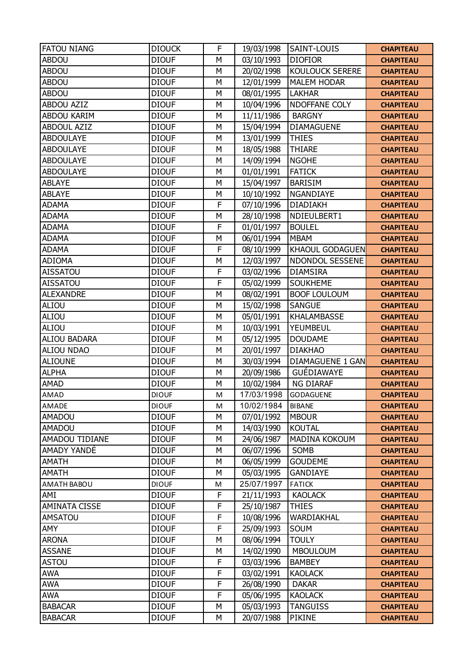| <b>FATOU NIANG</b>   | <b>DIOUCK</b> | F            | 19/03/1998 | <b>SAINT-LOUIS</b>      | <b>CHAPITEAU</b> |
|----------------------|---------------|--------------|------------|-------------------------|------------------|
| <b>ABDOU</b>         | <b>DIOUF</b>  | M            | 03/10/1993 | <b>DIOFIOR</b>          | <b>CHAPITEAU</b> |
| <b>ABDOU</b>         | <b>DIOUF</b>  | M            | 20/02/1998 | <b>KOULOUCK SERERE</b>  | <b>CHAPITEAU</b> |
| <b>ABDOU</b>         | <b>DIOUF</b>  | M            | 12/01/1999 | <b>MALEM HODAR</b>      | <b>CHAPITEAU</b> |
| <b>ABDOU</b>         | <b>DIOUF</b>  | M            | 08/01/1995 | <b>LAKHAR</b>           | <b>CHAPITEAU</b> |
| <b>ABDOU AZIZ</b>    | <b>DIOUF</b>  | M            | 10/04/1996 | NDOFFANE COLY           | <b>CHAPITEAU</b> |
| ABDOU KARIM          | <b>DIOUF</b>  | M            | 11/11/1986 | <b>BARGNY</b>           | <b>CHAPITEAU</b> |
| <b>ABDOUL AZIZ</b>   | <b>DIOUF</b>  | M            | 15/04/1994 | <b>DIAMAGUENE</b>       | <b>CHAPITEAU</b> |
| <b>ABDOULAYE</b>     | <b>DIOUF</b>  | M            | 13/01/1999 | <b>THIES</b>            | <b>CHAPITEAU</b> |
| <b>ABDOULAYE</b>     | <b>DIOUF</b>  | M            | 18/05/1988 | <b>THIARE</b>           | <b>CHAPITEAU</b> |
| <b>ABDOULAYE</b>     | <b>DIOUF</b>  | M            | 14/09/1994 | <b>NGOHE</b>            | <b>CHAPITEAU</b> |
| <b>ABDOULAYE</b>     | <b>DIOUF</b>  | M            | 01/01/1991 | <b>FATICK</b>           | <b>CHAPITEAU</b> |
| <b>ABLAYE</b>        | <b>DIOUF</b>  | M            | 15/04/1997 | <b>BARISIM</b>          | <b>CHAPITEAU</b> |
| <b>ABLAYE</b>        | <b>DIOUF</b>  | M            | 10/10/1992 | NGANDIAYE               | <b>CHAPITEAU</b> |
| <b>ADAMA</b>         | <b>DIOUF</b>  | $\mathsf{F}$ | 07/10/1996 | <b>DIADIAKH</b>         | <b>CHAPITEAU</b> |
| <b>ADAMA</b>         | <b>DIOUF</b>  | M            | 28/10/1998 | NDIEULBERT1             | <b>CHAPITEAU</b> |
| <b>ADAMA</b>         | <b>DIOUF</b>  | $\mathsf{F}$ | 01/01/1997 | <b>BOULEL</b>           | <b>CHAPITEAU</b> |
| <b>ADAMA</b>         | <b>DIOUF</b>  | M            | 06/01/1994 | <b>MBAM</b>             | <b>CHAPITEAU</b> |
| <b>ADAMA</b>         | <b>DIOUF</b>  | F            | 08/10/1999 | <b>KHAOUL GODAGUEN</b>  | <b>CHAPITEAU</b> |
| <b>ADIOMA</b>        | <b>DIOUF</b>  | M            | 12/03/1997 | <b>NDONDOL SESSENE</b>  | <b>CHAPITEAU</b> |
| <b>AISSATOU</b>      | <b>DIOUF</b>  | $\mathsf F$  | 03/02/1996 | <b>DIAMSIRA</b>         | <b>CHAPITEAU</b> |
| <b>AISSATOU</b>      | <b>DIOUF</b>  | $\mathsf{F}$ | 05/02/1999 | <b>SOUKHEME</b>         | <b>CHAPITEAU</b> |
| <b>ALEXANDRE</b>     | <b>DIOUF</b>  | M            | 08/02/1991 | <b>BOOF LOULOUM</b>     | <b>CHAPITEAU</b> |
| ALIOU                | <b>DIOUF</b>  | M            | 15/02/1998 | <b>SANGUE</b>           | <b>CHAPITEAU</b> |
| ALIOU                | <b>DIOUF</b>  | M            | 05/01/1991 | <b>KHALAMBASSE</b>      | <b>CHAPITEAU</b> |
| ALIOU                | <b>DIOUF</b>  | M            | 10/03/1991 | YEUMBEUL                | <b>CHAPITEAU</b> |
| <b>ALIOU BADARA</b>  | <b>DIOUF</b>  | M            | 05/12/1995 | <b>DOUDAME</b>          | <b>CHAPITEAU</b> |
| <b>ALIOU NDAO</b>    | <b>DIOUF</b>  | M            | 20/01/1997 | <b>DIAKHAO</b>          | <b>CHAPITEAU</b> |
| <b>ALIOUNE</b>       | <b>DIOUF</b>  | M            | 30/03/1994 | <b>DIAMAGUENE 1 GAN</b> | <b>CHAPITEAU</b> |
| <b>ALPHA</b>         | <b>DIOUF</b>  | M            | 20/09/1986 | <b>GUÉDIAWAYE</b>       | <b>CHAPITEAU</b> |
| <b>AMAD</b>          | <b>DIOUF</b>  | M            | 10/02/1984 | <b>NG DIARAF</b>        | <b>CHAPITEAU</b> |
| AMAD                 | <b>DIOUF</b>  | M            | 17/03/1998 | <b>GODAGUENE</b>        | <b>CHAPITEAU</b> |
| AMADE                | <b>DIOUF</b>  | M            | 10/02/1984 | <b>BIBANE</b>           | <b>CHAPITEAU</b> |
| <b>AMADOU</b>        | <b>DIOUF</b>  | M            | 07/01/1992 | <b>MBOUR</b>            | <b>CHAPITEAU</b> |
| <b>AMADOU</b>        | <b>DIOUF</b>  | M            | 14/03/1990 | <b>KOUTAL</b>           | <b>CHAPITEAU</b> |
| AMADOU TIDIANE       | <b>DIOUF</b>  | M            | 24/06/1987 | MADINA KOKOUM           | <b>CHAPITEAU</b> |
| AMADY YANDÉ          | <b>DIOUF</b>  | M            | 06/07/1996 | SOMB                    | <b>CHAPITEAU</b> |
| <b>AMATH</b>         | <b>DIOUF</b>  | M            | 06/05/1999 | <b>GOUDEME</b>          | <b>CHAPITEAU</b> |
| <b>AMATH</b>         | <b>DIOUF</b>  | M            | 05/03/1995 | <b>GANDIAYE</b>         | <b>CHAPITEAU</b> |
| AMATH BABOU          | <b>DIOUF</b>  | M            | 25/07/1997 | <b>FATICK</b>           | <b>CHAPITEAU</b> |
| AMI                  | <b>DIOUF</b>  | F            | 21/11/1993 | <b>KAOLACK</b>          | <b>CHAPITEAU</b> |
| <b>AMINATA CISSE</b> | <b>DIOUF</b>  | $\mathsf F$  | 25/10/1987 | <b>THIES</b>            | <b>CHAPITEAU</b> |
| <b>AMSATOU</b>       | <b>DIOUF</b>  | F            | 10/08/1996 | WARDIAKHAL              | <b>CHAPITEAU</b> |
| AMY                  | <b>DIOUF</b>  | $\mathsf{F}$ | 25/09/1993 | SOUM                    | <b>CHAPITEAU</b> |
| <b>ARONA</b>         | <b>DIOUF</b>  | M            | 08/06/1994 | <b>TOULY</b>            | <b>CHAPITEAU</b> |
| <b>ASSANE</b>        | <b>DIOUF</b>  | M            | 14/02/1990 | <b>MBOULOUM</b>         | <b>CHAPITEAU</b> |
| <b>ASTOU</b>         | <b>DIOUF</b>  | F            | 03/03/1996 | <b>BAMBEY</b>           | <b>CHAPITEAU</b> |
| <b>AWA</b>           | <b>DIOUF</b>  | $\mathsf F$  | 03/02/1991 | <b>KAOLACK</b>          | <b>CHAPITEAU</b> |
| <b>AWA</b>           | <b>DIOUF</b>  | F            | 26/08/1990 | <b>DAKAR</b>            | <b>CHAPITEAU</b> |
| <b>AWA</b>           | <b>DIOUF</b>  | $\mathsf{F}$ | 05/06/1995 | <b>KAOLACK</b>          | <b>CHAPITEAU</b> |
| <b>BABACAR</b>       | <b>DIOUF</b>  | M            | 05/03/1993 | <b>TANGUISS</b>         | <b>CHAPITEAU</b> |
| <b>BABACAR</b>       | <b>DIOUF</b>  | М            | 20/07/1988 | <b>PIKINE</b>           | <b>CHAPITEAU</b> |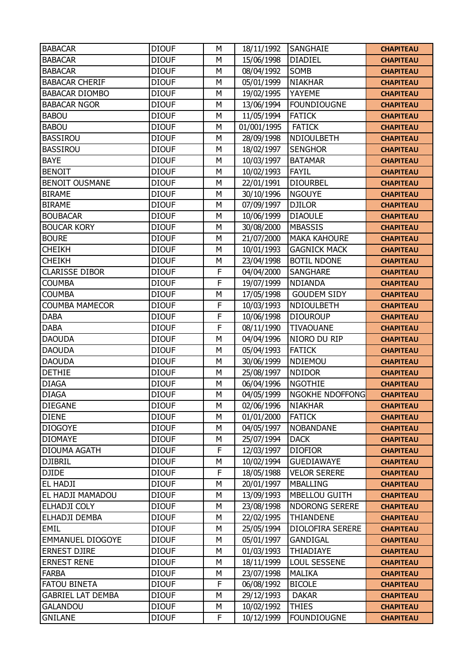| <b>BABACAR</b>           | <b>DIOUF</b> | M | 18/11/1992  | SANGHAIE              | <b>CHAPITEAU</b> |
|--------------------------|--------------|---|-------------|-----------------------|------------------|
| <b>BABACAR</b>           | <b>DIOUF</b> | M | 15/06/1998  | <b>DIADIEL</b>        | <b>CHAPITEAU</b> |
| <b>BABACAR</b>           | <b>DIOUF</b> | M | 08/04/1992  | SOMB                  | <b>CHAPITEAU</b> |
| <b>BABACAR CHERIF</b>    | <b>DIOUF</b> | M | 05/01/1999  | <b>NIAKHAR</b>        | <b>CHAPITEAU</b> |
| <b>BABACAR DIOMBO</b>    | <b>DIOUF</b> | M | 19/02/1995  | YAYEME                | <b>CHAPITEAU</b> |
| <b>BABACAR NGOR</b>      | <b>DIOUF</b> | M | 13/06/1994  | <b>FOUNDIOUGNE</b>    | <b>CHAPITEAU</b> |
| <b>BABOU</b>             | <b>DIOUF</b> | M | 11/05/1994  | <b>FATICK</b>         | <b>CHAPITEAU</b> |
| <b>BABOU</b>             | <b>DIOUF</b> | M | 01/001/1995 | <b>FATICK</b>         | <b>CHAPITEAU</b> |
| <b>BASSIROU</b>          | <b>DIOUF</b> | M | 28/09/1998  | NDIOULBETH            | <b>CHAPITEAU</b> |
| <b>BASSIROU</b>          | <b>DIOUF</b> | M | 18/02/1997  | <b>SENGHOR</b>        | <b>CHAPITEAU</b> |
| <b>BAYE</b>              | <b>DIOUF</b> | M | 10/03/1997  | <b>BATAMAR</b>        | <b>CHAPITEAU</b> |
| <b>BENOIT</b>            | <b>DIOUF</b> | M | 10/02/1993  | <b>FAYIL</b>          | <b>CHAPITEAU</b> |
| <b>BENOIT OUSMANE</b>    | <b>DIOUF</b> | M | 22/01/1991  | <b>DIOURBEL</b>       | <b>CHAPITEAU</b> |
| <b>BIRAME</b>            | <b>DIOUF</b> | M | 30/10/1996  | <b>NGOUYE</b>         | <b>CHAPITEAU</b> |
| <b>BIRAME</b>            | <b>DIOUF</b> | M | 07/09/1997  | <b>DJILOR</b>         | <b>CHAPITEAU</b> |
| <b>BOUBACAR</b>          | <b>DIOUF</b> | M | 10/06/1999  | <b>DIAOULE</b>        | <b>CHAPITEAU</b> |
| <b>BOUCAR KORY</b>       | <b>DIOUF</b> | M | 30/08/2000  | <b>MBASSIS</b>        | <b>CHAPITEAU</b> |
| <b>BOURE</b>             | <b>DIOUF</b> | M | 21/07/2000  | <b>MAKA KAHOURE</b>   | <b>CHAPITEAU</b> |
| <b>CHEIKH</b>            | <b>DIOUF</b> | M | 10/01/1993  | <b>GAGNICK MACK</b>   | <b>CHAPITEAU</b> |
| <b>CHEIKH</b>            | <b>DIOUF</b> | M | 23/04/1998  | <b>BOTIL NDONE</b>    | <b>CHAPITEAU</b> |
| <b>CLARISSE DIBOR</b>    | <b>DIOUF</b> | F | 04/04/2000  | <b>SANGHARE</b>       | <b>CHAPITEAU</b> |
| <b>COUMBA</b>            | <b>DIOUF</b> | F | 19/07/1999  | <b>NDIANDA</b>        | <b>CHAPITEAU</b> |
| <b>COUMBA</b>            | <b>DIOUF</b> | M | 17/05/1998  | <b>GOUDEM SIDY</b>    | <b>CHAPITEAU</b> |
| <b>COUMBA MAMECOR</b>    | <b>DIOUF</b> | F | 10/03/1993  | NDIOULBETH            | <b>CHAPITEAU</b> |
| <b>DABA</b>              | <b>DIOUF</b> | F | 10/06/1998  | <b>DIOUROUP</b>       | <b>CHAPITEAU</b> |
| <b>DABA</b>              | <b>DIOUF</b> | F | 08/11/1990  | <b>TIVAOUANE</b>      | <b>CHAPITEAU</b> |
| <b>DAOUDA</b>            | <b>DIOUF</b> | M | 04/04/1996  | NIORO DU RIP          | <b>CHAPITEAU</b> |
| <b>DAOUDA</b>            | <b>DIOUF</b> | M | 05/04/1993  | <b>FATICK</b>         | <b>CHAPITEAU</b> |
| <b>DAOUDA</b>            | <b>DIOUF</b> | M | 30/06/1999  | NDIEMOU               | <b>CHAPITEAU</b> |
| <b>DETHIE</b>            | <b>DIOUF</b> | M | 25/08/1997  | <b>NDIDOR</b>         | <b>CHAPITEAU</b> |
| <b>DIAGA</b>             | <b>DIOUF</b> | M | 06/04/1996  | <b>NGOTHIE</b>        | <b>CHAPITEAU</b> |
| <b>DIAGA</b>             | <b>DIOUF</b> | M | 04/05/1999  | NGOKHE NDOFFONG       | <b>CHAPITEAU</b> |
| <b>DIEGANE</b>           | <b>DIOUF</b> | М | 02/06/1996  | <b>NIAKHAR</b>        | <b>CHAPITEAU</b> |
| <b>DIENE</b>             | <b>DIOUF</b> | M | 01/01/2000  | <b>FATICK</b>         | <b>CHAPITEAU</b> |
| <b>DIOGOYE</b>           | <b>DIOUF</b> | M | 04/05/1997  | <b>NOBANDANE</b>      | <b>CHAPITEAU</b> |
| <b>DIOMAYE</b>           | <b>DIOUF</b> | М | 25/07/1994  | <b>DACK</b>           | <b>CHAPITEAU</b> |
| DIOUMA AGATH             | <b>DIOUF</b> | F | 12/03/1997  | <b>DIOFIOR</b>        | <b>CHAPITEAU</b> |
| <b>DJIBRIL</b>           | <b>DIOUF</b> | M | 10/02/1994  | <b>GUEDIAWAYE</b>     | <b>CHAPITEAU</b> |
| <b>DJIDE</b>             | <b>DIOUF</b> | F | 18/05/1988  | <b>VELOR SERERE</b>   | <b>CHAPITEAU</b> |
| EL HADJI                 | <b>DIOUF</b> | М | 20/01/1997  | <b>MBALLING</b>       | <b>CHAPITEAU</b> |
| EL HADJI MAMADOU         | <b>DIOUF</b> | M | 13/09/1993  | <b>MBELLOU GUITH</b>  | <b>CHAPITEAU</b> |
| ELHADJI COLY             | <b>DIOUF</b> | M | 23/08/1998  | <b>NDORONG SERERE</b> |                  |
| ELHADJI DEMBA            | <b>DIOUF</b> | М |             | THIANDENE             | <b>CHAPITEAU</b> |
| EMIL                     |              | M | 22/02/1995  |                       | <b>CHAPITEAU</b> |
|                          | <b>DIOUF</b> |   | 25/05/1994  | DIOLOFIRA SERERE      | <b>CHAPITEAU</b> |
| <b>EMMANUEL DIOGOYE</b>  | <b>DIOUF</b> | M | 05/01/1997  | GANDIGAL              | <b>CHAPITEAU</b> |
| <b>ERNEST DJIRE</b>      | <b>DIOUF</b> | М | 01/03/1993  | THIADIAYE             | <b>CHAPITEAU</b> |
| <b>ERNEST RENE</b>       | <b>DIOUF</b> | M | 18/11/1999  | <b>LOUL SESSENE</b>   | <b>CHAPITEAU</b> |
| <b>FARBA</b>             | <b>DIOUF</b> | М | 23/07/1998  | <b>MALIKA</b>         | <b>CHAPITEAU</b> |
| <b>FATOU BINETA</b>      | <b>DIOUF</b> | F | 06/08/1992  | <b>BICOLE</b>         | <b>CHAPITEAU</b> |
| <b>GABRIEL LAT DEMBA</b> | <b>DIOUF</b> | M | 29/12/1993  | <b>DAKAR</b>          | <b>CHAPITEAU</b> |
| <b>GALANDOU</b>          | <b>DIOUF</b> | М | 10/02/1992  | <b>THIES</b>          | <b>CHAPITEAU</b> |
| <b>GNILANE</b>           | <b>DIOUF</b> | F | 10/12/1999  | <b>FOUNDIOUGNE</b>    | <b>CHAPITEAU</b> |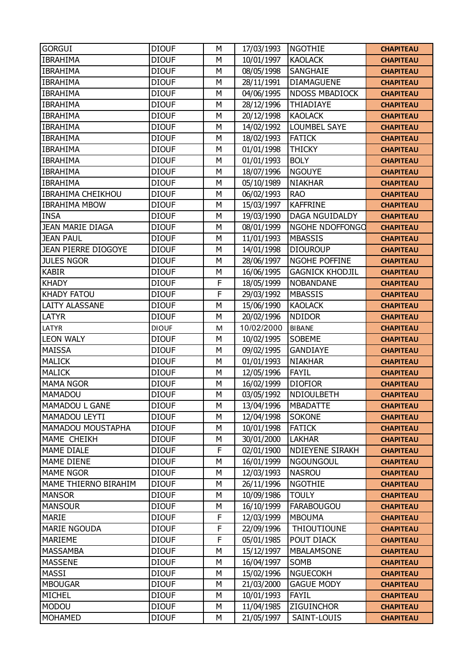| <b>GORGUI</b>            | <b>DIOUF</b> | M | 17/03/1993 | <b>NGOTHIE</b>         | <b>CHAPITEAU</b> |
|--------------------------|--------------|---|------------|------------------------|------------------|
| <b>IBRAHIMA</b>          | <b>DIOUF</b> | M | 10/01/1997 | <b>KAOLACK</b>         | <b>CHAPITEAU</b> |
| <b>IBRAHIMA</b>          | <b>DIOUF</b> | M | 08/05/1998 | SANGHAIE               | <b>CHAPITEAU</b> |
| <b>IBRAHIMA</b>          | <b>DIOUF</b> | M | 28/11/1991 | <b>DIAMAGUENE</b>      | <b>CHAPITEAU</b> |
| <b>IBRAHIMA</b>          | <b>DIOUF</b> | M | 04/06/1995 | <b>NDOSS MBADIOCK</b>  | <b>CHAPITEAU</b> |
| <b>IBRAHIMA</b>          | <b>DIOUF</b> | M | 28/12/1996 | THIADIAYE              | <b>CHAPITEAU</b> |
| <b>IBRAHIMA</b>          | <b>DIOUF</b> | M | 20/12/1998 | <b>KAOLACK</b>         | <b>CHAPITEAU</b> |
| <b>IBRAHIMA</b>          | <b>DIOUF</b> | M | 14/02/1992 | <b>LOUMBEL SAYE</b>    | <b>CHAPITEAU</b> |
| <b>IBRAHIMA</b>          | <b>DIOUF</b> | M | 18/02/1993 | <b>FATICK</b>          | <b>CHAPITEAU</b> |
| <b>IBRAHIMA</b>          | <b>DIOUF</b> | M | 01/01/1998 | <b>THICKY</b>          | <b>CHAPITEAU</b> |
| <b>IBRAHIMA</b>          | <b>DIOUF</b> | M | 01/01/1993 | <b>BOLY</b>            | <b>CHAPITEAU</b> |
| <b>IBRAHIMA</b>          | <b>DIOUF</b> | M | 18/07/1996 | <b>NGOUYE</b>          | <b>CHAPITEAU</b> |
| <b>IBRAHIMA</b>          | <b>DIOUF</b> | M | 05/10/1989 | <b>NIAKHAR</b>         | <b>CHAPITEAU</b> |
| <b>IBRAHIMA CHEIKHOU</b> | <b>DIOUF</b> | M | 06/02/1993 | <b>RAO</b>             | <b>CHAPITEAU</b> |
| <b>IBRAHIMA MBOW</b>     | <b>DIOUF</b> | M | 15/03/1997 | <b>KAFFRINE</b>        | <b>CHAPITEAU</b> |
| <b>INSA</b>              | <b>DIOUF</b> | M | 19/03/1990 | <b>DAGA NGUIDALDY</b>  | <b>CHAPITEAU</b> |
| <b>JEAN MARIE DIAGA</b>  | <b>DIOUF</b> | M | 08/01/1999 | NGOHE NDOFFONGO        | <b>CHAPITEAU</b> |
| <b>JEAN PAUL</b>         | <b>DIOUF</b> | M | 11/01/1993 | <b>MBASSIS</b>         | <b>CHAPITEAU</b> |
| JEAN PIERRE DIOGOYE      | <b>DIOUF</b> | M | 14/01/1998 | <b>DIOUROUP</b>        | <b>CHAPITEAU</b> |
| <b>JULES NGOR</b>        | <b>DIOUF</b> | M | 28/06/1997 | NGOHE POFFINE          | <b>CHAPITEAU</b> |
| <b>KABIR</b>             | <b>DIOUF</b> | M | 16/06/1995 | <b>GAGNICK KHODJIL</b> | <b>CHAPITEAU</b> |
| <b>KHADY</b>             | <b>DIOUF</b> | F | 18/05/1999 | <b>NOBANDANE</b>       | <b>CHAPITEAU</b> |
| <b>KHADY FATOU</b>       | <b>DIOUF</b> | F | 29/03/1992 | <b>MBASSIS</b>         | <b>CHAPITEAU</b> |
| <b>LAITY ALASSANE</b>    | <b>DIOUF</b> | M | 15/06/1990 | <b>KAOLACK</b>         | <b>CHAPITEAU</b> |
| LATYR                    | <b>DIOUF</b> | M | 20/02/1996 | <b>NDIDOR</b>          | <b>CHAPITEAU</b> |
| LATYR                    | <b>DIOUF</b> | M | 10/02/2000 | <b>BIBANE</b>          | <b>CHAPITEAU</b> |
| <b>LEON WALY</b>         | <b>DIOUF</b> | M | 10/02/1995 | SOBEME                 | <b>CHAPITEAU</b> |
| <b>MAISSA</b>            | <b>DIOUF</b> | M | 09/02/1995 | <b>GANDIAYE</b>        | <b>CHAPITEAU</b> |
| <b>MALICK</b>            | <b>DIOUF</b> | M | 01/01/1993 | <b>NIAKHAR</b>         | <b>CHAPITEAU</b> |
| <b>MALICK</b>            | <b>DIOUF</b> | M | 12/05/1996 | <b>FAYIL</b>           | <b>CHAPITEAU</b> |
| <b>MAMA NGOR</b>         | <b>DIOUF</b> | M | 16/02/1999 | <b>DIOFIOR</b>         | <b>CHAPITEAU</b> |
| MAMADOU                  | <b>DIOUF</b> | M | 03/05/1992 | NDIOULBETH             | <b>CHAPITEAU</b> |
| MAMADOU L GANE           | <b>DIOUF</b> | M | 13/04/1996 | <b>MBADATTE</b>        | <b>CHAPITEAU</b> |
| MAMADOU LEYTI            | <b>DIOUF</b> | M | 12/04/1998 | <b>SOKONE</b>          | <b>CHAPITEAU</b> |
| MAMADOU MOUSTAPHA        | <b>DIOUF</b> | M | 10/01/1998 | <b>FATICK</b>          | <b>CHAPITEAU</b> |
| MAME CHEIKH              | <b>DIOUF</b> | M | 30/01/2000 | <b>LAKHAR</b>          | <b>CHAPITEAU</b> |
| <b>MAME DIALE</b>        | <b>DIOUF</b> | F | 02/01/1900 | <b>NDIEYENE SIRAKH</b> | <b>CHAPITEAU</b> |
| <b>MAME DIENE</b>        | <b>DIOUF</b> | M | 16/01/1999 | <b>NGOUNGOUL</b>       | <b>CHAPITEAU</b> |
| <b>MAME NGOR</b>         | <b>DIOUF</b> | M | 12/03/1993 | <b>NASROU</b>          | <b>CHAPITEAU</b> |
| MAME THIERNO BIRAHIM     | <b>DIOUF</b> | М | 26/11/1996 | <b>NGOTHIE</b>         | <b>CHAPITEAU</b> |
| <b>MANSOR</b>            | <b>DIOUF</b> | M | 10/09/1986 | <b>TOULY</b>           | <b>CHAPITEAU</b> |
| <b>MANSOUR</b>           | <b>DIOUF</b> | М | 16/10/1999 | <b>FARABOUGOU</b>      | <b>CHAPITEAU</b> |
| <b>MARIE</b>             | <b>DIOUF</b> | F | 12/03/1999 | <b>MBOUMA</b>          | <b>CHAPITEAU</b> |
| <b>MARIE NGOUDA</b>      | <b>DIOUF</b> | F | 22/09/1996 | <b>THIOUTIOUNE</b>     | <b>CHAPITEAU</b> |
| <b>MARIEME</b>           | <b>DIOUF</b> | F | 05/01/1985 | POUT DIACK             | <b>CHAPITEAU</b> |
| <b>MASSAMBA</b>          | <b>DIOUF</b> | M | 15/12/1997 | <b>MBALAMSONE</b>      | <b>CHAPITEAU</b> |
| <b>MASSENE</b>           | <b>DIOUF</b> | M | 16/04/1997 | SOMB                   | <b>CHAPITEAU</b> |
| MASSI                    | <b>DIOUF</b> | M | 15/02/1996 | <b>NGUECOKH</b>        | <b>CHAPITEAU</b> |
| <b>MBOUGAR</b>           | <b>DIOUF</b> | M | 21/03/2000 | <b>GAGUE MODY</b>      | <b>CHAPITEAU</b> |
| MICHEL                   | <b>DIOUF</b> | M | 10/01/1993 | <b>FAYIL</b>           | <b>CHAPITEAU</b> |
| <b>MODOU</b>             | <b>DIOUF</b> | M | 11/04/1985 | <b>ZIGUINCHOR</b>      | <b>CHAPITEAU</b> |
| <b>MOHAMED</b>           | <b>DIOUF</b> | М | 21/05/1997 | SAINT-LOUIS            | <b>CHAPITEAU</b> |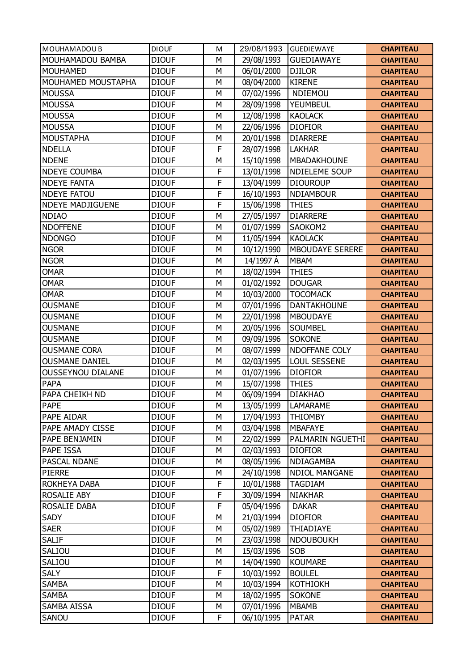| MOUHAMADOU B             | <b>DIOUF</b> | M | 29/08/1993 | <b>GUEDIEWAYE</b>      | <b>CHAPITEAU</b> |
|--------------------------|--------------|---|------------|------------------------|------------------|
| MOUHAMADOU BAMBA         | <b>DIOUF</b> | M | 29/08/1993 | <b>GUEDIAWAYE</b>      | <b>CHAPITEAU</b> |
| <b>MOUHAMED</b>          | <b>DIOUF</b> | M | 06/01/2000 | <b>DJILOR</b>          | <b>CHAPITEAU</b> |
| MOUHAMED MOUSTAPHA       | <b>DIOUF</b> | M | 08/04/2000 | <b>KIRENE</b>          | <b>CHAPITEAU</b> |
| <b>MOUSSA</b>            | <b>DIOUF</b> | M | 07/02/1996 | NDIEMOU                | <b>CHAPITEAU</b> |
| <b>MOUSSA</b>            | <b>DIOUF</b> | M | 28/09/1998 | <b>YEUMBEUL</b>        | <b>CHAPITEAU</b> |
| <b>MOUSSA</b>            | <b>DIOUF</b> | M | 12/08/1998 | <b>KAOLACK</b>         | <b>CHAPITEAU</b> |
| <b>MOUSSA</b>            | <b>DIOUF</b> | M | 22/06/1996 | <b>DIOFIOR</b>         | <b>CHAPITEAU</b> |
| <b>MOUSTAPHA</b>         | <b>DIOUF</b> | M | 20/01/1998 | <b>DIARRERE</b>        | <b>CHAPITEAU</b> |
| <b>NDELLA</b>            | <b>DIOUF</b> | F | 28/07/1998 | <b>LAKHAR</b>          | <b>CHAPITEAU</b> |
| <b>NDENE</b>             | <b>DIOUF</b> | M | 15/10/1998 | MBADAKHOUNE            | <b>CHAPITEAU</b> |
| <b>NDEYE COUMBA</b>      | <b>DIOUF</b> | F | 13/01/1998 | <b>NDIELEME SOUP</b>   | <b>CHAPITEAU</b> |
| <b>NDEYE FANTA</b>       | <b>DIOUF</b> | F | 13/04/1999 | <b>DIOUROUP</b>        | <b>CHAPITEAU</b> |
| <b>NDEYE FATOU</b>       | <b>DIOUF</b> | F | 16/10/1993 | <b>NDIAMBOUR</b>       | <b>CHAPITEAU</b> |
| <b>NDEYE MADJIGUENE</b>  | <b>DIOUF</b> | F | 15/06/1998 | <b>THIES</b>           | <b>CHAPITEAU</b> |
| <b>NDIAO</b>             | <b>DIOUF</b> | M | 27/05/1997 | <b>DIARRERE</b>        | <b>CHAPITEAU</b> |
| <b>NDOFFENE</b>          | <b>DIOUF</b> | M | 01/07/1999 | SAOKOM2                | <b>CHAPITEAU</b> |
| <b>NDONGO</b>            | <b>DIOUF</b> | M | 11/05/1994 | <b>KAOLACK</b>         | <b>CHAPITEAU</b> |
| <b>NGOR</b>              | <b>DIOUF</b> | M | 10/12/1990 | <b>MBOUDAYE SERERE</b> | <b>CHAPITEAU</b> |
| <b>NGOR</b>              | <b>DIOUF</b> | M | 14/1997 À  | <b>MBAM</b>            | <b>CHAPITEAU</b> |
| <b>OMAR</b>              | <b>DIOUF</b> | M | 18/02/1994 | <b>THIES</b>           | <b>CHAPITEAU</b> |
| <b>OMAR</b>              | <b>DIOUF</b> | M | 01/02/1992 | <b>DOUGAR</b>          | <b>CHAPITEAU</b> |
| <b>OMAR</b>              | <b>DIOUF</b> | M | 10/03/2000 | <b>TOCOMACK</b>        | <b>CHAPITEAU</b> |
| <b>OUSMANE</b>           | <b>DIOUF</b> | M | 07/01/1996 | <b>DANTAKHOUNE</b>     | <b>CHAPITEAU</b> |
| <b>OUSMANE</b>           | <b>DIOUF</b> | M | 22/01/1998 | <b>MBOUDAYE</b>        | <b>CHAPITEAU</b> |
| <b>OUSMANE</b>           | <b>DIOUF</b> | M | 20/05/1996 | <b>SOUMBEL</b>         | <b>CHAPITEAU</b> |
| <b>OUSMANE</b>           | <b>DIOUF</b> | M | 09/09/1996 | <b>SOKONE</b>          | <b>CHAPITEAU</b> |
| <b>OUSMANE CORA</b>      | <b>DIOUF</b> | M | 08/07/1999 | NDOFFANE COLY          | <b>CHAPITEAU</b> |
| <b>OUSMANE DANIEL</b>    | <b>DIOUF</b> | M | 02/03/1995 | <b>LOUL SESSENE</b>    | <b>CHAPITEAU</b> |
| <b>OUSSEYNOU DIALANE</b> | <b>DIOUF</b> | M | 01/07/1996 | <b>DIOFIOR</b>         | <b>CHAPITEAU</b> |
| <b>PAPA</b>              | <b>DIOUF</b> | M | 15/07/1998 | <b>THIES</b>           | <b>CHAPITEAU</b> |
| PAPA CHEIKH ND           | <b>DIOUF</b> | M | 06/09/1994 | <b>DIAKHAO</b>         | <b>CHAPITEAU</b> |
| <b>PAPE</b>              | <b>DIOUF</b> | M | 13/05/1999 | <b>LAMARAME</b>        | <b>CHAPITEAU</b> |
| PAPE AIDAR               | <b>DIOUF</b> | M | 17/04/1993 | <b>THIOMBY</b>         | <b>CHAPITEAU</b> |
| PAPE AMADY CISSE         | <b>DIOUF</b> | M | 03/04/1998 | <b>MBAFAYE</b>         | <b>CHAPITEAU</b> |
| PAPE BENJAMIN            | <b>DIOUF</b> | M | 22/02/1999 | PALMARIN NGUETHI       | <b>CHAPITEAU</b> |
| PAPE ISSA                | <b>DIOUF</b> | M | 02/03/1993 | <b>DIOFIOR</b>         | <b>CHAPITEAU</b> |
| PASCAL NDANE             | <b>DIOUF</b> | M | 08/05/1996 | NDIAGAMBA              | <b>CHAPITEAU</b> |
| <b>PIERRE</b>            | <b>DIOUF</b> | M | 24/10/1998 | <b>NDIOL MANGANE</b>   | <b>CHAPITEAU</b> |
| ROKHEYA DABA             | <b>DIOUF</b> | F | 10/01/1988 | <b>TAGDIAM</b>         | <b>CHAPITEAU</b> |
| ROSALIE ABY              | <b>DIOUF</b> | F | 30/09/1994 | <b>NIAKHAR</b>         | <b>CHAPITEAU</b> |
| ROSALIE DABA             | <b>DIOUF</b> | F | 05/04/1996 | <b>DAKAR</b>           | <b>CHAPITEAU</b> |
| <b>SADY</b>              | <b>DIOUF</b> | М | 21/03/1994 | <b>DIOFIOR</b>         | <b>CHAPITEAU</b> |
| <b>SAER</b>              | <b>DIOUF</b> | M | 05/02/1989 | THIADIAYE              | <b>CHAPITEAU</b> |
| <b>SALIF</b>             | <b>DIOUF</b> | M | 23/03/1998 | <b>NDOUBOUKH</b>       | <b>CHAPITEAU</b> |
| SALIOU                   | <b>DIOUF</b> | М | 15/03/1996 | SOB                    | <b>CHAPITEAU</b> |
| SALIOU                   | <b>DIOUF</b> | M | 14/04/1990 | <b>KOUMARE</b>         | <b>CHAPITEAU</b> |
| <b>SALY</b>              | <b>DIOUF</b> | F | 10/03/1992 | <b>BOULEL</b>          | <b>CHAPITEAU</b> |
| <b>SAMBA</b>             | <b>DIOUF</b> | M | 10/03/1994 | <b>KOTHIOKH</b>        | <b>CHAPITEAU</b> |
| <b>SAMBA</b>             | <b>DIOUF</b> | M | 18/02/1995 | <b>SOKONE</b>          | <b>CHAPITEAU</b> |
| SAMBA AISSA              | <b>DIOUF</b> | М | 07/01/1996 | <b>MBAMB</b>           |                  |
|                          |              | F |            |                        | <b>CHAPITEAU</b> |
| SANOU                    | <b>DIOUF</b> |   | 06/10/1995 | <b>PATAR</b>           | <b>CHAPITEAU</b> |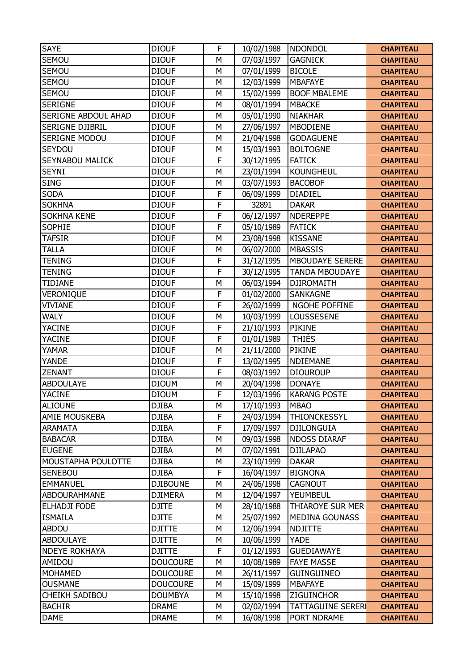| <b>SAYE</b>            | <b>DIOUF</b>    | F              | 10/02/1988 | <b>NDONDOL</b>           | <b>CHAPITEAU</b> |
|------------------------|-----------------|----------------|------------|--------------------------|------------------|
| <b>SEMOU</b>           | <b>DIOUF</b>    | M              | 07/03/1997 | <b>GAGNICK</b>           | <b>CHAPITEAU</b> |
| <b>SEMOU</b>           | <b>DIOUF</b>    | M              | 07/01/1999 | <b>BICOLE</b>            | <b>CHAPITEAU</b> |
| <b>SEMOU</b>           | <b>DIOUF</b>    | M              | 12/03/1999 | <b>MBAFAYE</b>           | <b>CHAPITEAU</b> |
| <b>SEMOU</b>           | <b>DIOUF</b>    | M              | 15/02/1999 | <b>BOOF MBALEME</b>      | <b>CHAPITEAU</b> |
| <b>SERIGNE</b>         | <b>DIOUF</b>    | M              | 08/01/1994 | <b>MBACKE</b>            | <b>CHAPITEAU</b> |
| SERIGNE ABDOUL AHAD    | <b>DIOUF</b>    | M              | 05/01/1990 | <b>NIAKHAR</b>           | <b>CHAPITEAU</b> |
| SERIGNE DJIBRIL        | <b>DIOUF</b>    | M              | 27/06/1997 | MBODIENE                 | <b>CHAPITEAU</b> |
| <b>SERIGNE MODOU</b>   | <b>DIOUF</b>    | M              | 21/04/1998 | <b>GODAGUENE</b>         | <b>CHAPITEAU</b> |
| SEYDOU                 | <b>DIOUF</b>    | M              | 15/03/1993 | <b>BOLTOGNE</b>          | <b>CHAPITEAU</b> |
| <b>SEYNABOU MALICK</b> | <b>DIOUF</b>    | F              | 30/12/1995 | <b>FATICK</b>            | <b>CHAPITEAU</b> |
| <b>SEYNI</b>           | <b>DIOUF</b>    | M              | 23/01/1994 | <b>KOUNGHEUL</b>         | <b>CHAPITEAU</b> |
| <b>SING</b>            | <b>DIOUF</b>    | M              | 03/07/1993 | <b>BACOBOF</b>           | <b>CHAPITEAU</b> |
| <b>SODA</b>            | <b>DIOUF</b>    | F              | 06/09/1999 | <b>DIADIEL</b>           | <b>CHAPITEAU</b> |
| <b>SOKHNA</b>          | <b>DIOUF</b>    | F              | 32891      | <b>DAKAR</b>             | <b>CHAPITEAU</b> |
| <b>SOKHNA KENE</b>     | <b>DIOUF</b>    | F              | 06/12/1997 | <b>NDEREPPE</b>          | <b>CHAPITEAU</b> |
| <b>SOPHIE</b>          | <b>DIOUF</b>    | F              | 05/10/1989 | <b>FATICK</b>            | <b>CHAPITEAU</b> |
| <b>TAFSIR</b>          | <b>DIOUF</b>    | M              | 23/08/1998 | <b>KISSANE</b>           | <b>CHAPITEAU</b> |
| <b>TALLA</b>           | <b>DIOUF</b>    | M              | 06/02/2000 | <b>MBASSIS</b>           | <b>CHAPITEAU</b> |
| <b>TENING</b>          | <b>DIOUF</b>    | F              | 31/12/1995 | <b>MBOUDAYE SERERE</b>   | <b>CHAPITEAU</b> |
| <b>TENING</b>          | <b>DIOUF</b>    | F              | 30/12/1995 | <b>TANDA MBOUDAYE</b>    | <b>CHAPITEAU</b> |
| <b>TIDIANE</b>         | <b>DIOUF</b>    | M              | 06/03/1994 | <b>DJIROMAITH</b>        | <b>CHAPITEAU</b> |
| VERONIQUE              | <b>DIOUF</b>    | F              | 01/02/2000 | <b>SANKAGNE</b>          | <b>CHAPITEAU</b> |
| <b>VIVIANE</b>         | <b>DIOUF</b>    | F              | 26/02/1999 | NGOHE POFFINE            | <b>CHAPITEAU</b> |
| <b>WALY</b>            | <b>DIOUF</b>    | M              | 10/03/1999 | LOUSSESENE               | <b>CHAPITEAU</b> |
| <b>YACINE</b>          | <b>DIOUF</b>    | F              | 21/10/1993 | <b>PIKINE</b>            | <b>CHAPITEAU</b> |
| <b>YACINE</b>          | <b>DIOUF</b>    | F              | 01/01/1989 | <b>THIÈS</b>             | <b>CHAPITEAU</b> |
| YAMAR                  | <b>DIOUF</b>    | M              | 21/11/2000 | <b>PIKINE</b>            | <b>CHAPITEAU</b> |
| <b>YANDE</b>           | <b>DIOUF</b>    | F              | 13/02/1995 | <b>NDIEMANE</b>          | <b>CHAPITEAU</b> |
| <b>ZENANT</b>          | <b>DIOUF</b>    | $\overline{F}$ | 08/03/1992 | <b>DIOUROUP</b>          | <b>CHAPITEAU</b> |
| ABDOULAYE              | <b>DIOUM</b>    | M              | 20/04/1998 | <b>DONAYE</b>            | <b>CHAPITEAU</b> |
| <b>YACINE</b>          | <b>DIOUM</b>    | F              | 12/03/1996 | <b>KARANG POSTE</b>      | <b>CHAPITEAU</b> |
| <b>ALIOUNE</b>         | <b>DJIBA</b>    | M              | 17/10/1993 | <b>MBAO</b>              | <b>CHAPITEAU</b> |
| AMIE MOUSKEBA          | <b>DJIBA</b>    | F              | 24/03/1994 | <b>THIONCKESSYL</b>      | <b>CHAPITEAU</b> |
| <b>ARAMATA</b>         | <b>DJIBA</b>    | F              | 17/09/1997 | <b>DJILONGUIA</b>        | <b>CHAPITEAU</b> |
| <b>BABACAR</b>         | <b>DJIBA</b>    | M              | 09/03/1998 | <b>NDOSS DIARAF</b>      | <b>CHAPITEAU</b> |
| <b>EUGENE</b>          | <b>DJIBA</b>    | M              | 07/02/1991 | <b>DJILAPAO</b>          | <b>CHAPITEAU</b> |
| MOUSTAPHA POULOTTE     | <b>DJIBA</b>    | M              | 23/10/1999 | <b>DAKAR</b>             | <b>CHAPITEAU</b> |
| <b>SENEBOU</b>         | <b>DJIBA</b>    | F              | 16/04/1997 | <b>BIGNONA</b>           | <b>CHAPITEAU</b> |
| <b>EMMANUEL</b>        | <b>DJIBOUNE</b> | М              | 24/06/1998 | <b>CAGNOUT</b>           | <b>CHAPITEAU</b> |
| ABDOURAHMANE           | <b>DJIMERA</b>  | M              | 12/04/1997 | YEUMBEUL                 | <b>CHAPITEAU</b> |
| <b>ELHADJI FODE</b>    | <b>DJITE</b>    | M              | 28/10/1988 | THIAROYE SUR MER         | <b>CHAPITEAU</b> |
| <b>ISMAILA</b>         | <b>DJITE</b>    | M              | 25/07/1992 | <b>MEDINA GOUNASS</b>    | <b>CHAPITEAU</b> |
| <b>ABDOU</b>           | <b>DJITTE</b>   | M              | 12/06/1994 | NDJITTE                  | <b>CHAPITEAU</b> |
| <b>ABDOULAYE</b>       | <b>DJITTE</b>   | М              | 10/06/1999 | <b>YADE</b>              | <b>CHAPITEAU</b> |
| <b>NDEYE ROKHAYA</b>   | <b>DJITTE</b>   | F              | 01/12/1993 | <b>GUEDIAWAYE</b>        | <b>CHAPITEAU</b> |
| AMIDOU                 | <b>DOUCOURE</b> | M              | 10/08/1989 | <b>FAYE MASSE</b>        | <b>CHAPITEAU</b> |
| <b>MOHAMED</b>         | <b>DOUCOURE</b> | M              | 26/11/1997 | <b>GUINGUINEO</b>        | <b>CHAPITEAU</b> |
| <b>OUSMANE</b>         | <b>DOUCOURE</b> | M              | 15/09/1999 | <b>MBAFAYE</b>           | <b>CHAPITEAU</b> |
| <b>CHEIKH SADIBOU</b>  | <b>DOUMBYA</b>  | M              | 15/10/1998 | ZIGUINCHOR               | <b>CHAPITEAU</b> |
| <b>BACHIR</b>          | <b>DRAME</b>    | M              | 02/02/1994 | <b>TATTAGUINE SERERI</b> |                  |
|                        |                 |                |            |                          | <b>CHAPITEAU</b> |
| DAME                   | <b>DRAME</b>    | М              | 16/08/1998 | PORT NDRAME              | <b>CHAPITEAU</b> |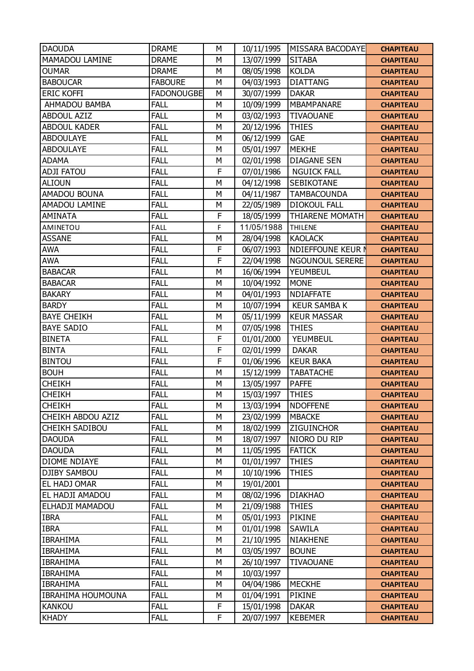| <b>DAOUDA</b>            | <b>DRAME</b>      | M | 10/11/1995 | MISSARA BACODAYE         | <b>CHAPITEAU</b> |
|--------------------------|-------------------|---|------------|--------------------------|------------------|
| MAMADOU LAMINE           | <b>DRAME</b>      | M | 13/07/1999 | <b>SITABA</b>            | <b>CHAPITEAU</b> |
| <b>OUMAR</b>             | <b>DRAME</b>      | M | 08/05/1998 | <b>KOLDA</b>             | <b>CHAPITEAU</b> |
| <b>BABOUCAR</b>          | <b>FABOURE</b>    | M | 04/03/1993 | <b>DIATTANG</b>          | <b>CHAPITEAU</b> |
| <b>ERIC KOFFI</b>        | <b>FADONOUGBE</b> | M | 30/07/1999 | <b>DAKAR</b>             | <b>CHAPITEAU</b> |
| AHMADOU BAMBA            | <b>FALL</b>       | M | 10/09/1999 | <b>MBAMPANARE</b>        | <b>CHAPITEAU</b> |
| <b>ABDOUL AZIZ</b>       | <b>FALL</b>       | M | 03/02/1993 | <b>TIVAOUANE</b>         | <b>CHAPITEAU</b> |
| <b>ABDOUL KADER</b>      | <b>FALL</b>       | M | 20/12/1996 | <b>THIES</b>             | <b>CHAPITEAU</b> |
| <b>ABDOULAYE</b>         | <b>FALL</b>       | M | 06/12/1999 | <b>GAE</b>               | <b>CHAPITEAU</b> |
| <b>ABDOULAYE</b>         | <b>FALL</b>       | M | 05/01/1997 | <b>MEKHE</b>             | <b>CHAPITEAU</b> |
| <b>ADAMA</b>             | <b>FALL</b>       | M | 02/01/1998 | <b>DIAGANE SEN</b>       | <b>CHAPITEAU</b> |
| <b>ADJI FATOU</b>        | <b>FALL</b>       | F | 07/01/1986 | <b>NGUICK FALL</b>       | <b>CHAPITEAU</b> |
| <b>ALIOUN</b>            | <b>FALL</b>       | M | 04/12/1998 | SEBIKOTANE               | <b>CHAPITEAU</b> |
| AMADOU BOUNA             | <b>FALL</b>       | M | 04/11/1987 | <b>TAMBACOUNDA</b>       | <b>CHAPITEAU</b> |
| AMADOU LAMINE            | <b>FALL</b>       | M | 22/05/1989 | <b>DIOKOUL FALL</b>      | <b>CHAPITEAU</b> |
| <b>AMINATA</b>           | <b>FALL</b>       | F | 18/05/1999 | <b>THIARENE MOMATH</b>   | <b>CHAPITEAU</b> |
| <b>AMINETOU</b>          | <b>FALL</b>       | F | 11/05/1988 | <b>THILENE</b>           | <b>CHAPITEAU</b> |
| <b>ASSANE</b>            | <b>FALL</b>       | M | 28/04/1998 | <b>KAOLACK</b>           | <b>CHAPITEAU</b> |
| <b>AWA</b>               | <b>FALL</b>       | F | 06/07/1993 | <b>NDIEFFOUNE KEUR N</b> | <b>CHAPITEAU</b> |
| <b>AWA</b>               | <b>FALL</b>       | F | 22/04/1998 | <b>NGOUNOUL SERERE</b>   | <b>CHAPITEAU</b> |
| <b>BABACAR</b>           | <b>FALL</b>       | M | 16/06/1994 | YEUMBEUL                 | <b>CHAPITEAU</b> |
| <b>BABACAR</b>           | <b>FALL</b>       | M | 10/04/1992 | <b>MONE</b>              | <b>CHAPITEAU</b> |
| <b>BAKARY</b>            | <b>FALL</b>       | M | 04/01/1993 | <b>NDIAFFATE</b>         | <b>CHAPITEAU</b> |
| <b>BARDY</b>             | <b>FALL</b>       | M | 10/07/1994 | <b>KEUR SAMBA K</b>      | <b>CHAPITEAU</b> |
| <b>BAYE CHEIKH</b>       | <b>FALL</b>       | M | 05/11/1999 | <b>KEUR MASSAR</b>       | <b>CHAPITEAU</b> |
| <b>BAYE SADIO</b>        | <b>FALL</b>       | M | 07/05/1998 | <b>THIES</b>             | <b>CHAPITEAU</b> |
| <b>BINETA</b>            | <b>FALL</b>       | F | 01/01/2000 | YEUMBEUL                 | <b>CHAPITEAU</b> |
| <b>BINTA</b>             | <b>FALL</b>       | F | 02/01/1999 | <b>DAKAR</b>             | <b>CHAPITEAU</b> |
| <b>BINTOU</b>            | <b>FALL</b>       | F | 01/06/1996 | <b>KEUR BAKA</b>         | <b>CHAPITEAU</b> |
| <b>BOUH</b>              | <b>FALL</b>       | M | 15/12/1999 | <b>TABATACHE</b>         | <b>CHAPITEAU</b> |
| <b>CHEIKH</b>            | <b>FALL</b>       | M | 13/05/1997 | <b>PAFFE</b>             | <b>CHAPITEAU</b> |
| <b>CHEIKH</b>            | <b>FALL</b>       | M | 15/03/1997 | <b>THIES</b>             | <b>CHAPITEAU</b> |
| <b>CHEIKH</b>            | <b>FALL</b>       | M | 13/03/1994 | <b>NDOFFENE</b>          | <b>CHAPITEAU</b> |
| CHEIKH ABDOU AZIZ        | <b>FALL</b>       | M | 23/02/1999 | <b>MBACKE</b>            | <b>CHAPITEAU</b> |
| <b>CHEIKH SADIBOU</b>    | <b>FALL</b>       | M | 18/02/1999 | ZIGUINCHOR               | <b>CHAPITEAU</b> |
| <b>DAOUDA</b>            | <b>FALL</b>       | M | 18/07/1997 | NIORO DU RIP             | <b>CHAPITEAU</b> |
| <b>DAOUDA</b>            | <b>FALL</b>       | M | 11/05/1995 | <b>FATICK</b>            | <b>CHAPITEAU</b> |
| DIOME NDIAYE             | <b>FALL</b>       | M | 01/01/1997 | <b>THIES</b>             | <b>CHAPITEAU</b> |
| <b>DJIBY SAMBOU</b>      | <b>FALL</b>       | M | 10/10/1996 | <b>THIES</b>             | <b>CHAPITEAU</b> |
| EL HADJ OMAR             | <b>FALL</b>       | M | 19/01/2001 |                          | <b>CHAPITEAU</b> |
| EL HADJI AMADOU          | <b>FALL</b>       | M | 08/02/1996 | <b>DIAKHAO</b>           | <b>CHAPITEAU</b> |
| ELHADJI MAMADOU          | <b>FALL</b>       | M | 21/09/1988 | <b>THIES</b>             | <b>CHAPITEAU</b> |
| <b>IBRA</b>              | <b>FALL</b>       | М | 05/01/1993 | PIKINE                   | <b>CHAPITEAU</b> |
| <b>IBRA</b>              | <b>FALL</b>       | M | 01/01/1998 | SAWILA                   | <b>CHAPITEAU</b> |
| <b>IBRAHIMA</b>          | <b>FALL</b>       | M | 21/10/1995 | <b>NIAKHENE</b>          | <b>CHAPITEAU</b> |
| <b>IBRAHIMA</b>          | <b>FALL</b>       | M | 03/05/1997 | <b>BOUNE</b>             | <b>CHAPITEAU</b> |
| <b>IBRAHIMA</b>          | <b>FALL</b>       | M | 26/10/1997 | <b>TIVAOUANE</b>         | <b>CHAPITEAU</b> |
| <b>IBRAHIMA</b>          | <b>FALL</b>       | M | 10/03/1997 |                          | <b>CHAPITEAU</b> |
| <b>IBRAHIMA</b>          | <b>FALL</b>       | M | 04/04/1986 | <b>MECKHE</b>            | <b>CHAPITEAU</b> |
| <b>IBRAHIMA HOUMOUNA</b> | <b>FALL</b>       | M | 01/04/1991 | PIKINE                   | <b>CHAPITEAU</b> |
| <b>KANKOU</b>            | <b>FALL</b>       | F | 15/01/1998 | <b>DAKAR</b>             | <b>CHAPITEAU</b> |
| <b>KHADY</b>             | <b>FALL</b>       | F | 20/07/1997 | <b>KEBEMER</b>           | <b>CHAPITEAU</b> |
|                          |                   |   |            |                          |                  |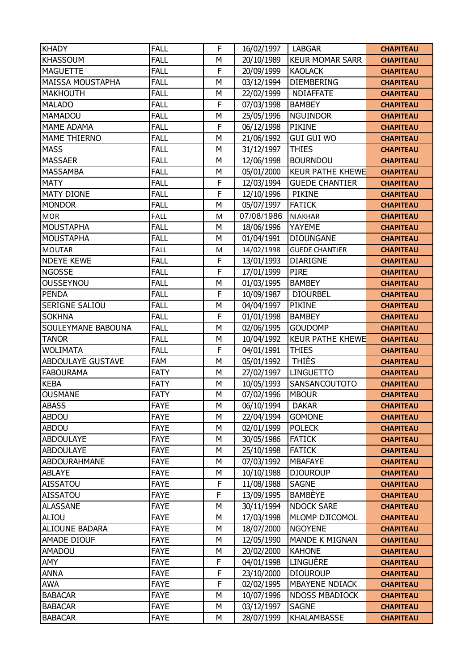| <b>KHADY</b>             | <b>FALL</b> | F | 16/02/1997 | <b>LABGAR</b>           | <b>CHAPITEAU</b> |
|--------------------------|-------------|---|------------|-------------------------|------------------|
| <b>KHASSOUM</b>          | <b>FALL</b> | M | 20/10/1989 | <b>KEUR MOMAR SARR</b>  | <b>CHAPITEAU</b> |
| <b>MAGUETTE</b>          | <b>FALL</b> | F | 20/09/1999 | <b>KAOLACK</b>          | <b>CHAPITEAU</b> |
| <b>MAISSA MOUSTAPHA</b>  | <b>FALL</b> | M | 03/12/1994 | <b>DIEMBERING</b>       | <b>CHAPITEAU</b> |
| <b>MAKHOUTH</b>          | <b>FALL</b> | M | 22/02/1999 | <b>NDIAFFATE</b>        | <b>CHAPITEAU</b> |
| <b>MALADO</b>            | <b>FALL</b> | F | 07/03/1998 | <b>BAMBEY</b>           | <b>CHAPITEAU</b> |
| MAMADOU                  | <b>FALL</b> | M | 25/05/1996 | <b>NGUINDOR</b>         | <b>CHAPITEAU</b> |
| <b>MAME ADAMA</b>        | <b>FALL</b> | F | 06/12/1998 | <b>PIKINE</b>           | <b>CHAPITEAU</b> |
| <b>MAME THIERNO</b>      | <b>FALL</b> | M | 21/06/1992 | <b>GUI GUI WO</b>       | <b>CHAPITEAU</b> |
| <b>MASS</b>              | <b>FALL</b> | M | 31/12/1997 | <b>THIES</b>            | <b>CHAPITEAU</b> |
| <b>MASSAER</b>           | <b>FALL</b> | M | 12/06/1998 | <b>BOURNDOU</b>         | <b>CHAPITEAU</b> |
| <b>MASSAMBA</b>          | <b>FALL</b> | M | 05/01/2000 | <b>KEUR PATHE KHEWE</b> | <b>CHAPITEAU</b> |
| <b>MATY</b>              | <b>FALL</b> | F | 12/03/1994 | <b>GUEDE CHANTIER</b>   | <b>CHAPITEAU</b> |
| <b>MATY DIONE</b>        | <b>FALL</b> | F | 12/10/1996 | <b>PIKINE</b>           | <b>CHAPITEAU</b> |
| <b>MONDOR</b>            | <b>FALL</b> | M | 05/07/1997 | <b>FATICK</b>           | <b>CHAPITEAU</b> |
| <b>MOR</b>               | <b>FALL</b> | M | 07/08/1986 | <b>NIAKHAR</b>          | <b>CHAPITEAU</b> |
| <b>MOUSTAPHA</b>         | <b>FALL</b> | M | 18/06/1996 | YAYEME                  | <b>CHAPITEAU</b> |
| <b>MOUSTAPHA</b>         | <b>FALL</b> | M | 01/04/1991 | <b>DIOUNGANE</b>        | <b>CHAPITEAU</b> |
| <b>MOUTAR</b>            | <b>FALL</b> | M | 14/02/1998 | <b>GUEDE CHANTIER</b>   | <b>CHAPITEAU</b> |
| <b>NDEYE KEWE</b>        | FALL        | F | 13/01/1993 | <b>DIARIGNE</b>         | <b>CHAPITEAU</b> |
| <b>NGOSSE</b>            | <b>FALL</b> | F | 17/01/1999 | <b>PIRE</b>             | <b>CHAPITEAU</b> |
| OUSSEYNOU                | <b>FALL</b> | M | 01/03/1995 | <b>BAMBEY</b>           | <b>CHAPITEAU</b> |
| <b>PENDA</b>             | <b>FALL</b> | F | 10/09/1987 | <b>DIOURBEL</b>         | <b>CHAPITEAU</b> |
| SERIGNE SALIOU           | <b>FALL</b> | M | 04/04/1997 | PIKINE                  | <b>CHAPITEAU</b> |
| <b>SOKHNA</b>            | <b>FALL</b> | F | 01/01/1998 | <b>BAMBEY</b>           | <b>CHAPITEAU</b> |
| SOULEYMANE BABOUNA       | <b>FALL</b> | M | 02/06/1995 | <b>GOUDOMP</b>          | <b>CHAPITEAU</b> |
| <b>TANOR</b>             | <b>FALL</b> | M | 10/04/1992 | <b>KEUR PATHE KHEWE</b> | <b>CHAPITEAU</b> |
| <b>WOLIMATA</b>          | <b>FALL</b> | F | 04/01/1991 | <b>THIES</b>            | <b>CHAPITEAU</b> |
| <b>ABDOULAYE GUSTAVE</b> | FAM         | M | 05/01/1992 | <b>THIÈS</b>            | <b>CHAPITEAU</b> |
| <b>FABOURAMA</b>         | <b>FATY</b> | M | 27/02/1997 | <b>LINGUETTO</b>        | <b>CHAPITEAU</b> |
| <b>KEBA</b>              | <b>FATY</b> | M | 10/05/1993 | SANSANCOUTOTO           | <b>CHAPITEAU</b> |
| <b>OUSMANE</b>           | <b>FATY</b> | M | 07/02/1996 | <b>MBOUR</b>            | <b>CHAPITEAU</b> |
| <b>ABASS</b>             | <b>FAYE</b> | M | 06/10/1994 | <b>DAKAR</b>            | <b>CHAPITEAU</b> |
| <b>ABDOU</b>             | <b>FAYE</b> | M | 22/04/1994 | <b>GOMONE</b>           | <b>CHAPITEAU</b> |
| <b>ABDOU</b>             | <b>FAYE</b> | M | 02/01/1999 | <b>POLECK</b>           | <b>CHAPITEAU</b> |
| <b>ABDOULAYE</b>         | <b>FAYE</b> | M | 30/05/1986 | <b>FATICK</b>           | <b>CHAPITEAU</b> |
| <b>ABDOULAYE</b>         | <b>FAYE</b> | M | 25/10/1998 | <b>FATICK</b>           | <b>CHAPITEAU</b> |
| ABDOURAHMANE             | <b>FAYE</b> | M | 07/03/1992 | <b>MBAFAYE</b>          | <b>CHAPITEAU</b> |
| <b>ABLAYE</b>            | <b>FAYE</b> | М | 10/10/1988 | <b>DJOUROUP</b>         | <b>CHAPITEAU</b> |
| <b>AISSATOU</b>          | <b>FAYE</b> | F | 11/08/1988 | <b>SAGNE</b>            | <b>CHAPITEAU</b> |
| AISSATOU                 | <b>FAYE</b> | F | 13/09/1995 | <b>BAMBEYE</b>          | <b>CHAPITEAU</b> |
| <b>ALASSANE</b>          | <b>FAYE</b> | M | 30/11/1994 | <b>NDOCK SARE</b>       | <b>CHAPITEAU</b> |
| ALIOU                    | <b>FAYE</b> | М | 17/03/1998 | MLOMP DJICOMOL          | <b>CHAPITEAU</b> |
| ALIOUNE BADARA           | <b>FAYE</b> | M | 18/07/2000 | <b>NGOYENE</b>          | <b>CHAPITEAU</b> |
| AMADE DIOUF              | <b>FAYE</b> | M | 12/05/1990 | MANDE K MIGNAN          | <b>CHAPITEAU</b> |
| AMADOU                   | <b>FAYE</b> | М | 20/02/2000 | <b>KAHONE</b>           | <b>CHAPITEAU</b> |
| AMY                      | <b>FAYE</b> | F | 04/01/1998 | LINGUÈRE                | <b>CHAPITEAU</b> |
| ANNA                     | <b>FAYE</b> | F | 23/10/2000 | <b>DIOUROUP</b>         | <b>CHAPITEAU</b> |
| <b>AWA</b>               | <b>FAYE</b> | F | 02/02/1995 | <b>MBAYENE NDIACK</b>   | <b>CHAPITEAU</b> |
| <b>BABACAR</b>           | <b>FAYE</b> | M | 10/07/1996 | <b>NDOSS MBADIOCK</b>   | <b>CHAPITEAU</b> |
| <b>BABACAR</b>           | <b>FAYE</b> | M | 03/12/1997 | <b>SAGNE</b>            | <b>CHAPITEAU</b> |
| <b>BABACAR</b>           | <b>FAYE</b> | М | 28/07/1999 | KHALAMBASSE             | <b>CHAPITEAU</b> |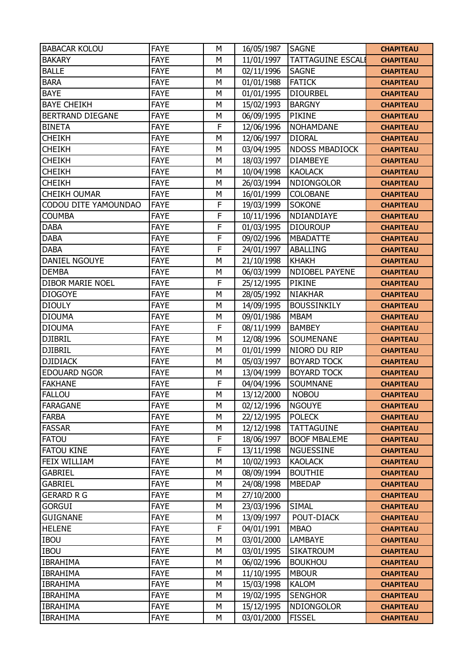| <b>BABACAR KOLOU</b>    | <b>FAYE</b> | M | 16/05/1987 | <b>SAGNE</b>             | <b>CHAPITEAU</b> |
|-------------------------|-------------|---|------------|--------------------------|------------------|
| <b>BAKARY</b>           | <b>FAYE</b> | M | 11/01/1997 | <b>TATTAGUINE ESCALI</b> | <b>CHAPITEAU</b> |
| <b>BALLE</b>            | <b>FAYE</b> | M | 02/11/1996 | <b>SAGNE</b>             | <b>CHAPITEAU</b> |
| <b>BARA</b>             | <b>FAYE</b> | M | 01/01/1988 | <b>FATICK</b>            | <b>CHAPITEAU</b> |
| <b>BAYE</b>             | <b>FAYE</b> | M | 01/01/1995 | <b>DIOURBEL</b>          | <b>CHAPITEAU</b> |
| <b>BAYE CHEIKH</b>      | <b>FAYE</b> | M | 15/02/1993 | <b>BARGNY</b>            | <b>CHAPITEAU</b> |
| BERTRAND DIEGANE        | <b>FAYE</b> | M | 06/09/1995 | <b>PIKINE</b>            | <b>CHAPITEAU</b> |
| <b>BINETA</b>           | <b>FAYE</b> | F | 12/06/1996 | <b>NOHAMDANE</b>         | <b>CHAPITEAU</b> |
| <b>CHEIKH</b>           | <b>FAYE</b> | M | 12/06/1997 | <b>DIORAL</b>            | <b>CHAPITEAU</b> |
| <b>CHEIKH</b>           | <b>FAYE</b> | M | 03/04/1995 | <b>NDOSS MBADIOCK</b>    | <b>CHAPITEAU</b> |
| <b>CHEIKH</b>           | <b>FAYE</b> | M | 18/03/1997 | <b>DIAMBEYE</b>          | <b>CHAPITEAU</b> |
| <b>CHEIKH</b>           | <b>FAYE</b> | M | 10/04/1998 | <b>KAOLACK</b>           | <b>CHAPITEAU</b> |
| <b>CHEIKH</b>           | <b>FAYE</b> | M | 26/03/1994 | <b>NDIONGOLOR</b>        | <b>CHAPITEAU</b> |
| <b>CHEIKH OUMAR</b>     | <b>FAYE</b> | M | 16/01/1999 | COLOBANE                 | <b>CHAPITEAU</b> |
| CODOU DITE YAMOUNDAO    | <b>FAYE</b> | F | 19/03/1999 | <b>SOKONE</b>            | <b>CHAPITEAU</b> |
| <b>COUMBA</b>           | <b>FAYE</b> | F | 10/11/1996 | NDIANDIAYE               | <b>CHAPITEAU</b> |
| <b>DABA</b>             | <b>FAYE</b> | F | 01/03/1995 | <b>DIOUROUP</b>          | <b>CHAPITEAU</b> |
| <b>DABA</b>             | <b>FAYE</b> | F | 09/02/1996 | <b>MBADATTE</b>          | <b>CHAPITEAU</b> |
| <b>DABA</b>             | <b>FAYE</b> | F | 24/01/1997 | ABALLING                 | <b>CHAPITEAU</b> |
| DANIEL NGOUYE           | <b>FAYE</b> | M | 21/10/1998 | <b>KHAKH</b>             | <b>CHAPITEAU</b> |
| <b>DEMBA</b>            | <b>FAYE</b> | M | 06/03/1999 | <b>NDIOBEL PAYENE</b>    | <b>CHAPITEAU</b> |
| <b>DIBOR MARIE NOEL</b> | <b>FAYE</b> | F | 25/12/1995 | <b>PIKINE</b>            | <b>CHAPITEAU</b> |
| <b>DIOGOYE</b>          | <b>FAYE</b> | M | 28/05/1992 | <b>NIAKHAR</b>           | <b>CHAPITEAU</b> |
| <b>DIOULY</b>           | <b>FAYE</b> | M | 14/09/1995 | <b>BOUSSINKILY</b>       | <b>CHAPITEAU</b> |
| <b>DIOUMA</b>           | <b>FAYE</b> | M | 09/01/1986 | <b>MBAM</b>              | <b>CHAPITEAU</b> |
| <b>DIOUMA</b>           | <b>FAYE</b> | F | 08/11/1999 | <b>BAMBEY</b>            | <b>CHAPITEAU</b> |
| <b>DJIBRIL</b>          | <b>FAYE</b> | M | 12/08/1996 | SOUMENANE                | <b>CHAPITEAU</b> |
| <b>DJIBRIL</b>          | <b>FAYE</b> | M | 01/01/1999 | NIORO DU RIP             | <b>CHAPITEAU</b> |
| <b>DJIDIACK</b>         | <b>FAYE</b> | M | 05/03/1997 | <b>BOYARD TOCK</b>       | <b>CHAPITEAU</b> |
| <b>EDOUARD NGOR</b>     | <b>FAYE</b> | M | 13/04/1999 | <b>BOYARD TOCK</b>       | <b>CHAPITEAU</b> |
| <b>FAKHANE</b>          | <b>FAYE</b> | F | 04/04/1996 | SOUMNANE                 | <b>CHAPITEAU</b> |
| <b>FALLOU</b>           | <b>FAYE</b> | M | 13/12/2000 | <b>NOBOU</b>             | <b>CHAPITEAU</b> |
| <b>FARAGANE</b>         | <b>FAYE</b> | M | 02/12/1996 | <b>NGOUYE</b>            | <b>CHAPITEAU</b> |
| <b>FARBA</b>            | <b>FAYE</b> | М | 22/12/1995 | <b>POLECK</b>            | <b>CHAPITEAU</b> |
| <b>FASSAR</b>           | <b>FAYE</b> | M | 12/12/1998 | <b>TATTAGUINE</b>        | <b>CHAPITEAU</b> |
| <b>FATOU</b>            | <b>FAYE</b> | F | 18/06/1997 | <b>BOOF MBALEME</b>      | <b>CHAPITEAU</b> |
| <b>FATOU KINE</b>       | <b>FAYE</b> | F | 13/11/1998 | <b>NGUESSINE</b>         | <b>CHAPITEAU</b> |
| FEIX WILLIAM            | <b>FAYE</b> | M | 10/02/1993 | <b>KAOLACK</b>           | <b>CHAPITEAU</b> |
| <b>GABRIEL</b>          | <b>FAYE</b> | M | 08/09/1994 | <b>BOUTHIE</b>           | <b>CHAPITEAU</b> |
| <b>GABRIEL</b>          | <b>FAYE</b> | М | 24/08/1998 | <b>MBEDAP</b>            | <b>CHAPITEAU</b> |
| <b>GERARD R G</b>       | <b>FAYE</b> | M | 27/10/2000 |                          | <b>CHAPITEAU</b> |
| <b>GORGUI</b>           | <b>FAYE</b> | M | 23/03/1996 | <b>SIMAL</b>             | <b>CHAPITEAU</b> |
| <b>GUIGNANE</b>         | <b>FAYE</b> | M | 13/09/1997 | POUT-DIACK               | <b>CHAPITEAU</b> |
| <b>HELENE</b>           | <b>FAYE</b> | F | 04/01/1991 | <b>MBAO</b>              | <b>CHAPITEAU</b> |
| <b>IBOU</b>             | <b>FAYE</b> | M | 03/01/2000 | <b>LAMBAYE</b>           | <b>CHAPITEAU</b> |
| <b>IBOU</b>             | <b>FAYE</b> | М | 03/01/1995 | <b>SIKATROUM</b>         | <b>CHAPITEAU</b> |
| <b>IBRAHIMA</b>         | <b>FAYE</b> | M | 06/02/1996 | <b>BOUKHOU</b>           | <b>CHAPITEAU</b> |
| <b>IBRAHIMA</b>         | <b>FAYE</b> | M | 11/10/1995 | <b>MBOUR</b>             | <b>CHAPITEAU</b> |
| <b>IBRAHIMA</b>         | <b>FAYE</b> | M | 15/03/1998 | <b>KALOM</b>             | <b>CHAPITEAU</b> |
| <b>IBRAHIMA</b>         | <b>FAYE</b> | M | 19/02/1995 | <b>SENGHOR</b>           | <b>CHAPITEAU</b> |
| <b>IBRAHIMA</b>         | <b>FAYE</b> | M | 15/12/1995 | <b>NDIONGOLOR</b>        | <b>CHAPITEAU</b> |
| <b>IBRAHIMA</b>         | <b>FAYE</b> | М | 03/01/2000 | <b>FISSEL</b>            | <b>CHAPITEAU</b> |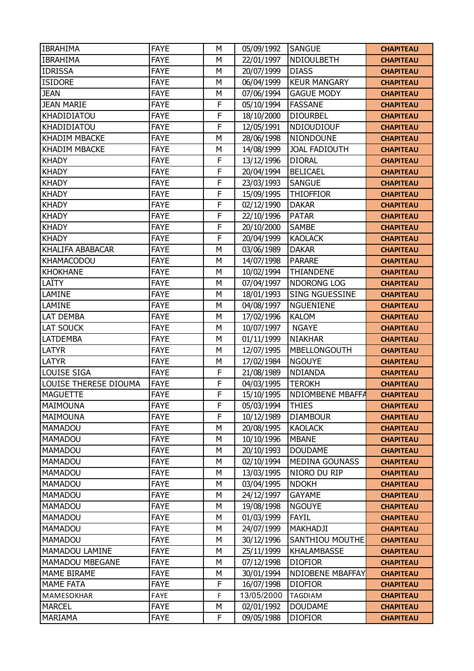| <b>IBRAHIMA</b>       | <b>FAYE</b> | M           | 05/09/1992 | <b>SANGUE</b>           | <b>CHAPITEAU</b> |
|-----------------------|-------------|-------------|------------|-------------------------|------------------|
| <b>IBRAHIMA</b>       | <b>FAYE</b> | M           | 22/01/1997 | NDIOULBETH              | <b>CHAPITEAU</b> |
| <b>IDRISSA</b>        | <b>FAYE</b> | M           | 20/07/1999 | <b>DIASS</b>            | <b>CHAPITEAU</b> |
| <b>ISIDORE</b>        | <b>FAYE</b> | M           | 06/04/1999 | <b>KEUR MANGARY</b>     | <b>CHAPITEAU</b> |
| <b>JEAN</b>           | <b>FAYE</b> | M           | 07/06/1994 | <b>GAGUE MODY</b>       | <b>CHAPITEAU</b> |
| <b>JEAN MARIE</b>     | <b>FAYE</b> | F           | 05/10/1994 | <b>FASSANE</b>          | <b>CHAPITEAU</b> |
| KHADIDIATOU           | <b>FAYE</b> | F           | 18/10/2000 | <b>DIOURBEL</b>         | <b>CHAPITEAU</b> |
| KHADIDIATOU           | <b>FAYE</b> | F           | 12/05/1991 | NDIOUDIOUF              | <b>CHAPITEAU</b> |
| <b>KHADIM MBACKE</b>  | <b>FAYE</b> | M           | 28/06/1998 | NIONDOUNE               | <b>CHAPITEAU</b> |
| <b>KHADIM MBACKE</b>  | <b>FAYE</b> | M           | 14/08/1999 | <b>JOAL FADIOUTH</b>    | <b>CHAPITEAU</b> |
| <b>KHADY</b>          | <b>FAYE</b> | F           | 13/12/1996 | <b>DIORAL</b>           | <b>CHAPITEAU</b> |
| <b>KHADY</b>          | <b>FAYE</b> | F           | 20/04/1994 | <b>BELICAEL</b>         | <b>CHAPITEAU</b> |
| <b>KHADY</b>          | <b>FAYE</b> | F           | 23/03/1993 | <b>SANGUE</b>           | <b>CHAPITEAU</b> |
| <b>KHADY</b>          | <b>FAYE</b> | F           | 15/09/1995 | <b>THIOFFIOR</b>        | <b>CHAPITEAU</b> |
| <b>KHADY</b>          | <b>FAYE</b> | F           | 02/12/1990 | <b>DAKAR</b>            | <b>CHAPITEAU</b> |
| <b>KHADY</b>          | <b>FAYE</b> | F           | 22/10/1996 | <b>PATAR</b>            | <b>CHAPITEAU</b> |
| <b>KHADY</b>          | <b>FAYE</b> | F           | 20/10/2000 | <b>SAMBE</b>            | <b>CHAPITEAU</b> |
| <b>KHADY</b>          | <b>FAYE</b> | F           | 20/04/1999 | <b>KAOLACK</b>          | <b>CHAPITEAU</b> |
| KHALIFA ABABACAR      | <b>FAYE</b> | M           | 03/06/1989 | <b>DAKAR</b>            | <b>CHAPITEAU</b> |
| <b>KHAMACODOU</b>     | <b>FAYE</b> | M           | 14/07/1998 | <b>PARARE</b>           | <b>CHAPITEAU</b> |
| <b>KHOKHANE</b>       | <b>FAYE</b> | M           | 10/02/1994 | THIANDENE               | <b>CHAPITEAU</b> |
| LAÏTY                 | <b>FAYE</b> | M           | 07/04/1997 | NDORONG LOG             | <b>CHAPITEAU</b> |
| LAMINE                | <b>FAYE</b> | M           | 18/01/1993 | <b>SING NGUESSINE</b>   | <b>CHAPITEAU</b> |
| LAMINE                | <b>FAYE</b> | M           | 04/08/1997 | <b>NGUENIENE</b>        | <b>CHAPITEAU</b> |
| LAT DEMBA             | <b>FAYE</b> | M           | 17/02/1996 | <b>KALOM</b>            | <b>CHAPITEAU</b> |
| LAT SOUCK             | <b>FAYE</b> | M           | 10/07/1997 | <b>NGAYE</b>            | <b>CHAPITEAU</b> |
| <b>LATDEMBA</b>       | <b>FAYE</b> | M           | 01/11/1999 | <b>NIAKHAR</b>          | <b>CHAPITEAU</b> |
| <b>LATYR</b>          | <b>FAYE</b> | M           | 12/07/1995 | MBELLONGOUTH            | <b>CHAPITEAU</b> |
| <b>LATYR</b>          | <b>FAYE</b> | M           | 17/02/1984 | <b>NGOUYE</b>           | <b>CHAPITEAU</b> |
| <b>LOUISE SIGA</b>    | <b>FAYE</b> | $\mathsf F$ | 21/08/1989 | <b>NDIANDA</b>          | <b>CHAPITEAU</b> |
| LOUISE THERESE DIOUMA | <b>FAYE</b> | F           | 04/03/1995 | <b>TEROKH</b>           | <b>CHAPITEAU</b> |
| <b>MAGUETTE</b>       | <b>FAYE</b> | F           | 15/10/1995 | NDIOMBENE MBAFFA        | <b>CHAPITEAU</b> |
| MAIMOUNA              | <b>FAYE</b> | F           | 05/03/1994 | <b>THIES</b>            | <b>CHAPITEAU</b> |
| <b>MAIMOUNA</b>       | <b>FAYE</b> | F           | 10/12/1989 | <b>DIAMBOUR</b>         | <b>CHAPITEAU</b> |
| MAMADOU               | <b>FAYE</b> | M           | 20/08/1995 | <b>KAOLACK</b>          | <b>CHAPITEAU</b> |
| MAMADOU               | <b>FAYE</b> | M           | 10/10/1996 | <b>MBANE</b>            | <b>CHAPITEAU</b> |
| <b>MAMADOU</b>        | <b>FAYE</b> | М           | 20/10/1993 | <b>DOUDAME</b>          | <b>CHAPITEAU</b> |
| MAMADOU               | <b>FAYE</b> | M           | 02/10/1994 | <b>MEDINA GOUNASS</b>   | <b>CHAPITEAU</b> |
| MAMADOU               | <b>FAYE</b> | M           | 13/03/1995 | NIORO DU RIP            | <b>CHAPITEAU</b> |
| MAMADOU               | <b>FAYE</b> | М           | 03/04/1995 | <b>NDOKH</b>            | <b>CHAPITEAU</b> |
| <b>MAMADOU</b>        | <b>FAYE</b> | M           | 24/12/1997 | <b>GAYAME</b>           | <b>CHAPITEAU</b> |
| <b>MAMADOU</b>        | <b>FAYE</b> | M           | 19/08/1998 | <b>NGOUYE</b>           | <b>CHAPITEAU</b> |
| <b>MAMADOU</b>        | <b>FAYE</b> | M           | 01/03/1999 | <b>FAYIL</b>            | <b>CHAPITEAU</b> |
| MAMADOU               | <b>FAYE</b> | M           | 24/07/1999 | MAKHADJI                | <b>CHAPITEAU</b> |
| <b>MAMADOU</b>        | <b>FAYE</b> | M           | 30/12/1996 | SANTHIOU MOUTHE         | <b>CHAPITEAU</b> |
| MAMADOU LAMINE        | <b>FAYE</b> | M           | 25/11/1999 | KHALAMBASSE             | <b>CHAPITEAU</b> |
| MAMADOU MBEGANE       | <b>FAYE</b> | M           | 07/12/1998 | <b>DIOFIOR</b>          | <b>CHAPITEAU</b> |
| <b>MAME BIRAME</b>    | <b>FAYE</b> | М           | 30/01/1994 | <b>NDIOBENE MBAFFAY</b> | <b>CHAPITEAU</b> |
| <b>MAME FATA</b>      | <b>FAYE</b> | F           | 16/07/1998 | <b>DIOFIOR</b>          | <b>CHAPITEAU</b> |
| MAMESOKHAR            | FAYE        | F           | 13/05/2000 | <b>TAGDIAM</b>          | <b>CHAPITEAU</b> |
| <b>MARCEL</b>         | <b>FAYE</b> | М           | 02/01/1992 | <b>DOUDAME</b>          | <b>CHAPITEAU</b> |
| MARIAMA               | <b>FAYE</b> | F           | 09/05/1988 | <b>DIOFIOR</b>          | <b>CHAPITEAU</b> |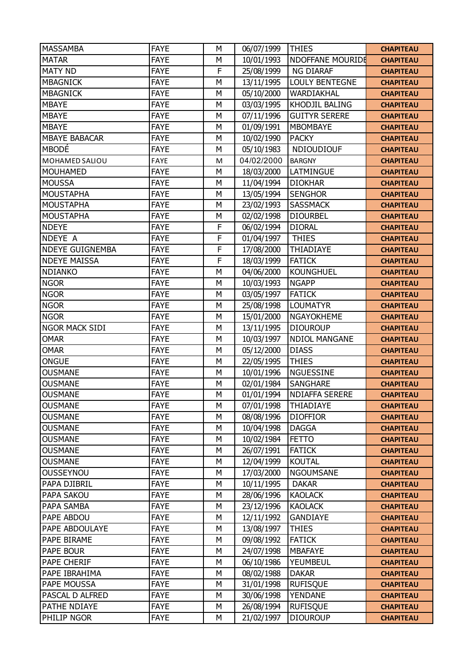| <b>MASSAMBA</b>        | <b>FAYE</b> | M | 06/07/1999 | <b>THIES</b>          | <b>CHAPITEAU</b> |
|------------------------|-------------|---|------------|-----------------------|------------------|
| <b>MATAR</b>           | <b>FAYE</b> | M | 10/01/1993 | NDOFFANE MOURIDE      | <b>CHAPITEAU</b> |
| <b>MATY ND</b>         | <b>FAYE</b> | F | 25/08/1999 | <b>NG DIARAF</b>      | <b>CHAPITEAU</b> |
| <b>MBAGNICK</b>        | <b>FAYE</b> | M | 13/11/1995 | <b>LOULY BENTEGNE</b> | <b>CHAPITEAU</b> |
| <b>MBAGNICK</b>        | <b>FAYE</b> | M | 05/10/2000 | WARDIAKHAL            | <b>CHAPITEAU</b> |
| <b>MBAYE</b>           | <b>FAYE</b> | M | 03/03/1995 | KHODJIL BALING        | <b>CHAPITEAU</b> |
| <b>MBAYE</b>           | <b>FAYE</b> | M | 07/11/1996 | <b>GUITYR SERERE</b>  | <b>CHAPITEAU</b> |
| <b>MBAYE</b>           | <b>FAYE</b> | M | 01/09/1991 | <b>MBOMBAYE</b>       | <b>CHAPITEAU</b> |
| <b>MBAYE BABACAR</b>   | <b>FAYE</b> | M | 10/02/1990 | <b>PACKY</b>          | <b>CHAPITEAU</b> |
| <b>MBODÉ</b>           | <b>FAYE</b> | M | 05/10/1983 | <b>NDIOUDIOUF</b>     | <b>CHAPITEAU</b> |
| MOHAMED SALIOU         | FAYE        | M | 04/02/2000 | <b>BARGNY</b>         | <b>CHAPITEAU</b> |
| <b>MOUHAMED</b>        | <b>FAYE</b> | M | 18/03/2000 | LATMINGUE             | <b>CHAPITEAU</b> |
| <b>MOUSSA</b>          | <b>FAYE</b> | M | 11/04/1994 | <b>DIOKHAR</b>        | <b>CHAPITEAU</b> |
| <b>MOUSTAPHA</b>       | <b>FAYE</b> | M | 13/05/1994 | <b>SENGHOR</b>        | <b>CHAPITEAU</b> |
| <b>MOUSTAPHA</b>       | <b>FAYE</b> | M | 23/02/1993 | <b>SASSMACK</b>       | <b>CHAPITEAU</b> |
| <b>MOUSTAPHA</b>       | <b>FAYE</b> | M | 02/02/1998 | <b>DIOURBEL</b>       | <b>CHAPITEAU</b> |
| <b>NDEYE</b>           | <b>FAYE</b> | F | 06/02/1994 | <b>DIORAL</b>         | <b>CHAPITEAU</b> |
| NDEYE A                | <b>FAYE</b> | F | 01/04/1997 | <b>THIES</b>          | <b>CHAPITEAU</b> |
| <b>NDEYE GUIGNEMBA</b> | <b>FAYE</b> | F | 17/08/2000 | THIADIAYE             | <b>CHAPITEAU</b> |
| <b>NDEYE MAISSA</b>    | <b>FAYE</b> | F | 18/03/1999 | <b>FATICK</b>         | <b>CHAPITEAU</b> |
| <b>NDIANKO</b>         | <b>FAYE</b> | M | 04/06/2000 | <b>KOUNGHUEL</b>      | <b>CHAPITEAU</b> |
| <b>NGOR</b>            | <b>FAYE</b> | M | 10/03/1993 | <b>NGAPP</b>          | <b>CHAPITEAU</b> |
| <b>NGOR</b>            | <b>FAYE</b> | M | 03/05/1997 | <b>FATICK</b>         | <b>CHAPITEAU</b> |
| <b>NGOR</b>            | <b>FAYE</b> | M | 25/08/1998 | <b>LOUMATYR</b>       | <b>CHAPITEAU</b> |
| <b>NGOR</b>            | <b>FAYE</b> | M | 15/01/2000 | <b>NGAYOKHEME</b>     | <b>CHAPITEAU</b> |
| <b>NGOR MACK SIDI</b>  | <b>FAYE</b> | M | 13/11/1995 | <b>DIOUROUP</b>       | <b>CHAPITEAU</b> |
| <b>OMAR</b>            | <b>FAYE</b> | M | 10/03/1997 | <b>NDIOL MANGANE</b>  | <b>CHAPITEAU</b> |
| <b>OMAR</b>            | <b>FAYE</b> | M | 05/12/2000 | <b>DIASS</b>          | <b>CHAPITEAU</b> |
| <b>ONGUE</b>           | <b>FAYE</b> | M | 22/05/1995 | <b>THIES</b>          | <b>CHAPITEAU</b> |
| <b>OUSMANE</b>         | <b>FAYE</b> | M | 10/01/1996 | <b>NGUESSINE</b>      | <b>CHAPITEAU</b> |
| <b>OUSMANE</b>         | <b>FAYE</b> | M | 02/01/1984 | <b>SANGHARE</b>       | <b>CHAPITEAU</b> |
| <b>OUSMANE</b>         | <b>FAYE</b> | M | 01/01/1994 | <b>NDIAFFA SERERE</b> | <b>CHAPITEAU</b> |
| <b>OUSMANE</b>         | <b>FAYE</b> | M | 07/01/1998 | <b>THIADIAYE</b>      | <b>CHAPITEAU</b> |
| <b>OUSMANE</b>         | <b>FAYE</b> | М | 08/08/1996 | <b>DIOFFIOR</b>       | <b>CHAPITEAU</b> |
| <b>OUSMANE</b>         | <b>FAYE</b> | M | 10/04/1998 | <b>DAGGA</b>          | <b>CHAPITEAU</b> |
| <b>OUSMANE</b>         | <b>FAYE</b> | M | 10/02/1984 | <b>FETTO</b>          | <b>CHAPITEAU</b> |
| <b>OUSMANE</b>         | <b>FAYE</b> | M | 26/07/1991 | <b>FATICK</b>         | <b>CHAPITEAU</b> |
| <b>OUSMANE</b>         | <b>FAYE</b> | M | 12/04/1999 | <b>KOUTAL</b>         | <b>CHAPITEAU</b> |
| <b>OUSSEYNOU</b>       | <b>FAYE</b> | M | 17/03/2000 | <b>NGOUMSANE</b>      | <b>CHAPITEAU</b> |
| PAPA DJIBRIL           | <b>FAYE</b> | М | 10/11/1995 | <b>DAKAR</b>          | <b>CHAPITEAU</b> |
| PAPA SAKOU             | <b>FAYE</b> | M | 28/06/1996 | <b>KAOLACK</b>        | <b>CHAPITEAU</b> |
| PAPA SAMBA             | <b>FAYE</b> | M | 23/12/1996 | <b>KAOLACK</b>        | <b>CHAPITEAU</b> |
| PAPE ABDOU             | <b>FAYE</b> | M | 12/11/1992 | <b>GANDIAYE</b>       | <b>CHAPITEAU</b> |
| PAPE ABDOULAYE         | <b>FAYE</b> | M | 13/08/1997 | <b>THIES</b>          | <b>CHAPITEAU</b> |
| PAPE BIRAME            | <b>FAYE</b> | M | 09/08/1992 | <b>FATICK</b>         | <b>CHAPITEAU</b> |
| PAPE BOUR              | <b>FAYE</b> | M | 24/07/1998 | <b>MBAFAYE</b>        | <b>CHAPITEAU</b> |
| PAPE CHERIF            | <b>FAYE</b> | M | 06/10/1986 | YEUMBEUL              | <b>CHAPITEAU</b> |
| PAPE IBRAHIMA          | <b>FAYE</b> | M | 08/02/1988 | <b>DAKAR</b>          | <b>CHAPITEAU</b> |
| PAPE MOUSSA            | <b>FAYE</b> | M | 31/01/1998 | <b>RUFISQUE</b>       | <b>CHAPITEAU</b> |
| PASCAL D ALFRED        | <b>FAYE</b> | M | 30/06/1998 | <b>YENDANE</b>        | <b>CHAPITEAU</b> |
| PATHE NDIAYE           | <b>FAYE</b> | M | 26/08/1994 | <b>RUFISQUE</b>       | <b>CHAPITEAU</b> |
| PHILIP NGOR            | <b>FAYE</b> | М | 21/02/1997 | <b>DIOUROUP</b>       | <b>CHAPITEAU</b> |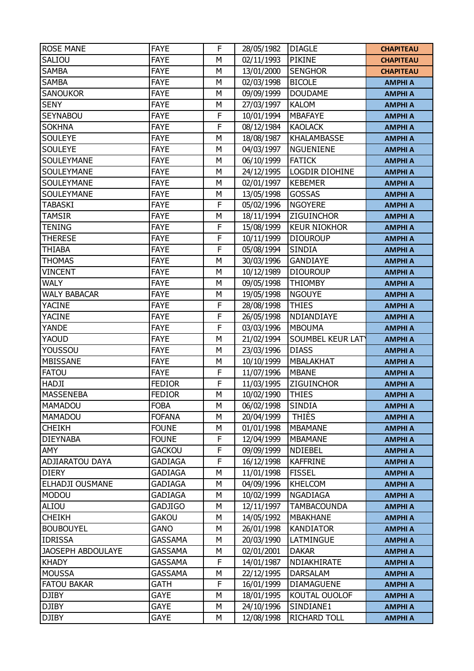| <b>ROSE MANE</b>       | <b>FAYE</b>    | F           | 28/05/1982 | <b>DIAGLE</b>       | <b>CHAPITEAU</b> |
|------------------------|----------------|-------------|------------|---------------------|------------------|
| SALIOU                 | <b>FAYE</b>    | М           | 02/11/1993 | PIKINE              | <b>CHAPITEAU</b> |
| <b>SAMBA</b>           | <b>FAYE</b>    | М           | 13/01/2000 | <b>SENGHOR</b>      | <b>CHAPITEAU</b> |
| <b>SAMBA</b>           | <b>FAYE</b>    | М           | 02/03/1998 | <b>BICOLE</b>       | <b>AMPHI A</b>   |
| <b>SANOUKOR</b>        | <b>FAYE</b>    | M           | 09/09/1999 | <b>DOUDAME</b>      | <b>AMPHI A</b>   |
| <b>SENY</b>            | <b>FAYE</b>    | М           | 27/03/1997 | <b>KALOM</b>        | <b>AMPHI A</b>   |
| <b>SEYNABOU</b>        | <b>FAYE</b>    | F           | 10/01/1994 | <b>MBAFAYE</b>      | <b>AMPHI A</b>   |
| <b>SOKHNA</b>          | <b>FAYE</b>    | F           | 08/12/1984 | <b>KAOLACK</b>      | <b>AMPHI A</b>   |
| <b>SOULEYE</b>         | <b>FAYE</b>    | М           | 18/08/1987 | KHALAMBASSE         | <b>AMPHI A</b>   |
| <b>SOULEYE</b>         | <b>FAYE</b>    | М           | 04/03/1997 | <b>NGUENIENE</b>    | <b>AMPHI A</b>   |
| SOULEYMANE             | <b>FAYE</b>    | M           | 06/10/1999 | <b>FATICK</b>       | <b>AMPHI A</b>   |
| SOULEYMANE             | <b>FAYE</b>    | M           | 24/12/1995 | LOGDIR DIOHINE      | <b>AMPHI A</b>   |
| SOULEYMANE             | <b>FAYE</b>    | М           | 02/01/1997 | <b>KEBEMER</b>      | <b>AMPHI A</b>   |
| SOULEYMANE             | <b>FAYE</b>    | M           | 13/05/1998 | GOSSAS              | <b>AMPHI A</b>   |
| <b>TABASKI</b>         | <b>FAYE</b>    | F           | 05/02/1996 | <b>NGOYERE</b>      | <b>AMPHI A</b>   |
| <b>TAMSIR</b>          | <b>FAYE</b>    | М           | 18/11/1994 | ZIGUINCHOR          | <b>AMPHI A</b>   |
| <b>TENING</b>          | <b>FAYE</b>    | F           | 15/08/1999 | <b>KEUR NIOKHOR</b> | <b>AMPHI A</b>   |
| <b>THERESE</b>         | <b>FAYE</b>    | $\mathsf F$ | 10/11/1999 | <b>DIOUROUP</b>     | <b>AMPHI A</b>   |
| <b>THIABA</b>          | <b>FAYE</b>    | F           | 05/08/1994 | SINDIA              | <b>AMPHI A</b>   |
| <b>THOMAS</b>          | <b>FAYE</b>    | M           | 30/03/1996 | <b>GANDIAYE</b>     | <b>AMPHI A</b>   |
| <b>VINCENT</b>         | <b>FAYE</b>    | М           | 10/12/1989 | <b>DIOUROUP</b>     | <b>AMPHI A</b>   |
| <b>WALY</b>            | <b>FAYE</b>    | М           | 09/05/1998 | <b>THIOMBY</b>      | <b>AMPHI A</b>   |
| <b>WALY BABACAR</b>    | <b>FAYE</b>    | M           | 19/05/1998 | <b>NGOUYE</b>       | <b>AMPHI A</b>   |
| <b>YACINE</b>          | <b>FAYE</b>    | F           | 28/08/1998 | <b>THIES</b>        | <b>AMPHI A</b>   |
| <b>YACINE</b>          | <b>FAYE</b>    | F           | 26/05/1998 | NDIANDIAYE          | <b>AMPHI A</b>   |
| YANDE                  | <b>FAYE</b>    | F           | 03/03/1996 | <b>MBOUMA</b>       | <b>AMPHI A</b>   |
| YAOUD                  | <b>FAYE</b>    | M           | 21/02/1994 | SOUMBEL KEUR LAT    | <b>AMPHI A</b>   |
| YOUSSOU                | <b>FAYE</b>    | М           | 23/03/1996 | <b>DIASS</b>        | <b>AMPHI A</b>   |
| MBISSANE               | <b>FAYE</b>    | M           | 10/10/1999 | <b>MBALAKHAT</b>    | <b>AMPHI A</b>   |
| <b>FATOU</b>           | <b>FAYE</b>    | F           | 11/07/1996 | <b>MBANE</b>        | <b>AMPHI A</b>   |
| HADJI                  | <b>FEDIOR</b>  | F           | 11/03/1995 | <b>ZIGUINCHOR</b>   | <b>AMPHI A</b>   |
| <b>MASSENEBA</b>       | <b>FEDIOR</b>  | М           | 10/02/1990 | <b>THIES</b>        | <b>AMPHI A</b>   |
| MAMADOU                | <b>FOBA</b>    | М           | 06/02/1998 | <b>SINDIA</b>       | <b>AMPHI A</b>   |
| <b>MAMADOU</b>         | <b>FOFANA</b>  | М           | 20/04/1999 | <b>THIÈS</b>        | <b>AMPHI A</b>   |
| <b>CHEIKH</b>          | <b>FOUNE</b>   | M           | 01/01/1998 | <b>MBAMANE</b>      | <b>AMPHI A</b>   |
| <b>DIEYNABA</b>        | <b>FOUNE</b>   | F           | 12/04/1999 | <b>MBAMANE</b>      | <b>AMPHI A</b>   |
| AMY                    | <b>GACKOU</b>  | F           | 09/09/1999 | <b>NDIEBEL</b>      | <b>AMPHI A</b>   |
| <b>ADJIARATOU DAYA</b> | <b>GADIAGA</b> | F           | 16/12/1998 | <b>KAFFRINE</b>     | <b>AMPHI A</b>   |
| <b>DIERY</b>           | <b>GADIAGA</b> | М           | 11/01/1998 | <b>FISSEL</b>       | <b>AMPHI A</b>   |
| ELHADJI OUSMANE        | <b>GADIAGA</b> | М           | 04/09/1996 | <b>KHELCOM</b>      | <b>AMPHI A</b>   |
| <b>MODOU</b>           | <b>GADIAGA</b> | М           | 10/02/1999 | NGADIAGA            | <b>AMPHI A</b>   |
| ALIOU                  | <b>GADJIGO</b> | М           | 12/11/1997 | <b>TAMBACOUNDA</b>  | <b>AMPHI A</b>   |
| <b>CHEIKH</b>          | <b>GAKOU</b>   | М           | 14/05/1992 | <b>MBAKHANE</b>     | <b>AMPHI A</b>   |
| <b>BOUBOUYEL</b>       | <b>GANO</b>    | M           | 26/01/1998 | <b>KANDIATOR</b>    | <b>AMPHI A</b>   |
| <b>IDRISSA</b>         | <b>GASSAMA</b> | М           | 20/03/1990 | LATMINGUE           | <b>AMPHI A</b>   |
| JAOSEPH ABDOULAYE      | GASSAMA        | М           | 02/01/2001 | <b>DAKAR</b>        | <b>AMPHI A</b>   |
| <b>KHADY</b>           | <b>GASSAMA</b> | F           | 14/01/1987 | NDIAKHIRATE         | <b>AMPHI A</b>   |
| <b>MOUSSA</b>          | <b>GASSAMA</b> | М           | 22/12/1995 | <b>DARSALAM</b>     | <b>AMPHI A</b>   |
| <b>FATOU BAKAR</b>     | <b>GATH</b>    | F           | 16/01/1999 | <b>DIAMAGUENE</b>   | <b>AMPHI A</b>   |
| <b>DJIBY</b>           | <b>GAYE</b>    | М           | 18/01/1995 | KOUTAL OUOLOF       | <b>AMPHI A</b>   |
| <b>DJIBY</b>           | <b>GAYE</b>    | М           | 24/10/1996 | SINDIANE1           | <b>AMPHI A</b>   |
| <b>DJIBY</b>           | GAYE           | М           | 12/08/1998 | RICHARD TOLL        | <b>AMPHI A</b>   |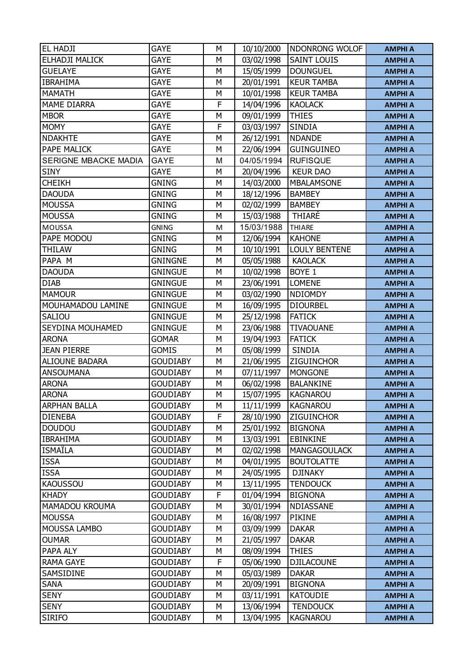| EL HADJI              | <b>GAYE</b>     | М | 10/10/2000 | NDONRONG WOLOF       | <b>AMPHI A</b> |
|-----------------------|-----------------|---|------------|----------------------|----------------|
| ELHADJI MALICK        | <b>GAYE</b>     | М | 03/02/1998 | <b>SAINT LOUIS</b>   | <b>AMPHI A</b> |
| <b>GUELAYE</b>        | <b>GAYE</b>     | M | 15/05/1999 | <b>DOUNGUEL</b>      | <b>AMPHI A</b> |
| <b>IBRAHIMA</b>       | <b>GAYE</b>     | М | 20/01/1991 | <b>KEUR TAMBA</b>    | <b>AMPHI A</b> |
| <b>MAMATH</b>         | <b>GAYE</b>     | М | 10/01/1998 | <b>KEUR TAMBA</b>    | <b>AMPHI A</b> |
| <b>MAME DIARRA</b>    | <b>GAYE</b>     | F | 14/04/1996 | <b>KAOLACK</b>       | <b>AMPHI A</b> |
| <b>MBOR</b>           | GAYE            | М | 09/01/1999 | <b>THIES</b>         | <b>AMPHI A</b> |
| <b>MOMY</b>           | <b>GAYE</b>     | F | 03/03/1997 | <b>SINDIA</b>        | <b>AMPHI A</b> |
| <b>NDAKHTE</b>        | <b>GAYE</b>     | М | 26/12/1991 | <b>NDANDE</b>        | <b>AMPHI A</b> |
| PAPE MALICK           | <b>GAYE</b>     | М | 22/06/1994 | <b>GUINGUINEO</b>    | <b>AMPHI A</b> |
| SERIGNE MBACKE MADIA  | <b>GAYE</b>     | M | 04/05/1994 | <b>RUFISQUE</b>      | <b>AMPHI A</b> |
| <b>SINY</b>           | <b>GAYE</b>     | М | 20/04/1996 | <b>KEUR DAO</b>      | <b>AMPHI A</b> |
| <b>CHEIKH</b>         | <b>GNING</b>    | М | 14/03/2000 | <b>MBALAMSONE</b>    | <b>AMPHI A</b> |
| <b>DAOUDA</b>         | <b>GNING</b>    | М | 18/12/1996 | <b>BAMBEY</b>        | <b>AMPHI A</b> |
| <b>MOUSSA</b>         | <b>GNING</b>    | M | 02/02/1999 | <b>BAMBEY</b>        | <b>AMPHI A</b> |
| <b>MOUSSA</b>         | <b>GNING</b>    | М | 15/03/1988 | <b>THIARE</b>        | <b>AMPHI A</b> |
| MOUSSA                | <b>GNING</b>    | M | 15/03/1988 | <b>THIARE</b>        | <b>AMPHI A</b> |
| PAPE MODOU            | <b>GNING</b>    | М | 12/06/1994 | <b>KAHONE</b>        | <b>AMPHI A</b> |
| <b>THILAW</b>         | <b>GNING</b>    | M | 10/10/1991 | <b>LOULY BENTENE</b> | <b>AMPHI A</b> |
| PAPA M                | <b>GNINGNE</b>  | М | 05/05/1988 | <b>KAOLACK</b>       | <b>AMPHI A</b> |
| <b>DAOUDA</b>         | <b>GNINGUE</b>  | M | 10/02/1998 | BOYE 1               | <b>AMPHI A</b> |
| <b>DIAB</b>           | <b>GNINGUE</b>  | M | 23/06/1991 | <b>LOMENE</b>        | <b>AMPHI A</b> |
| <b>MAMOUR</b>         | <b>GNINGUE</b>  | M | 03/02/1990 | <b>NDIOMDY</b>       | <b>AMPHI A</b> |
| MOUHAMADOU LAMINE     | <b>GNINGUE</b>  | М | 16/09/1995 | <b>DIOURBEL</b>      | <b>AMPHI A</b> |
| SALIOU                | <b>GNINGUE</b>  | M | 25/12/1998 | <b>FATICK</b>        | <b>AMPHI A</b> |
| SEYDINA MOUHAMED      | <b>GNINGUE</b>  | М | 23/06/1988 | <b>TIVAOUANE</b>     | <b>AMPHI A</b> |
| <b>ARONA</b>          | <b>GOMAR</b>    | M | 19/04/1993 | <b>FATICK</b>        | <b>AMPHI A</b> |
| <b>JEAN PIERRE</b>    | <b>GOMIS</b>    | М | 05/08/1999 | <b>SINDIA</b>        | <b>AMPHI A</b> |
| <b>ALIOUNE BADARA</b> | <b>GOUDIABY</b> | М | 21/06/1995 | ZIGUINCHOR           | <b>AMPHI A</b> |
| <b>ANSOUMANA</b>      | <b>GOUDIABY</b> | М | 07/11/1997 | <b>MONGONE</b>       | <b>AMPHI A</b> |
| <b>ARONA</b>          | <b>GOUDIABY</b> | М | 06/02/1998 | <b>BALANKINE</b>     | <b>AMPHI A</b> |
| <b>ARONA</b>          | <b>GOUDIABY</b> | М | 15/07/1995 | <b>KAGNAROU</b>      | <b>AMPHI A</b> |
| <b>ARPHAN BALLA</b>   | <b>GOUDIABY</b> | М | 11/11/1999 | <b>KAGNAROU</b>      | <b>AMPHI A</b> |
| <b>DIENEBA</b>        | <b>GOUDIABY</b> | F | 28/10/1990 | ZIGUINCHOR           | <b>AMPHI A</b> |
| <b>DOUDOU</b>         | <b>GOUDIABY</b> | М | 25/01/1992 | <b>BIGNONA</b>       | <b>AMPHI A</b> |
| <b>IBRAHIMA</b>       | <b>GOUDIABY</b> | М | 13/03/1991 | <b>EBINKINE</b>      | <b>AMPHI A</b> |
| <b>ISMAILA</b>        | <b>GOUDIABY</b> | М | 02/02/1998 | <b>MANGAGOULACK</b>  | <b>AMPHI A</b> |
| <b>ISSA</b>           | <b>GOUDIABY</b> | М | 04/01/1995 | <b>BOUTOLATTE</b>    | <b>AMPHI A</b> |
| <b>ISSA</b>           | <b>GOUDIABY</b> | М | 24/05/1995 | <b>DJINAKY</b>       | <b>AMPHI A</b> |
| <b>KAOUSSOU</b>       | <b>GOUDIABY</b> | М | 13/11/1995 | <b>TENDOUCK</b>      | <b>AMPHI A</b> |
| <b>KHADY</b>          | <b>GOUDIABY</b> | F | 01/04/1994 | <b>BIGNONA</b>       | <b>AMPHI A</b> |
| MAMADOU KROUMA        | <b>GOUDIABY</b> | М | 30/01/1994 | NDIASSANE            | <b>AMPHI A</b> |
| <b>MOUSSA</b>         | <b>GOUDIABY</b> | М | 16/08/1997 | PIKINE               | <b>AMPHI A</b> |
| MOUSSA LAMBO          | <b>GOUDIABY</b> | М | 03/09/1999 | <b>DAKAR</b>         | <b>AMPHI A</b> |
| <b>OUMAR</b>          | <b>GOUDIABY</b> | М | 21/05/1997 | <b>DAKAR</b>         | <b>AMPHI A</b> |
| PAPA ALY              | <b>GOUDIABY</b> | М | 08/09/1994 | <b>THIES</b>         | <b>AMPHI A</b> |
| <b>RAMA GAYE</b>      | <b>GOUDIABY</b> | F | 05/06/1990 | <b>DJILACOUNE</b>    | <b>AMPHI A</b> |
| SAMSIDINE             | <b>GOUDIABY</b> | М | 05/03/1989 | <b>DAKAR</b>         | <b>AMPHI A</b> |
| <b>SANA</b>           | <b>GOUDIABY</b> | М | 20/09/1991 | <b>BIGNONA</b>       | <b>AMPHI A</b> |
| <b>SENY</b>           | <b>GOUDIABY</b> | М | 03/11/1991 | <b>KATOUDIE</b>      | <b>AMPHI A</b> |
| <b>SENY</b>           | <b>GOUDIABY</b> | М | 13/06/1994 | <b>TENDOUCK</b>      | <b>AMPHI A</b> |
| <b>SIRIFO</b>         | <b>GOUDIABY</b> | М | 13/04/1995 | <b>KAGNAROU</b>      | <b>AMPHI A</b> |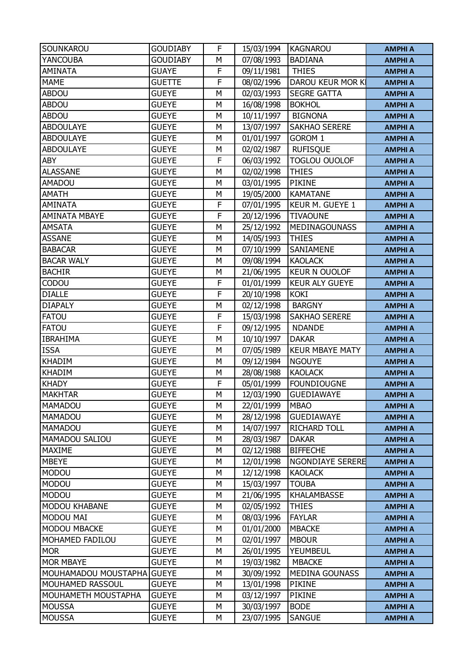| SOUNKAROU                  | <b>GOUDIABY</b> | F | 15/03/1994 | <b>KAGNAROU</b>        | <b>AMPHI A</b> |
|----------------------------|-----------------|---|------------|------------------------|----------------|
| <b>YANCOUBA</b>            | <b>GOUDIABY</b> | М | 07/08/1993 | <b>BADIANA</b>         | <b>AMPHI A</b> |
| <b>AMINATA</b>             | <b>GUAYE</b>    | F | 09/11/1981 | <b>THIES</b>           | <b>AMPHI A</b> |
| <b>MAME</b>                | <b>GUETTE</b>   | F | 08/02/1996 | DAROU KEUR MOR KI      | <b>AMPHI A</b> |
| <b>ABDOU</b>               | <b>GUEYE</b>    | M | 02/03/1993 | <b>SEGRE GATTA</b>     | <b>AMPHI A</b> |
| <b>ABDOU</b>               | <b>GUEYE</b>    | М | 16/08/1998 | <b>BOKHOL</b>          | <b>AMPHI A</b> |
| <b>ABDOU</b>               | <b>GUEYE</b>    | М | 10/11/1997 | <b>BIGNONA</b>         | <b>AMPHI A</b> |
| <b>ABDOULAYE</b>           | <b>GUEYE</b>    | M | 13/07/1997 | <b>SAKHAO SERERE</b>   | <b>AMPHI A</b> |
| <b>ABDOULAYE</b>           | <b>GUEYE</b>    | М | 01/01/1997 | GOROM 1                | <b>AMPHI A</b> |
| <b>ABDOULAYE</b>           | <b>GUEYE</b>    | М | 02/02/1987 | <b>RUFISQUE</b>        | <b>AMPHI A</b> |
| <b>ABY</b>                 | <b>GUEYE</b>    | F | 06/03/1992 | <b>TOGLOU OUOLOF</b>   | <b>AMPHI A</b> |
| <b>ALASSANE</b>            | <b>GUEYE</b>    | M | 02/02/1998 | <b>THIES</b>           | <b>AMPHI A</b> |
| AMADOU                     | <b>GUEYE</b>    | М | 03/01/1995 | PIKINE                 | <b>AMPHI A</b> |
| <b>AMATH</b>               | <b>GUEYE</b>    | M | 19/05/2000 | <b>KAMATANE</b>        | <b>AMPHI A</b> |
| AMINATA                    | <b>GUEYE</b>    | F | 07/01/1995 | KEUR M. GUEYE 1        | <b>AMPHI A</b> |
| <b>AMINATA MBAYE</b>       | <b>GUEYE</b>    | F | 20/12/1996 | <b>TIVAOUNE</b>        | <b>AMPHI A</b> |
| <b>AMSATA</b>              | <b>GUEYE</b>    | M | 25/12/1992 | MEDINAGOUNASS          | <b>AMPHI A</b> |
| <b>ASSANE</b>              | <b>GUEYE</b>    | M | 14/05/1993 | <b>THIES</b>           | <b>AMPHI A</b> |
| <b>BABACAR</b>             | <b>GUEYE</b>    | М | 07/10/1999 | SANIAMENE              | <b>AMPHI A</b> |
| <b>BACAR WALY</b>          | <b>GUEYE</b>    | М | 09/08/1994 | <b>KAOLACK</b>         | <b>AMPHI A</b> |
| <b>BACHIR</b>              | <b>GUEYE</b>    | М | 21/06/1995 | <b>KEUR N OUOLOF</b>   | <b>AMPHI A</b> |
| CODOU                      | <b>GUEYE</b>    | F | 01/01/1999 | <b>KEUR ALY GUEYE</b>  | <b>AMPHI A</b> |
| <b>DIALLE</b>              | <b>GUEYE</b>    | F | 20/10/1998 | <b>KOKI</b>            | <b>AMPHI A</b> |
| <b>DIAPALY</b>             | <b>GUEYE</b>    | M | 02/12/1998 | <b>BARGNY</b>          | <b>AMPHI A</b> |
| <b>FATOU</b>               | <b>GUEYE</b>    | F | 15/03/1998 | <b>SAKHAO SERERE</b>   | <b>AMPHI A</b> |
| <b>FATOU</b>               | <b>GUEYE</b>    | F | 09/12/1995 | <b>NDANDE</b>          | <b>AMPHI A</b> |
| <b>IBRAHIMA</b>            | <b>GUEYE</b>    | M | 10/10/1997 | <b>DAKAR</b>           | <b>AMPHI A</b> |
| <b>ISSA</b>                | <b>GUEYE</b>    | М | 07/05/1989 | <b>KEUR MBAYE MATY</b> | <b>AMPHI A</b> |
| <b>KHADIM</b>              | <b>GUEYE</b>    | M | 09/12/1984 | <b>NGOUYE</b>          | <b>AMPHI A</b> |
| <b>KHADIM</b>              | <b>GUEYE</b>    | М | 28/08/1988 | <b>KAOLACK</b>         | <b>AMPHI A</b> |
| <b>KHADY</b>               | <b>GUEYE</b>    | F | 05/01/1999 | <b>FOUNDIOUGNE</b>     | <b>AMPHI A</b> |
| <b>MAKHTAR</b>             | <b>GUEYE</b>    | M | 12/03/1990 | <b>GUEDIAWAYE</b>      | <b>AMPHI A</b> |
| MAMADOU                    | <b>GUEYE</b>    | М | 22/01/1999 | <b>MBAO</b>            | <b>AMPHI A</b> |
| <b>MAMADOU</b>             | <b>GUEYE</b>    | М | 28/12/1998 | <b>GUEDIAWAYE</b>      | <b>AMPHI A</b> |
| MAMADOU                    | <b>GUEYE</b>    | М | 14/07/1997 | <b>RICHARD TOLL</b>    | <b>AMPHI A</b> |
| MAMADOU SALIOU             | <b>GUEYE</b>    | М | 28/03/1987 | <b>DAKAR</b>           | <b>AMPHI A</b> |
| <b>MAXIME</b>              | <b>GUEYE</b>    | М | 02/12/1988 | <b>BIFFECHE</b>        | <b>AMPHI A</b> |
| <b>MBEYE</b>               | <b>GUEYE</b>    | М | 12/01/1998 | NGONDIAYE SERERE       | <b>AMPHI A</b> |
| <b>MODOU</b>               | <b>GUEYE</b>    | М | 12/12/1998 | <b>KAOLACK</b>         | <b>AMPHI A</b> |
| <b>MODOU</b>               | <b>GUEYE</b>    | М | 15/03/1997 | <b>TOUBA</b>           | <b>AMPHI A</b> |
| <b>MODOU</b>               | <b>GUEYE</b>    | М | 21/06/1995 | <b>KHALAMBASSE</b>     | <b>AMPHI A</b> |
| <b>MODOU KHABANE</b>       | <b>GUEYE</b>    | М | 02/05/1992 | <b>THIES</b>           | <b>AMPHI A</b> |
| MODOU MAI                  | <b>GUEYE</b>    | М | 08/03/1996 | <b>FAYLAR</b>          | <b>AMPHI A</b> |
| MODOU MBACKE               | <b>GUEYE</b>    | М | 01/01/2000 | <b>MBACKE</b>          | <b>AMPHI A</b> |
| MOHAMED FADILOU            | <b>GUEYE</b>    | М | 02/01/1997 | <b>MBOUR</b>           | <b>AMPHI A</b> |
| <b>MOR</b>                 | <b>GUEYE</b>    | М | 26/01/1995 | YEUMBEUL               | <b>AMPHI A</b> |
| <b>MOR MBAYE</b>           | <b>GUEYE</b>    | М | 19/03/1982 | <b>MBACKE</b>          | <b>AMPHI A</b> |
| MOUHAMADOU MOUSTAPHA GUEYE |                 | М | 30/09/1992 | <b>MEDINA GOUNASS</b>  | <b>AMPHI A</b> |
| MOUHAMED RASSOUL           | <b>GUEYE</b>    | М | 13/01/1998 | PIKINE                 | <b>AMPHI A</b> |
| MOUHAMETH MOUSTAPHA        | <b>GUEYE</b>    | M | 03/12/1997 | PIKINE                 | <b>AMPHI A</b> |
| <b>MOUSSA</b>              | <b>GUEYE</b>    | М | 30/03/1997 | <b>BODE</b>            | <b>AMPHI A</b> |
| <b>MOUSSA</b>              | <b>GUEYE</b>    | М | 23/07/1995 | <b>SANGUE</b>          | <b>AMPHI A</b> |
|                            |                 |   |            |                        |                |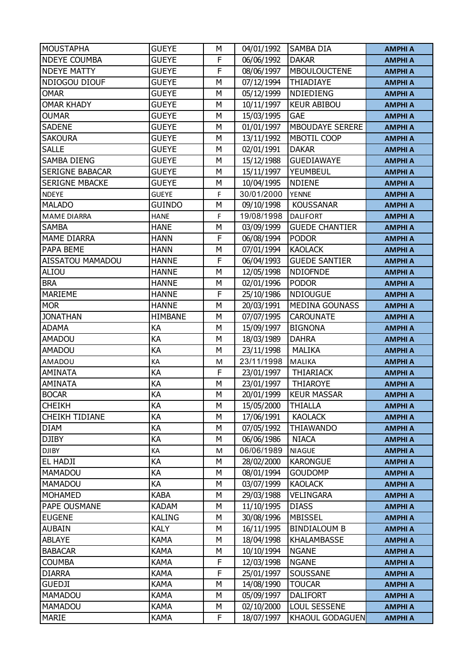| <b>MOUSTAPHA</b>       | <b>GUEYE</b>   | М | 04/01/1992 | <b>SAMBA DIA</b>       | <b>AMPHI A</b> |
|------------------------|----------------|---|------------|------------------------|----------------|
| <b>NDEYE COUMBA</b>    | <b>GUEYE</b>   | F | 06/06/1992 | <b>DAKAR</b>           | <b>AMPHI A</b> |
| <b>NDEYE MATTY</b>     | <b>GUEYE</b>   | F | 08/06/1997 | <b>MBOULOUCTENE</b>    | <b>AMPHI A</b> |
| NDIOGOU DIOUF          | <b>GUEYE</b>   | М | 07/12/1994 | THIADIAYE              | <b>AMPHI A</b> |
| <b>OMAR</b>            | <b>GUEYE</b>   | M | 05/12/1999 | NDIEDIENG              | <b>AMPHI A</b> |
| <b>OMAR KHADY</b>      | <b>GUEYE</b>   | М | 10/11/1997 | <b>KEUR ABIBOU</b>     | <b>AMPHI A</b> |
| <b>OUMAR</b>           | <b>GUEYE</b>   | М | 15/03/1995 | <b>GAE</b>             | <b>AMPHI A</b> |
| <b>SADENE</b>          | <b>GUEYE</b>   | M | 01/01/1997 | <b>MBOUDAYE SERERE</b> | <b>AMPHI A</b> |
| <b>SAKOURA</b>         | <b>GUEYE</b>   | M | 13/11/1992 | <b>MBOTIL COOP</b>     | <b>AMPHI A</b> |
| <b>SALLE</b>           | <b>GUEYE</b>   | М | 02/01/1991 | <b>DAKAR</b>           | <b>AMPHI A</b> |
| <b>SAMBA DIENG</b>     | <b>GUEYE</b>   | М | 15/12/1988 | <b>GUEDIAWAYE</b>      | <b>AMPHI A</b> |
| <b>SERIGNE BABACAR</b> | <b>GUEYE</b>   | M | 15/11/1997 | YEUMBEUL               | <b>AMPHI A</b> |
| <b>SERIGNE MBACKE</b>  | <b>GUEYE</b>   | М | 10/04/1995 | <b>NDIENE</b>          | <b>AMPHI A</b> |
| <b>NDEYE</b>           | <b>GUEYE</b>   | F | 30/01/2000 | <b>YENNE</b>           | <b>AMPHI A</b> |
| <b>MALADO</b>          | <b>GUINDO</b>  | М | 09/10/1998 | <b>KOUSSANAR</b>       | <b>AMPHI A</b> |
| <b>MAME DIARRA</b>     | <b>HANE</b>    | F | 19/08/1998 | <b>DALIFORT</b>        | <b>AMPHI A</b> |
| <b>SAMBA</b>           | <b>HANE</b>    | M | 03/09/1999 | <b>GUEDE CHANTIER</b>  | <b>AMPHI A</b> |
| <b>MAME DIARRA</b>     | <b>HANN</b>    | F | 06/08/1994 | <b>PODOR</b>           | <b>AMPHI A</b> |
| PAPA BEME              | <b>HANN</b>    | М | 07/01/1994 | <b>KAOLACK</b>         | <b>AMPHI A</b> |
| AISSATOU MAMADOU       | <b>HANNE</b>   | F | 06/04/1993 | <b>GUEDE SANTIER</b>   | <b>AMPHI A</b> |
| ALIOU                  | <b>HANNE</b>   | М | 12/05/1998 | <b>NDIOFNDE</b>        | <b>AMPHI A</b> |
| <b>BRA</b>             | <b>HANNE</b>   | М | 02/01/1996 | <b>PODOR</b>           | <b>AMPHI A</b> |
| <b>MARIEME</b>         | <b>HANNE</b>   | F | 25/10/1986 | <b>NDIOUGUE</b>        | <b>AMPHI A</b> |
| <b>MOR</b>             | <b>HANNE</b>   | M | 20/03/1991 | <b>MEDINA GOUNASS</b>  | <b>AMPHI A</b> |
| <b>JONATHAN</b>        | <b>HIMBANE</b> | М | 07/07/1995 | <b>CAROUNATE</b>       | <b>AMPHI A</b> |
| <b>ADAMA</b>           | KA             | М | 15/09/1997 | <b>BIGNONA</b>         | <b>AMPHI A</b> |
| <b>AMADOU</b>          | KA             | M | 18/03/1989 | <b>DAHRA</b>           | <b>AMPHI A</b> |
| <b>AMADOU</b>          | KA             | М | 23/11/1998 | <b>MALIKA</b>          | <b>AMPHI A</b> |
| AMADOU                 | KA             | M | 23/11/1998 | MALIKA                 | <b>AMPHI A</b> |
| <b>AMINATA</b>         | KA             | F | 23/01/1997 | <b>THIARIACK</b>       | <b>AMPHI A</b> |
| <b>AMINATA</b>         | KA             | М | 23/01/1997 | <b>THIAROYE</b>        | <b>AMPHI A</b> |
| <b>BOCAR</b>           | KA             | М | 20/01/1999 | <b>KEUR MASSAR</b>     | <b>AMPHI A</b> |
| <b>CHEIKH</b>          | KA             | M | 15/05/2000 | <b>THIALLA</b>         | <b>AMPHI A</b> |
| CHEIKH TIDIANE         | KА             | М | 17/06/1991 | <b>KAOLACK</b>         | <b>AMPHI A</b> |
| <b>DIAM</b>            | KA             | М | 07/05/1992 | THIAWANDO              | <b>AMPHI A</b> |
| <b>DJIBY</b>           | KA             | М | 06/06/1986 | <b>NIACA</b>           | <b>AMPHI A</b> |
| <b>DJIBY</b>           | КA             | M | 06/06/1989 | <b>NIAGUE</b>          | <b>AMPHI A</b> |
| EL HADJI               | KA             | М | 28/02/2000 | <b>KARONGUE</b>        | <b>AMPHI A</b> |
| MAMADOU                | KA             | М | 08/01/1994 | <b>GOUDOMP</b>         | <b>AMPHI A</b> |
| MAMADOU                | KA             | М | 03/07/1999 | <b>KAOLACK</b>         | <b>AMPHI A</b> |
| <b>MOHAMED</b>         | <b>KABA</b>    | M | 29/03/1988 | <b>VELINGARA</b>       | <b>AMPHI A</b> |
| PAPE OUSMANE           | <b>KADAM</b>   | M | 11/10/1995 | <b>DIASS</b>           | <b>AMPHI A</b> |
| <b>EUGENE</b>          | <b>KALING</b>  | М | 30/08/1996 | <b>MBISSEL</b>         | <b>AMPHI A</b> |
| <b>AUBAIN</b>          | <b>KALY</b>    | М | 16/11/1995 | <b>BINDIALOUM B</b>    | <b>AMPHI A</b> |
| ABLAYE                 | <b>KAMA</b>    | М | 18/04/1998 | <b>KHALAMBASSE</b>     | <b>AMPHI A</b> |
| <b>BABACAR</b>         | <b>KAMA</b>    | М | 10/10/1994 | <b>NGANE</b>           | <b>AMPHI A</b> |
| <b>COUMBA</b>          | <b>KAMA</b>    | F | 12/03/1998 | <b>NGANE</b>           | <b>AMPHI A</b> |
| <b>DIARRA</b>          | <b>KAMA</b>    | F | 25/01/1997 | SOUSSANE               | <b>AMPHI A</b> |
| <b>GUEDJI</b>          | <b>KAMA</b>    | М | 14/08/1990 | <b>TOUCAR</b>          | <b>AMPHI A</b> |
| MAMADOU                | <b>KAMA</b>    | M | 05/09/1997 | <b>DALIFORT</b>        | <b>AMPHI A</b> |
| <b>MAMADOU</b>         | <b>KAMA</b>    | М | 02/10/2000 | LOUL SESSENE           | <b>AMPHI A</b> |
| <b>MARIE</b>           | <b>KAMA</b>    | F | 18/07/1997 | <b>KHAOUL GODAGUEN</b> | <b>AMPHI A</b> |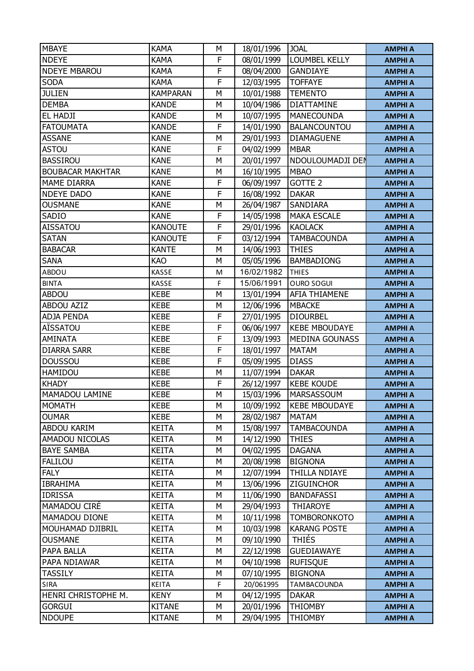| <b>MBAYE</b>            | <b>KAMA</b>     | М           | 18/01/1996 | <b>JOAL</b>           | <b>AMPHI A</b> |
|-------------------------|-----------------|-------------|------------|-----------------------|----------------|
| <b>NDEYE</b>            | <b>KAMA</b>     | F           | 08/01/1999 | LOUMBEL KELLY         | <b>AMPHI A</b> |
| <b>NDEYE MBAROU</b>     | <b>KAMA</b>     | $\mathsf F$ | 08/04/2000 | <b>GANDIAYE</b>       | <b>AMPHI A</b> |
| <b>SODA</b>             | <b>KAMA</b>     | F           | 12/03/1995 | <b>TOFFAYE</b>        | <b>AMPHI A</b> |
| <b>JULIEN</b>           | <b>KAMPARAN</b> | M           | 10/01/1988 | <b>TEMENTO</b>        | <b>AMPHI A</b> |
| <b>DEMBA</b>            | <b>KANDE</b>    | M           | 10/04/1986 | <b>DIATTAMINE</b>     | <b>AMPHI A</b> |
| <b>EL HADJI</b>         | <b>KANDE</b>    | М           | 10/07/1995 | <b>MANECOUNDA</b>     | <b>AMPHI A</b> |
| <b>FATOUMATA</b>        | <b>KANDE</b>    | F           | 14/01/1990 | <b>BALANCOUNTOU</b>   | <b>AMPHI A</b> |
| <b>ASSANE</b>           | <b>KANE</b>     | М           | 29/01/1993 | <b>DIAMAGUENE</b>     | <b>AMPHI A</b> |
| <b>ASTOU</b>            | <b>KANE</b>     | F           | 04/02/1999 | <b>MBAR</b>           | <b>AMPHI A</b> |
| <b>BASSIROU</b>         | <b>KANE</b>     | M           | 20/01/1997 | NDOULOUMADJI DEN      | <b>AMPHI A</b> |
| <b>BOUBACAR MAKHTAR</b> | <b>KANE</b>     | М           | 16/10/1995 | <b>MBAO</b>           | <b>AMPHI A</b> |
| MAME DIARRA             | <b>KANE</b>     | F           | 06/09/1997 | <b>GOTTE 2</b>        | <b>AMPHI A</b> |
| <b>NDEYE DADO</b>       | <b>KANE</b>     | F           | 16/08/1992 | <b>DAKAR</b>          | <b>AMPHI A</b> |
| <b>OUSMANE</b>          | <b>KANE</b>     | М           | 26/04/1987 | SANDIARA              | <b>AMPHI A</b> |
| SADIO                   | <b>KANE</b>     | F           | 14/05/1998 | <b>MAKA ESCALE</b>    | <b>AMPHI A</b> |
| <b>AISSATOU</b>         | <b>KANOUTE</b>  | F           | 29/01/1996 | <b>KAOLACK</b>        | <b>AMPHI A</b> |
| <b>SATAN</b>            | <b>KANOUTE</b>  | F           | 03/12/1994 | <b>TAMBACOUNDA</b>    | <b>AMPHI A</b> |
| <b>BABACAR</b>          | <b>KANTE</b>    | M           | 14/06/1993 | <b>THIES</b>          | <b>AMPHI A</b> |
| <b>SANA</b>             | <b>KAO</b>      | M           | 05/05/1996 | <b>BAMBADIONG</b>     | <b>AMPHI A</b> |
| ABDOU                   | <b>KASSE</b>    | M           | 16/02/1982 | <b>THIES</b>          | <b>AMPHI A</b> |
| <b>BINTA</b>            | KASSE           | F           | 15/06/1991 | <b>OURO SOGUI</b>     | <b>AMPHI A</b> |
| <b>ABDOU</b>            | <b>KEBE</b>     | M           | 13/01/1994 | <b>AFIA THIAMENE</b>  | <b>AMPHI A</b> |
| <b>ABDOU AZIZ</b>       | <b>KEBE</b>     | М           | 12/06/1996 | <b>MBACKE</b>         | <b>AMPHI A</b> |
| ADJA PENDA              | <b>KEBE</b>     | F           | 27/01/1995 | <b>DIOURBEL</b>       | <b>AMPHI A</b> |
| AÏSSATOU                | <b>KEBE</b>     | F           | 06/06/1997 | <b>KEBE MBOUDAYE</b>  | <b>AMPHI A</b> |
| <b>AMINATA</b>          | <b>KEBE</b>     | $\mathsf F$ | 13/09/1993 | <b>MEDINA GOUNASS</b> | <b>AMPHI A</b> |
| <b>DIARRA SARR</b>      | <b>KEBE</b>     | F           | 18/01/1997 | <b>MATAM</b>          | <b>AMPHI A</b> |
| <b>DOUSSOU</b>          | <b>KEBE</b>     | F           | 05/09/1995 | <b>DIASS</b>          | <b>AMPHI A</b> |
| HAMIDOU                 | <b>KEBE</b>     | М           | 11/07/1994 | <b>DAKAR</b>          | <b>AMPHI A</b> |
| <b>KHADY</b>            | <b>KEBE</b>     | F           | 26/12/1997 | <b>KEBE KOUDE</b>     | <b>AMPHI A</b> |
| MAMADOU LAMINE          | <b>KEBE</b>     | M           | 15/03/1996 | <b>MARSASSOUM</b>     | <b>AMPHI A</b> |
| <b>MOMATH</b>           | <b>KEBE</b>     | М           | 10/09/1992 | <b>KEBE MBOUDAYE</b>  | <b>AMPHI A</b> |
| <b>OUMAR</b>            | <b>KEBE</b>     | М           | 28/02/1987 | <b>MATAM</b>          | <b>AMPHI A</b> |
| ABDOU KARIM             | <b>KEITA</b>    | М           | 15/08/1997 | <b>TAMBACOUNDA</b>    | <b>AMPHI A</b> |
| AMADOU NICOLAS          | <b>KEITA</b>    | М           | 14/12/1990 | THIES                 | <b>AMPHI A</b> |
| <b>BAYE SAMBA</b>       | <b>KEITA</b>    | M           | 04/02/1995 | <b>DAGANA</b>         | <b>AMPHI A</b> |
| <b>FALILOU</b>          | <b>KEITA</b>    | М           | 20/08/1998 | <b>BIGNONA</b>        | <b>AMPHI A</b> |
| <b>FALY</b>             | <b>KEITA</b>    | М           | 12/07/1994 | THILLA NDIAYE         | <b>AMPHI A</b> |
| <b>IBRAHIMA</b>         | <b>KEITA</b>    | М           | 13/06/1996 | ZIGUINCHOR            | <b>AMPHI A</b> |
| <b>IDRISSA</b>          | <b>KEITA</b>    | М           | 11/06/1990 | <b>BANDAFASSI</b>     | <b>AMPHI A</b> |
| MAMADOU CIRÉ            | <b>KEITA</b>    | М           | 29/04/1993 | <b>THIAROYE</b>       | <b>AMPHI A</b> |
| MAMADOU DIONE           | <b>KEITA</b>    | М           | 10/11/1998 | <b>TOMBORONKOTO</b>   | <b>AMPHI A</b> |
| MOUHAMAD DJIBRIL        | <b>KEITA</b>    | М           | 10/03/1998 | <b>KARANG POSTE</b>   | <b>AMPHI A</b> |
| <b>OUSMANE</b>          | <b>KEITA</b>    | М           | 09/10/1990 | <b>THIÉS</b>          | <b>AMPHI A</b> |
| PAPA BALLA              | <b>KEITA</b>    | М           | 22/12/1998 | <b>GUEDIAWAYE</b>     | <b>AMPHI A</b> |
| PAPA NDIAWAR            | <b>KEITA</b>    | М           | 04/10/1998 | <b>RUFISQUE</b>       | <b>AMPHI A</b> |
| <b>TASSILY</b>          | <b>KEITA</b>    | М           | 07/10/1995 | <b>BIGNONA</b>        | <b>AMPHI A</b> |
| <b>SIRA</b>             | <b>KEITA</b>    | F           | 20/061995  | <b>TAMBACOUNDA</b>    | <b>AMPHI A</b> |
| HENRI CHRISTOPHE M.     | <b>KENY</b>     | М           | 04/12/1995 | <b>DAKAR</b>          | <b>AMPHI A</b> |
| <b>GORGUI</b>           | <b>KITANE</b>   | М           | 20/01/1996 | <b>THIOMBY</b>        | <b>AMPHI A</b> |
| <b>NDOUPE</b>           | <b>KITANE</b>   | М           | 29/04/1995 | <b>THIOMBY</b>        | <b>AMPHI A</b> |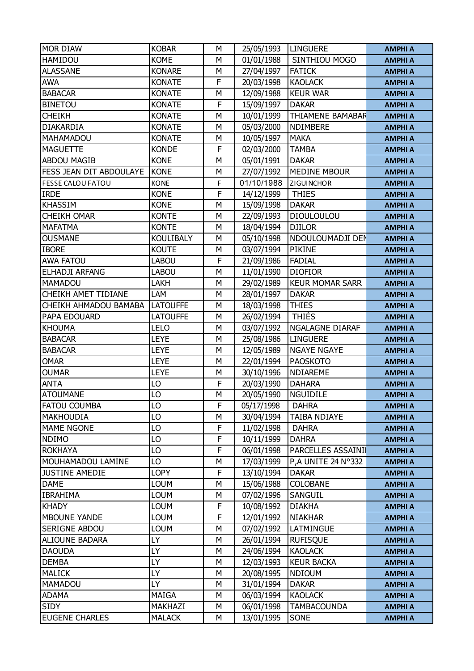| <b>MOR DIAW</b>          | <b>KOBAR</b>     | М | 25/05/1993 | <b>LINGUERE</b>            | <b>AMPHI A</b> |
|--------------------------|------------------|---|------------|----------------------------|----------------|
| <b>HAMIDOU</b>           | <b>KOME</b>      | M | 01/01/1988 | SINTHIOU MOGO              | <b>AMPHI A</b> |
| <b>ALASSANE</b>          | <b>KONARE</b>    | М | 27/04/1997 | <b>FATICK</b>              | <b>AMPHI A</b> |
| <b>AWA</b>               | <b>KONATE</b>    | F | 20/03/1998 | <b>KAOLACK</b>             | <b>AMPHI A</b> |
| <b>BABACAR</b>           | <b>KONATE</b>    | M | 12/09/1988 | <b>KEUR WAR</b>            | <b>AMPHI A</b> |
| <b>BINETOU</b>           | <b>KONATE</b>    | F | 15/09/1997 | <b>DAKAR</b>               | <b>AMPHI A</b> |
| <b>CHEIKH</b>            | <b>KONATE</b>    | М | 10/01/1999 | THIAMENE BAMABAR           | <b>AMPHI A</b> |
| <b>DIAKARDIA</b>         | <b>KONATE</b>    | M | 05/03/2000 | NDIMBERE                   | <b>AMPHI A</b> |
| <b>MAHAMADOU</b>         | <b>KONATE</b>    | М | 10/05/1997 | <b>MAKA</b>                | <b>AMPHI A</b> |
| <b>MAGUETTE</b>          | <b>KONDE</b>     | F | 02/03/2000 | <b>TAMBA</b>               | <b>AMPHI A</b> |
| <b>ABDOU MAGIB</b>       | <b>KONE</b>      | M | 05/01/1991 | <b>DAKAR</b>               | <b>AMPHI A</b> |
| FESS JEAN DIT ABDOULAYE  | <b>KONE</b>      | М | 27/07/1992 | <b>MEDINE MBOUR</b>        | <b>AMPHI A</b> |
| <b>FESSE CALOU FATOU</b> | <b>KONE</b>      | F | 01/10/1988 | ZIGUINCHOR                 | <b>AMPHI A</b> |
| <b>IRDE</b>              | <b>KONE</b>      | F | 14/12/1999 | <b>THIES</b>               | <b>AMPHI A</b> |
| <b>KHASSIM</b>           | <b>KONE</b>      | M | 15/09/1998 | <b>DAKAR</b>               | <b>AMPHI A</b> |
| <b>CHEIKH OMAR</b>       | <b>KONTE</b>     | М | 22/09/1993 | <b>DIOULOULOU</b>          | <b>AMPHI A</b> |
| <b>MAFATMA</b>           | <b>KONTE</b>     | M | 18/04/1994 | <b>DJILOR</b>              | <b>AMPHI A</b> |
| <b>OUSMANE</b>           | <b>KOULIBALY</b> | M | 05/10/1998 | NDOULOUMADJI DEN           | <b>AMPHI A</b> |
| <b>IBORE</b>             | <b>KOUTE</b>     | М | 03/07/1994 | <b>PIKINE</b>              | <b>AMPHI A</b> |
| <b>AWA FATOU</b>         | <b>LABOU</b>     | F | 21/09/1986 | <b>FADIAL</b>              | <b>AMPHI A</b> |
| ELHADJI ARFANG           | <b>LABOU</b>     | M | 11/01/1990 | <b>DIOFIOR</b>             | <b>AMPHI A</b> |
| MAMADOU                  | LAKH             | М | 29/02/1989 | <b>KEUR MOMAR SARR</b>     | <b>AMPHI A</b> |
| CHEIKH AMET TIDIANE      | LAM              | M | 28/01/1997 | <b>DAKAR</b>               | <b>AMPHI A</b> |
| CHEIKH AHMADOU BAMABA    | <b>LATOUFFE</b>  | М | 18/03/1998 | <b>THIES</b>               | <b>AMPHI A</b> |
| PAPA EDOUARD             | <b>LATOUFFE</b>  | М | 26/02/1994 | <b>THIÈS</b>               | <b>AMPHI A</b> |
| <b>KHOUMA</b>            | LELO             | M | 03/07/1992 | NGALAGNE DIARAF            | <b>AMPHI A</b> |
| <b>BABACAR</b>           | <b>LEYE</b>      | M | 25/08/1986 | <b>LINGUERE</b>            | <b>AMPHI A</b> |
| <b>BABACAR</b>           | <b>LEYE</b>      | М | 12/05/1989 | <b>NGAYE NGAYE</b>         | <b>AMPHI A</b> |
| <b>OMAR</b>              | <b>LEYE</b>      | M | 22/01/1994 | <b>PAOSKOTO</b>            | <b>AMPHI A</b> |
| <b>OUMAR</b>             | <b>LEYE</b>      | М | 30/10/1996 | NDIAREME                   | <b>AMPHI A</b> |
| <b>ANTA</b>              | LO               | F | 20/03/1990 | <b>DAHARA</b>              | <b>AMPHI A</b> |
| <b>ATOUMANE</b>          | LO               | M | 20/05/1990 | <b>NGUIDILE</b>            | <b>AMPHI A</b> |
| <b>FATOU COUMBA</b>      | LO               | F | 05/17/1998 | <b>DAHRA</b>               | <b>AMPHI A</b> |
| <b>MAKHOUDIA</b>         | LO               | М | 30/04/1994 | <b>TAIBA NDIAYE</b>        | <b>AMPHI A</b> |
| <b>MAME NGONE</b>        | LO               | F | 11/02/1998 | <b>DAHRA</b>               | <b>AMPHI A</b> |
| <b>NDIMO</b>             | LO               | F | 10/11/1999 | <b>DAHRA</b>               | <b>AMPHI A</b> |
| <b>ROKHAYA</b>           | LO               | F | 06/01/1998 | PARCELLES ASSAINI          | <b>AMPHI A</b> |
| MOUHAMADOU LAMINE        | LO               | M | 17/03/1999 | <b>P, A UNITE 24 N°332</b> | <b>AMPHI A</b> |
| <b>JUSTINE AMEDIE</b>    | <b>LOPY</b>      | F | 13/10/1994 | <b>DAKAR</b>               | <b>AMPHI A</b> |
| <b>DAME</b>              | <b>LOUM</b>      | М | 15/06/1988 | <b>COLOBANE</b>            | <b>AMPHI A</b> |
| <b>IBRAHIMA</b>          | <b>LOUM</b>      | М | 07/02/1996 | SANGUIL                    | <b>AMPHI A</b> |
| <b>KHADY</b>             | <b>LOUM</b>      | F | 10/08/1992 | <b>DIAKHA</b>              | <b>AMPHI A</b> |
| <b>MBOUNE YANDE</b>      | <b>LOUM</b>      | F | 12/01/1992 | <b>NIAKHAR</b>             | <b>AMPHI A</b> |
| SERIGNE ABDOU            | <b>LOUM</b>      | M | 07/02/1992 | LATMINGUE                  | <b>AMPHI A</b> |
| <b>ALIOUNE BADARA</b>    | LY               | М | 26/01/1994 | <b>RUFISQUE</b>            | <b>AMPHI A</b> |
| <b>DAOUDA</b>            | LY               | М | 24/06/1994 | <b>KAOLACK</b>             | <b>AMPHI A</b> |
| <b>DEMBA</b>             | LY               | М | 12/03/1993 | <b>KEUR BACKA</b>          | <b>AMPHI A</b> |
| <b>MALICK</b>            | LY               | М | 20/08/1995 | <b>NDIOUM</b>              | <b>AMPHI A</b> |
| <b>MAMADOU</b>           | LY               | М | 31/01/1994 | <b>DAKAR</b>               | <b>AMPHI A</b> |
| <b>ADAMA</b>             | MAIGA            | М | 06/03/1994 | <b>KAOLACK</b>             | <b>AMPHI A</b> |
| <b>SIDY</b>              | MAKHAZI          | М | 06/01/1998 | TAMBACOUNDA                | <b>AMPHI A</b> |
| <b>EUGENE CHARLES</b>    | <b>MALACK</b>    | М | 13/01/1995 | SONE                       | <b>AMPHI A</b> |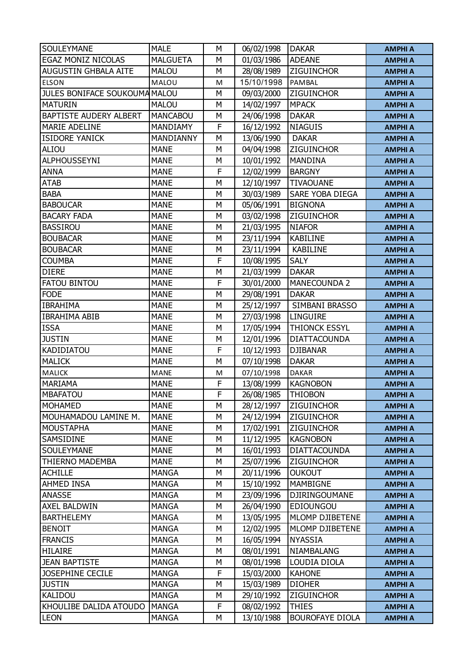| <b>SOULEYMANE</b>             | <b>MALE</b>     | M | 06/02/1998 | <b>DAKAR</b>           | <b>AMPHI A</b> |
|-------------------------------|-----------------|---|------------|------------------------|----------------|
| EGAZ MONIZ NICOLAS            | <b>MALGUETA</b> | М | 01/03/1986 | <b>ADEANE</b>          | <b>AMPHI A</b> |
| <b>AUGUSTIN GHBALA AITE</b>   | <b>MALOU</b>    | M | 28/08/1989 | <b>ZIGUINCHOR</b>      | <b>AMPHI A</b> |
| <b>ELSON</b>                  | MALOU           | M | 15/10/1998 | PAMBAL                 | <b>AMPHI A</b> |
| JULES BONIFACE SOUKOUMA MALOU |                 | М | 09/03/2000 | <b>ZIGUINCHOR</b>      | <b>AMPHI A</b> |
| <b>MATURIN</b>                | <b>MALOU</b>    | М | 14/02/1997 | <b>MPACK</b>           | <b>AMPHI A</b> |
| <b>BAPTISTE AUDERY ALBERT</b> | <b>MANCABOU</b> | М | 24/06/1998 | <b>DAKAR</b>           | <b>AMPHI A</b> |
| MARIE ADELINE                 | MANDIAMY        | F | 16/12/1992 | <b>NIAGUIS</b>         | <b>AMPHI A</b> |
| <b>ISIDORE YANICK</b>         | MANDIANNY       | M | 13/06/1990 | <b>DAKAR</b>           | <b>AMPHI A</b> |
| <b>ALIOU</b>                  | <b>MANE</b>     | М | 04/04/1998 | <b>ZIGUINCHOR</b>      | <b>AMPHI A</b> |
| <b>ALPHOUSSEYNI</b>           | <b>MANE</b>     | М | 10/01/1992 | <b>MANDINA</b>         | <b>AMPHI A</b> |
| <b>ANNA</b>                   | <b>MANE</b>     | F | 12/02/1999 | <b>BARGNY</b>          | <b>AMPHI A</b> |
| <b>ATAB</b>                   | <b>MANE</b>     | М | 12/10/1997 | <b>TIVAOUANE</b>       | <b>AMPHI A</b> |
| <b>BABA</b>                   | <b>MANE</b>     | М | 30/03/1989 | SARE YOBA DIEGA        | <b>AMPHI A</b> |
| <b>BABOUCAR</b>               | <b>MANE</b>     | M | 05/06/1991 | <b>BIGNONA</b>         | <b>AMPHI A</b> |
| <b>BACARY FADA</b>            | <b>MANE</b>     | М | 03/02/1998 | ZIGUINCHOR             | <b>AMPHI A</b> |
| <b>BASSIROU</b>               | <b>MANE</b>     | M | 21/03/1995 | <b>NIAFOR</b>          | <b>AMPHI A</b> |
| <b>BOUBACAR</b>               | <b>MANE</b>     | M | 23/11/1994 | <b>KABILINE</b>        | <b>AMPHI A</b> |
| <b>BOUBACAR</b>               | <b>MANE</b>     | М | 23/11/1994 | <b>KABILINE</b>        | <b>AMPHI A</b> |
| <b>COUMBA</b>                 | <b>MANE</b>     | F | 10/08/1995 | <b>SALY</b>            | <b>AMPHI A</b> |
| <b>DIERE</b>                  | <b>MANE</b>     | М | 21/03/1999 | <b>DAKAR</b>           | <b>AMPHI A</b> |
| <b>FATOU BINTOU</b>           | <b>MANE</b>     | F | 30/01/2000 | <b>MANECOUNDA 2</b>    | <b>AMPHI A</b> |
| <b>FODE</b>                   | <b>MANE</b>     | M | 29/08/1991 | <b>DAKAR</b>           | <b>AMPHI A</b> |
| <b>IBRAHIMA</b>               | <b>MANE</b>     | M | 25/12/1997 | SIMBANI BRASSO         | <b>AMPHI A</b> |
| <b>IBRAHIMA ABIB</b>          | <b>MANE</b>     | М | 27/03/1998 | <b>LINGUIRE</b>        | <b>AMPHI A</b> |
| <b>ISSA</b>                   | <b>MANE</b>     | М | 17/05/1994 | THIONCK ESSYL          | <b>AMPHI A</b> |
| <b>JUSTIN</b>                 | <b>MANE</b>     | М | 12/01/1996 | <b>DIATTACOUNDA</b>    | <b>AMPHI A</b> |
| KADIDIATOU                    | <b>MANE</b>     | F | 10/12/1993 | <b>DJIBANAR</b>        | <b>AMPHI A</b> |
| <b>MALICK</b>                 | <b>MANE</b>     | M | 07/10/1998 | <b>DAKAR</b>           | <b>AMPHI A</b> |
| <b>MALICK</b>                 | <b>MANE</b>     | M | 07/10/1998 | <b>DAKAR</b>           | <b>AMPHI A</b> |
| <b>MARIAMA</b>                | <b>MANE</b>     | F | 13/08/1999 | <b>KAGNOBON</b>        | <b>AMPHI A</b> |
| <b>MBAFATOU</b>               | <b>MANE</b>     | F | 26/08/1985 | <b>THIOBON</b>         | <b>AMPHI A</b> |
| <b>MOHAMED</b>                | <b>MANE</b>     | М | 28/12/1997 | ZIGUINCHOR             | <b>AMPHI A</b> |
| MOUHAMADOU LAMINE M.          | <b>MANE</b>     | М | 24/12/1994 | <b>ZIGUINCHOR</b>      | <b>AMPHI A</b> |
| <b>MOUSTAPHA</b>              | <b>MANE</b>     | М | 17/02/1991 | <b>ZIGUINCHOR</b>      | <b>AMPHI A</b> |
| SAMSIDINE                     | <b>MANE</b>     | М | 11/12/1995 | <b>KAGNOBON</b>        | <b>AMPHI A</b> |
| SOULEYMANE                    | <b>MANE</b>     | М | 16/01/1993 | <b>DIATTACOUNDA</b>    | <b>AMPHI A</b> |
| <b>THIERNO MADEMBA</b>        | <b>MANE</b>     | М | 25/07/1996 | <b>ZIGUINCHOR</b>      | <b>AMPHI A</b> |
| <b>ACHILLE</b>                | <b>MANGA</b>    | М | 20/11/1996 | <b>OUKOUT</b>          | <b>AMPHI A</b> |
| AHMED INSA                    | <b>MANGA</b>    | М | 15/10/1992 | MAMBIGNE               | <b>AMPHI A</b> |
| ANASSE                        | <b>MANGA</b>    | М | 23/09/1996 | DJIRINGOUMANE          | <b>AMPHI A</b> |
| AXEL BALDWIN                  | <b>MANGA</b>    | М | 26/04/1990 | <b>EDIOUNGOU</b>       | <b>AMPHI A</b> |
| <b>BARTHELEMY</b>             | <b>MANGA</b>    | М | 13/05/1995 | MLOMP DJIBETENE        | <b>AMPHI A</b> |
| <b>BENOIT</b>                 | <b>MANGA</b>    | М | 12/02/1995 | MLOMP DJIBETENE        | <b>AMPHI A</b> |
| <b>FRANCIS</b>                | MANGA           | М | 16/05/1994 | <b>NYASSIA</b>         | <b>AMPHI A</b> |
| <b>HILAIRE</b>                | <b>MANGA</b>    | М | 08/01/1991 | NIAMBALANG             | <b>AMPHI A</b> |
| <b>JEAN BAPTISTE</b>          | <b>MANGA</b>    | М | 08/01/1998 | LOUDIA DIOLA           | <b>AMPHI A</b> |
| JOSEPHINE CECILE              | <b>MANGA</b>    | F | 15/03/2000 | <b>KAHONE</b>          | <b>AMPHI A</b> |
| <b>JUSTIN</b>                 | <b>MANGA</b>    | М | 15/03/1989 | <b>DIOHER</b>          | <b>AMPHI A</b> |
| <b>KALIDOU</b>                | <b>MANGA</b>    | М | 29/10/1992 | <b>ZIGUINCHOR</b>      | <b>AMPHI A</b> |
| KHOULIBE DALIDA ATOUDO        | <b>MANGA</b>    | F | 08/02/1992 | <b>THIES</b>           | <b>AMPHI A</b> |
| <b>LEON</b>                   | <b>MANGA</b>    | М | 13/10/1988 | <b>BOUROFAYE DIOLA</b> | <b>AMPHI A</b> |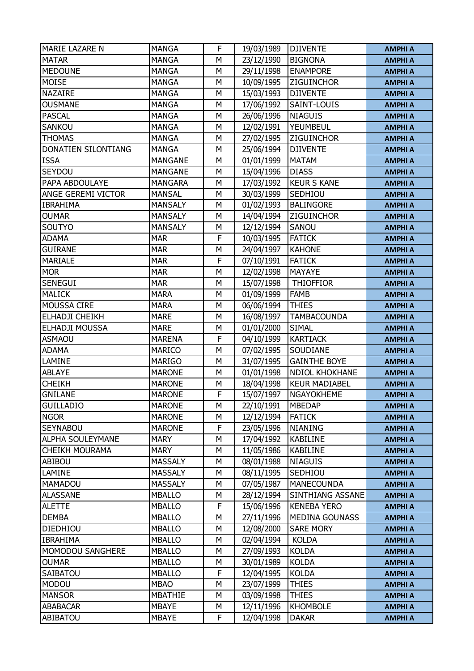| MARIE LAZARE N          | <b>MANGA</b>                 | F | 19/03/1989               | <b>DJIVENTE</b>       | <b>AMPHI A</b>                   |
|-------------------------|------------------------------|---|--------------------------|-----------------------|----------------------------------|
| <b>MATAR</b>            | <b>MANGA</b>                 | M | 23/12/1990               | <b>BIGNONA</b>        | <b>AMPHI A</b>                   |
| <b>MEDOUNE</b>          | <b>MANGA</b>                 | М | 29/11/1998               | <b>ENAMPORE</b>       | <b>AMPHI A</b>                   |
| <b>MOISE</b>            | <b>MANGA</b>                 | М | 10/09/1995               | <b>ZIGUINCHOR</b>     | <b>AMPHI A</b>                   |
| <b>NAZAIRE</b>          | <b>MANGA</b>                 | M | 15/03/1993               | <b>DJIVENTE</b>       | <b>AMPHI A</b>                   |
| <b>OUSMANE</b>          | <b>MANGA</b>                 | M | 17/06/1992               | SAINT-LOUIS           |                                  |
| <b>PASCAL</b>           | <b>MANGA</b>                 | М |                          | <b>NIAGUIS</b>        | <b>AMPHI A</b>                   |
|                         |                              | М | 26/06/1996               | YEUMBEUL              | <b>AMPHI A</b>                   |
| SANKOU<br><b>THOMAS</b> | <b>MANGA</b><br><b>MANGA</b> | M | 12/02/1991<br>27/02/1995 | ZIGUINCHOR            | <b>AMPHI A</b>                   |
| DONATIEN SILONTIANG     | <b>MANGA</b>                 | М | 25/06/1994               | <b>DJIVENTE</b>       | <b>AMPHI A</b><br><b>AMPHI A</b> |
| <b>ISSA</b>             | <b>MANGANE</b>               | M | 01/01/1999               | <b>MATAM</b>          | <b>AMPHI A</b>                   |
| SEYDOU                  | <b>MANGANE</b>               | М | 15/04/1996               | <b>DIASS</b>          | <b>AMPHI A</b>                   |
| PAPA ABDOULAYE          | <b>MANGARA</b>               | М | 17/03/1992               | <b>KEUR S KANE</b>    | <b>AMPHI A</b>                   |
| ANGE GEREMI VICTOR      | <b>MANSAL</b>                | М | 30/03/1999               | SEDHIOU               | <b>AMPHI A</b>                   |
| <b>IBRAHIMA</b>         | <b>MANSALY</b>               | M | 01/02/1993               | <b>BALINGORE</b>      | <b>AMPHI A</b>                   |
| <b>OUMAR</b>            | <b>MANSALY</b>               | М | 14/04/1994               | <b>ZIGUINCHOR</b>     | <b>AMPHI A</b>                   |
| SOUTYO                  | <b>MANSALY</b>               | M | 12/12/1994               | SANOU                 | <b>AMPHI A</b>                   |
| <b>ADAMA</b>            | <b>MAR</b>                   | F | 10/03/1995               | <b>FATICK</b>         | <b>AMPHI A</b>                   |
| <b>GUIRANE</b>          | <b>MAR</b>                   | М | 24/04/1997               | <b>KAHONE</b>         | <b>AMPHI A</b>                   |
| <b>MARIALE</b>          | <b>MAR</b>                   | F | 07/10/1991               | <b>FATICK</b>         | <b>AMPHI A</b>                   |
| <b>MOR</b>              | <b>MAR</b>                   | М | 12/02/1998               | MAYAYE                | <b>AMPHI A</b>                   |
| SENEGUI                 | <b>MAR</b>                   | М | 15/07/1998               | <b>THIOFFIOR</b>      | <b>AMPHI A</b>                   |
| <b>MALICK</b>           | <b>MARA</b>                  | M | 01/09/1999               | <b>FAMB</b>           | <b>AMPHI A</b>                   |
| MOUSSA CIRE             | <b>MARA</b>                  | M | 06/06/1994               | <b>THIES</b>          | <b>AMPHI A</b>                   |
| ELHADJI CHEIKH          | <b>MARE</b>                  | М | 16/08/1997               | <b>TAMBACOUNDA</b>    | <b>AMPHI A</b>                   |
| ELHADJI MOUSSA          | <b>MARE</b>                  | М | 01/01/2000               | <b>SIMAL</b>          | <b>AMPHI A</b>                   |
| <b>ASMAOU</b>           | <b>MARENA</b>                | F | 04/10/1999               | <b>KARTIACK</b>       | <b>AMPHI A</b>                   |
| <b>ADAMA</b>            | <b>MARICO</b>                | М | 07/02/1995               | SOUDIANE              | <b>AMPHI A</b>                   |
| LAMINE                  | <b>MARIGO</b>                | M | 31/07/1995               | <b>GAINTHE BOYE</b>   | <b>AMPHI A</b>                   |
| <b>ABLAYE</b>           | <b>MARONE</b>                | М | 01/01/1998               | <b>NDIOL KHOKHANE</b> | <b>AMPHI A</b>                   |
| <b>CHEIKH</b>           | <b>MARONE</b>                | М | 18/04/1998               | <b>KEUR MADIABEL</b>  | <b>AMPHI A</b>                   |
| <b>GNILANE</b>          | <b>MARONE</b>                | F | 15/07/1997               | <b>NGAYOKHEME</b>     | <b>AMPHI A</b>                   |
| <b>GUILLADIO</b>        | <b>MARONE</b>                | М | 22/10/1991               | <b>MBEDAP</b>         | <b>AMPHI A</b>                   |
| <b>NGOR</b>             | <b>MARONE</b>                | М | 12/12/1994               | <b>FATICK</b>         | <b>AMPHI A</b>                   |
| <b>SEYNABOU</b>         | <b>MARONE</b>                | F | 23/05/1996               | <b>NIANING</b>        | <b>AMPHI A</b>                   |
| ALPHA SOULEYMANE        | <b>MARY</b>                  | М | 17/04/1992               | <b>KABILINE</b>       | <b>AMPHI A</b>                   |
| <b>CHEIKH MOURAMA</b>   | <b>MARY</b>                  | М | 11/05/1986               | <b>KABILINE</b>       | <b>AMPHI A</b>                   |
| ABIBOU                  | <b>MASSALY</b>               | М | 08/01/1988               | <b>NIAGUIS</b>        | <b>AMPHI A</b>                   |
| LAMINE                  | <b>MASSALY</b>               | М | 08/11/1995               | SEDHIOU               | <b>AMPHI A</b>                   |
| <b>MAMADOU</b>          | <b>MASSALY</b>               | М | 07/05/1987               | <b>MANECOUNDA</b>     | <b>AMPHI A</b>                   |
| <b>ALASSANE</b>         | <b>MBALLO</b>                | М | 28/12/1994               | SINTHIANG ASSANE      | <b>AMPHI A</b>                   |
| <b>ALETTE</b>           | <b>MBALLO</b>                | F | 15/06/1996               | <b>KENEBA YERO</b>    | <b>AMPHI A</b>                   |
| <b>DEMBA</b>            | <b>MBALLO</b>                | М | 27/11/1996               | <b>MEDINA GOUNASS</b> | <b>AMPHI A</b>                   |
| <b>DIEDHIOU</b>         | <b>MBALLO</b>                | M | 12/08/2000               | <b>SARE MORY</b>      | <b>AMPHI A</b>                   |
| <b>IBRAHIMA</b>         | <b>MBALLO</b>                | М | 02/04/1994               | <b>KOLDA</b>          | <b>AMPHI A</b>                   |
| MOMODOU SANGHERE        | <b>MBALLO</b>                | М | 27/09/1993               | <b>KOLDA</b>          | <b>AMPHI A</b>                   |
| <b>OUMAR</b>            | <b>MBALLO</b>                | М | 30/01/1989               | <b>KOLDA</b>          | <b>AMPHI A</b>                   |
| SAIBATOU                | <b>MBALLO</b>                | F | 12/04/1995               | <b>KOLDA</b>          | <b>AMPHI A</b>                   |
| <b>MODOU</b>            | <b>MBAO</b>                  | М | 23/07/1999               | <b>THIES</b>          | <b>AMPHI A</b>                   |
| <b>MANSOR</b>           | <b>MBATHIE</b>               | М | 03/09/1998               | <b>THIES</b>          | <b>AMPHI A</b>                   |
| <b>ABABACAR</b>         | <b>MBAYE</b>                 | М | 12/11/1996               | <b>KHOMBOLE</b>       | <b>AMPHI A</b>                   |
| ABIBATOU                | MBAYE                        | F | 12/04/1998               | <b>DAKAR</b>          | <b>AMPHI A</b>                   |
|                         |                              |   |                          |                       |                                  |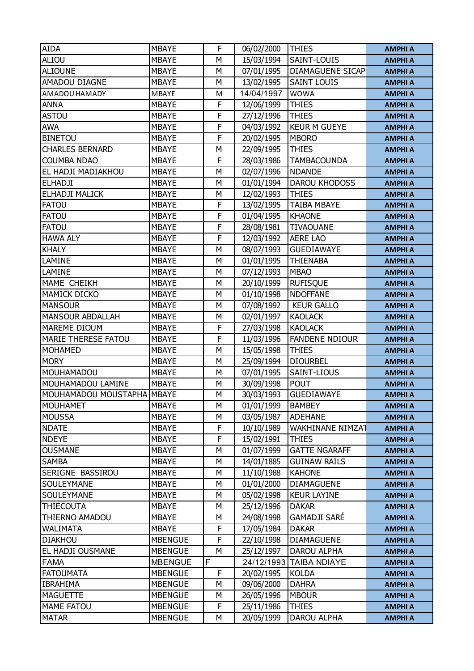| <b>AIDA</b>                | <b>MBAYE</b>   | F | 06/02/2000 | <b>THIES</b>          | <b>AMPHI A</b> |
|----------------------------|----------------|---|------------|-----------------------|----------------|
| ALIOU                      | <b>MBAYE</b>   | M | 15/03/1994 | SAINT-LOUIS           | <b>AMPHI A</b> |
| <b>ALIOUNE</b>             | <b>MBAYE</b>   | М | 07/01/1995 | DIAMAGUENE SICAP      | <b>AMPHI A</b> |
| AMADOU DIAGNE              | <b>MBAYE</b>   | М | 13/02/1995 | <b>SAINT LOUIS</b>    | <b>AMPHI A</b> |
| AMADOU HAMADY              | <b>MBAYE</b>   | M | 14/04/1997 | <b>WOWA</b>           | <b>AMPHI A</b> |
| <b>ANNA</b>                | <b>MBAYE</b>   | F | 12/06/1999 | <b>THIES</b>          | <b>AMPHI A</b> |
| <b>ASTOU</b>               | <b>MBAYE</b>   | F | 27/12/1996 | <b>THIES</b>          | <b>AMPHI A</b> |
| <b>AWA</b>                 | <b>MBAYE</b>   | F | 04/03/1992 | <b>KEUR M GUEYE</b>   | <b>AMPHI A</b> |
| <b>BINETOU</b>             | <b>MBAYE</b>   | F | 20/02/1995 | <b>MBORO</b>          | <b>AMPHI A</b> |
| <b>CHARLES BERNARD</b>     | <b>MBAYE</b>   | М | 22/09/1995 | <b>THIES</b>          | <b>AMPHI A</b> |
| <b>COUMBA NDAO</b>         | <b>MBAYE</b>   | F | 28/03/1986 | <b>TAMBACOUNDA</b>    | <b>AMPHI A</b> |
| EL HADJI MADIAKHOU         | <b>MBAYE</b>   | M | 02/07/1996 | <b>NDANDE</b>         | <b>AMPHI A</b> |
| <b>ELHADJI</b>             | <b>MBAYE</b>   | М | 01/01/1994 | DAROU KHODOSS         | <b>AMPHI A</b> |
| ELHADJI MALICK             | <b>MBAYE</b>   | М | 12/02/1993 | <b>THIES</b>          | <b>AMPHI A</b> |
| <b>FATOU</b>               | <b>MBAYE</b>   | F | 13/02/1995 | <b>TAIBA MBAYE</b>    | <b>AMPHI A</b> |
| <b>FATOU</b>               | <b>MBAYE</b>   | F | 01/04/1995 | <b>KHAONE</b>         |                |
| <b>FATOU</b>               | <b>MBAYE</b>   | F | 28/08/1981 | <b>TIVAOUANE</b>      | <b>AMPHI A</b> |
| <b>HAWA ALY</b>            | <b>MBAYE</b>   | F | 12/03/1992 | <b>AERE LAO</b>       | <b>AMPHI A</b> |
| <b>KHALY</b>               | <b>MBAYE</b>   | М |            | <b>GUEDIAWAYE</b>     | <b>AMPHI A</b> |
|                            |                |   | 08/07/1993 |                       | <b>AMPHI A</b> |
| LAMINE                     | <b>MBAYE</b>   | M | 01/01/1995 | <b>THIENABA</b>       | <b>AMPHI A</b> |
| LAMINE                     | <b>MBAYE</b>   | M | 07/12/1993 | <b>MBAO</b>           | <b>AMPHI A</b> |
| MAME CHEIKH                | <b>MBAYE</b>   | М | 20/10/1999 | <b>RUFISQUE</b>       | <b>AMPHI A</b> |
| MAMICK DICKO               | <b>MBAYE</b>   | M | 01/10/1998 | <b>NDOFFANE</b>       | <b>AMPHI A</b> |
| <b>MANSOUR</b>             | <b>MBAYE</b>   | М | 07/08/1992 | <b>KEUR GALLO</b>     | <b>AMPHI A</b> |
| <b>MANSOUR ABDALLAH</b>    | <b>MBAYE</b>   | М | 02/01/1997 | <b>KAOLACK</b>        | <b>AMPHI A</b> |
| MAREME DIOUM               | <b>MBAYE</b>   | F | 27/03/1998 | <b>KAOLACK</b>        | <b>AMPHI A</b> |
| MARIE THERESE FATOU        | <b>MBAYE</b>   | F | 11/03/1996 | <b>FANDENE NDIOUR</b> | <b>AMPHI A</b> |
| <b>MOHAMED</b>             | <b>MBAYE</b>   | М | 15/05/1998 | <b>THIES</b>          | <b>AMPHI A</b> |
| <b>MORY</b>                | <b>MBAYE</b>   | M | 25/09/1994 | <b>DIOURBEL</b>       | <b>AMPHI A</b> |
| MOUHAMADOU                 | <b>MBAYE</b>   | М | 07/01/1995 | SAINT-LIOUS           | <b>AMPHI A</b> |
| MOUHAMADOU LAMINE          | <b>MBAYE</b>   | М | 30/09/1998 | <b>POUT</b>           | <b>AMPHI A</b> |
| MOUHAMADOU MOUSTAPHA MBAYE |                | M | 30/03/1993 | <b>GUEDIAWAYE</b>     | <b>AMPHI A</b> |
| <b>MOUHAMET</b>            | <b>MBAYE</b>   | М | 01/01/1999 | <b>BAMBEY</b>         | <b>AMPHI A</b> |
| <b>MOUSSA</b>              | <b>MBAYE</b>   | М | 03/05/1987 | <b>ADEHANE</b>        | <b>AMPHI A</b> |
| <b>NDATE</b>               | <b>MBAYE</b>   | F | 10/10/1989 | WAKHINANE NIMZA       | <b>AMPHI A</b> |
| <b>NDEYE</b>               | <b>MBAYE</b>   | F | 15/02/1991 | <b>THIES</b>          | <b>AMPHI A</b> |
| <b>OUSMANE</b>             | <b>MBAYE</b>   | М | 01/07/1999 | <b>GATTE NGARAFF</b>  | <b>AMPHI A</b> |
| <b>SAMBA</b>               | <b>MBAYE</b>   | М | 14/01/1885 | <b>GUINAW RAILS</b>   | <b>AMPHI A</b> |
| SERIGNE BASSIROU           | <b>MBAYE</b>   | М | 11/10/1988 | <b>KAHONE</b>         | <b>AMPHI A</b> |
| SOULEYMANE                 | <b>MBAYE</b>   | М | 01/01/2000 | <b>DIAMAGUENE</b>     | <b>AMPHI A</b> |
| SOULEYMANE                 | <b>MBAYE</b>   | М | 05/02/1998 | <b>KEUR LAYINE</b>    | <b>AMPHI A</b> |
| THIECOUTA                  | <b>MBAYE</b>   | М | 25/12/1996 | <b>DAKAR</b>          | <b>AMPHI A</b> |
| THIERNO AMADOU             | <b>MBAYE</b>   | М | 24/08/1998 | <b>GAMADJI SARÉ</b>   | <b>AMPHI A</b> |
| <b>WALIMATA</b>            | MBAYE          | F | 17/05/1984 | <b>DAKAR</b>          | <b>AMPHI A</b> |
| <b>DIAKHOU</b>             | <b>MBENGUE</b> | F | 22/10/1998 | <b>DIAMAGUENE</b>     | <b>AMPHI A</b> |
| EL HADJI OUSMANE           | <b>MBENGUE</b> | М | 25/12/1997 | <b>DAROU ALPHA</b>    | <b>AMPHI A</b> |
| <b>FAMA</b>                | <b>MBENGUE</b> | F | 24/12/1993 | <b>TAIBA NDIAYE</b>   | <b>AMPHI A</b> |
| <b>FATOUMATA</b>           | <b>MBENGUE</b> | F | 20/02/1995 | <b>KOLDA</b>          | <b>AMPHI A</b> |
| <b>IBRAHIMA</b>            | <b>MBENGUE</b> | М | 09/06/2000 | <b>DAHRA</b>          | <b>AMPHI A</b> |
| <b>MAGUETTE</b>            | <b>MBENGUE</b> | М | 26/05/1996 | <b>MBOUR</b>          | <b>AMPHI A</b> |
| <b>MAME FATOU</b>          | <b>MBENGUE</b> | F | 25/11/1986 | THIES                 | <b>AMPHI A</b> |
| <b>MATAR</b>               | <b>MBENGUE</b> | М | 20/05/1999 | DAROU ALPHA           | <b>AMPHI A</b> |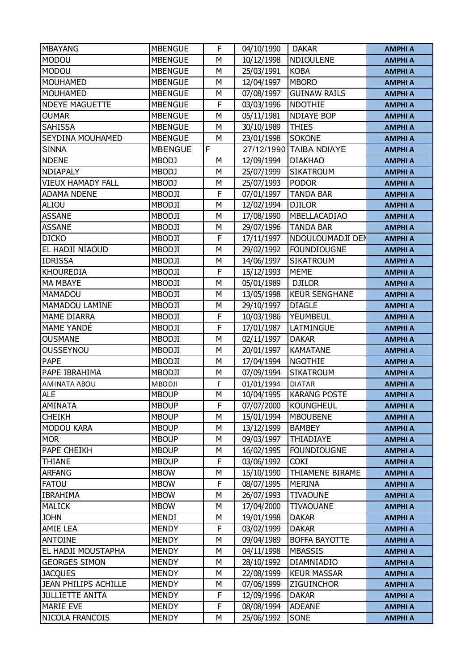| <b>MBAYANG</b>           | <b>MBENGUE</b> | F | 04/10/1990 | <b>DAKAR</b>            | <b>AMPHI A</b> |
|--------------------------|----------------|---|------------|-------------------------|----------------|
| <b>MODOU</b>             | <b>MBENGUE</b> | M | 10/12/1998 | NDIOULENE               | <b>AMPHI A</b> |
| <b>MODOU</b>             | <b>MBENGUE</b> | М | 25/03/1991 | <b>KOBA</b>             | <b>AMPHI A</b> |
| <b>MOUHAMED</b>          | <b>MBENGUE</b> | М |            | <b>MBORO</b>            |                |
|                          |                |   | 12/04/1997 |                         | <b>AMPHI A</b> |
| <b>MOUHAMED</b>          | <b>MBENGUE</b> | M | 07/08/1997 | <b>GUINAW RAILS</b>     | <b>AMPHI A</b> |
| <b>NDEYE MAGUETTE</b>    | <b>MBENGUE</b> | F | 03/03/1996 | <b>NDOTHIE</b>          | <b>AMPHI A</b> |
| <b>OUMAR</b>             | <b>MBENGUE</b> | М | 05/11/1981 | <b>NDIAYE BOP</b>       | <b>AMPHI A</b> |
| <b>SAHISSA</b>           | <b>MBENGUE</b> | M | 30/10/1989 | <b>THIES</b>            | <b>AMPHI A</b> |
| <b>SEYDINA MOUHAMED</b>  | <b>MBENGUE</b> | M | 23/01/1998 | <b>SOKONE</b>           | <b>AMPHI A</b> |
| <b>SINNA</b>             | <b>MBENGUE</b> | F |            | 27/12/1990 TAIBA NDIAYE | <b>AMPHI A</b> |
| <b>NDENE</b>             | <b>MBODJ</b>   | М | 12/09/1994 | <b>DIAKHAO</b>          | <b>AMPHI A</b> |
| <b>NDIAPALY</b>          | <b>MBODJ</b>   | M | 25/07/1999 | <b>SIKATROUM</b>        | <b>AMPHI A</b> |
| <b>VIEUX HAMADY FALL</b> | <b>MBODJ</b>   | М | 25/07/1993 | <b>PODOR</b>            | <b>AMPHI A</b> |
| <b>ADAMA NDENE</b>       | <b>MBODJI</b>  | F | 07/01/1997 | <b>TANDA BAR</b>        | <b>AMPHI A</b> |
| ALIOU                    | <b>MBODJI</b>  | M | 12/02/1994 | <b>DJILOR</b>           | <b>AMPHI A</b> |
| <b>ASSANE</b>            | <b>MBODJI</b>  | M | 17/08/1990 | MBELLACADIAO            | <b>AMPHI A</b> |
| <b>ASSANE</b>            | <b>MBODJI</b>  | M | 29/07/1996 | <b>TANDA BAR</b>        | <b>AMPHI A</b> |
| <b>DICKO</b>             | <b>MBODJI</b>  | F | 17/11/1997 | NDOULOUMADJI DEN        | <b>AMPHI A</b> |
| EL HADJI NIAOUD          | <b>MBODJI</b>  | М | 29/02/1992 | <b>FOUNDIOUGNE</b>      | <b>AMPHI A</b> |
| <b>IDRISSA</b>           | <b>MBODJI</b>  | М | 14/06/1997 | <b>SIKATROUM</b>        | <b>AMPHI A</b> |
| <b>KHOUREDIA</b>         | <b>MBODJI</b>  | F | 15/12/1993 | <b>MEME</b>             | <b>AMPHI A</b> |
| <b>MA MBAYE</b>          | <b>MBODJI</b>  | M | 05/01/1989 | <b>DJILOR</b>           | <b>AMPHI A</b> |
| MAMADOU                  | <b>MBODJI</b>  | M | 13/05/1998 | <b>KEUR SENGHANE</b>    | <b>AMPHI A</b> |
| MAMADOU LAMINE           | <b>MBODJI</b>  | M | 29/10/1997 | <b>DIAGLE</b>           | <b>AMPHI A</b> |
| <b>MAME DIARRA</b>       | MBODJI         | F | 10/03/1986 | YEUMBEUL                | <b>AMPHI A</b> |
| <b>MAME YANDÉ</b>        | <b>MBODJI</b>  | F | 17/01/1987 | LATMINGUE               | <b>AMPHI A</b> |
| <b>OUSMANE</b>           | <b>MBODJI</b>  | M | 02/11/1997 | <b>DAKAR</b>            | <b>AMPHI A</b> |
| <b>OUSSEYNOU</b>         | <b>MBODJI</b>  | М | 20/01/1997 | <b>KAMATANE</b>         | <b>AMPHI A</b> |
| <b>PAPE</b>              | <b>MBODJI</b>  | M | 17/04/1994 | <b>NGOTHIE</b>          | <b>AMPHI A</b> |
| PAPE IBRAHIMA            | <b>MBODJI</b>  | М | 07/09/1994 | <b>SIKATROUM</b>        | <b>AMPHI A</b> |
| AMINATA ABOU             | <b>MBODJI</b>  | F | 01/01/1994 | <b>DIATAR</b>           | <b>AMPHI A</b> |
| <b>ALE</b>               | <b>MBOUP</b>   | M | 10/04/1995 | <b>KARANG POSTE</b>     | <b>AMPHI A</b> |
| <b>AMINATA</b>           | <b>MBOUP</b>   | F | 07/07/2000 | <b>KOUNGHEUL</b>        | <b>AMPHI A</b> |
| <b>CHEIKH</b>            | <b>MBOUP</b>   | М | 15/01/1994 | <b>MBOUBENE</b>         | <b>AMPHI A</b> |
| <b>MODOU KARA</b>        | <b>MBOUP</b>   | М | 13/12/1999 | <b>BAMBEY</b>           | <b>AMPHI A</b> |
| <b>MOR</b>               | <b>MBOUP</b>   | М | 09/03/1997 | <b>THIADIAYE</b>        | <b>AMPHI A</b> |
| PAPE CHEIKH              | <b>MBOUP</b>   | М | 16/02/1995 | <b>FOUNDIOUGNE</b>      | <b>AMPHI A</b> |
| <b>THIANE</b>            | <b>MBOUP</b>   | F | 03/06/1992 | <b>COKI</b>             | <b>AMPHI A</b> |
| <b>ARFANG</b>            | <b>MBOW</b>    | М | 15/10/1990 | THIAMENE BIRAME         | <b>AMPHI A</b> |
| <b>FATOU</b>             | <b>MBOW</b>    | F | 08/07/1995 | <b>MERINA</b>           | <b>AMPHI A</b> |
| <b>IBRAHIMA</b>          | <b>MBOW</b>    | М | 26/07/1993 | <b>TIVAOUNE</b>         | <b>AMPHI A</b> |
| <b>MALICK</b>            | <b>MBOW</b>    | М | 17/04/2000 | <b>TIVAOUANE</b>        | <b>AMPHI A</b> |
| <b>JOHN</b>              | MENDI          | М | 19/01/1998 | <b>DAKAR</b>            | <b>AMPHI A</b> |
| AMIE LEA                 | <b>MENDY</b>   | F | 03/02/1999 | <b>DAKAR</b>            | <b>AMPHI A</b> |
| <b>ANTOINE</b>           | <b>MENDY</b>   | М | 09/04/1989 | <b>BOFFA BAYOTTE</b>    | <b>AMPHI A</b> |
| EL HADJI MOUSTAPHA       | MENDY          | М | 04/11/1998 | <b>MBASSIS</b>          | <b>AMPHI A</b> |
| <b>GEORGES SIMON</b>     | <b>MENDY</b>   | М | 28/10/1992 | DIAMNIADIO              | <b>AMPHI A</b> |
| <b>JACQUES</b>           | <b>MENDY</b>   | М | 22/08/1999 | <b>KEUR MASSAR</b>      | <b>AMPHI A</b> |
| JEAN PHILIPS ACHILLE     | <b>MENDY</b>   | М | 07/06/1999 | <b>ZIGUINCHOR</b>       | <b>AMPHI A</b> |
| <b>JULLIETTE ANITA</b>   | <b>MENDY</b>   | F | 12/09/1996 | <b>DAKAR</b>            | <b>AMPHI A</b> |
| <b>MARIE EVE</b>         | MENDY          | F | 08/08/1994 | <b>ADEANE</b>           | <b>AMPHI A</b> |
| NICOLA FRANCOIS          | <b>MENDY</b>   | М | 25/06/1992 | SONE                    | <b>AMPHI A</b> |
|                          |                |   |            |                         |                |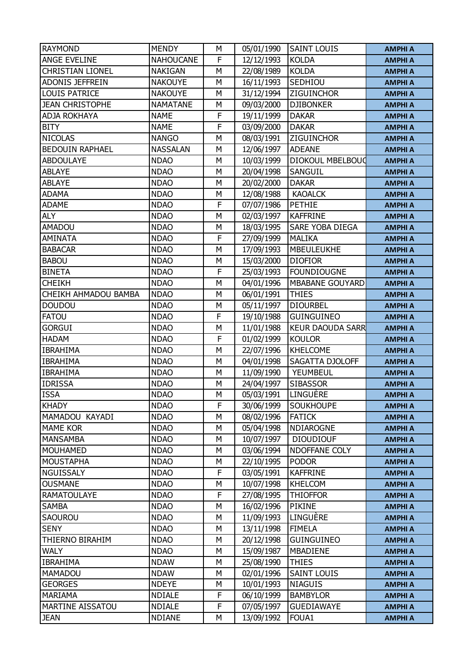| <b>RAYMOND</b>          | <b>MENDY</b>     | M | 05/01/1990 | <b>SAINT LOUIS</b>      | <b>AMPHI A</b> |
|-------------------------|------------------|---|------------|-------------------------|----------------|
| <b>ANGE EVELINE</b>     | <b>NAHOUCANE</b> | F | 12/12/1993 | <b>KOLDA</b>            | <b>AMPHI A</b> |
| <b>CHRISTIAN LIONEL</b> | <b>NAKIGAN</b>   | M | 22/08/1989 | <b>KOLDA</b>            | <b>AMPHI A</b> |
| <b>ADONIS JEFFREIN</b>  | <b>NAKOUYE</b>   | M | 16/11/1993 | SEDHIOU                 | <b>AMPHI A</b> |
| <b>LOUIS PATRICE</b>    | <b>NAKOUYE</b>   | M | 31/12/1994 | <b>ZIGUINCHOR</b>       | <b>AMPHI A</b> |
| <b>JEAN CHRISTOPHE</b>  | <b>NAMATANE</b>  | M | 09/03/2000 | <b>DJIBONKER</b>        | <b>AMPHI A</b> |
| <b>ADJA ROKHAYA</b>     | <b>NAME</b>      | F | 19/11/1999 | <b>DAKAR</b>            | <b>AMPHI A</b> |
| <b>BITY</b>             | <b>NAME</b>      | F | 03/09/2000 | <b>DAKAR</b>            | <b>AMPHI A</b> |
| <b>NICOLAS</b>          | <b>NANGO</b>     | M | 08/03/1991 | <b>ZIGUINCHOR</b>       | <b>AMPHI A</b> |
| <b>BEDOUIN RAPHAEL</b>  | <b>NASSALAN</b>  | M | 12/06/1997 | <b>ADEANE</b>           | <b>AMPHI A</b> |
| <b>ABDOULAYE</b>        | <b>NDAO</b>      | M | 10/03/1999 | <b>DIOKOUL MBELBOUG</b> | <b>AMPHI A</b> |
| <b>ABLAYE</b>           | <b>NDAO</b>      | M | 20/04/1998 | SANGUIL                 | <b>AMPHI A</b> |
| <b>ABLAYE</b>           | <b>NDAO</b>      | M | 20/02/2000 | <b>DAKAR</b>            | <b>AMPHI A</b> |
| <b>ADAMA</b>            | <b>NDAO</b>      | M | 12/08/1988 | <b>KAOALCK</b>          | <b>AMPHI A</b> |
| <b>ADAME</b>            | <b>NDAO</b>      | F | 07/07/1986 | <b>PETHIE</b>           | <b>AMPHI A</b> |
| <b>ALY</b>              | <b>NDAO</b>      | M | 02/03/1997 | <b>KAFFRINE</b>         | <b>AMPHI A</b> |
| <b>AMADOU</b>           | <b>NDAO</b>      | M | 18/03/1995 | SARE YOBA DIEGA         | <b>AMPHI A</b> |
| <b>AMINATA</b>          | <b>NDAO</b>      | F | 27/09/1999 | <b>MALIKA</b>           | <b>AMPHI A</b> |
| <b>BABACAR</b>          | <b>NDAO</b>      | M | 17/09/1993 | <b>MBEULEUKHE</b>       | <b>AMPHI A</b> |
| <b>BABOU</b>            | <b>NDAO</b>      | M | 15/03/2000 | <b>DIOFIOR</b>          | <b>AMPHI A</b> |
| <b>BINETA</b>           | <b>NDAO</b>      | F | 25/03/1993 | <b>FOUNDIOUGNE</b>      | <b>AMPHI A</b> |
| <b>CHEIKH</b>           | <b>NDAO</b>      | M | 04/01/1996 | <b>MBABANE GOUYARD</b>  | <b>AMPHI A</b> |
| CHEIKH AHMADOU BAMBA    | <b>NDAO</b>      | M | 06/01/1991 | <b>THIES</b>            | <b>AMPHI A</b> |
| <b>DOUDOU</b>           | <b>NDAO</b>      | M | 05/11/1997 | <b>DIOURBEL</b>         | <b>AMPHI A</b> |
| <b>FATOU</b>            | <b>NDAO</b>      | F | 19/10/1988 | <b>GUINGUINEO</b>       | <b>AMPHI A</b> |
| <b>GORGUI</b>           | <b>NDAO</b>      | M | 11/01/1988 | <b>KEUR DAOUDA SARR</b> | <b>AMPHI A</b> |
| <b>HADAM</b>            | <b>NDAO</b>      | F | 01/02/1999 | <b>KOULOR</b>           | <b>AMPHI A</b> |
| <b>IBRAHIMA</b>         | <b>NDAO</b>      | M | 22/07/1996 | <b>KHELCOME</b>         | <b>AMPHI A</b> |
| <b>IBRAHIMA</b>         | <b>NDAO</b>      | M | 04/01/1998 | SAGATTA DJOLOFF         | <b>AMPHI A</b> |
| <b>IBRAHIMA</b>         | <b>NDAO</b>      | M | 11/09/1990 | YEUMBEUL                | <b>AMPHI A</b> |
| <b>IDRISSA</b>          | <b>NDAO</b>      | M | 24/04/1997 | <b>SIBASSOR</b>         | <b>AMPHI A</b> |
| <b>ISSA</b>             | <b>NDAO</b>      | M | 05/03/1991 | LINGUÈRE                | <b>AMPHI A</b> |
| <b>KHADY</b>            | <b>NDAO</b>      | F | 30/06/1999 | <b>SOUKHOUPE</b>        | <b>AMPHI A</b> |
| MAMADOU KAYADI          | <b>NDAO</b>      | М | 08/02/1996 | <b>FATICK</b>           | <b>AMPHI A</b> |
| <b>MAME KOR</b>         | <b>NDAO</b>      | M | 05/04/1998 | NDIAROGNE               | <b>AMPHI A</b> |
| <b>MANSAMBA</b>         | <b>NDAO</b>      | M | 10/07/1997 | <b>DIOUDIOUF</b>        | <b>AMPHI A</b> |
| <b>MOUHAMED</b>         | <b>NDAO</b>      | M | 03/06/1994 | NDOFFANE COLY           | <b>AMPHI A</b> |
| <b>MOUSTAPHA</b>        | <b>NDAO</b>      | M | 22/10/1995 | <b>PODOR</b>            | <b>AMPHI A</b> |
| NGUISSALY               | <b>NDAO</b>      | F | 03/05/1991 | <b>KAFFRINE</b>         | <b>AMPHI A</b> |
| <b>OUSMANE</b>          | <b>NDAO</b>      | М | 10/07/1998 | <b>KHELCOM</b>          | <b>AMPHI A</b> |
| <b>RAMATOULAYE</b>      | <b>NDAO</b>      | F | 27/08/1995 | <b>THIOFFOR</b>         | <b>AMPHI A</b> |
| <b>SAMBA</b>            | <b>NDAO</b>      | M | 16/02/1996 | <b>PIKINE</b>           | <b>AMPHI A</b> |
| <b>SAOUROU</b>          | <b>NDAO</b>      | M | 11/09/1993 | LINGUÈRE                | <b>AMPHI A</b> |
| <b>SENY</b>             | <b>NDAO</b>      | M | 13/11/1998 | <b>FIMELA</b>           | <b>AMPHI A</b> |
| THIERNO BIRAHIM         | <b>NDAO</b>      | M | 20/12/1998 | <b>GUINGUINEO</b>       | <b>AMPHI A</b> |
| <b>WALY</b>             | <b>NDAO</b>      | M | 15/09/1987 | <b>MBADIENE</b>         | <b>AMPHI A</b> |
| <b>IBRAHIMA</b>         | <b>NDAW</b>      | M | 25/08/1990 | <b>THIES</b>            | <b>AMPHI A</b> |
| <b>MAMADOU</b>          | <b>NDAW</b>      | M | 02/01/1996 | <b>SAINT LOUIS</b>      | <b>AMPHI A</b> |
| <b>GEORGES</b>          | <b>NDEYE</b>     | М | 10/01/1993 | <b>NIAGUIS</b>          | <b>AMPHI A</b> |
| <b>MARIAMA</b>          | <b>NDIALE</b>    | F | 06/10/1999 | <b>BAMBYLOR</b>         | <b>AMPHI A</b> |
| MARTINE AISSATOU        | <b>NDIALE</b>    | F | 07/05/1997 | <b>GUEDIAWAYE</b>       | <b>AMPHI A</b> |
| <b>JEAN</b>             | <b>NDIANE</b>    | М | 13/09/1992 | FOUA1                   | <b>AMPHI A</b> |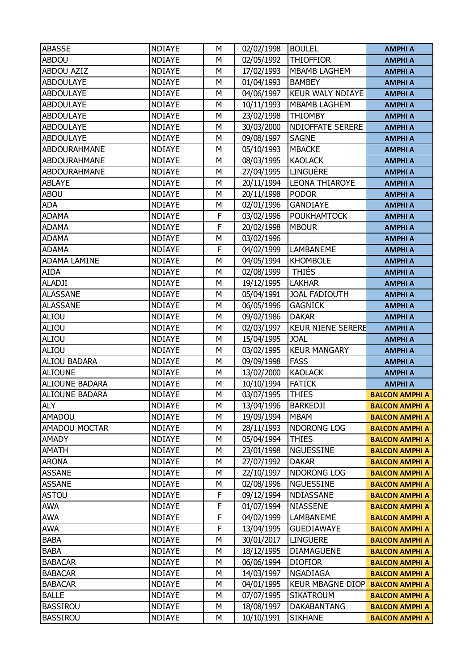| <b>ABASSE</b>         | <b>NDIAYE</b> | М | 02/02/1998               | <b>BOULEL</b>            | <b>AMPHI A</b>        |
|-----------------------|---------------|---|--------------------------|--------------------------|-----------------------|
| <b>ABDOU</b>          | <b>NDIAYE</b> | M | 02/05/1992               | <b>THIOFFIOR</b>         | <b>AMPHI A</b>        |
| <b>ABDOU AZIZ</b>     | <b>NDIAYE</b> | Μ | 17/02/1993               | <b>MBAMB LAGHEM</b>      | <b>AMPHI A</b>        |
| <b>ABDOULAYE</b>      | <b>NDIAYE</b> | М | 01/04/1993               | <b>BAMBEY</b>            | <b>AMPHI A</b>        |
| <b>ABDOULAYE</b>      | <b>NDIAYE</b> | M | 04/06/1997               | <b>KEUR WALY NDIAYE</b>  | <b>AMPHI A</b>        |
| <b>ABDOULAYE</b>      | <b>NDIAYE</b> | M | 10/11/1993               | <b>MBAMB LAGHEM</b>      | <b>AMPHI A</b>        |
| <b>ABDOULAYE</b>      | <b>NDIAYE</b> | M | 23/02/1998               | <b>THIOMBY</b>           | <b>AMPHI A</b>        |
| <b>ABDOULAYE</b>      | <b>NDIAYE</b> | M | 30/03/2000               | <b>NDIOFFATE SERERE</b>  | <b>AMPHI A</b>        |
| <b>ABDOULAYE</b>      | <b>NDIAYE</b> | M | 09/08/1997               | <b>SAGNE</b>             | <b>AMPHI A</b>        |
| ABDOURAHMANE          | <b>NDIAYE</b> | М | 05/10/1993               | <b>MBACKE</b>            | <b>AMPHI A</b>        |
| <b>ABDOURAHMANE</b>   | <b>NDIAYE</b> | M | 08/03/1995               | <b>KAOLACK</b>           | <b>AMPHI A</b>        |
| <b>ABDOURAHMANE</b>   | <b>NDIAYE</b> | M | 27/04/1995               | LINGUÈRE                 | <b>AMPHI A</b>        |
| <b>ABLAYE</b>         | <b>NDIAYE</b> | M | 20/11/1994               | <b>LEONA THIAROYE</b>    | <b>AMPHI A</b>        |
| <b>ABOU</b>           | <b>NDIAYE</b> | M | 20/11/1998               | <b>PODOR</b>             | <b>AMPHI A</b>        |
| <b>ADA</b>            | <b>NDIAYE</b> | М | 02/01/1996               | <b>GANDIAYE</b>          | <b>AMPHI A</b>        |
| <b>ADAMA</b>          | <b>NDIAYE</b> | F | 03/02/1996               | <b>POUKHAMTOCK</b>       | <b>AMPHI A</b>        |
| <b>ADAMA</b>          | <b>NDIAYE</b> | F | 20/02/1998               | <b>MBOUR</b>             | <b>AMPHI A</b>        |
| <b>ADAMA</b>          | <b>NDIAYE</b> | М | 03/02/1996               |                          | <b>AMPHI A</b>        |
| <b>ADAMA</b>          | <b>NDIAYE</b> | F | 04/02/1999               | <b>LAMBANEME</b>         | <b>AMPHI A</b>        |
| <b>ADAMA LAMINE</b>   | <b>NDIAYE</b> | M | 04/05/1994               | <b>KHOMBOLE</b>          | <b>AMPHI A</b>        |
| <b>AIDA</b>           | <b>NDIAYE</b> | M | 02/08/1999               | <b>THIÉS</b>             | <b>AMPHI A</b>        |
| <b>ALADJI</b>         | <b>NDIAYE</b> | M | 19/12/1995               | <b>LAKHAR</b>            | <b>AMPHI A</b>        |
| <b>ALASSANE</b>       | <b>NDIAYE</b> | M | 05/04/1991               | <b>JOAL FADIOUTH</b>     | <b>AMPHI A</b>        |
| <b>ALASSANE</b>       | <b>NDIAYE</b> | M | 06/05/1996               | <b>GAGNICK</b>           | <b>AMPHI A</b>        |
| ALIOU                 | <b>NDIAYE</b> | M | 09/02/1986               | <b>DAKAR</b>             | <b>AMPHI A</b>        |
| ALIOU                 | <b>NDIAYE</b> | M | 02/03/1997               | <b>KEUR NIENE SERERE</b> | <b>AMPHI A</b>        |
|                       |               |   |                          |                          |                       |
| ALIOU                 | <b>NDIAYE</b> | M | 15/04/1995               | <b>JOAL</b>              | <b>AMPHI A</b>        |
| <b>ALIOU</b>          | <b>NDIAYE</b> | M |                          | <b>KEUR MANGARY</b>      | <b>AMPHI A</b>        |
| <b>ALIOU BADARA</b>   | <b>NDIAYE</b> | M | 03/02/1995<br>09/09/1998 | <b>FASS</b>              | <b>AMPHI A</b>        |
| <b>ALIOUNE</b>        | <b>NDIAYE</b> | Μ | 13/02/2000               | <b>KAOLACK</b>           | <b>AMPHI A</b>        |
| ALIOUNE BADARA        | <b>NDIAYE</b> | М | 10/10/1994               | <b>FATICK</b>            | <b>AMPHI A</b>        |
| <b>ALIOUNE BADARA</b> | <b>NDIAYE</b> | M | 03/07/1995               | <b>THIES</b>             | <b>BALCON AMPHI A</b> |
| <b>ALY</b>            | <b>NDIAYE</b> | М | 13/04/1996               | <b>BARKEDJI</b>          | <b>BALCON AMPHI A</b> |
| <b>AMADOU</b>         | <b>NDIAYE</b> | М | 19/09/1994               | <b>MBAM</b>              | <b>BALCON AMPHI A</b> |
| <b>AMADOU MOCTAR</b>  | <b>NDIAYE</b> | M | 28/11/1993               | NDORONG LOG              | <b>BALCON AMPHI A</b> |
| AMADY                 | <b>NDIAYE</b> | М | 05/04/1994               | <b>THIES</b>             | <b>BALCON AMPHI A</b> |
| <b>AMATH</b>          | <b>NDIAYE</b> | М | 23/01/1998               | <b>NGUESSINE</b>         | <b>BALCON AMPHI A</b> |
| <b>ARONA</b>          | <b>NDIAYE</b> | M | 27/07/1992               | <b>DAKAR</b>             | <b>BALCON AMPHI A</b> |
| <b>ASSANE</b>         | <b>NDIAYE</b> | М | 22/10/1997               | <b>NDORONG LOG</b>       | <b>BALCON AMPHI A</b> |
| <b>ASSANE</b>         | <b>NDIAYE</b> | М | 02/08/1996               | NGUESSINE                | <b>BALCON AMPHI A</b> |
| <b>ASTOU</b>          | <b>NDIAYE</b> | F | 09/12/1994               | NDIASSANE                | <b>BALCON AMPHI A</b> |
| <b>AWA</b>            | <b>NDIAYE</b> | F | 01/07/1994               | <b>NIASSENE</b>          | <b>BALCON AMPHI A</b> |
| <b>AWA</b>            | <b>NDIAYE</b> | F | 04/02/1999               | LAMBANEME                | <b>BALCON AMPHI A</b> |
| <b>AWA</b>            | <b>NDIAYE</b> | F | 13/04/1995               | <b>GUEDIAWAYE</b>        | <b>BALCON AMPHI A</b> |
| <b>BABA</b>           | <b>NDIAYE</b> | М | 30/01/2017               | <b>LINGUERE</b>          | <b>BALCON AMPHI A</b> |
| <b>BABA</b>           | <b>NDIAYE</b> | М | 18/12/1995               | <b>DIAMAGUENE</b>        | <b>BALCON AMPHI A</b> |
| <b>BABACAR</b>        | <b>NDIAYE</b> | Μ | 06/06/1994               | <b>DIOFIOR</b>           | <b>BALCON AMPHI A</b> |
| <b>BABACAR</b>        | <b>NDIAYE</b> | М | 14/03/1997               | NGADIAGA                 | <b>BALCON AMPHI A</b> |
| <b>BABACAR</b>        | <b>NDIAYE</b> | М | 04/01/1995               | <b>KEUR MBAGNE DIOP</b>  | <b>BALCON AMPHI A</b> |
| <b>BALLE</b>          | <b>NDIAYE</b> | M | 07/07/1995               | <b>SIKATROUM</b>         | <b>BALCON AMPHI A</b> |
| <b>BASSIROU</b>       | <b>NDIAYE</b> | М | 18/08/1997               | <b>DAKABANTANG</b>       | <b>BALCON AMPHI A</b> |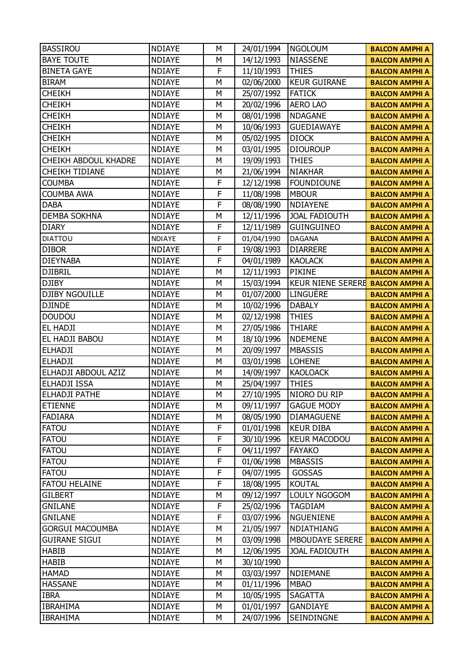| <b>BASSIROU</b>        | <b>NDIAYE</b>                  | М      | 24/01/1994 | <b>NGOLOUM</b>           | <b>BALCON AMPHI A</b> |
|------------------------|--------------------------------|--------|------------|--------------------------|-----------------------|
| <b>BAYE TOUTE</b>      | <b>NDIAYE</b>                  | M      | 14/12/1993 | <b>NIASSENE</b>          | <b>BALCON AMPHI A</b> |
| <b>BINETA GAYE</b>     | <b>NDIAYE</b>                  | F      | 11/10/1993 | <b>THIES</b>             | <b>BALCON AMPHI A</b> |
| <b>BIRAM</b>           | <b>NDIAYE</b>                  | М      | 02/06/2000 | <b>KEUR GUIRANE</b>      | <b>BALCON AMPHI A</b> |
| <b>CHEIKH</b>          | <b>NDIAYE</b>                  | M      | 25/07/1992 | <b>FATICK</b>            | <b>BALCON AMPHI A</b> |
| <b>CHEIKH</b>          | <b>NDIAYE</b>                  | M      | 20/02/1996 | <b>AERO LAO</b>          | <b>BALCON AMPHI A</b> |
| <b>CHEIKH</b>          | <b>NDIAYE</b>                  | М      | 08/01/1998 | <b>NDAGANE</b>           | <b>BALCON AMPHI A</b> |
| <b>CHEIKH</b>          | <b>NDIAYE</b>                  | Μ      | 10/06/1993 | <b>GUEDIAWAYE</b>        | <b>BALCON AMPHI A</b> |
| <b>CHEIKH</b>          | <b>NDIAYE</b>                  | М      | 05/02/1995 | <b>DIOCK</b>             | <b>BALCON AMPHI A</b> |
| <b>CHEIKH</b>          | <b>NDIAYE</b>                  | М      | 03/01/1995 | <b>DIOUROUP</b>          | <b>BALCON AMPHI A</b> |
| CHEIKH ABDOUL KHADRE   | <b>NDIAYE</b>                  | Μ      | 19/09/1993 | <b>THIES</b>             | <b>BALCON AMPHI A</b> |
| <b>CHEIKH TIDIANE</b>  | <b>NDIAYE</b>                  | Μ      | 21/06/1994 | <b>NIAKHAR</b>           | <b>BALCON AMPHI A</b> |
| <b>COUMBA</b>          | <b>NDIAYE</b>                  | F      | 12/12/1998 | <b>FOUNDIOUNE</b>        | <b>BALCON AMPHI A</b> |
| <b>COUMBA AWA</b>      | <b>NDIAYE</b>                  | F      | 11/08/1998 | <b>MBOUR</b>             | <b>BALCON AMPHI A</b> |
| <b>DABA</b>            | <b>NDIAYE</b>                  | F      | 08/08/1990 | NDIAYENE                 | <b>BALCON AMPHI A</b> |
| <b>DEMBA SOKHNA</b>    | <b>NDIAYE</b>                  | М      | 12/11/1996 | <b>JOAL FADIOUTH</b>     | <b>BALCON AMPHI A</b> |
| <b>DIARY</b>           | <b>NDIAYE</b>                  | F      | 12/11/1989 | <b>GUINGUINEO</b>        | <b>BALCON AMPHI A</b> |
| <b>DIATTOU</b>         | <b>NDIAYE</b>                  | F      | 01/04/1990 | <b>DAGANA</b>            | <b>BALCON AMPHI A</b> |
| <b>DIBOR</b>           | <b>NDIAYE</b>                  | F      | 19/08/1993 | <b>DIARRERE</b>          | <b>BALCON AMPHI A</b> |
| <b>DIEYNABA</b>        | <b>NDIAYE</b>                  | F      | 04/01/1989 | <b>KAOLACK</b>           | <b>BALCON AMPHI A</b> |
| <b>DJIBRIL</b>         | <b>NDIAYE</b>                  | M      | 12/11/1993 | <b>PIKINE</b>            | <b>BALCON AMPHI A</b> |
| <b>DJIBY</b>           | <b>NDIAYE</b>                  | М      | 15/03/1994 | <b>KEUR NIENE SERERE</b> | <b>BALCON AMPHI A</b> |
| <b>DJIBY NGOUILLE</b>  | <b>NDIAYE</b>                  | Μ      | 01/07/2000 | LINGUÈRE                 | <b>BALCON AMPHI A</b> |
| <b>DJINDE</b>          | <b>NDIAYE</b>                  | М      | 10/02/1996 | <b>DABALY</b>            | <b>BALCON AMPHI A</b> |
| <b>DOUDOU</b>          | <b>NDIAYE</b>                  | М      | 02/12/1998 | <b>THIES</b>             |                       |
| EL HADJI               | <b>NDIAYE</b>                  | Μ      | 27/05/1986 | <b>THIARE</b>            | <b>BALCON AMPHI A</b> |
| EL HADJI BABOU         | <b>NDIAYE</b>                  | М      | 18/10/1996 | <b>NDEMENE</b>           | <b>BALCON AMPHI A</b> |
|                        |                                |        |            | <b>MBASSIS</b>           | <b>BALCON AMPHI A</b> |
| <b>ELHADJI</b>         | <b>NDIAYE</b><br><b>NDIAYE</b> | М<br>Μ | 20/09/1997 |                          | <b>BALCON AMPHI A</b> |
| <b>ELHADJI</b>         |                                | М      | 03/01/1998 | <b>LOHENE</b>            | <b>BALCON AMPHI A</b> |
| ELHADJI ABDOUL AZIZ    | <b>NDIAYE</b>                  |        | 14/09/1997 | <b>KAOLOACK</b>          | <b>BALCON AMPHI A</b> |
| <b>ELHADJI ISSA</b>    | <b>NDIAYE</b>                  | М      | 25/04/1997 | <b>THIES</b>             | <b>BALCON AMPHI A</b> |
| <b>ELHADJI PATHE</b>   | <b>NDIAYE</b>                  | М      | 27/10/1995 | NIORO DU RIP             | <b>BALCON AMPHI A</b> |
| <b>ETIENNE</b>         | <b>NDIAYE</b>                  | М      | 09/11/1997 | <b>GAGUE MODY</b>        | <b>BALCON AMPHI A</b> |
| <b>FADIARA</b>         | <b>NDIAYE</b>                  | М      | 08/05/1990 | <b>DIAMAGUENE</b>        | <b>BALCON AMPHI A</b> |
| <b>FATOU</b>           | <b>NDIAYE</b>                  | F      | 01/01/1998 | <b>KEUR DIBA</b>         | <b>BALCON AMPHI A</b> |
| <b>FATOU</b>           | <b>NDIAYE</b>                  | F      | 30/10/1996 | <b>KEUR MACODOU</b>      | <b>BALCON AMPHI A</b> |
| <b>FATOU</b>           | <b>NDIAYE</b>                  | F      | 04/11/1997 | <b>FAYAKO</b>            | <b>BALCON AMPHI A</b> |
| <b>FATOU</b>           | <b>NDIAYE</b>                  | F      | 01/06/1998 | <b>MBASSIS</b>           | <b>BALCON AMPHI A</b> |
| <b>FATOU</b>           | <b>NDIAYE</b>                  | F      | 04/07/1995 | <b>GOSSAS</b>            | <b>BALCON AMPHI A</b> |
| FATOU HELAINE          | <b>NDIAYE</b>                  | F      | 18/08/1995 | <b>KOUTAL</b>            | <b>BALCON AMPHI A</b> |
| <b>GILBERT</b>         | <b>NDIAYE</b>                  | Μ      | 09/12/1997 | LOULY NGOGOM             | <b>BALCON AMPHI A</b> |
| <b>GNILANE</b>         | <b>NDIAYE</b>                  | F      | 25/02/1996 | <b>TAGDIAM</b>           | <b>BALCON AMPHI A</b> |
| <b>GNILANE</b>         | <b>NDIAYE</b>                  | F      | 03/07/1996 | <b>NGUENIENE</b>         | <b>BALCON AMPHI A</b> |
| <b>GORGUI MACOUMBA</b> | <b>NDIAYE</b>                  | М      | 21/05/1997 | NDIATHIANG               | <b>BALCON AMPHI A</b> |
| <b>GUIRANE SIGUI</b>   | <b>NDIAYE</b>                  | М      | 03/09/1998 | <b>MBOUDAYE SERERE</b>   | <b>BALCON AMPHI A</b> |
| <b>HABIB</b>           | <b>NDIAYE</b>                  | М      | 12/06/1995 | <b>JOAL FADIOUTH</b>     | <b>BALCON AMPHI A</b> |
| <b>HABIB</b>           | <b>NDIAYE</b>                  | М      | 30/10/1990 |                          | <b>BALCON AMPHI A</b> |
| <b>HAMAD</b>           | <b>NDIAYE</b>                  | м      | 03/03/1997 | <b>NDIEMANE</b>          | <b>BALCON AMPHI A</b> |
| <b>HASSANE</b>         | <b>NDIAYE</b>                  | М      | 01/11/1996 | <b>MBAO</b>              | <b>BALCON AMPHI A</b> |
| <b>IBRA</b>            | <b>NDIAYE</b>                  | М      | 10/05/1995 | <b>SAGATTA</b>           | <b>BALCON AMPHI A</b> |
| <b>IBRAHIMA</b>        | <b>NDIAYE</b>                  | М      | 01/01/1997 | <b>GANDIAYE</b>          | <b>BALCON AMPHI A</b> |
| <b>IBRAHIMA</b>        | <b>NDIAYE</b>                  | М      | 24/07/1996 | SEINDINGNE               | <b>BALCON AMPHI A</b> |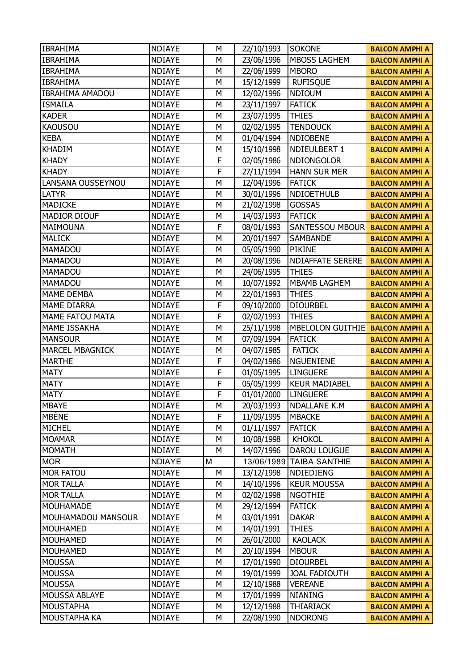| <b>IBRAHIMA</b>        | <b>NDIAYE</b> | М | 22/10/1993 | <b>SOKONE</b>           | <b>BALCON AMPHI A</b> |
|------------------------|---------------|---|------------|-------------------------|-----------------------|
| <b>IBRAHIMA</b>        | <b>NDIAYE</b> | Μ | 23/06/1996 | <b>MBOSS LAGHEM</b>     | <b>BALCON AMPHI A</b> |
| <b>IBRAHIMA</b>        | <b>NDIAYE</b> | M | 22/06/1999 | <b>MBORO</b>            | <b>BALCON AMPHI A</b> |
| <b>IBRAHIMA</b>        | <b>NDIAYE</b> | М | 15/12/1999 | <b>RUFISQUE</b>         | <b>BALCON AMPHI A</b> |
| <b>IBRAHIMA AMADOU</b> | <b>NDIAYE</b> | Μ | 12/02/1996 | <b>NDIOUM</b>           | <b>BALCON AMPHI A</b> |
| <b>ISMAILA</b>         | <b>NDIAYE</b> | M | 23/11/1997 | <b>FATICK</b>           | <b>BALCON AMPHI A</b> |
| <b>KADER</b>           | <b>NDIAYE</b> | М | 23/07/1995 | <b>THIES</b>            | <b>BALCON AMPHI A</b> |
| <b>KAOUSOU</b>         | <b>NDIAYE</b> | Μ | 02/02/1995 | <b>TENDOUCK</b>         | <b>BALCON AMPHI A</b> |
| <b>KEBA</b>            | <b>NDIAYE</b> | M | 01/04/1994 | NDIOBENE                | <b>BALCON AMPHI A</b> |
| <b>KHADIM</b>          | <b>NDIAYE</b> | М | 15/10/1998 | NDIEULBERT 1            | <b>BALCON AMPHI A</b> |
| <b>KHADY</b>           | <b>NDIAYE</b> | F | 02/05/1986 | NDIONGOLOR              | <b>BALCON AMPHI A</b> |
| <b>KHADY</b>           | <b>NDIAYE</b> | F | 27/11/1994 | <b>HANN SUR MER</b>     | <b>BALCON AMPHI A</b> |
| LANSANA OUSSEYNOU      | <b>NDIAYE</b> | М | 12/04/1996 | <b>FATICK</b>           | <b>BALCON AMPHI A</b> |
| LATYR                  | <b>NDIAYE</b> | М | 30/01/1996 | <b>NDIOETHULB</b>       | <b>BALCON AMPHI A</b> |
| <b>MADICKE</b>         | <b>NDIAYE</b> | M | 21/02/1998 | <b>GOSSAS</b>           | <b>BALCON AMPHI A</b> |
| <b>MADIOR DIOUF</b>    | <b>NDIAYE</b> | М | 14/03/1993 | <b>FATICK</b>           | <b>BALCON AMPHI A</b> |
| <b>MAIMOUNA</b>        | <b>NDIAYE</b> | F | 08/01/1993 | SANTESSOU MBOUR         | <b>BALCON AMPHI A</b> |
| <b>MALICK</b>          | <b>NDIAYE</b> | M | 20/01/1997 | <b>SAMBANDE</b>         | <b>BALCON AMPHI A</b> |
| <b>MAMADOU</b>         | <b>NDIAYE</b> | М | 05/05/1990 | <b>PIKINE</b>           | <b>BALCON AMPHI A</b> |
| <b>MAMADOU</b>         | <b>NDIAYE</b> | М | 20/08/1996 | <b>NDIAFFATE SERERE</b> | <b>BALCON AMPHI A</b> |
| <b>MAMADOU</b>         | <b>NDIAYE</b> | M | 24/06/1995 | <b>THIES</b>            | <b>BALCON AMPHI A</b> |
| <b>MAMADOU</b>         | <b>NDIAYE</b> | М | 10/07/1992 | <b>MBAMB LAGHEM</b>     | <b>BALCON AMPHI A</b> |
| <b>MAME DEMBA</b>      | <b>NDIAYE</b> | М | 22/01/1993 | <b>THIES</b>            | <b>BALCON AMPHI A</b> |
| <b>MAME DIARRA</b>     | <b>NDIAYE</b> | F | 09/10/2000 | <b>DIOURBEL</b>         | <b>BALCON AMPHI A</b> |
| <b>MAME FATOU MATA</b> | <b>NDIAYE</b> | F | 02/02/1993 | <b>THIES</b>            | <b>BALCON AMPHI A</b> |
| MAME ISSAKHA           | <b>NDIAYE</b> | М | 25/11/1998 | MBELOLON GUITHIE        | <b>BALCON AMPHI A</b> |
| <b>MANSOUR</b>         | <b>NDIAYE</b> | M | 07/09/1994 | <b>FATICK</b>           | <b>BALCON AMPHI A</b> |
| <b>MARCEL MBAGNICK</b> | <b>NDIAYE</b> | М | 04/07/1985 | <b>FATICK</b>           | <b>BALCON AMPHI A</b> |
| <b>MARTHE</b>          | <b>NDIAYE</b> | F | 04/02/1986 | <b>NGUENIENE</b>        | <b>BALCON AMPHI A</b> |
| <b>MATY</b>            | <b>NDIAYE</b> | F | 01/05/1995 | <b>LINGUERE</b>         | <b>BALCON AMPHI A</b> |
| <b>MATY</b>            | <b>NDIAYE</b> | F | 05/05/1999 | <b>KEUR MADIABEL</b>    | <b>BALCON AMPHI A</b> |
| <b>MATY</b>            | <b>NDIAYE</b> | F | 01/01/2000 | <b>LINGUERE</b>         | <b>BALCON AMPHI A</b> |
| <b>MBAYE</b>           | <b>NDIAYE</b> | М | 20/03/1993 | <b>NDALLANE K.M</b>     | <b>BALCON AMPHI A</b> |
| <b>MBÉNE</b>           | <b>NDIAYE</b> | F | 11/09/1995 | <b>MBACKE</b>           | <b>BALCON AMPHI A</b> |
| <b>MICHEL</b>          | <b>NDIAYE</b> | М | 01/11/1997 | <b>FATICK</b>           | <b>BALCON AMPHI A</b> |
| <b>MOAMAR</b>          | <b>NDIAYE</b> | М | 10/08/1998 | <b>KHOKOL</b>           | <b>BALCON AMPHI A</b> |
| <b>MOMATH</b>          | <b>NDIAYE</b> | М | 14/07/1996 | <b>DAROU LOUGUE</b>     | <b>BALCON AMPHI A</b> |
| <b>MOR</b>             | <b>NDIAYE</b> | M | 13/06/1989 | <b>TAIBA SANTHIE</b>    | <b>BALCON AMPHI A</b> |
| <b>MOR FATOU</b>       | <b>NDIAYE</b> | М | 13/12/1998 | <b>NDIEDIENG</b>        | <b>BALCON AMPHI A</b> |
| <b>MOR TALLA</b>       | <b>NDIAYE</b> | М | 14/10/1996 | <b>KEUR MOUSSA</b>      | <b>BALCON AMPHI A</b> |
| <b>MOR TALLA</b>       | <b>NDIAYE</b> | М | 02/02/1998 | <b>NGOTHIE</b>          | <b>BALCON AMPHI A</b> |
| MOUHAMADE              | <b>NDIAYE</b> | М | 29/12/1994 | <b>FATICK</b>           | <b>BALCON AMPHI A</b> |
| MOUHAMADOU MANSOUR     | <b>NDIAYE</b> | М | 03/01/1991 | <b>DAKAR</b>            | <b>BALCON AMPHI A</b> |
| <b>MOUHAMED</b>        | <b>NDIAYE</b> | М | 14/01/1991 | <b>THIES</b>            | <b>BALCON AMPHI A</b> |
| <b>MOUHAMED</b>        | <b>NDIAYE</b> | М | 26/01/2000 | <b>KAOLACK</b>          | <b>BALCON AMPHI A</b> |
| <b>MOUHAMED</b>        | <b>NDIAYE</b> | М | 20/10/1994 | <b>MBOUR</b>            | <b>BALCON AMPHI A</b> |
| <b>MOUSSA</b>          | <b>NDIAYE</b> | М | 17/01/1990 | <b>DIOURBEL</b>         | <b>BALCON AMPHI A</b> |
| <b>MOUSSA</b>          | <b>NDIAYE</b> | М | 19/01/1999 | <b>JOAL FADIOUTH</b>    | <b>BALCON AMPHI A</b> |
| <b>MOUSSA</b>          | <b>NDIAYE</b> | М | 12/10/1988 | <b>VEREANE</b>          | <b>BALCON AMPHI A</b> |
| MOUSSA ABLAYE          | <b>NDIAYE</b> | М | 17/01/1999 | NIANING                 | <b>BALCON AMPHI A</b> |
| <b>MOUSTAPHA</b>       | <b>NDIAYE</b> | М | 12/12/1988 | <b>THIARIACK</b>        | <b>BALCON AMPHI A</b> |
| MOUSTAPHA KA           | <b>NDIAYE</b> | М | 22/08/1990 | <b>NDORONG</b>          | <b>BALCON AMPHI A</b> |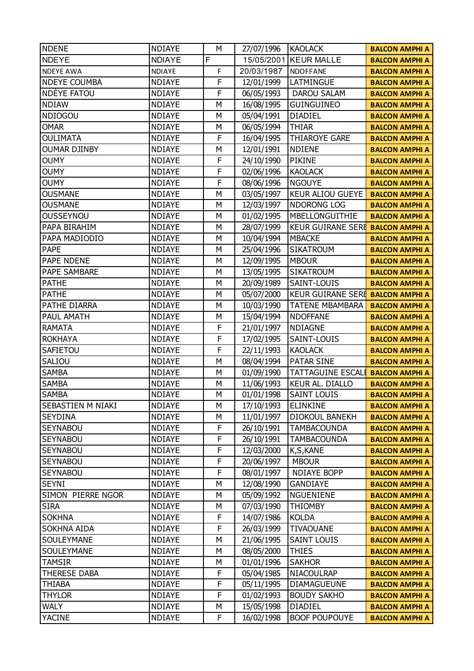| <b>NDENE</b>        | <b>NDIAYE</b> | M | 27/07/1996 | <b>KAOLACK</b>           | <b>BALCON AMPHI A</b> |
|---------------------|---------------|---|------------|--------------------------|-----------------------|
| <b>NDEYE</b>        | <b>NDIAYE</b> | F | 15/05/2001 | <b>KEUR MALLE</b>        | <b>BALCON AMPHI A</b> |
| <b>NDEYE AWA</b>    | <b>NDIAYE</b> | F | 20/03/1987 | <b>NDOFFANE</b>          | <b>BALCON AMPHI A</b> |
| <b>NDEYE COUMBA</b> | <b>NDIAYE</b> | F | 12/01/1999 | LATMINGUE                | <b>BALCON AMPHI A</b> |
| NDEYE FATOU         | <b>NDIAYE</b> | F | 06/05/1993 | <b>DAROU SALAM</b>       | <b>BALCON AMPHI A</b> |
| <b>NDIAW</b>        | <b>NDIAYE</b> | M | 16/08/1995 | <b>GUINGUINEO</b>        | <b>BALCON AMPHI A</b> |
| <b>NDIOGOU</b>      | <b>NDIAYE</b> | M | 05/04/1991 | <b>DIADIEL</b>           | <b>BALCON AMPHI A</b> |
| <b>OMAR</b>         | <b>NDIAYE</b> | M | 06/05/1994 | <b>THIAR</b>             | <b>BALCON AMPHI A</b> |
| <b>OULIMATA</b>     | <b>NDIAYE</b> | F | 16/04/1995 | <b>THIAROYE GARE</b>     | <b>BALCON AMPHI A</b> |
| <b>OUMAR DJINBY</b> | <b>NDIAYE</b> | M | 12/01/1991 | <b>NDIENE</b>            | <b>BALCON AMPHI A</b> |
| <b>OUMY</b>         | <b>NDIAYE</b> | F | 24/10/1990 | <b>PIKINE</b>            | <b>BALCON AMPHI A</b> |
| <b>OUMY</b>         | <b>NDIAYE</b> | F | 02/06/1996 | <b>KAOLACK</b>           | <b>BALCON AMPHI A</b> |
| <b>OUMY</b>         | <b>NDIAYE</b> | F | 08/06/1996 | <b>NGOUYE</b>            | <b>BALCON AMPHI A</b> |
| <b>OUSMANE</b>      | <b>NDIAYE</b> | M | 03/05/1997 | <b>KEUR ALIOU GUEYE</b>  | <b>BALCON AMPHI A</b> |
| <b>OUSMANE</b>      | <b>NDIAYE</b> | M | 12/03/1997 | NDORONG LOG              | <b>BALCON AMPHI A</b> |
| <b>OUSSEYNOU</b>    | <b>NDIAYE</b> | М | 01/02/1995 | MBELLONGUITHIE           | <b>BALCON AMPHI A</b> |
| PAPA BIRAHIM        | <b>NDIAYE</b> | M | 28/07/1999 | <b>KEUR GUIRANE SERE</b> | <b>BALCON AMPHI A</b> |
| PAPA MADIODIO       | <b>NDIAYE</b> | M | 10/04/1994 | <b>MBACKE</b>            | <b>BALCON AMPHI A</b> |
| PAPE                | <b>NDIAYE</b> | M | 25/04/1996 | <b>SIKATROUM</b>         | <b>BALCON AMPHI A</b> |
| PAPE NDENE          | <b>NDIAYE</b> | M | 12/09/1995 | <b>MBOUR</b>             | <b>BALCON AMPHI A</b> |
| PAPE SAMBARE        | <b>NDIAYE</b> | M | 13/05/1995 | <b>SIKATROUM</b>         | <b>BALCON AMPHI A</b> |
| <b>PATHE</b>        | <b>NDIAYE</b> | М | 20/09/1989 | SAINT-LOUIS              | <b>BALCON AMPHI A</b> |
| <b>PATHE</b>        | <b>NDIAYE</b> | M | 05/07/2000 | <b>KEUR GUIRANE SERE</b> | <b>BALCON AMPHI A</b> |
| PATHE DIARRA        | <b>NDIAYE</b> | M | 10/03/1990 | <b>TATENE MBAMBARA</b>   | <b>BALCON AMPHI A</b> |
| PAUL AMATH          | <b>NDIAYE</b> | M | 15/04/1994 | <b>NDOFFANE</b>          | <b>BALCON AMPHI A</b> |
| <b>RAMATA</b>       | <b>NDIAYE</b> | F | 21/01/1997 | <b>NDIAGNE</b>           | <b>BALCON AMPHI A</b> |
| <b>ROKHAYA</b>      | <b>NDIAYE</b> | F | 17/02/1995 | SAINT-LOUIS              | <b>BALCON AMPHI A</b> |
| SAFIETOU            | <b>NDIAYE</b> | F | 22/11/1993 | <b>KAOLACK</b>           | <b>BALCON AMPHI A</b> |
| SALIOU              | <b>NDIAYE</b> | M | 08/04/1994 | <b>PATAR SINE</b>        | <b>BALCON AMPHI A</b> |
| <b>SAMBA</b>        | <b>NDIAYE</b> | Μ | 01/09/1990 | <b>TATTAGUINE ESCALI</b> | <b>BALCON AMPHI A</b> |
| <b>SAMBA</b>        | <b>NDIAYE</b> | M | 11/06/1993 | KEUR AL. DIALLO          | <b>BALCON AMPHI A</b> |
| <b>SAMBA</b>        | <b>NDIAYE</b> | M | 01/01/1998 | <b>SAINT LOUIS</b>       | <b>BALCON AMPHI A</b> |
| SEBASTIEN M NIAKI   | <b>NDIAYE</b> | М | 17/10/1993 | <b>ELINKINE</b>          | <b>BALCON AMPHI A</b> |
| <b>SEYDINA</b>      | <b>NDIAYE</b> | М | 11/01/1997 | DIOKOUL BANEKH           | <b>BALCON AMPHI A</b> |
| <b>SEYNABOU</b>     | <b>NDIAYE</b> | F | 26/10/1991 | <b>TAMBACOUNDA</b>       | <b>BALCON AMPHI A</b> |
| <b>SEYNABOU</b>     | <b>NDIAYE</b> | F | 26/10/1991 | <b>TAMBACOUNDA</b>       | <b>BALCON AMPHI A</b> |
| <b>SEYNABOU</b>     | <b>NDIAYE</b> | F | 12/03/2000 | K,S,KANE                 | <b>BALCON AMPHI A</b> |
| <b>SEYNABOU</b>     | <b>NDIAYE</b> | F | 20/06/1997 | <b>MBOUR</b>             | <b>BALCON AMPHI A</b> |
| <b>SEYNABOU</b>     | <b>NDIAYE</b> | F | 08/01/1997 | <b>NDIAYE BOPP</b>       | <b>BALCON AMPHI A</b> |
| <b>SEYNI</b>        | <b>NDIAYE</b> | М | 12/08/1990 | <b>GANDIAYE</b>          | <b>BALCON AMPHI A</b> |
| SIMON PIERRE NGOR   | <b>NDIAYE</b> | Μ | 05/09/1992 | <b>NGUENIENE</b>         | <b>BALCON AMPHI A</b> |
| <b>SIRA</b>         | <b>NDIAYE</b> | М | 07/03/1990 | <b>THIOMBY</b>           | <b>BALCON AMPHI A</b> |
| <b>SOKHNA</b>       | <b>NDIAYE</b> | F | 14/07/1986 | <b>KOLDA</b>             | <b>BALCON AMPHI A</b> |
| SOKHNA AIDA         | <b>NDIAYE</b> | F | 26/03/1999 | <b>TIVAOUANE</b>         | <b>BALCON AMPHI A</b> |
| SOULEYMANE          | <b>NDIAYE</b> | М | 21/06/1995 | <b>SAINT LOUIS</b>       | <b>BALCON AMPHI A</b> |
| SOULEYMANE          | <b>NDIAYE</b> | М | 08/05/2000 | <b>THIES</b>             | <b>BALCON AMPHI A</b> |
| <b>TAMSIR</b>       | <b>NDIAYE</b> | М | 01/01/1996 | <b>SAKHOR</b>            | <b>BALCON AMPHI A</b> |
| <b>THERESE DABA</b> | <b>NDIAYE</b> | F | 05/04/1985 | NIACOULRAP               | <b>BALCON AMPHI A</b> |
| <b>THIABA</b>       | <b>NDIAYE</b> | F | 05/11/1995 | <b>DIAMAGUEUNE</b>       | <b>BALCON AMPHI A</b> |
| <b>THYLOR</b>       | <b>NDIAYE</b> | F | 01/02/1993 | <b>BOUDY SAKHO</b>       | <b>BALCON AMPHI A</b> |
| <b>WALY</b>         | <b>NDIAYE</b> | М | 15/05/1998 | <b>DIADIEL</b>           | <b>BALCON AMPHI A</b> |
| <b>YACINE</b>       | <b>NDIAYE</b> | F | 16/02/1998 | <b>BOOF POUPOUYE</b>     | <b>BALCON AMPHI A</b> |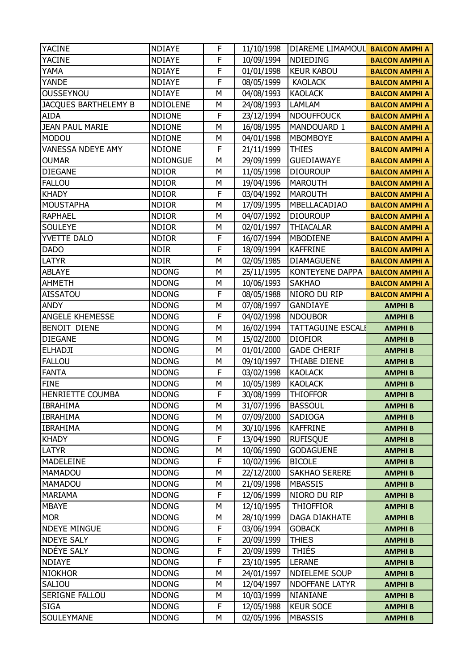| <b>YACINE</b>            | <b>NDIAYE</b>   | F | 11/10/1998 | DIAREME LIMAMOUL         | <b>BALCON AMPHI A</b> |
|--------------------------|-----------------|---|------------|--------------------------|-----------------------|
| <b>YACINE</b>            | <b>NDIAYE</b>   | F | 10/09/1994 | NDIEDING                 | <b>BALCON AMPHI A</b> |
| YAMA                     | <b>NDIAYE</b>   | F | 01/01/1998 | <b>KEUR KABOU</b>        | <b>BALCON AMPHI A</b> |
| <b>YANDE</b>             | <b>NDIAYE</b>   | F | 08/05/1999 | <b>KAOLACK</b>           | <b>BALCON AMPHI A</b> |
| <b>OUSSEYNOU</b>         | <b>NDIAYE</b>   | M | 04/08/1993 | <b>KAOLACK</b>           | <b>BALCON AMPHI A</b> |
| JACQUES BARTHELEMY B     | <b>NDIOLENE</b> | М | 24/08/1993 | <b>LAMLAM</b>            | <b>BALCON AMPHI A</b> |
| <b>AIDA</b>              | <b>NDIONE</b>   | F | 23/12/1994 | <b>NDOUFFOUCK</b>        | <b>BALCON AMPHI A</b> |
| <b>JEAN PAUL MARIE</b>   | <b>NDIONE</b>   | M | 16/08/1995 | MANDOUARD 1              | <b>BALCON AMPHI A</b> |
| <b>MODOU</b>             | <b>NDIONE</b>   | М | 04/01/1998 | <b>MBOMBOYE</b>          | <b>BALCON AMPHI A</b> |
| <b>VANESSA NDEYE AMY</b> | <b>NDIONE</b>   | F | 21/11/1999 | <b>THIES</b>             | <b>BALCON AMPHI A</b> |
| <b>OUMAR</b>             | <b>NDIONGUE</b> | M | 29/09/1999 | <b>GUEDIAWAYE</b>        | <b>BALCON AMPHI A</b> |
| <b>DIEGANE</b>           | <b>NDIOR</b>    | M | 11/05/1998 | <b>DIOUROUP</b>          | <b>BALCON AMPHI A</b> |
| <b>FALLOU</b>            | <b>NDIOR</b>    | М | 19/04/1996 | <b>MAROUTH</b>           | <b>BALCON AMPHI A</b> |
| <b>KHADY</b>             | <b>NDIOR</b>    | F | 03/04/1992 | <b>MAROUTH</b>           | <b>BALCON AMPHI A</b> |
| <b>MOUSTAPHA</b>         | <b>NDIOR</b>    | M | 17/09/1995 | MBELLACADIAO             | <b>BALCON AMPHI A</b> |
| <b>RAPHAEL</b>           | <b>NDIOR</b>    | М | 04/07/1992 | <b>DIOUROUP</b>          | <b>BALCON AMPHI A</b> |
| <b>SOULEYE</b>           | <b>NDIOR</b>    | M | 02/01/1997 | <b>THIACALAR</b>         | <b>BALCON AMPHI A</b> |
| YVETTE DALO              | <b>NDIOR</b>    | F | 16/07/1994 | <b>MBODIENE</b>          | <b>BALCON AMPHI A</b> |
| <b>DADO</b>              | <b>NDIR</b>     | F | 18/09/1994 | <b>KAFFRINE</b>          | <b>BALCON AMPHI A</b> |
| <b>LATYR</b>             | <b>NDIR</b>     | M | 02/05/1985 | <b>DIAMAGUENE</b>        | <b>BALCON AMPHI A</b> |
| <b>ABLAYE</b>            | <b>NDONG</b>    | M | 25/11/1995 | <b>KONTEYENE DAPPA</b>   | <b>BALCON AMPHI A</b> |
| <b>AHMETH</b>            | <b>NDONG</b>    | М | 10/06/1993 | <b>SAKHAO</b>            | <b>BALCON AMPHI A</b> |
| <b>AISSATOU</b>          | <b>NDONG</b>    | F | 08/05/1988 | NIORO DU RIP             | <b>BALCON AMPHI A</b> |
| <b>ANDY</b>              | <b>NDONG</b>    | M | 07/08/1997 | <b>GANDIAYE</b>          | <b>AMPHIB</b>         |
| ANGELE KHEMESSE          | <b>NDONG</b>    | F | 04/02/1998 | <b>NDOUBOR</b>           | <b>AMPHIB</b>         |
| BENOIT DIENE             | <b>NDONG</b>    | M | 16/02/1994 | <b>TATTAGUINE ESCALI</b> | <b>AMPHIB</b>         |
| <b>DIEGANE</b>           | <b>NDONG</b>    | M | 15/02/2000 | <b>DIOFIOR</b>           | <b>AMPHIB</b>         |
| <b>ELHADJI</b>           | <b>NDONG</b>    | М | 01/01/2000 | <b>GADE CHERIF</b>       | <b>AMPHIB</b>         |
| <b>FALLOU</b>            | <b>NDONG</b>    | M | 09/10/1997 | THIABE DIENE             | <b>AMPHIB</b>         |
| <b>FANTA</b>             | <b>NDONG</b>    | F | 03/02/1998 | <b>KAOLACK</b>           | <b>AMPHIB</b>         |
| <b>FINE</b>              | <b>NDONG</b>    | М | 10/05/1989 | <b>KAOLACK</b>           | <b>AMPHIB</b>         |
| HENRIETTE COUMBA         | <b>NDONG</b>    | F | 30/08/1999 | <b>THIOFFOR</b>          | <b>AMPHIB</b>         |
| <b>IBRAHIMA</b>          | <b>NDONG</b>    | М | 31/07/1996 | <b>BASSOUL</b>           | <b>AMPHIB</b>         |
| <b>IBRAHIMA</b>          | <b>NDONG</b>    | М | 07/09/2000 | <b>SADIOGA</b>           | <b>AMPHIB</b>         |
| <b>IBRAHIMA</b>          | <b>NDONG</b>    | Μ | 30/10/1996 | <b>KAFFRINE</b>          | <b>AMPHIB</b>         |
| <b>KHADY</b>             | <b>NDONG</b>    | F | 13/04/1990 | <b>RUFISQUE</b>          | <b>AMPHIB</b>         |
| <b>LATYR</b>             | <b>NDONG</b>    | М | 10/06/1990 | <b>GODAGUENE</b>         | <b>AMPHIB</b>         |
| MADELEINE                | <b>NDONG</b>    | F | 10/02/1996 | <b>BICOLE</b>            | <b>AMPHIB</b>         |
| MAMADOU                  | <b>NDONG</b>    | М | 22/12/2000 | <b>SAKHAO SERERE</b>     | <b>AMPHIB</b>         |
| MAMADOU                  | <b>NDONG</b>    | М | 21/09/1998 | <b>MBASSIS</b>           | <b>AMPHIB</b>         |
| MARIAMA                  | <b>NDONG</b>    | F | 12/06/1999 | NIORO DU RIP             | <b>AMPHIB</b>         |
| <b>MBAYE</b>             | <b>NDONG</b>    | М | 12/10/1995 | <b>THIOFFIOR</b>         | <b>AMPHIB</b>         |
| <b>MOR</b>               | <b>NDONG</b>    | М | 28/10/1999 | <b>DAGA DIAKHATE</b>     | <b>AMPHIB</b>         |
| <b>NDEYE MINGUE</b>      | <b>NDONG</b>    | F | 03/06/1994 | <b>GOBACK</b>            | <b>AMPHIB</b>         |
| <b>NDEYE SALY</b>        | <b>NDONG</b>    | F | 20/09/1999 | <b>THIES</b>             | <b>AMPHIB</b>         |
| NDÉYE SALY               | <b>NDONG</b>    | F | 20/09/1999 | <b>THIÉS</b>             | <b>AMPHIB</b>         |
| <b>NDIAYE</b>            | <b>NDONG</b>    | F | 23/10/1995 | <b>LERANE</b>            | <b>AMPHIB</b>         |
| <b>NIOKHOR</b>           | <b>NDONG</b>    | М | 24/01/1997 | NDIELEME SOUP            | <b>AMPHIB</b>         |
| SALIOU                   | <b>NDONG</b>    | М | 12/04/1997 | <b>NDOFFANE LATYR</b>    | <b>AMPHIB</b>         |
| SERIGNE FALLOU           | <b>NDONG</b>    | М | 10/03/1999 | NIANIANE                 | <b>AMPHIB</b>         |
| <b>SIGA</b>              | <b>NDONG</b>    | F | 12/05/1988 | <b>KEUR SOCE</b>         | <b>AMPHIB</b>         |
| SOULEYMANE               | <b>NDONG</b>    | М | 02/05/1996 | <b>MBASSIS</b>           | <b>AMPHIB</b>         |
|                          |                 |   |            |                          |                       |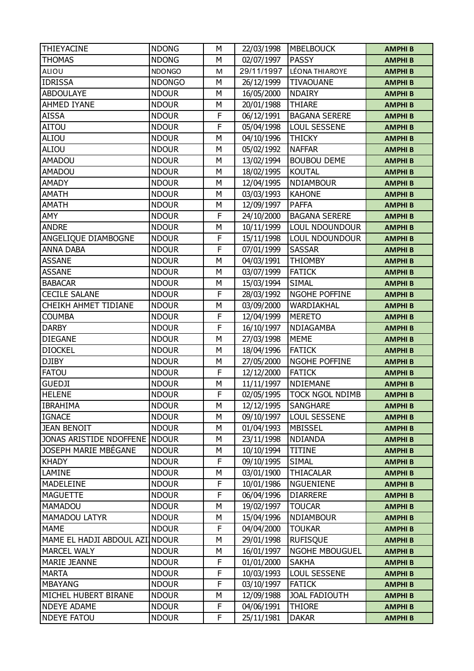| THIEYACINE               | <b>NDONG</b>  | М | 22/03/1998 | <b>MBELBOUCK</b>       | <b>AMPHIB</b> |
|--------------------------|---------------|---|------------|------------------------|---------------|
| <b>THOMAS</b>            | <b>NDONG</b>  | M | 02/07/1997 | <b>PASSY</b>           | <b>AMPHIB</b> |
| ALIOU                    | <b>NDONGO</b> | M | 29/11/1997 | LÉONA THIAROYE         | <b>AMPHIB</b> |
| <b>IDRISSA</b>           | <b>NDONGO</b> | M | 26/12/1999 | <b>TIVAOUANE</b>       | <b>AMPHIB</b> |
| <b>ABDOULAYE</b>         | <b>NDOUR</b>  | M | 16/05/2000 | <b>NDAIRY</b>          | <b>AMPHIB</b> |
| AHMED IYANE              | <b>NDOUR</b>  | M | 20/01/1988 | <b>THIARE</b>          | <b>AMPHIB</b> |
| <b>AISSA</b>             | <b>NDOUR</b>  | F | 06/12/1991 | <b>BAGANA SERERE</b>   | <b>AMPHIB</b> |
| <b>AITOU</b>             | <b>NDOUR</b>  | F | 05/04/1998 | <b>LOUL SESSENE</b>    | <b>AMPHIB</b> |
| ALIOU                    | <b>NDOUR</b>  | M | 04/10/1996 | <b>THICKY</b>          | <b>AMPHIB</b> |
| ALIOU                    | <b>NDOUR</b>  | M | 05/02/1992 | <b>NAFFAR</b>          | <b>AMPHIB</b> |
| <b>AMADOU</b>            | <b>NDOUR</b>  | M | 13/02/1994 | <b>BOUBOU DEME</b>     | <b>AMPHIB</b> |
| <b>AMADOU</b>            | <b>NDOUR</b>  | M | 18/02/1995 | <b>KOUTAL</b>          | <b>AMPHIB</b> |
| <b>AMADY</b>             | <b>NDOUR</b>  | M | 12/04/1995 | <b>NDIAMBOUR</b>       | <b>AMPHIB</b> |
| <b>AMATH</b>             | <b>NDOUR</b>  | M | 03/03/1993 | <b>KAHONE</b>          | <b>AMPHIB</b> |
| <b>AMATH</b>             | <b>NDOUR</b>  | M | 12/09/1997 | <b>PAFFA</b>           | <b>AMPHIB</b> |
| AMY                      | <b>NDOUR</b>  | F | 24/10/2000 | <b>BAGANA SERERE</b>   | <b>AMPHIB</b> |
| <b>ANDRE</b>             | <b>NDOUR</b>  | M | 10/11/1999 | <b>LOUL NDOUNDOUR</b>  | <b>AMPHIB</b> |
| ANGELIQUE DIAMBOGNE      | <b>NDOUR</b>  | F | 15/11/1998 | <b>LOUL NDOUNDOUR</b>  | <b>AMPHIB</b> |
| <b>ANNA DABA</b>         | <b>NDOUR</b>  | F | 07/01/1999 | <b>SASSAR</b>          | <b>AMPHIB</b> |
| <b>ASSANE</b>            | <b>NDOUR</b>  | M | 04/03/1991 | <b>THIOMBY</b>         | <b>AMPHIB</b> |
| <b>ASSANE</b>            | <b>NDOUR</b>  | M | 03/07/1999 | <b>FATICK</b>          | <b>AMPHIB</b> |
| <b>BABACAR</b>           | <b>NDOUR</b>  | Μ | 15/03/1994 | <b>SIMAL</b>           | <b>AMPHIB</b> |
| <b>CECILE SALANE</b>     | <b>NDOUR</b>  | F | 28/03/1992 | NGOHE POFFINE          | <b>AMPHIB</b> |
| CHEIKH AHMET TIDIANE     | <b>NDOUR</b>  | M | 03/09/2000 | WARDIAKHAL             | <b>AMPHIB</b> |
| <b>COUMBA</b>            | <b>NDOUR</b>  | F | 12/04/1999 | <b>MERETO</b>          | <b>AMPHIB</b> |
| <b>DARBY</b>             | <b>NDOUR</b>  | F | 16/10/1997 | NDIAGAMBA              | <b>AMPHIB</b> |
| <b>DIEGANE</b>           | <b>NDOUR</b>  | M | 27/03/1998 | <b>MEME</b>            | <b>AMPHIB</b> |
| <b>DIOCKEL</b>           | <b>NDOUR</b>  | Μ | 18/04/1996 | <b>FATICK</b>          | <b>AMPHIB</b> |
| <b>DJIBY</b>             | <b>NDOUR</b>  | M | 27/05/2000 | <b>NGOHE POFFINE</b>   | <b>AMPHIB</b> |
| <b>FATOU</b>             | <b>NDOUR</b>  | F | 12/12/2000 | <b>FATICK</b>          | <b>AMPHIB</b> |
| <b>GUEDJI</b>            | <b>NDOUR</b>  | М | 11/11/1997 | <b>NDIEMANE</b>        | <b>AMPHIB</b> |
| <b>HELENE</b>            | <b>NDOUR</b>  | F | 02/05/1995 | <b>TOCK NGOL NDIMB</b> | <b>AMPHIB</b> |
| <b>IBRAHIMA</b>          | <b>NDOUR</b>  | М | 12/12/1995 | <b>SANGHARE</b>        | <b>AMPHIB</b> |
| <b>IGNACE</b>            | <b>NDOUR</b>  | М | 09/10/1997 | LOUL SESSENE           | <b>AMPHIB</b> |
| <b>JEAN BENOIT</b>       | <b>NDOUR</b>  | М | 01/04/1993 | <b>MBISSEL</b>         | <b>AMPHIB</b> |
| JONAS ARISTIDE NDOFFENE  | <b>NDOUR</b>  | М | 23/11/1998 | <b>NDIANDA</b>         | <b>AMPHIB</b> |
| JOSEPH MARIE MBÉGANE     | <b>NDOUR</b>  | М | 10/10/1994 | <b>TITINE</b>          | <b>AMPHIB</b> |
| <b>KHADY</b>             | <b>NDOUR</b>  | F | 09/10/1995 | <b>SIMAL</b>           | <b>AMPHIB</b> |
| LAMINE                   | <b>NDOUR</b>  | М | 03/01/1900 | <b>THIACALAR</b>       | <b>AMPHIB</b> |
| MADELEINE                | <b>NDOUR</b>  | F | 10/01/1986 | <b>NGUENIENE</b>       | <b>AMPHIB</b> |
| <b>MAGUETTE</b>          | <b>NDOUR</b>  | F | 06/04/1996 | <b>DIARRERE</b>        | <b>AMPHIB</b> |
| <b>MAMADOU</b>           | <b>NDOUR</b>  | М | 19/02/1997 | <b>TOUCAR</b>          | <b>AMPHIB</b> |
| <b>MAMADOU LATYR</b>     | <b>NDOUR</b>  | М | 15/04/1996 | <b>NDIAMBOUR</b>       | <b>AMPHIB</b> |
| <b>MAME</b>              | <b>NDOUR</b>  | F | 04/04/2000 | <b>TOUKAR</b>          | <b>AMPHIB</b> |
| MAME EL HADJI ABDOUL AZI | <b>NDOUR</b>  | М | 29/01/1998 | <b>RUFISQUE</b>        | <b>AMPHIB</b> |
| <b>MARCEL WALY</b>       | <b>NDOUR</b>  | М | 16/01/1997 | NGOHE MBOUGUEL         | <b>AMPHIB</b> |
| <b>MARIE JEANNE</b>      | <b>NDOUR</b>  | F | 01/01/2000 | <b>SAKHA</b>           | <b>AMPHIB</b> |
| <b>MARTA</b>             | <b>NDOUR</b>  | F | 10/03/1993 | <b>LOUL SESSENE</b>    | <b>AMPHIB</b> |
| <b>MBAYANG</b>           | <b>NDOUR</b>  | F | 03/10/1997 | <b>FATICK</b>          | <b>AMPHIB</b> |
| MICHEL HUBERT BIRANE     | <b>NDOUR</b>  | М | 12/09/1988 | <b>JOAL FADIOUTH</b>   | <b>AMPHIB</b> |
| <b>NDEYE ADAME</b>       | <b>NDOUR</b>  | F | 04/06/1991 | <b>THIORE</b>          | <b>AMPHIB</b> |
| <b>NDEYE FATOU</b>       | <b>NDOUR</b>  | F | 25/11/1981 | <b>DAKAR</b>           | <b>AMPHIB</b> |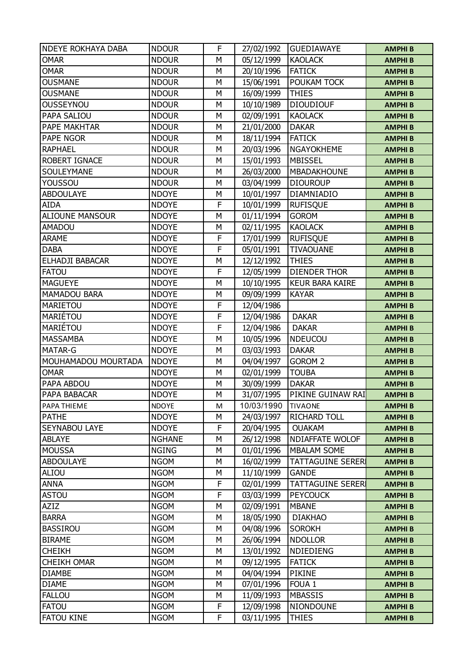| <b>NDEYE ROKHAYA DABA</b> | <b>NDOUR</b>  | F | 27/02/1992 | <b>GUEDIAWAYE</b>        | <b>AMPHIB</b> |
|---------------------------|---------------|---|------------|--------------------------|---------------|
| <b>OMAR</b>               | <b>NDOUR</b>  | M | 05/12/1999 | <b>KAOLACK</b>           | <b>AMPHIB</b> |
| <b>OMAR</b>               | <b>NDOUR</b>  | M | 20/10/1996 | <b>FATICK</b>            | <b>AMPHIB</b> |
| <b>OUSMANE</b>            | <b>NDOUR</b>  | М | 15/06/1991 | POUKAM TOCK              | <b>AMPHIB</b> |
| <b>OUSMANE</b>            | <b>NDOUR</b>  | M | 16/09/1999 | <b>THIES</b>             | <b>AMPHIB</b> |
| <b>OUSSEYNOU</b>          | <b>NDOUR</b>  | М | 10/10/1989 | <b>DIOUDIOUF</b>         | <b>AMPHIB</b> |
| PAPA SALIOU               | <b>NDOUR</b>  | М | 02/09/1991 | <b>KAOLACK</b>           | <b>AMPHIB</b> |
| PAPE MAKHTAR              | <b>NDOUR</b>  | M | 21/01/2000 | <b>DAKAR</b>             | <b>AMPHIB</b> |
| <b>PAPE NGOR</b>          | <b>NDOUR</b>  | M | 18/11/1994 | <b>FATICK</b>            | <b>AMPHIB</b> |
| <b>RAPHAEL</b>            | <b>NDOUR</b>  | М | 20/03/1996 | <b>NGAYOKHEME</b>        | <b>AMPHIB</b> |
| <b>ROBERT IGNACE</b>      | <b>NDOUR</b>  | M | 15/01/1993 | <b>MBISSEL</b>           | <b>AMPHIB</b> |
| SOULEYMANE                | <b>NDOUR</b>  | M | 26/03/2000 | MBADAKHOUNE              | <b>AMPHIB</b> |
| YOUSSOU                   | <b>NDOUR</b>  | М | 03/04/1999 | <b>DIOUROUP</b>          | <b>AMPHIB</b> |
| <b>ABDOULAYE</b>          | <b>NDOYE</b>  | M | 10/01/1997 | DIAMNIADIO               | <b>AMPHIB</b> |
| AIDA                      | <b>NDOYE</b>  | F | 10/01/1999 | <b>RUFISQUE</b>          | <b>AMPHIB</b> |
| <b>ALIOUNE MANSOUR</b>    | <b>NDOYE</b>  | М | 01/11/1994 | <b>GOROM</b>             | <b>AMPHIB</b> |
| <b>AMADOU</b>             | <b>NDOYE</b>  | M | 02/11/1995 | <b>KAOLACK</b>           | <b>AMPHIB</b> |
| <b>ARAME</b>              | <b>NDOYE</b>  | F | 17/01/1999 | <b>RUFISQUE</b>          | <b>AMPHIB</b> |
| <b>DABA</b>               | <b>NDOYE</b>  | F | 05/01/1991 | <b>TIVAOUANE</b>         | <b>AMPHIB</b> |
| ELHADJI BABACAR           | <b>NDOYE</b>  | М | 12/12/1992 | <b>THIES</b>             | <b>AMPHIB</b> |
| <b>FATOU</b>              | <b>NDOYE</b>  | F | 12/05/1999 | <b>DIENDER THOR</b>      | <b>AMPHIB</b> |
| <b>MAGUEYE</b>            | <b>NDOYE</b>  | М | 10/10/1995 | <b>KEUR BARA KAIRE</b>   | <b>AMPHIB</b> |
| <b>MAMADOU BARA</b>       | <b>NDOYE</b>  | M | 09/09/1999 | <b>KAYAR</b>             | <b>AMPHIB</b> |
| MARIETOU                  | <b>NDOYE</b>  | F | 12/04/1986 |                          | <b>AMPHIB</b> |
| MARIÉTOU                  | <b>NDOYE</b>  | F | 12/04/1986 | <b>DAKAR</b>             | <b>AMPHIB</b> |
| MARIÉTOU                  | <b>NDOYE</b>  | F | 12/04/1986 | <b>DAKAR</b>             | <b>AMPHIB</b> |
| <b>MASSAMBA</b>           | <b>NDOYE</b>  | M | 10/05/1996 | <b>NDEUCOU</b>           | <b>AMPHIB</b> |
| <b>MATAR-G</b>            | <b>NDOYE</b>  | М | 03/03/1993 | <b>DAKAR</b>             | <b>AMPHIB</b> |
| MOUHAMADOU MOURTADA       | <b>NDOYE</b>  | M | 04/04/1997 | <b>GOROM 2</b>           | <b>AMPHIB</b> |
| <b>OMAR</b>               | <b>NDOYE</b>  | М | 02/01/1999 | <b>TOUBA</b>             | <b>AMPHIB</b> |
| PAPA ABDOU                | <b>NDOYE</b>  | М | 30/09/1999 | <b>DAKAR</b>             | <b>AMPHIB</b> |
| PAPA BABACAR              | <b>NDOYE</b>  | M | 31/07/1995 | PIKINE GUINAW RAI        | <b>AMPHIB</b> |
| PAPA THIEME               | <b>NDOYE</b>  | М | 10/03/1990 | <b>TIVAONE</b>           | <b>AMPHIB</b> |
| <b>PATHE</b>              | <b>NDOYE</b>  | М | 24/03/1997 | <b>RICHARD TOLL</b>      | <b>AMPHIB</b> |
| SEYNABOU LAYE             | <b>NDOYE</b>  | F | 20/04/1995 | <b>OUAKAM</b>            | <b>AMPHIB</b> |
| <b>ABLAYE</b>             | <b>NGHANE</b> | М | 26/12/1998 | NDIAFFATE WOLOF          | <b>AMPHIB</b> |
| <b>MOUSSA</b>             | <b>NGING</b>  | М | 01/01/1996 | <b>MBALAM SOME</b>       | <b>AMPHIB</b> |
| <b>ABDOULAYE</b>          | <b>NGOM</b>   | М | 16/02/1999 | <b>TATTAGUINE SERERI</b> | <b>AMPHIB</b> |
| ALIOU                     | <b>NGOM</b>   | М | 11/10/1999 | <b>GANDE</b>             | <b>AMPHIB</b> |
| <b>ANNA</b>               | <b>NGOM</b>   | F | 02/01/1999 | <b>TATTAGUINE SERERI</b> | <b>AMPHIB</b> |
| <b>ASTOU</b>              | <b>NGOM</b>   | F | 03/03/1999 | <b>PEYCOUCK</b>          | <b>AMPHIB</b> |
| AZIZ                      | <b>NGOM</b>   | М | 02/09/1991 | <b>MBANE</b>             | <b>AMPHIB</b> |
| <b>BARRA</b>              | <b>NGOM</b>   | М | 18/05/1990 | <b>DIAKHAO</b>           | <b>AMPHIB</b> |
| <b>BASSIROU</b>           | <b>NGOM</b>   | М | 04/08/1996 | <b>SOROKH</b>            | <b>AMPHIB</b> |
| <b>BIRAME</b>             | <b>NGOM</b>   | М | 26/06/1994 | <b>NDOLLOR</b>           | <b>AMPHIB</b> |
| <b>CHEIKH</b>             | <b>NGOM</b>   | М | 13/01/1992 | <b>NDIEDIENG</b>         | <b>AMPHIB</b> |
| <b>CHEIKH OMAR</b>        | <b>NGOM</b>   | М | 09/12/1995 | <b>FATICK</b>            | <b>AMPHIB</b> |
| <b>DIAMBE</b>             | <b>NGOM</b>   | М | 04/04/1994 | PIKINE                   | <b>AMPHIB</b> |
| <b>DIAME</b>              | <b>NGOM</b>   | М | 07/01/1996 | FOUA <sub>1</sub>        | <b>AMPHIB</b> |
| <b>FALLOU</b>             | <b>NGOM</b>   | М | 11/09/1993 | <b>MBASSIS</b>           | <b>AMPHIB</b> |
| <b>FATOU</b>              | <b>NGOM</b>   | F | 12/09/1998 | NIONDOUNE                | <b>AMPHIB</b> |
| <b>FATOU KINE</b>         | <b>NGOM</b>   | F | 03/11/1995 | <b>THIES</b>             | <b>AMPHIB</b> |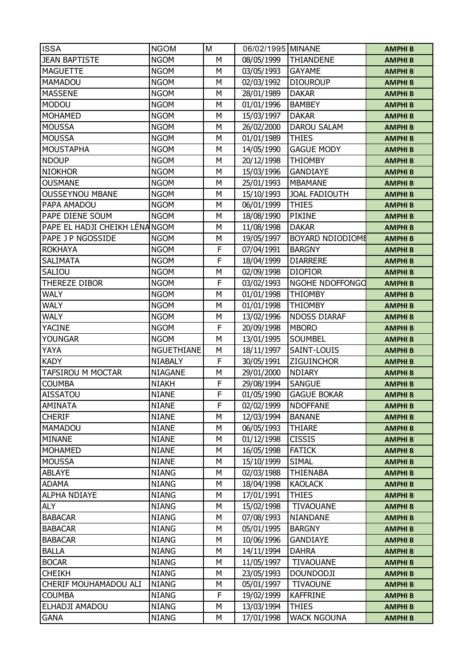| <b>ISSA</b>                     | <b>NGOM</b>                  | M              | 06/02/1995 MINANE        |                                 | <b>AMPHIB</b>                  |
|---------------------------------|------------------------------|----------------|--------------------------|---------------------------------|--------------------------------|
| <b>JEAN BAPTISTE</b>            | <b>NGOM</b>                  | M              | 08/05/1999               | THIANDENE                       | <b>AMPHIB</b>                  |
| <b>MAGUETTE</b>                 | <b>NGOM</b>                  | М              | 03/05/1993               | <b>GAYAME</b>                   | <b>AMPHIB</b>                  |
| MAMADOU                         | <b>NGOM</b>                  | М              | 02/03/1992               | <b>DIOUROUP</b>                 | <b>AMPHIB</b>                  |
| <b>MASSENE</b>                  | <b>NGOM</b>                  | M              | 28/01/1989               | <b>DAKAR</b>                    | <b>AMPHIB</b>                  |
| <b>MODOU</b>                    | <b>NGOM</b>                  | M              | 01/01/1996               | <b>BAMBEY</b>                   | <b>AMPHIB</b>                  |
| <b>MOHAMED</b>                  | <b>NGOM</b>                  | М              | 15/03/1997               | <b>DAKAR</b>                    | <b>AMPHIB</b>                  |
| <b>MOUSSA</b>                   | <b>NGOM</b>                  | M              | 26/02/2000               | <b>DAROU SALAM</b>              | <b>AMPHIB</b>                  |
| <b>MOUSSA</b>                   | <b>NGOM</b>                  | M              | 01/01/1989               | <b>THIES</b>                    | <b>AMPHIB</b>                  |
| <b>MOUSTAPHA</b>                | <b>NGOM</b>                  | М              | 14/05/1990               | <b>GAGUE MODY</b>               | <b>AMPHIB</b>                  |
| <b>NDOUP</b>                    | <b>NGOM</b>                  | M              | 20/12/1998               | <b>THIOMBY</b>                  | <b>AMPHIB</b>                  |
| <b>NIOKHOR</b>                  | <b>NGOM</b>                  | M              | 15/03/1996               | <b>GANDIAYE</b>                 | <b>AMPHIB</b>                  |
| <b>OUSMANE</b>                  | <b>NGOM</b>                  | М              | 25/01/1993               | <b>MBAMANE</b>                  | <b>AMPHIB</b>                  |
| <b>OUSSEYNOU MBANE</b>          | <b>NGOM</b>                  | M              | 15/10/1993               | <b>JOAL FADIOUTH</b>            | <b>AMPHIB</b>                  |
| PAPA AMADOU                     | <b>NGOM</b>                  | M              | 06/01/1999               | <b>THIES</b>                    | <b>AMPHIB</b>                  |
| PAPE DIENE SOUM                 | <b>NGOM</b>                  | М              | 18/08/1990               | <b>PIKINE</b>                   | <b>AMPHIB</b>                  |
| PAPE EL HADJI CHEIKH LÉNANGOM   |                              | M              | 11/08/1998               | <b>DAKAR</b>                    | <b>AMPHIB</b>                  |
| PAPE J P NGOSSIDE               | <b>NGOM</b>                  | М              | 19/05/1997               | BOYARD NDIODIOME                | <b>AMPHIB</b>                  |
| <b>ROKHAYA</b>                  | <b>NGOM</b>                  | F              | 07/04/1991               | <b>BARGNY</b>                   | <b>AMPHIB</b>                  |
| <b>SALIMATA</b>                 | <b>NGOM</b>                  | F              | 18/04/1999               | <b>DIARRERE</b>                 | <b>AMPHIB</b>                  |
| <b>SALIOU</b>                   | <b>NGOM</b>                  | М              | 02/09/1998               | <b>DIOFIOR</b>                  | <b>AMPHIB</b>                  |
| THEREZE DIBOR                   | <b>NGOM</b>                  | F              | 03/02/1993               | NGOHE NDOFFONGO                 | <b>AMPHIB</b>                  |
| <b>WALY</b>                     | <b>NGOM</b>                  | M              | 01/01/1998               | <b>THIOMBY</b>                  |                                |
| <b>WALY</b>                     | <b>NGOM</b>                  | M              | 01/01/1998               | <b>THIOMBY</b>                  | <b>AMPHIB</b>                  |
| <b>WALY</b>                     | <b>NGOM</b>                  | М              |                          | <b>NDOSS DIARAF</b>             | <b>AMPHIB</b><br><b>AMPHIB</b> |
| <b>YACINE</b>                   | <b>NGOM</b>                  | F              | 13/02/1996<br>20/09/1998 | <b>MBORO</b>                    |                                |
| <b>YOUNGAR</b>                  | <b>NGOM</b>                  | M              | 13/01/1995               | <b>SOUMBEL</b>                  | <b>AMPHIB</b>                  |
| YAYA                            | <b>NGUETHIANE</b>            | М              |                          | SAINT-LOUIS                     | <b>AMPHIB</b>                  |
| <b>KADY</b>                     | <b>NIABALY</b>               | F              | 18/11/1997<br>30/05/1991 | ZIGUINCHOR                      | <b>AMPHIB</b>                  |
| TAFSIROU M MOCTAR               | <b>NIAGANE</b>               | М              |                          | <b>NDIARY</b>                   | <b>AMPHIB</b>                  |
| <b>COUMBA</b>                   |                              | F              | 29/01/2000               | <b>SANGUE</b>                   | <b>AMPHIB</b>                  |
| <b>AISSATOU</b>                 | <b>NIAKH</b><br><b>NIANE</b> | $\overline{F}$ | 29/08/1994<br>01/05/1990 | <b>GAGUE BOKAR</b>              | <b>AMPHIB</b>                  |
| <b>AMINATA</b>                  | <b>NIANE</b>                 | F              |                          | <b>NDOFFANE</b>                 | <b>AMPHIB</b>                  |
| <b>CHERIF</b>                   |                              |                | 02/02/1999               |                                 | <b>AMPHIB</b>                  |
| <b>MAMADOU</b>                  | <b>NIANE</b>                 | М<br>М         | 12/03/1994               | <b>BANANE</b>                   | <b>AMPHIB</b>                  |
|                                 | <b>NIANE</b>                 | М              | 06/05/1993               | <b>THIARE</b>                   | <b>AMPHIB</b>                  |
| <b>MINANE</b><br><b>MOHAMED</b> | <b>NIANE</b>                 |                | 01/12/1998               | <b>CISSIS</b>                   | <b>AMPHIB</b>                  |
|                                 | <b>NIANE</b>                 | М              | 16/05/1998               | <b>FATICK</b>                   | <b>AMPHIB</b>                  |
| <b>MOUSSA</b>                   | <b>NIANE</b><br><b>NIANG</b> | М<br>М         | 15/10/1999               | <b>SIMAL</b><br><b>THIENABA</b> | <b>AMPHIB</b>                  |
| <b>ABLAYE</b>                   |                              |                | 02/03/1988               |                                 | <b>AMPHIB</b>                  |
| <b>ADAMA</b>                    | <b>NIANG</b>                 | М              | 18/04/1998               | <b>KAOLACK</b>                  | <b>AMPHIB</b>                  |
| <b>ALPHA NDIAYE</b>             | <b>NIANG</b>                 | М              | 17/01/1991               | <b>THIES</b>                    | <b>AMPHIB</b>                  |
| <b>ALY</b>                      | <b>NIANG</b>                 | М              | 15/02/1998               | <b>TIVAOUANE</b>                | <b>AMPHIB</b>                  |
| <b>BABACAR</b>                  | <b>NIANG</b>                 | М              | 07/08/1993               | NIANDANE                        | <b>AMPHIB</b>                  |
| <b>BABACAR</b>                  | <b>NIANG</b>                 | М              | 05/01/1995               | <b>BARGNY</b>                   | <b>AMPHIB</b>                  |
| <b>BABACAR</b>                  | <b>NIANG</b>                 | М              | 10/06/1996               | <b>GANDIAYE</b>                 | <b>AMPHIB</b>                  |
| <b>BALLA</b>                    | <b>NIANG</b>                 | М              | 14/11/1994               | <b>DAHRA</b>                    | <b>AMPHIB</b>                  |
| <b>BOCAR</b>                    | <b>NIANG</b>                 | М              | 11/05/1997               | <b>TIVAOUANE</b>                | <b>AMPHIB</b>                  |
| <b>CHEIKH</b>                   | <b>NIANG</b>                 | М              | 23/05/1993               | <b>DOUNDODJI</b>                | <b>AMPHIB</b>                  |
| CHERIF MOUHAMADOU ALI           | <b>NIANG</b>                 | М              | 05/01/1997               | <b>TIVAOUNE</b>                 | <b>AMPHIB</b>                  |
| <b>COUMBA</b>                   | <b>NIANG</b>                 | F              | 19/02/1999               | <b>KAFFRINE</b>                 | <b>AMPHIB</b>                  |
| ELHADJI AMADOU                  | <b>NIANG</b>                 | М              | 13/03/1994               | THIES                           | <b>AMPHIB</b>                  |
| <b>GANA</b>                     | <b>NIANG</b>                 | М              | 17/01/1998               | <b>WACK NGOUNA</b>              | <b>AMPHIB</b>                  |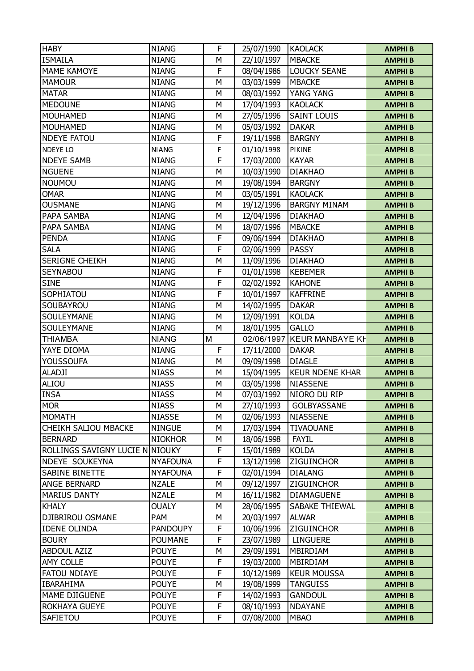| <b>HABY</b>                     | <b>NIANG</b>                 | F      | 25/07/1990               | <b>KAOLACK</b>                | <b>AMPHIB</b>                  |
|---------------------------------|------------------------------|--------|--------------------------|-------------------------------|--------------------------------|
| <b>ISMAILA</b>                  | <b>NIANG</b>                 | M      | 22/10/1997               | <b>MBACKE</b>                 | <b>AMPHIB</b>                  |
| <b>MAME KAMOYE</b>              | <b>NIANG</b>                 | F      | 08/04/1986               | <b>LOUCKY SEANE</b>           | <b>AMPHIB</b>                  |
| <b>MAMOUR</b>                   | <b>NIANG</b>                 | М      | 03/03/1999               | <b>MBACKE</b>                 | <b>AMPHIB</b>                  |
| <b>MATAR</b>                    | <b>NIANG</b>                 | М      | 08/03/1992               | YANG YANG                     | <b>AMPHIB</b>                  |
| <b>MEDOUNE</b>                  | <b>NIANG</b>                 | M      | 17/04/1993               | <b>KAOLACK</b>                | <b>AMPHIB</b>                  |
| <b>MOUHAMED</b>                 | <b>NIANG</b>                 | М      | 27/05/1996               | <b>SAINT LOUIS</b>            | <b>AMPHIB</b>                  |
| <b>MOUHAMED</b>                 | <b>NIANG</b>                 | М      | 05/03/1992               | <b>DAKAR</b>                  | <b>AMPHIB</b>                  |
| <b>NDEYE FATOU</b>              | <b>NIANG</b>                 | F      | 19/11/1998               | <b>BARGNY</b>                 | <b>AMPHIB</b>                  |
| NDEYE LO                        | <b>NIANG</b>                 | F      | 01/10/1998               | <b>PIKINE</b>                 | <b>AMPHIB</b>                  |
| <b>NDEYE SAMB</b>               | <b>NIANG</b>                 | F      | 17/03/2000               | <b>KAYAR</b>                  | <b>AMPHIB</b>                  |
| <b>NGUENE</b>                   | <b>NIANG</b>                 | M      | 10/03/1990               | <b>DIAKHAO</b>                | <b>AMPHIB</b>                  |
| <b>NOUMOU</b>                   | <b>NIANG</b>                 | М      | 19/08/1994               | <b>BARGNY</b>                 | <b>AMPHIB</b>                  |
| <b>OMAR</b>                     | <b>NIANG</b>                 | М      | 03/05/1991               | <b>KAOLACK</b>                | <b>AMPHIB</b>                  |
| <b>OUSMANE</b>                  | <b>NIANG</b>                 | М      | 19/12/1996               | <b>BARGNY MINAM</b>           | <b>AMPHIB</b>                  |
| PAPA SAMBA                      | <b>NIANG</b>                 | М      | 12/04/1996               | <b>DIAKHAO</b>                | <b>AMPHIB</b>                  |
| PAPA SAMBA                      | <b>NIANG</b>                 | M      | 18/07/1996               | <b>MBACKE</b>                 | <b>AMPHIB</b>                  |
| <b>PENDA</b>                    | <b>NIANG</b>                 | F      | 09/06/1994               | <b>DIAKHAO</b>                | <b>AMPHIB</b>                  |
| <b>SALA</b>                     | <b>NIANG</b>                 | F      | 02/06/1999               | <b>PASSY</b>                  | <b>AMPHIB</b>                  |
| <b>SERIGNE CHEIKH</b>           | <b>NIANG</b>                 | М      | 11/09/1996               | <b>DIAKHAO</b>                | <b>AMPHIB</b>                  |
| SEYNABOU                        | <b>NIANG</b>                 | F      | 01/01/1998               | <b>KEBEMER</b>                | <b>AMPHIB</b>                  |
| <b>SINE</b>                     | <b>NIANG</b>                 | F      | 02/02/1992               | <b>KAHONE</b>                 | <b>AMPHIB</b>                  |
| SOPHIATOU                       | <b>NIANG</b>                 | F      | 10/01/1997               | <b>KAFFRINE</b>               | <b>AMPHIB</b>                  |
| SOUBAYROU                       | <b>NIANG</b>                 | M      | 14/02/1995               | <b>DAKAR</b>                  | <b>AMPHIB</b>                  |
| SOULEYMANE                      | <b>NIANG</b>                 | M      | 12/09/1991               | <b>KOLDA</b>                  | <b>AMPHIB</b>                  |
| SOULEYMANE                      | <b>NIANG</b>                 | М      | 18/01/1995               | <b>GALLO</b>                  | <b>AMPHIB</b>                  |
|                                 |                              |        |                          |                               |                                |
|                                 |                              |        |                          |                               |                                |
| <b>THIAMBA</b>                  | <b>NIANG</b>                 | M      | 02/06/1997               | <b>KEUR MANBAYE KH</b>        | <b>AMPHIB</b>                  |
| YAYE DIOMA                      | <b>NIANG</b>                 | F      | 17/11/2000               | <b>DAKAR</b>                  | <b>AMPHIB</b>                  |
| <b>YOUSSOUFA</b>                | <b>NIANG</b>                 | M      | 09/09/1998               | <b>DIAGLE</b>                 | <b>AMPHIB</b>                  |
| <b>ALADJI</b>                   | <b>NIASS</b>                 | М      | 15/04/1995               | <b>KEUR NDENE KHAR</b>        | <b>AMPHIB</b>                  |
| ALIOU                           | <b>NIASS</b>                 | М      | 03/05/1998               | <b>NIASSENE</b>               | <b>AMPHIB</b>                  |
| <b>INSA</b>                     | <b>NIASS</b>                 | М      | 07/03/1992               | NIORO DU RIP                  | <b>AMPHIB</b>                  |
| <b>MOR</b>                      | <b>NIASS</b>                 | М      | 27/10/1993               | <b>GOLBYASSANE</b>            | <b>AMPHIB</b>                  |
| <b>MOMATH</b>                   | <b>NIASSE</b>                | М      | 02/06/1993               | <b>NIASSENE</b>               | <b>AMPHIB</b>                  |
| CHEIKH SALIOU MBACKE            | <b>NINGUE</b>                | М      | 17/03/1994               | <b>TIVAOUANE</b>              | <b>AMPHIB</b>                  |
| <b>BERNARD</b>                  | <b>NIOKHOR</b>               | М      | 18/06/1998               | <b>FAYIL</b>                  | <b>AMPHIB</b>                  |
| ROLLINGS SAVIGNY LUCIE N NIOUKY |                              | F      | 15/01/1989               | <b>KOLDA</b>                  | <b>AMPHIB</b>                  |
| NDEYE SOUKEYNA                  | <b>NYAFOUNA</b>              | F      | 13/12/1998               | <b>ZIGUINCHOR</b>             | <b>AMPHIB</b>                  |
| SABINE BINETTE                  | <b>NYAFOUNA</b>              | F      | 02/01/1994               | <b>DIALANG</b>                | <b>AMPHIB</b>                  |
| <b>ANGE BERNARD</b>             | <b>NZALE</b>                 | М      | 09/12/1997               | ZIGUINCHOR                    | <b>AMPHIB</b>                  |
| <b>MARIUS DANTY</b>             | <b>NZALE</b>                 | М      | 16/11/1982               | <b>DIAMAGUENE</b>             | <b>AMPHIB</b>                  |
| <b>KHALY</b>                    | <b>OUALY</b>                 | М      | 28/06/1995               | SABAKE THIEWAL                | <b>AMPHIB</b>                  |
| DJIBRIROU OSMANE                | PAM                          | М      | 20/03/1997               | <b>ALWAR</b>                  | <b>AMPHIB</b>                  |
| <b>IDENE OLINDA</b>             | <b>PANDOUPY</b>              | F      | 10/06/1996               | <b>ZIGUINCHOR</b>             | <b>AMPHIB</b>                  |
| <b>BOURY</b>                    | <b>POUMANE</b>               | F      | 23/07/1989               | <b>LINGUERE</b>               | <b>AMPHIB</b>                  |
| ABDOUL AZIZ                     | <b>POUYE</b>                 | М      | 29/09/1991               | MBIRDIAM                      | <b>AMPHIB</b>                  |
| <b>AMY COLLE</b>                | <b>POUYE</b>                 | F      | 19/03/2000               | MBIRDIAM                      | <b>AMPHIB</b>                  |
| <b>FATOU NDIAYE</b>             | <b>POUYE</b>                 | F      | 10/12/1989               | <b>KEUR MOUSSA</b>            | <b>AMPHIB</b>                  |
| <b>IBARAHIMA</b>                | <b>POUYE</b>                 | М      | 19/08/1999               | <b>TANGUISS</b>               | <b>AMPHIB</b>                  |
| MAME DJIGUENE                   | <b>POUYE</b>                 | F      | 14/02/1993               | <b>GANDOUL</b>                | <b>AMPHIB</b>                  |
| ROKHAYA GUEYE<br>SAFIETOU       | <b>POUYE</b><br><b>POUYE</b> | F<br>F | 08/10/1993<br>07/08/2000 | <b>NDAYANE</b><br><b>MBAO</b> | <b>AMPHIB</b><br><b>AMPHIB</b> |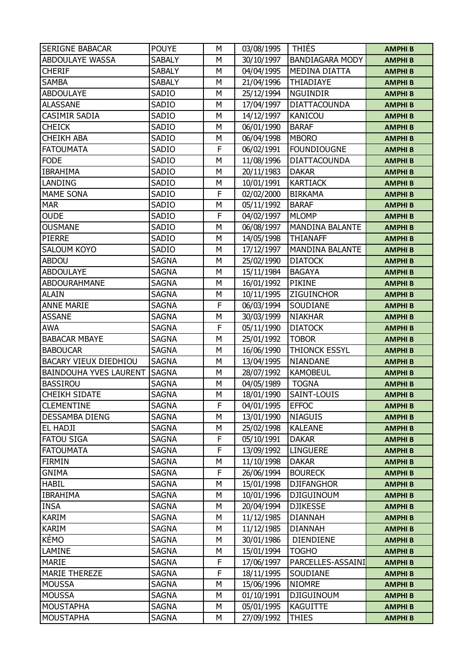| <b>SERIGNE BABACAR</b>        | <b>POUYE</b>  | M | 03/08/1995 | <b>THIES</b>           | <b>AMPHIB</b> |
|-------------------------------|---------------|---|------------|------------------------|---------------|
| <b>ABDOULAYE WASSA</b>        | <b>SABALY</b> | M | 30/10/1997 | <b>BANDIAGARA MODY</b> | <b>AMPHIB</b> |
| <b>CHERIF</b>                 | <b>SABALY</b> | M | 04/04/1995 | <b>MEDINA DIATTA</b>   | <b>AMPHIB</b> |
| <b>SAMBA</b>                  | <b>SABALY</b> | M | 21/04/1996 | THIADIAYE              | <b>AMPHIB</b> |
| <b>ABDOULAYE</b>              | SADIO         | M | 25/12/1994 | <b>NGUINDIR</b>        | <b>AMPHIB</b> |
| <b>ALASSANE</b>               | SADIO         | M | 17/04/1997 | <b>DIATTACOUNDA</b>    | <b>AMPHIB</b> |
| <b>CASIMIR SADIA</b>          | SADIO         | M | 14/12/1997 | <b>KANICOU</b>         | <b>AMPHIB</b> |
| <b>CHEICK</b>                 | SADIO         | M | 06/01/1990 | <b>BARAF</b>           | <b>AMPHIB</b> |
| <b>CHEIKH ABA</b>             | SADIO         | M | 06/04/1998 | <b>MBORO</b>           | <b>AMPHIB</b> |
| <b>FATOUMATA</b>              | SADIO         | F | 06/02/1991 | <b>FOUNDIOUGNE</b>     | <b>AMPHIB</b> |
| <b>FODE</b>                   | SADIO         | M | 11/08/1996 | <b>DIATTACOUNDA</b>    | <b>AMPHIB</b> |
| <b>IBRAHIMA</b>               | SADIO         | M | 20/11/1983 | <b>DAKAR</b>           | <b>AMPHIB</b> |
| LANDING                       | SADIO         | М | 10/01/1991 | <b>KARTIACK</b>        | <b>AMPHIB</b> |
| <b>MAME SONA</b>              | SADIO         | F | 02/02/2000 | <b>BIRKAMA</b>         | <b>AMPHIB</b> |
| <b>MAR</b>                    | SADIO         | M | 05/11/1992 | <b>BARAF</b>           | <b>AMPHIB</b> |
| <b>OUDE</b>                   | SADIO         | F | 04/02/1997 | <b>MLOMP</b>           | <b>AMPHIB</b> |
| <b>OUSMANE</b>                | SADIO         | M | 06/08/1997 | <b>MANDINA BALANTE</b> | <b>AMPHIB</b> |
| <b>PIERRE</b>                 | SADIO         | M | 14/05/1998 | <b>THIANAFF</b>        | <b>AMPHIB</b> |
| <b>SALOUM KOYO</b>            | SADIO         | M | 17/12/1997 | <b>MANDINA BALANTE</b> | <b>AMPHIB</b> |
| ABDOU                         | <b>SAGNA</b>  | M | 25/02/1990 | <b>DIATOCK</b>         | <b>AMPHIB</b> |
| <b>ABDOULAYE</b>              | <b>SAGNA</b>  | M | 15/11/1984 | <b>BAGAYA</b>          | <b>AMPHIB</b> |
| <b>ABDOURAHMANE</b>           | <b>SAGNA</b>  | M | 16/01/1992 | <b>PIKINE</b>          | <b>AMPHIB</b> |
| <b>ALAIN</b>                  | <b>SAGNA</b>  | M | 10/11/1995 | <b>ZIGUINCHOR</b>      | <b>AMPHIB</b> |
| <b>ANNE MARIE</b>             | <b>SAGNA</b>  | F | 06/03/1994 | SOUDIANE               | <b>AMPHIB</b> |
| <b>ASSANE</b>                 | <b>SAGNA</b>  | М | 30/03/1999 | <b>NIAKHAR</b>         | <b>AMPHIB</b> |
| <b>AWA</b>                    | <b>SAGNA</b>  | F | 05/11/1990 | <b>DIATOCK</b>         | <b>AMPHIB</b> |
| <b>BABACAR MBAYE</b>          | <b>SAGNA</b>  | M | 25/01/1992 | <b>TOBOR</b>           | <b>AMPHIB</b> |
| <b>BABOUCAR</b>               | <b>SAGNA</b>  | M | 16/06/1990 | <b>THIONCK ESSYL</b>   | <b>AMPHIB</b> |
| BACARY VIEUX DIEDHIOU         | <b>SAGNA</b>  | M | 13/04/1995 | NIANDANE               | <b>AMPHIB</b> |
| <b>BAINDOUHA YVES LAURENT</b> | <b>SAGNA</b>  | M | 28/07/1992 | <b>KAMOBEUL</b>        | <b>AMPHIB</b> |
| <b>BASSIROU</b>               | <b>SAGNA</b>  | M | 04/05/1989 | <b>TOGNA</b>           | <b>AMPHIB</b> |
| <b>CHEIKH SIDATE</b>          | <b>SAGNA</b>  | M | 18/01/1990 | SAINT-LOUIS            | <b>AMPHIB</b> |
| <b>CLEMENTINE</b>             | <b>SAGNA</b>  | F | 04/01/1995 | <b>EFFOC</b>           | <b>AMPHIB</b> |
| <b>DESSAMBA DIENG</b>         | <b>SAGNA</b>  | М | 13/01/1990 | <b>NIAGUIS</b>         | <b>AMPHIB</b> |
| EL HADJI                      | <b>SAGNA</b>  | M | 25/02/1998 | <b>KALEANE</b>         | <b>AMPHIB</b> |
| <b>FATOU SIGA</b>             | <b>SAGNA</b>  | F | 05/10/1991 | <b>DAKAR</b>           | <b>AMPHIB</b> |
| <b>FATOUMATA</b>              | <b>SAGNA</b>  | F | 13/09/1992 | <b>LINGUERE</b>        | <b>AMPHIB</b> |
| <b>FIRMIN</b>                 | <b>SAGNA</b>  | M | 11/10/1998 | <b>DAKAR</b>           | <b>AMPHIB</b> |
| <b>GNIMA</b>                  | <b>SAGNA</b>  | F | 26/06/1994 | <b>BOURECK</b>         | <b>AMPHIB</b> |
| <b>HABIL</b>                  | <b>SAGNA</b>  | М | 15/01/1998 | <b>DJIFANGHOR</b>      | <b>AMPHIB</b> |
| <b>IBRAHIMA</b>               | <b>SAGNA</b>  | M | 10/01/1996 | <b>DJIGUINOUM</b>      | <b>AMPHIB</b> |
| <b>INSA</b>                   | <b>SAGNA</b>  | M | 20/04/1994 | <b>DJIKESSE</b>        | <b>AMPHIB</b> |
| <b>KARIM</b>                  | <b>SAGNA</b>  | M | 11/12/1985 | <b>DIANNAH</b>         | <b>AMPHIB</b> |
| <b>KARIM</b>                  | <b>SAGNA</b>  | M | 11/12/1985 | <b>DIANNAH</b>         | <b>AMPHIB</b> |
| KÉMO                          | <b>SAGNA</b>  | M | 30/01/1986 | <b>DIENDIENE</b>       | <b>AMPHIB</b> |
| LAMINE                        | <b>SAGNA</b>  | М | 15/01/1994 | <b>TOGHO</b>           | <b>AMPHIB</b> |
| MARIE                         | <b>SAGNA</b>  | F | 17/06/1997 | PARCELLES-ASSAINI      | <b>AMPHIB</b> |
| <b>MARIE THEREZE</b>          | <b>SAGNA</b>  | F | 18/11/1995 | SOUDIANE               | <b>AMPHIB</b> |
| <b>MOUSSA</b>                 | <b>SAGNA</b>  | М | 15/06/1996 | <b>NIOMRE</b>          | <b>AMPHIB</b> |
| <b>MOUSSA</b>                 | <b>SAGNA</b>  | M | 01/10/1991 | <b>DJIGUINOUM</b>      | <b>AMPHIB</b> |
| <b>MOUSTAPHA</b>              | SAGNA         | M | 05/01/1995 | <b>KAGUITTE</b>        | <b>AMPHIB</b> |
| <b>MOUSTAPHA</b>              | <b>SAGNA</b>  | М | 27/09/1992 | <b>THIES</b>           | <b>AMPHIB</b> |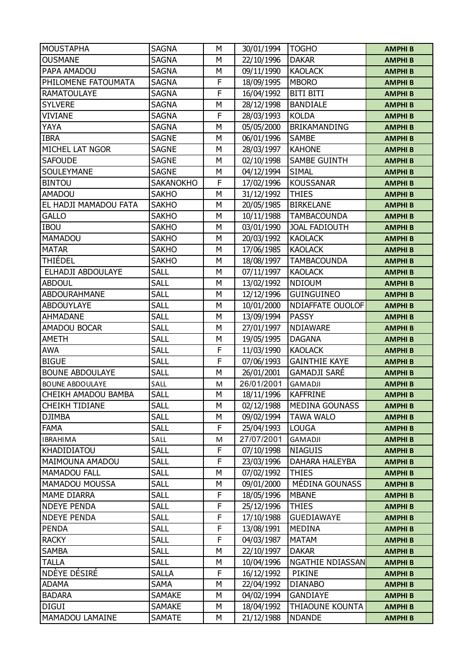| <b>MOUSTAPHA</b>       | <b>SAGNA</b>     | М | 30/01/1994 | <b>TOGHO</b>            | <b>AMPHIB</b> |
|------------------------|------------------|---|------------|-------------------------|---------------|
| <b>OUSMANE</b>         | <b>SAGNA</b>     | M | 22/10/1996 | <b>DAKAR</b>            | <b>AMPHIB</b> |
| PAPA AMADOU            | <b>SAGNA</b>     | М | 09/11/1990 | <b>KAOLACK</b>          | <b>AMPHIB</b> |
| PHILOMENE FATOUMATA    | <b>SAGNA</b>     | F | 18/09/1995 | <b>MBORO</b>            | <b>AMPHIB</b> |
| <b>RAMATOULAYE</b>     | <b>SAGNA</b>     | F | 16/04/1992 | <b>BITI BITI</b>        | <b>AMPHIB</b> |
| <b>SYLVERE</b>         | <b>SAGNA</b>     | M | 28/12/1998 | <b>BANDIALE</b>         | <b>AMPHIB</b> |
| <b>VIVIANE</b>         | <b>SAGNA</b>     | F | 28/03/1993 | <b>KOLDA</b>            | <b>AMPHIB</b> |
| YAYA                   | <b>SAGNA</b>     | M | 05/05/2000 | <b>BRIKAMANDING</b>     | <b>AMPHIB</b> |
| <b>IBRA</b>            | <b>SAGNE</b>     | M | 06/01/1996 | <b>SAMBE</b>            | <b>AMPHIB</b> |
| MICHEL LAT NGOR        | SAGNE            | М | 28/03/1997 | <b>KAHONE</b>           | <b>AMPHIB</b> |
| <b>SAFOUDE</b>         | <b>SAGNE</b>     | M | 02/10/1998 | <b>SAMBE GUINTH</b>     | <b>AMPHIB</b> |
| SOULEYMANE             | <b>SAGNE</b>     | М | 04/12/1994 | <b>SIMAL</b>            | <b>AMPHIB</b> |
| <b>BINTOU</b>          | <b>SAKANOKHO</b> | F | 17/02/1996 | <b>KOUSSANAR</b>        | <b>AMPHIB</b> |
| AMADOU                 | <b>SAKHO</b>     | M | 31/12/1992 | <b>THIES</b>            | <b>AMPHIB</b> |
| EL HADJI MAMADOU FATA  | <b>SAKHO</b>     | M | 20/05/1985 | <b>BIRKELANE</b>        | <b>AMPHIB</b> |
| <b>GALLO</b>           | <b>SAKHO</b>     | М | 10/11/1988 | <b>TAMBACOUNDA</b>      | <b>AMPHIB</b> |
| <b>IBOU</b>            | <b>SAKHO</b>     | M | 03/01/1990 | <b>JOAL FADIOUTH</b>    | <b>AMPHIB</b> |
| MAMADOU                | <b>SAKHO</b>     | M | 20/03/1992 | <b>KAOLACK</b>          | <b>AMPHIB</b> |
| <b>MATAR</b>           | <b>SAKHO</b>     | М | 17/06/1985 | <b>KAOLACK</b>          | <b>AMPHIB</b> |
| THIÉDEL                | <b>SAKHO</b>     | M | 18/08/1997 | <b>TAMBACOUNDA</b>      | <b>AMPHIB</b> |
| ELHADJI ABDOULAYE      | <b>SALL</b>      | M | 07/11/1997 | <b>KAOLACK</b>          | <b>AMPHIB</b> |
| <b>ABDOUL</b>          | <b>SALL</b>      | М | 13/02/1992 | <b>NDIOUM</b>           | <b>AMPHIB</b> |
| <b>ABDOURAHMANE</b>    | <b>SALL</b>      | M | 12/12/1996 | <b>GUINGUINEO</b>       | <b>AMPHIB</b> |
| <b>ABDOUYLAYE</b>      | <b>SALL</b>      | M | 10/01/2000 | NDIAFFATE OUOLOF        | <b>AMPHIB</b> |
| <b>AHMADANE</b>        | <b>SALL</b>      | М | 13/09/1994 | <b>PASSY</b>            | <b>AMPHIB</b> |
| AMADOU BOCAR           | <b>SALL</b>      | M | 27/01/1997 | NDIAWARE                | <b>AMPHIB</b> |
| <b>AMETH</b>           | <b>SALL</b>      | М | 19/05/1995 | <b>DAGANA</b>           | <b>AMPHIB</b> |
| <b>AWA</b>             | <b>SALL</b>      | F | 11/03/1990 | <b>KAOLACK</b>          | <b>AMPHIB</b> |
| <b>BIGUE</b>           | <b>SALL</b>      | F | 07/06/1993 | <b>GAINTHIE KAYE</b>    | <b>AMPHIB</b> |
| <b>BOUNE ABDOULAYE</b> | <b>SALL</b>      | M | 26/01/2001 | <b>GAMADJI SARÉ</b>     | <b>AMPHIB</b> |
| <b>BOUNE ABDOULAYE</b> | SALL             | M | 26/01/2001 | GAMADJI                 | <b>AMPHIB</b> |
| CHEIKH AMADOU BAMBA    | <b>SALL</b>      | M | 18/11/1996 | <b>KAFFRINE</b>         | <b>AMPHIB</b> |
| <b>CHEIKH TIDIANE</b>  | <b>SALL</b>      | М | 02/12/1988 | <b>MEDINA GOUNASS</b>   | <b>AMPHIB</b> |
| <b>DJIMBA</b>          | <b>SALL</b>      | М | 09/02/1994 | TAWA WALO               | <b>AMPHIB</b> |
| <b>FAMA</b>            | <b>SALL</b>      | F | 25/04/1993 | <b>LOUGA</b>            | <b>AMPHIB</b> |
| <b>IBRAHIMA</b>        | SALL             | M | 27/07/2001 | GAMADJI                 | <b>AMPHIB</b> |
| KHADIDIATOU            | <b>SALL</b>      | F | 07/10/1998 | <b>NIAGUIS</b>          | <b>AMPHIB</b> |
| MAIMOUNA AMADOU        | <b>SALL</b>      | F | 23/03/1996 | <b>DAHARA HALEYBA</b>   | <b>AMPHIB</b> |
| <b>MAMADOU FALL</b>    | <b>SALL</b>      | М | 07/02/1992 | <b>THIES</b>            | <b>AMPHIB</b> |
| MAMADOU MOUSSA         | <b>SALL</b>      | М | 09/01/2000 | MÉDINA GOUNASS          | <b>AMPHIB</b> |
| MAME DIARRA            | <b>SALL</b>      | F | 18/05/1996 | <b>MBANE</b>            | <b>AMPHIB</b> |
| <b>NDEYE PENDA</b>     | <b>SALL</b>      | F | 25/12/1996 | <b>THIES</b>            | <b>AMPHIB</b> |
| <b>NDEYE PENDA</b>     | <b>SALL</b>      | F | 17/10/1988 | <b>GUEDIAWAYE</b>       | <b>AMPHIB</b> |
| <b>PENDA</b>           | <b>SALL</b>      | F | 13/08/1991 | <b>MEDINA</b>           | <b>AMPHIB</b> |
| <b>RACKY</b>           | <b>SALL</b>      | F | 04/03/1987 | <b>MATAM</b>            | <b>AMPHIB</b> |
| <b>SAMBA</b>           | <b>SALL</b>      | М | 22/10/1997 | <b>DAKAR</b>            | <b>AMPHIB</b> |
| <b>TALLA</b>           | <b>SALL</b>      | М | 10/04/1996 | <b>NGATHIE NDIASSAN</b> | <b>AMPHIB</b> |
| NDEYE DÉSIRÉ           | <b>SALLA</b>     | F | 16/12/1992 | PIKINE                  | <b>AMPHIB</b> |
| <b>ADAMA</b>           | <b>SAMA</b>      | М | 22/04/1992 | <b>DIANABO</b>          | <b>AMPHIB</b> |
| <b>BADARA</b>          | <b>SAMAKE</b>    | М | 04/02/1994 | GANDIAYE                | <b>AMPHIB</b> |
| <b>DIGUI</b>           | <b>SAMAKE</b>    | М | 18/04/1992 | THIAOUNE KOUNTA         | <b>AMPHIB</b> |
| MAMADOU LAMAINE        | <b>SAMATE</b>    | М | 21/12/1988 | <b>NDANDE</b>           | <b>AMPHIB</b> |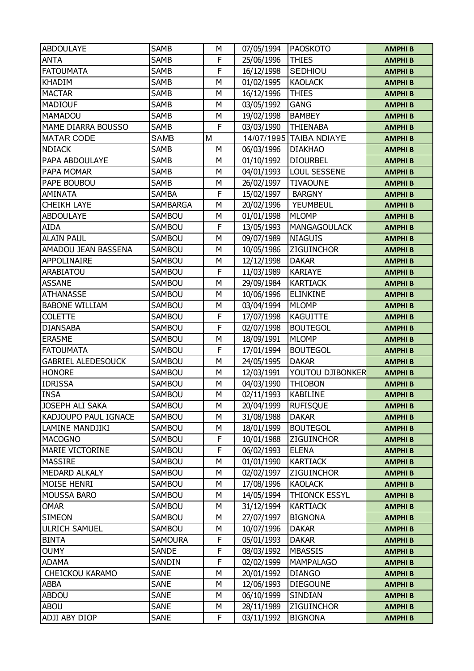| <b>ABDOULAYE</b>          | <b>SAMB</b>                | М      | 07/05/1994               | <b>PAOSKOTO</b>                     | <b>AMPHIB</b>                  |
|---------------------------|----------------------------|--------|--------------------------|-------------------------------------|--------------------------------|
| <b>ANTA</b>               | <b>SAMB</b>                | F      | 25/06/1996               | <b>THIES</b>                        | <b>AMPHIB</b>                  |
| <b>FATOUMATA</b>          | <b>SAMB</b>                | F      | 16/12/1998               | <b>SEDHIOU</b>                      | <b>AMPHIB</b>                  |
| <b>KHADIM</b>             | <b>SAMB</b>                | М      | 01/02/1995               | <b>KAOLACK</b>                      | <b>AMPHIB</b>                  |
| <b>MACTAR</b>             | <b>SAMB</b>                | M      | 16/12/1996               | <b>THIES</b>                        | <b>AMPHIB</b>                  |
| <b>MADIOUF</b>            | <b>SAMB</b>                | M      | 03/05/1992               | <b>GANG</b>                         | <b>AMPHIB</b>                  |
| <b>MAMADOU</b>            | <b>SAMB</b>                | М      | 19/02/1998               | <b>BAMBEY</b>                       | <b>AMPHIB</b>                  |
| MAME DIARRA BOUSSO        | <b>SAMB</b>                | F      | 03/03/1990               | <b>THIENABA</b>                     | <b>AMPHIB</b>                  |
| <b>MATAR CODE</b>         | <b>SAMB</b>                | M      |                          | 14/07/1995 TAIBA NDIAYE             | <b>AMPHIB</b>                  |
| <b>NDIACK</b>             | SAMB                       | М      | 06/03/1996               | <b>DIAKHAO</b>                      | <b>AMPHIB</b>                  |
| PAPA ABDOULAYE            | <b>SAMB</b>                | M      | 01/10/1992               | <b>DIOURBEL</b>                     | <b>AMPHIB</b>                  |
| PAPA MOMAR                | <b>SAMB</b>                | M      | 04/01/1993               | LOUL SESSENE                        | <b>AMPHIB</b>                  |
| PAPE BOUBOU               | <b>SAMB</b>                | М      | 26/02/1997               | <b>TIVAOUNE</b>                     | <b>AMPHIB</b>                  |
| <b>AMINATA</b>            | <b>SAMBA</b>               | F      | 15/02/1997               | <b>BARGNY</b>                       | <b>AMPHIB</b>                  |
| <b>CHEIKH LAYE</b>        | <b>SAMBARGA</b>            | M      | 20/02/1996               | YEUMBEUL                            | <b>AMPHIB</b>                  |
| <b>ABDOULAYE</b>          | <b>SAMBOU</b>              | М      | 01/01/1998               | <b>MLOMP</b>                        | <b>AMPHIB</b>                  |
| <b>AIDA</b>               | SAMBOU                     | F      | 13/05/1993               | <b>MANGAGOULACK</b>                 | <b>AMPHIB</b>                  |
| <b>ALAIN PAUL</b>         | <b>SAMBOU</b>              | M      | 09/07/1989               | <b>NIAGUIS</b>                      | <b>AMPHIB</b>                  |
| AMADOU JEAN BASSENA       | <b>SAMBOU</b>              | М      | 10/05/1986               | ZIGUINCHOR                          | <b>AMPHIB</b>                  |
| APPOLINAIRE               | SAMBOU                     | М      | 12/12/1998               | <b>DAKAR</b>                        | <b>AMPHIB</b>                  |
| ARABIATOU                 | <b>SAMBOU</b>              | F      | 11/03/1989               | <b>KARIAYE</b>                      | <b>AMPHIB</b>                  |
| <b>ASSANE</b>             | <b>SAMBOU</b>              | М      | 29/09/1984               | <b>KARTIACK</b>                     | <b>AMPHIB</b>                  |
| <b>ATHANASSE</b>          | SAMBOU                     | М      | 10/06/1996               | <b>ELINKINE</b>                     | <b>AMPHIB</b>                  |
| <b>BABONE WILLIAM</b>     | SAMBOU                     | М      | 03/04/1994               | <b>MLOMP</b>                        | <b>AMPHIB</b>                  |
| <b>COLETTE</b>            | SAMBOU                     | F      | 17/07/1998               | <b>KAGUITTE</b>                     | <b>AMPHIB</b>                  |
| <b>DIANSABA</b>           | SAMBOU                     | F      | 02/07/1998               | <b>BOUTEGOL</b>                     | <b>AMPHIB</b>                  |
| <b>ERASME</b>             | SAMBOU                     | М      | 18/09/1991               | <b>MLOMP</b>                        | <b>AMPHIB</b>                  |
| <b>FATOUMATA</b>          | <b>SAMBOU</b>              | F      | 17/01/1994               | <b>BOUTEGOL</b>                     | <b>AMPHIB</b>                  |
| <b>GABRIEL ALEDESOUCK</b> | <b>SAMBOU</b>              | M      | 24/05/1995               | <b>DAKAR</b>                        | <b>AMPHIB</b>                  |
| <b>HONORE</b>             | SAMBOU                     | М      | 12/03/1991               | YOUTOU DJIBONKER                    | <b>AMPHIB</b>                  |
| <b>IDRISSA</b>            | SAMBOU                     | М      | 04/03/1990               | <b>THIOBON</b>                      | <b>AMPHIB</b>                  |
| <b>INSA</b>               | SAMBOU                     | M      | 02/11/1993               | <b>KABILINE</b>                     | <b>AMPHIB</b>                  |
| JOSEPH ALI SAKA           | SAMBOU                     | М      | 20/04/1999               | <b>RUFISQUE</b>                     | <b>AMPHIB</b>                  |
| KADJOUPO PAUL IGNACE      | <b>SAMBOU</b>              | М      | 31/08/1988               | <b>DAKAR</b>                        | <b>AMPHIB</b>                  |
| LAMINE MANDJIKI           | SAMBOU                     | M      | 18/01/1999               | <b>BOUTEGOL</b>                     | <b>AMPHIB</b>                  |
| <b>MACOGNO</b>            | SAMBOU                     | F      | 10/01/1988               | <b>ZIGUINCHOR</b>                   | <b>AMPHIB</b>                  |
| <b>MARIE VICTORINE</b>    | SAMBOU                     | F      | 06/02/1993               | <b>ELENA</b>                        | <b>AMPHIB</b>                  |
| <b>MASSIRE</b>            | SAMBOU                     | M      | 01/01/1990               | <b>KARTIACK</b>                     | <b>AMPHIB</b>                  |
| <b>MEDARD ALKALY</b>      | SAMBOU                     | М      | 02/02/1997               | <b>ZIGUINCHOR</b>                   | <b>AMPHIB</b>                  |
| MOISE HENRI               | SAMBOU                     | М      | 17/08/1996               | <b>KAOLACK</b>                      | <b>AMPHIB</b>                  |
| <b>MOUSSA BARO</b>        | SAMBOU                     | M      | 14/05/1994               | <b>THIONCK ESSYL</b>                | <b>AMPHIB</b>                  |
| <b>OMAR</b>               | SAMBOU                     | М      | 31/12/1994               | <b>KARTIACK</b>                     | <b>AMPHIB</b>                  |
| <b>SIMEON</b>             | SAMBOU                     | М      | 27/07/1997               | <b>BIGNONA</b>                      | <b>AMPHIB</b>                  |
| <b>ULRICH SAMUEL</b>      | SAMBOU                     | М      | 10/07/1996               | <b>DAKAR</b>                        | <b>AMPHIB</b>                  |
| <b>BINTA</b>              | <b>SAMOURA</b>             | F      | 05/01/1993               | <b>DAKAR</b>                        | <b>AMPHIB</b>                  |
| <b>OUMY</b>               | <b>SANDE</b>               | F      | 08/03/1992               | <b>MBASSIS</b>                      | <b>AMPHIB</b>                  |
| <b>ADAMA</b>              | SANDIN                     | F      | 02/02/1999               | <b>MAMPALAGO</b>                    | <b>AMPHIB</b>                  |
| CHEICKOU KARAMO           | <b>SANE</b>                | M      | 20/01/1992               | <b>DIANGO</b>                       | <b>AMPHIB</b>                  |
| <b>ABBA</b>               | <b>SANE</b>                | М      | 12/06/1993               | <b>DIEGOUNE</b>                     | <b>AMPHIB</b>                  |
| ABDOU                     | <b>SANE</b>                | М      | 06/10/1999               | SINDIAN                             | <b>AMPHIB</b>                  |
| <b>ABOU</b>               |                            |        |                          |                                     |                                |
| ADJI ABY DIOP             | <b>SANE</b><br><b>SANE</b> | М<br>F | 28/11/1989<br>03/11/1992 | <b>ZIGUINCHOR</b><br><b>BIGNONA</b> | <b>AMPHIB</b><br><b>AMPHIB</b> |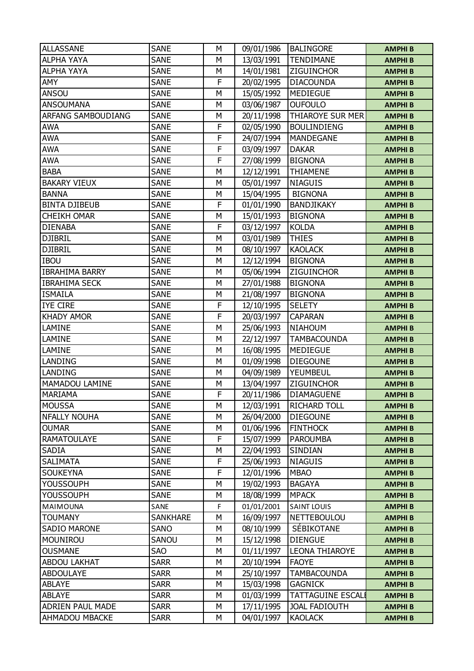| <b>ALLASSANE</b>        | <b>SANE</b>     | М | 09/01/1986 | <b>BALINGORE</b>         | <b>AMPHIB</b> |
|-------------------------|-----------------|---|------------|--------------------------|---------------|
| <b>ALPHA YAYA</b>       | <b>SANE</b>     | М | 13/03/1991 | <b>TENDIMANE</b>         | <b>AMPHIB</b> |
| <b>ALPHA YAYA</b>       | <b>SANE</b>     | М | 14/01/1981 | ZIGUINCHOR               | <b>AMPHIB</b> |
| AMY                     | <b>SANE</b>     | F | 20/02/1995 | <b>DIACOUNDA</b>         | <b>AMPHIB</b> |
| ANSOU                   | <b>SANE</b>     | M | 15/05/1992 | <b>MEDIEGUE</b>          | <b>AMPHIB</b> |
| <b>ANSOUMANA</b>        | <b>SANE</b>     | М | 03/06/1987 | <b>OUFOULO</b>           | <b>AMPHIB</b> |
| ARFANG SAMBOUDIANG      | <b>SANE</b>     | М | 20/11/1998 | THIAROYE SUR MER         | <b>AMPHIB</b> |
| <b>AWA</b>              | <b>SANE</b>     | F | 02/05/1990 | <b>BOULINDIENG</b>       | <b>AMPHIB</b> |
| <b>AWA</b>              | <b>SANE</b>     | F | 24/07/1994 | <b>MANDEGANE</b>         | <b>AMPHIB</b> |
| <b>AWA</b>              | <b>SANE</b>     | F | 03/09/1997 | <b>DAKAR</b>             | <b>AMPHIB</b> |
| <b>AWA</b>              | <b>SANE</b>     | F | 27/08/1999 | <b>BIGNONA</b>           | <b>AMPHIB</b> |
| <b>BABA</b>             | <b>SANE</b>     | М | 12/12/1991 | <b>THIAMENE</b>          | <b>AMPHIB</b> |
| <b>BAKARY VIEUX</b>     | <b>SANE</b>     | М | 05/01/1997 | <b>NIAGUIS</b>           | <b>AMPHIB</b> |
| <b>BANNA</b>            | <b>SANE</b>     | M | 15/04/1995 | <b>BIGNONA</b>           | <b>AMPHIB</b> |
| <b>BINTA DJIBEUB</b>    | <b>SANE</b>     | F | 01/01/1990 | BANDJIKAKY               | <b>AMPHIB</b> |
| <b>CHEIKH OMAR</b>      | <b>SANE</b>     | М | 15/01/1993 | <b>BIGNONA</b>           | <b>AMPHIB</b> |
| <b>DIENABA</b>          | <b>SANE</b>     | F | 03/12/1997 | <b>KOLDA</b>             | <b>AMPHIB</b> |
| <b>DJIBRIL</b>          | <b>SANE</b>     | М | 03/01/1989 | <b>THIES</b>             | <b>AMPHIB</b> |
| <b>DJIBRIL</b>          | <b>SANE</b>     | М | 08/10/1997 | <b>KAOLACK</b>           | <b>AMPHIB</b> |
| <b>IBOU</b>             | <b>SANE</b>     | M | 12/12/1994 | <b>BIGNONA</b>           | <b>AMPHIB</b> |
| <b>IBRAHIMA BARRY</b>   | <b>SANE</b>     | М | 05/06/1994 | <b>ZIGUINCHOR</b>        | <b>AMPHIB</b> |
| <b>IBRAHIMA SECK</b>    | <b>SANE</b>     | М | 27/01/1988 | <b>BIGNONA</b>           | <b>AMPHIB</b> |
| <b>ISMAILA</b>          | <b>SANE</b>     | M | 21/08/1997 | <b>BIGNONA</b>           | <b>AMPHIB</b> |
| <b>IYE CIRE</b>         | <b>SANE</b>     | F | 12/10/1995 | <b>SELETY</b>            | <b>AMPHIB</b> |
| <b>KHADY AMOR</b>       | <b>SANE</b>     | F | 20/03/1997 | <b>CAPARAN</b>           | <b>AMPHIB</b> |
| LAMINE                  | <b>SANE</b>     | M | 25/06/1993 | <b>NIAHOUM</b>           | <b>AMPHIB</b> |
| LAMINE                  | <b>SANE</b>     | М | 22/12/1997 | <b>TAMBACOUNDA</b>       | <b>AMPHIB</b> |
| LAMINE                  | <b>SANE</b>     | М | 16/08/1995 | <b>MEDIEGUE</b>          | <b>AMPHIB</b> |
| LANDING                 | <b>SANE</b>     | M | 01/09/1998 | <b>DIEGOUNE</b>          | <b>AMPHIB</b> |
| LANDING                 | <b>SANE</b>     | М | 04/09/1989 | YEUMBEUL                 | <b>AMPHIB</b> |
| MAMADOU LAMINE          | <b>SANE</b>     | М | 13/04/1997 | <b>ZIGUINCHOR</b>        | <b>AMPHIB</b> |
| <b>MARIAMA</b>          | <b>SANE</b>     | F | 20/11/1986 | <b>DIAMAGUENE</b>        | <b>AMPHIB</b> |
| <b>MOUSSA</b>           | <b>SANE</b>     | М | 12/03/1991 | <b>RICHARD TOLL</b>      | <b>AMPHIB</b> |
| <b>NFALLY NOUHA</b>     | <b>SANE</b>     | М | 26/04/2000 | <b>DIEGOUNE</b>          | <b>AMPHIB</b> |
| <b>OUMAR</b>            | <b>SANE</b>     | М | 01/06/1996 | <b>FINTHOCK</b>          | <b>AMPHIB</b> |
| <b>RAMATOULAYE</b>      | <b>SANE</b>     | F | 15/07/1999 | <b>PAROUMBA</b>          | <b>AMPHIB</b> |
| SADIA                   | <b>SANE</b>     | М | 22/04/1993 | SINDIAN                  | <b>AMPHIB</b> |
| <b>SALIMATA</b>         | <b>SANE</b>     | F | 25/06/1993 | <b>NIAGUIS</b>           | <b>AMPHIB</b> |
| <b>SOUKEYNA</b>         | <b>SANE</b>     | F | 12/01/1996 | <b>MBAO</b>              | <b>AMPHIB</b> |
| <b>YOUSSOUPH</b>        | <b>SANE</b>     | М | 19/02/1993 | <b>BAGAYA</b>            | <b>AMPHIB</b> |
| <b>YOUSSOUPH</b>        | <b>SANE</b>     | М | 18/08/1999 | <b>MPACK</b>             | <b>AMPHIB</b> |
| MAIMOUNA                | SANE            | F | 01/01/2001 | <b>SAINT LOUIS</b>       | <b>AMPHIB</b> |
| <b>TOUMANY</b>          | <b>SANKHARE</b> | М | 16/09/1997 | <b>NETTEBOULOU</b>       | <b>AMPHIB</b> |
| SADIO MARONE            | SANO            | М | 08/10/1999 | SÉBIKOTANE               | <b>AMPHIB</b> |
| MOUNIROU                | SANOU           | М | 15/12/1998 | <b>DIENGUE</b>           | <b>AMPHIB</b> |
| <b>OUSMANE</b>          | <b>SAO</b>      | М | 01/11/1997 | <b>LEONA THIAROYE</b>    | <b>AMPHIB</b> |
| <b>ABDOU LAKHAT</b>     | <b>SARR</b>     | M | 20/10/1994 | <b>FAOYE</b>             | <b>AMPHIB</b> |
| <b>ABDOULAYE</b>        | <b>SARR</b>     | М | 25/10/1997 | <b>TAMBACOUNDA</b>       | <b>AMPHIB</b> |
| <b>ABLAYE</b>           | <b>SARR</b>     | М | 15/03/1998 | <b>GAGNICK</b>           | <b>AMPHIB</b> |
| <b>ABLAYE</b>           | <b>SARR</b>     | М | 01/03/1999 | <b>TATTAGUINE ESCALI</b> | <b>AMPHIB</b> |
| <b>ADRIEN PAUL MADE</b> | <b>SARR</b>     | М | 17/11/1995 | <b>JOAL FADIOUTH</b>     | <b>AMPHIB</b> |
| AHMADOU MBACKE          | <b>SARR</b>     | М | 04/01/1997 | <b>KAOLACK</b>           | <b>AMPHIB</b> |
|                         |                 |   |            |                          |               |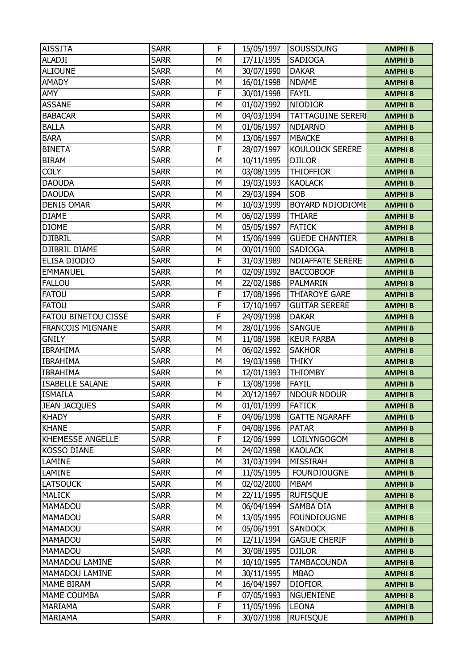| <b>AISSITA</b>          | <b>SARR</b> | F | 15/05/1997 | SOUSSOUNG                | <b>AMPHIB</b> |
|-------------------------|-------------|---|------------|--------------------------|---------------|
| <b>ALADJI</b>           | <b>SARR</b> | М | 17/11/1995 | SADIOGA                  | <b>AMPHIB</b> |
| <b>ALIOUNE</b>          | <b>SARR</b> | М | 30/07/1990 | <b>DAKAR</b>             | <b>AMPHIB</b> |
| <b>AMADY</b>            | <b>SARR</b> | М | 16/01/1998 | <b>NDAME</b>             | <b>AMPHIB</b> |
| <b>AMY</b>              | <b>SARR</b> | F | 30/01/1998 | <b>FAYIL</b>             | <b>AMPHIB</b> |
| <b>ASSANE</b>           | <b>SARR</b> | M | 01/02/1992 | <b>NIODIOR</b>           | <b>AMPHIB</b> |
| <b>BABACAR</b>          | <b>SARR</b> | М | 04/03/1994 | <b>TATTAGUINE SERERI</b> | <b>AMPHIB</b> |
| <b>BALLA</b>            | <b>SARR</b> | M | 01/06/1997 | <b>NDIARNO</b>           | <b>AMPHIB</b> |
| <b>BARA</b>             | <b>SARR</b> | М | 13/06/1997 | <b>MBACKE</b>            | <b>AMPHIB</b> |
| <b>BINETA</b>           | <b>SARR</b> | F | 28/07/1997 | KOULOUCK SERERE          | <b>AMPHIB</b> |
| <b>BIRAM</b>            | <b>SARR</b> | M | 10/11/1995 | <b>DJILOR</b>            | <b>AMPHIB</b> |
| <b>COLY</b>             | <b>SARR</b> | M | 03/08/1995 | <b>THIOFFIOR</b>         | <b>AMPHIB</b> |
| <b>DAOUDA</b>           | <b>SARR</b> | М | 19/03/1993 | <b>KAOLACK</b>           | <b>AMPHIB</b> |
| <b>DAOUDA</b>           | <b>SARR</b> | M | 29/03/1994 | SOB                      | <b>AMPHIB</b> |
| <b>DENIS OMAR</b>       | <b>SARR</b> | М | 10/03/1999 | BOYARD NDIODIOME         | <b>AMPHIB</b> |
| <b>DIAME</b>            | <b>SARR</b> | М | 06/02/1999 | <b>THIARE</b>            | <b>AMPHIB</b> |
| <b>DIOME</b>            | <b>SARR</b> | M | 05/05/1997 | <b>FATICK</b>            | <b>AMPHIB</b> |
| <b>DJIBRIL</b>          | <b>SARR</b> | М | 15/06/1999 | <b>GUEDE CHANTIER</b>    | <b>AMPHIB</b> |
| <b>DJIBRIL DIAME</b>    | <b>SARR</b> | М | 00/01/1900 | SADIOGA                  | <b>AMPHIB</b> |
| ELISA DIODIO            | <b>SARR</b> | F | 31/03/1989 | <b>NDIAFFATE SERERE</b>  | <b>AMPHIB</b> |
| <b>EMMANUEL</b>         | <b>SARR</b> | M | 02/09/1992 | <b>BACCOBOOF</b>         | <b>AMPHIB</b> |
| <b>FALLOU</b>           | <b>SARR</b> | М | 22/02/1986 | <b>PALMARIN</b>          | <b>AMPHIB</b> |
| <b>FATOU</b>            | <b>SARR</b> | F | 17/08/1996 | <b>THIAROYE GARE</b>     | <b>AMPHIB</b> |
| <b>FATOU</b>            | <b>SARR</b> | F | 17/10/1997 | <b>GUITAR SERERE</b>     | <b>AMPHIB</b> |
| FATOU BINETOU CISSÉ     | <b>SARR</b> | F | 24/09/1998 | <b>DAKAR</b>             | <b>AMPHIB</b> |
| FRANCOIS MIGNANE        | <b>SARR</b> | M | 28/01/1996 | <b>SANGUE</b>            | <b>AMPHIB</b> |
| <b>GNILY</b>            | <b>SARR</b> | M | 11/08/1998 | <b>KEUR FARBA</b>        | <b>AMPHIB</b> |
| <b>IBRAHIMA</b>         | <b>SARR</b> | М | 06/02/1992 | <b>SAKHOR</b>            | <b>AMPHIB</b> |
| <b>IBRAHIMA</b>         | <b>SARR</b> | M | 19/03/1998 | <b>THIKY</b>             | <b>AMPHIB</b> |
| <b>IBRAHIMA</b>         | <b>SARR</b> | М | 12/01/1993 | <b>THIOMBY</b>           | <b>AMPHIB</b> |
| <b>ISABELLE SALANE</b>  | <b>SARR</b> | F | 13/08/1998 | <b>FAYIL</b>             | <b>AMPHIB</b> |
| <b>ISMAILA</b>          | <b>SARR</b> | М | 20/12/1997 | <b>NDOUR NDOUR</b>       | <b>AMPHIB</b> |
| <b>JEAN JACQUES</b>     | <b>SARR</b> | М | 01/01/1999 | <b>FATICK</b>            | <b>AMPHIB</b> |
| <b>KHADY</b>            | <b>SARR</b> | F | 04/06/1998 | <b>GATTE NGARAFF</b>     | <b>AMPHIB</b> |
| <b>KHANE</b>            | <b>SARR</b> | F | 04/08/1996 | <b>PATAR</b>             | <b>AMPHIB</b> |
| <b>KHEMESSE ANGELLE</b> | <b>SARR</b> | F | 12/06/1999 | LOILYNGOGOM              | <b>AMPHIB</b> |
| <b>KOSSO DIANE</b>      | <b>SARR</b> | М | 24/02/1998 | <b>KAOLACK</b>           | <b>AMPHIB</b> |
| LAMINE                  | <b>SARR</b> | М | 31/03/1994 | <b>MISSIRAH</b>          | <b>AMPHIB</b> |
| LAMINE                  | <b>SARR</b> | М | 11/05/1995 | <b>FOUNDIOUGNE</b>       | <b>AMPHIB</b> |
| <b>LATSOUCK</b>         | <b>SARR</b> | М | 02/02/2000 | <b>MBAM</b>              | <b>AMPHIB</b> |
| <b>MALICK</b>           | <b>SARR</b> | M | 22/11/1995 | <b>RUFISQUE</b>          | <b>AMPHIB</b> |
| MAMADOU                 | <b>SARR</b> | М | 06/04/1994 | SAMBA DIA                | <b>AMPHIB</b> |
| <b>MAMADOU</b>          | <b>SARR</b> | М | 13/05/1995 | <b>FOUNDIOUGNE</b>       | <b>AMPHIB</b> |
| MAMADOU                 | <b>SARR</b> | М | 05/06/1991 | <b>SANDOCK</b>           | <b>AMPHIB</b> |
| MAMADOU                 | <b>SARR</b> | М | 12/11/1994 | <b>GAGUE CHERIF</b>      | <b>AMPHIB</b> |
| MAMADOU                 | <b>SARR</b> | М | 30/08/1995 | <b>DJILOR</b>            | <b>AMPHIB</b> |
| MAMADOU LAMINE          | <b>SARR</b> | M | 10/10/1995 | <b>TAMBACOUNDA</b>       | <b>AMPHIB</b> |
| MAMADOU LAMINE          | <b>SARR</b> | М | 30/11/1995 | <b>MBAO</b>              | <b>AMPHIB</b> |
| MAME BIRAM              | <b>SARR</b> | М | 16/04/1997 | <b>DIOFIOR</b>           | <b>AMPHIB</b> |
| MAME COUMBA             | <b>SARR</b> | F | 07/05/1993 | <b>NGUENIENE</b>         | <b>AMPHIB</b> |
| <b>MARIAMA</b>          | <b>SARR</b> | F | 11/05/1996 | <b>LEONA</b>             | <b>AMPHIB</b> |
| MARIAMA                 | <b>SARR</b> | F | 30/07/1998 | <b>RUFISQUE</b>          | <b>AMPHIB</b> |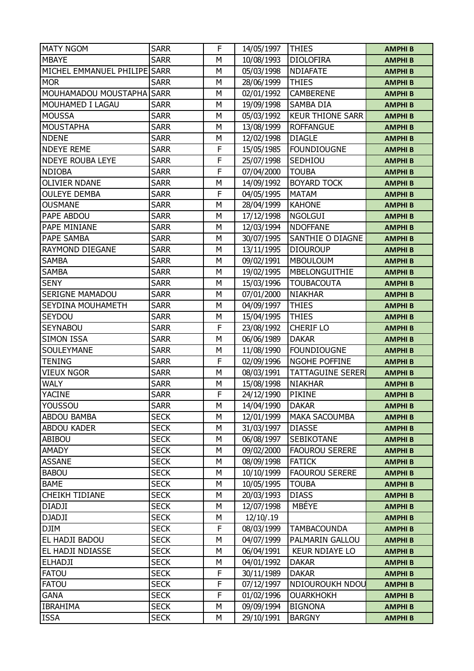| <b>MATY NGOM</b>             | <b>SARR</b> | F | 14/05/1997 | <b>THIES</b>             | <b>AMPHIB</b> |
|------------------------------|-------------|---|------------|--------------------------|---------------|
| <b>MBAYE</b>                 | <b>SARR</b> | М | 10/08/1993 | <b>DIOLOFIRA</b>         | <b>AMPHIB</b> |
| MICHEL EMMANUEL PHILIPE SARR |             | M | 05/03/1998 | NDIAFATE                 | <b>AMPHIB</b> |
| <b>MOR</b>                   | <b>SARR</b> | М | 28/06/1999 | <b>THIES</b>             | <b>AMPHIB</b> |
| MOUHAMADOU MOUSTAPHA SARR    |             | М | 02/01/1992 | CAMBERENE                | <b>AMPHIB</b> |
| MOUHAMED I LAGAU             | <b>SARR</b> | M | 19/09/1998 | <b>SAMBA DIA</b>         | <b>AMPHIB</b> |
| <b>MOUSSA</b>                | <b>SARR</b> | M | 05/03/1992 | <b>KEUR THIONE SARR</b>  | <b>AMPHIB</b> |
| <b>MOUSTAPHA</b>             | <b>SARR</b> | М | 13/08/1999 | <b>ROFFANGUE</b>         | <b>AMPHIB</b> |
| <b>NDENE</b>                 | <b>SARR</b> | М | 12/02/1998 | <b>DIAGLE</b>            | <b>AMPHIB</b> |
| <b>NDEYE REME</b>            | <b>SARR</b> | F | 15/05/1985 | <b>FOUNDIOUGNE</b>       | <b>AMPHIB</b> |
| <b>NDEYE ROUBA LEYE</b>      | <b>SARR</b> | F | 25/07/1998 | SEDHIOU                  | <b>AMPHIB</b> |
| <b>NDIOBA</b>                | <b>SARR</b> | F | 07/04/2000 | <b>TOUBA</b>             | <b>AMPHIB</b> |
| <b>OLIVIER NDANE</b>         | <b>SARR</b> | М | 14/09/1992 | <b>BOYARD TOCK</b>       | <b>AMPHIB</b> |
| <b>OULEYE DEMBA</b>          | <b>SARR</b> | F | 04/05/1995 | <b>MATAM</b>             | <b>AMPHIB</b> |
| <b>OUSMANE</b>               | <b>SARR</b> | M | 28/04/1999 | <b>KAHONE</b>            | <b>AMPHIB</b> |
| PAPE ABDOU                   | <b>SARR</b> | М | 17/12/1998 | <b>NGOLGUI</b>           | <b>AMPHIB</b> |
| PAPE MINIANE                 | <b>SARR</b> | М | 12/03/1994 | <b>NDOFFANE</b>          | <b>AMPHIB</b> |
| PAPE SAMBA                   | <b>SARR</b> | M | 30/07/1995 | <b>SANTHIE O DIAGNE</b>  | <b>AMPHIB</b> |
| RAYMOND DIEGANE              | <b>SARR</b> | M | 13/11/1995 | <b>DIOUROUP</b>          | <b>AMPHIB</b> |
| <b>SAMBA</b>                 | <b>SARR</b> | М | 09/02/1991 | <b>MBOULOUM</b>          | <b>AMPHIB</b> |
| <b>SAMBA</b>                 | <b>SARR</b> | M | 19/02/1995 | MBELONGUITHIE            | <b>AMPHIB</b> |
| <b>SENY</b>                  | <b>SARR</b> | М | 15/03/1996 | <b>TOUBACOUTA</b>        | <b>AMPHIB</b> |
| <b>SERIGNE MAMADOU</b>       | <b>SARR</b> | М | 07/01/2000 | <b>NIAKHAR</b>           | <b>AMPHIB</b> |
| SEYDINA MOUHAMETH            | <b>SARR</b> | M | 04/09/1997 | <b>THIES</b>             | <b>AMPHIB</b> |
| SEYDOU                       | <b>SARR</b> | М | 15/04/1995 | <b>THIES</b>             | <b>AMPHIB</b> |
| <b>SEYNABOU</b>              | <b>SARR</b> | F | 23/08/1992 | <b>CHERIF LO</b>         | <b>AMPHIB</b> |
| <b>SIMON ISSA</b>            | <b>SARR</b> | M | 06/06/1989 | <b>DAKAR</b>             | <b>AMPHIB</b> |
| SOULEYMANE                   | <b>SARR</b> | М | 11/08/1990 | <b>FOUNDIOUGNE</b>       | <b>AMPHIB</b> |
| <b>TENING</b>                | <b>SARR</b> | F | 02/09/1996 | NGOHE POFFINE            | <b>AMPHIB</b> |
| <b>VIEUX NGOR</b>            | <b>SARR</b> | M | 08/03/1991 | <b>TATTAGUINE SERERI</b> | <b>AMPHIB</b> |
| <b>WALY</b>                  | <b>SARR</b> | М | 15/08/1998 | <b>NIAKHAR</b>           | <b>AMPHIB</b> |
| <b>YACINE</b>                | <b>SARR</b> | F | 24/12/1990 | <b>PIKINE</b>            | <b>AMPHIB</b> |
| YOUSSOU                      | <b>SARR</b> | М | 14/04/1990 | <b>DAKAR</b>             | <b>AMPHIB</b> |
| ABDOU BAMBA                  | <b>SECK</b> | М | 12/01/1999 | <b>MAKA SACOUMBA</b>     | <b>AMPHIB</b> |
| ABDOU KADER                  | <b>SECK</b> | М | 31/03/1997 | <b>DIASSE</b>            | <b>AMPHIB</b> |
| ABIBOU                       | <b>SECK</b> | М | 06/08/1997 | <b>SEBIKOTANE</b>        | <b>AMPHIB</b> |
| AMADY                        | <b>SECK</b> | М | 09/02/2000 | <b>FAOUROU SERERE</b>    | <b>AMPHIB</b> |
| <b>ASSANE</b>                | <b>SECK</b> | М | 08/09/1998 | <b>FATICK</b>            | <b>AMPHIB</b> |
| <b>BABOU</b>                 | <b>SECK</b> | М | 10/10/1999 | <b>FAOUROU SERERE</b>    | <b>AMPHIB</b> |
| <b>BAME</b>                  | <b>SECK</b> | М | 10/05/1995 | <b>TOUBA</b>             | <b>AMPHIB</b> |
| <b>CHEIKH TIDIANE</b>        | <b>SECK</b> | М | 20/03/1993 | <b>DIASS</b>             | <b>AMPHIB</b> |
| <b>DIADJI</b>                | <b>SECK</b> | М | 12/07/1998 | <b>MBÉYE</b>             | <b>AMPHIB</b> |
| <b>DJADJI</b>                | <b>SECK</b> | М | 12/10/.19  |                          | <b>AMPHIB</b> |
| <b>DJIM</b>                  | <b>SECK</b> | F | 08/03/1999 | <b>TAMBACOUNDA</b>       | <b>AMPHIB</b> |
| EL HADJI BADOU               | <b>SECK</b> | М | 04/07/1999 | PALMARIN GALLOU          | <b>AMPHIB</b> |
| EL HADJI NDIASSE             | <b>SECK</b> | М | 06/04/1991 | <b>KEUR NDIAYE LO</b>    | <b>AMPHIB</b> |
| <b>ELHADJI</b>               | <b>SECK</b> | М | 04/01/1992 | <b>DAKAR</b>             | <b>AMPHIB</b> |
| <b>FATOU</b>                 | <b>SECK</b> | F | 30/11/1989 | <b>DAKAR</b>             | <b>AMPHIB</b> |
| <b>FATOU</b>                 | <b>SECK</b> | F | 07/12/1997 | NDIOUROUKH NDOU          | <b>AMPHIB</b> |
| <b>GANA</b>                  | <b>SECK</b> | F | 01/02/1996 | <b>OUARKHOKH</b>         | <b>AMPHIB</b> |
| <b>IBRAHIMA</b>              | <b>SECK</b> | М | 09/09/1994 | <b>BIGNONA</b>           | <b>AMPHIB</b> |
| <b>ISSA</b>                  | <b>SECK</b> | М | 29/10/1991 | <b>BARGNY</b>            | <b>AMPHIB</b> |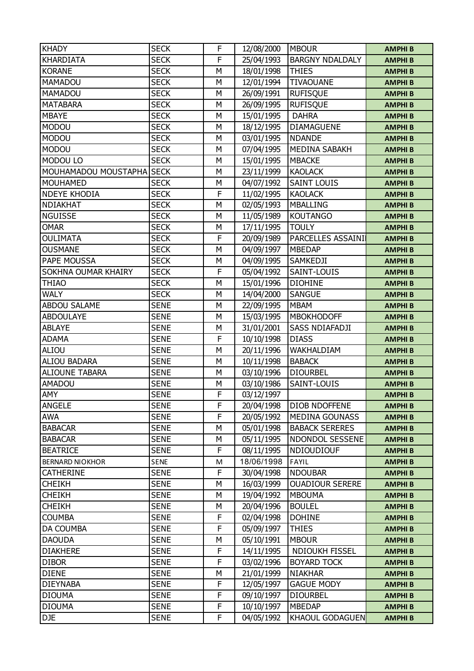| <b>KHADY</b>              | <b>SECK</b> | F | 12/08/2000 | <b>MBOUR</b>           | <b>AMPHIB</b> |
|---------------------------|-------------|---|------------|------------------------|---------------|
| <b>KHARDIATA</b>          | <b>SECK</b> | F | 25/04/1993 | <b>BARGNY NDALDALY</b> | <b>AMPHIB</b> |
| <b>KORANE</b>             | <b>SECK</b> | M | 18/01/1998 | <b>THIES</b>           | <b>AMPHIB</b> |
| <b>MAMADOU</b>            | <b>SECK</b> | М | 12/01/1994 | <b>TIVAOUANE</b>       | <b>AMPHIB</b> |
| MAMADOU                   | <b>SECK</b> | M | 26/09/1991 | <b>RUFISQUE</b>        | <b>AMPHIB</b> |
| <b>MATABARA</b>           | <b>SECK</b> | M | 26/09/1995 | <b>RUFISQUE</b>        | <b>AMPHIB</b> |
| <b>MBAYE</b>              | <b>SECK</b> | М | 15/01/1995 | <b>DAHRA</b>           | <b>AMPHIB</b> |
| <b>MODOU</b>              | <b>SECK</b> | M | 18/12/1995 | <b>DIAMAGUENE</b>      | <b>AMPHIB</b> |
| <b>MODOU</b>              | <b>SECK</b> | M | 03/01/1995 | <b>NDANDE</b>          | <b>AMPHIB</b> |
| <b>MODOU</b>              | <b>SECK</b> | М | 07/04/1995 | MEDINA SABAKH          | <b>AMPHIB</b> |
| MODOU LO                  | <b>SECK</b> | M | 15/01/1995 | <b>MBACKE</b>          | <b>AMPHIB</b> |
| MOUHAMADOU MOUSTAPHA SECK |             | M | 23/11/1999 | <b>KAOLACK</b>         | <b>AMPHIB</b> |
| <b>MOUHAMED</b>           | <b>SECK</b> | М | 04/07/1992 | <b>SAINT LOUIS</b>     | <b>AMPHIB</b> |
| <b>NDEYE KHODIA</b>       | <b>SECK</b> | F | 11/02/1995 | <b>KAOLACK</b>         | <b>AMPHIB</b> |
| NDIAKHAT                  | <b>SECK</b> | M | 02/05/1993 | <b>MBALLING</b>        | <b>AMPHIB</b> |
| <b>NGUISSE</b>            | <b>SECK</b> | М | 11/05/1989 | <b>KOUTANGO</b>        | <b>AMPHIB</b> |
| <b>OMAR</b>               | <b>SECK</b> | M | 17/11/1995 | <b>TOULY</b>           | <b>AMPHIB</b> |
| <b>OULIMATA</b>           | <b>SECK</b> | F | 20/09/1989 | PARCELLES ASSAINI      | <b>AMPHIB</b> |
| <b>OUSMANE</b>            | <b>SECK</b> | М | 04/09/1997 | <b>MBEDAP</b>          | <b>AMPHIB</b> |
| PAPE MOUSSA               | <b>SECK</b> | М | 04/09/1995 | SAMKEDJI               | <b>AMPHIB</b> |
| SOKHNA OUMAR KHAIRY       | <b>SECK</b> | F | 05/04/1992 | SAINT-LOUIS            | <b>AMPHIB</b> |
| <b>THIAO</b>              | <b>SECK</b> | М | 15/01/1996 | <b>DIOHINE</b>         | <b>AMPHIB</b> |
| <b>WALY</b>               | <b>SECK</b> | M | 14/04/2000 | <b>SANGUE</b>          | <b>AMPHIB</b> |
| <b>ABDOU SALAME</b>       | <b>SENE</b> | M | 22/09/1995 | <b>MBAM</b>            | <b>AMPHIB</b> |
| <b>ABDOULAYE</b>          | <b>SENE</b> | М | 15/03/1995 | <b>MBOKHODOFF</b>      | <b>AMPHIB</b> |
| <b>ABLAYE</b>             | <b>SENE</b> | М | 31/01/2001 | <b>SASS NDIAFADJI</b>  | <b>AMPHIB</b> |
| <b>ADAMA</b>              | <b>SENE</b> | F | 10/10/1998 | <b>DIASS</b>           | <b>AMPHIB</b> |
| <b>ALIOU</b>              | <b>SENE</b> | М | 20/11/1996 | WAKHALDIAM             | <b>AMPHIB</b> |
| <b>ALIOU BADARA</b>       | <b>SENE</b> | M | 10/11/1998 | <b>BABACK</b>          | <b>AMPHIB</b> |
| <b>ALIOUNE TABARA</b>     | <b>SENE</b> | M | 03/10/1996 | <b>DIOURBEL</b>        | <b>AMPHIB</b> |
| <b>AMADOU</b>             | <b>SENE</b> | М | 03/10/1986 | SAINT-LOUIS            | <b>AMPHIB</b> |
| AMY                       | <b>SENE</b> | F | 03/12/1997 |                        | <b>AMPHIB</b> |
| <b>ANGELE</b>             | <b>SENE</b> | F | 20/04/1998 | <b>DIOB NDOFFENE</b>   | <b>AMPHIB</b> |
| <b>AWA</b>                | <b>SENE</b> | F | 20/05/1992 | <b>MEDINA GOUNASS</b>  | <b>AMPHIB</b> |
| <b>BABACAR</b>            | <b>SENE</b> | M | 05/01/1998 | <b>BABACK SERERES</b>  | <b>AMPHIB</b> |
| <b>BABACAR</b>            | <b>SENE</b> | М | 05/11/1995 | NDONDOL SESSENE        | <b>AMPHIB</b> |
| <b>BEATRICE</b>           | <b>SENE</b> | F | 08/11/1995 | NDIOUDIOUF             | <b>AMPHIB</b> |
| <b>BERNARD NIOKHOR</b>    | SENE        | M | 18/06/1998 | FAYIL                  | <b>AMPHIB</b> |
| <b>CATHERINE</b>          | <b>SENE</b> | F | 30/04/1998 | <b>NDOUBAR</b>         | <b>AMPHIB</b> |
| <b>CHEIKH</b>             | <b>SENE</b> | М | 16/03/1999 | <b>OUADIOUR SERERE</b> | <b>AMPHIB</b> |
| <b>CHEIKH</b>             | <b>SENE</b> | M | 19/04/1992 | <b>MBOUMA</b>          | <b>AMPHIB</b> |
| <b>CHEIKH</b>             | <b>SENE</b> | М | 20/04/1996 | <b>BOULEL</b>          | <b>AMPHIB</b> |
| <b>COUMBA</b>             | <b>SENE</b> | F | 02/04/1998 | <b>DOHINE</b>          | <b>AMPHIB</b> |
| DA COUMBA                 | <b>SENE</b> | F | 05/09/1997 | <b>THIES</b>           | <b>AMPHIB</b> |
| <b>DAOUDA</b>             | <b>SENE</b> | М | 05/10/1991 | <b>MBOUR</b>           | <b>AMPHIB</b> |
| <b>DIAKHERE</b>           | <b>SENE</b> | F | 14/11/1995 | <b>NDIOUKH FISSEL</b>  | <b>AMPHIB</b> |
| <b>DIBOR</b>              | <b>SENE</b> | F | 03/02/1996 | <b>BOYARD TOCK</b>     | <b>AMPHIB</b> |
| <b>DIENE</b>              | <b>SENE</b> | М | 21/01/1999 | <b>NIAKHAR</b>         | <b>AMPHIB</b> |
| <b>DIEYNABA</b>           | <b>SENE</b> | F | 12/05/1997 | <b>GAGUE MODY</b>      | <b>AMPHIB</b> |
| <b>DIOUMA</b>             | <b>SENE</b> | F | 09/10/1997 | <b>DIOURBEL</b>        | <b>AMPHIB</b> |
| <b>DIOUMA</b>             | <b>SENE</b> | F | 10/10/1997 | <b>MBEDAP</b>          | <b>AMPHIB</b> |
| DJE                       | <b>SENE</b> | F | 04/05/1992 | <b>KHAOUL GODAGUEN</b> | <b>AMPHIB</b> |
|                           |             |   |            |                        |               |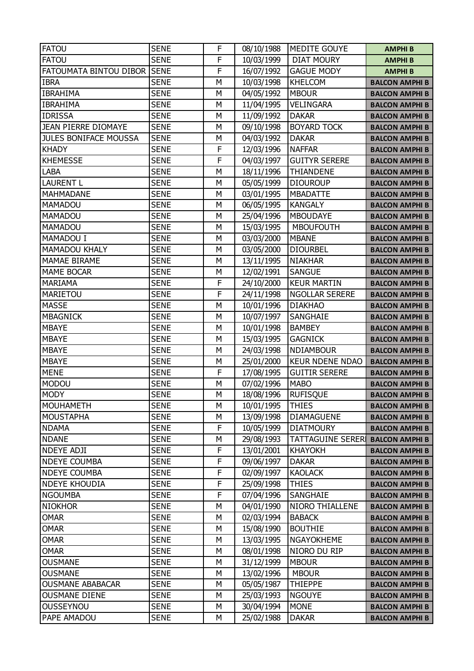| <b>FATOU</b>                 | <b>SENE</b> | F | 08/10/1988 | <b>MEDITE GOUYE</b>     | <b>AMPHIB</b>         |
|------------------------------|-------------|---|------------|-------------------------|-----------------------|
| <b>FATOU</b>                 | <b>SENE</b> | F | 10/03/1999 | <b>DIAT MOURY</b>       | <b>AMPHIB</b>         |
| FATOUMATA BINTOU DIBOR       | <b>SENE</b> | F | 16/07/1992 | <b>GAGUE MODY</b>       | <b>AMPHIB</b>         |
| <b>IBRA</b>                  | <b>SENE</b> | М | 10/03/1998 | <b>KHELCOM</b>          | <b>BALCON AMPHI B</b> |
| <b>IBRAHIMA</b>              | <b>SENE</b> | M | 04/05/1992 | <b>MBOUR</b>            | <b>BALCON AMPHI B</b> |
| <b>IBRAHIMA</b>              | <b>SENE</b> | M | 11/04/1995 | <b>VELINGARA</b>        | <b>BALCON AMPHI B</b> |
| <b>IDRISSA</b>               | <b>SENE</b> | M | 11/09/1992 | <b>DAKAR</b>            | <b>BALCON AMPHI B</b> |
| <b>JEAN PIERRE DIOMAYE</b>   | <b>SENE</b> | M | 09/10/1998 | <b>BOYARD TOCK</b>      | <b>BALCON AMPHI B</b> |
| <b>JULES BONIFACE MOUSSA</b> | <b>SENE</b> | M | 04/03/1992 | <b>DAKAR</b>            | <b>BALCON AMPHI B</b> |
| <b>KHADY</b>                 | <b>SENE</b> | F | 12/03/1996 | <b>NAFFAR</b>           | <b>BALCON AMPHI B</b> |
| <b>KHEMESSE</b>              | <b>SENE</b> | F | 04/03/1997 | <b>GUITYR SERERE</b>    | <b>BALCON AMPHI B</b> |
| <b>LABA</b>                  | <b>SENE</b> | M | 18/11/1996 | <b>THIANDENE</b>        | <b>BALCON AMPHI B</b> |
| <b>LAURENT L</b>             | <b>SENE</b> | M | 05/05/1999 | <b>DIOUROUP</b>         | <b>BALCON AMPHI B</b> |
| <b>MAHMADANE</b>             | <b>SENE</b> | M | 03/01/1995 | <b>MBADATTE</b>         | <b>BALCON AMPHI B</b> |
| MAMADOU                      | <b>SENE</b> | M | 06/05/1995 | <b>KANGALY</b>          | <b>BALCON AMPHI B</b> |
| MAMADOU                      | <b>SENE</b> | М | 25/04/1996 | <b>MBOUDAYE</b>         | <b>BALCON AMPHI B</b> |
| <b>MAMADOU</b>               | <b>SENE</b> | M | 15/03/1995 | <b>MBOUFOUTH</b>        | <b>BALCON AMPHI B</b> |
| MAMADOU I                    | <b>SENE</b> | M | 03/03/2000 | <b>MBANE</b>            | <b>BALCON AMPHI B</b> |
| <b>MAMADOU KHALY</b>         | <b>SENE</b> | M | 03/05/2000 | <b>DIOURBEL</b>         | <b>BALCON AMPHI B</b> |
| <b>MAMAE BIRAME</b>          | <b>SENE</b> | M | 13/11/1995 | <b>NIAKHAR</b>          | <b>BALCON AMPHI B</b> |
| <b>MAME BOCAR</b>            | <b>SENE</b> | M | 12/02/1991 | <b>SANGUE</b>           | <b>BALCON AMPHI B</b> |
| <b>MARIAMA</b>               | <b>SENE</b> | F | 24/10/2000 | <b>KEUR MARTIN</b>      | <b>BALCON AMPHI B</b> |
| <b>MARIETOU</b>              | <b>SENE</b> | F | 24/11/1998 | <b>NGOLLAR SERERE</b>   | <b>BALCON AMPHI B</b> |
| <b>MASSE</b>                 | <b>SENE</b> | M | 10/01/1996 | <b>DIAKHAO</b>          | <b>BALCON AMPHI B</b> |
| <b>MBAGNICK</b>              | <b>SENE</b> | M | 10/07/1997 | SANGHAIE                | <b>BALCON AMPHI B</b> |
| <b>MBAYE</b>                 | <b>SENE</b> | M | 10/01/1998 | <b>BAMBEY</b>           | <b>BALCON AMPHI B</b> |
| <b>MBAYE</b>                 | <b>SENE</b> | M | 15/03/1995 | <b>GAGNICK</b>          | <b>BALCON AMPHI B</b> |
| <b>MBAYE</b>                 | <b>SENE</b> | Μ | 24/03/1998 | <b>NDIAMBOUR</b>        | <b>BALCON AMPHI B</b> |
| <b>MBAYE</b>                 | <b>SENE</b> | M | 25/01/2000 | <b>KEUR NDENE NDAO</b>  | <b>BALCON AMPHI B</b> |
| <b>MENE</b>                  | <b>SENE</b> | F | 17/08/1995 | <b>GUITIR SERERE</b>    | <b>BALCON AMPHI B</b> |
| <b>MODOU</b>                 | <b>SENE</b> | М | 07/02/1996 | <b>MABO</b>             | <b>BALCON AMPHI B</b> |
| <b>MODY</b>                  | <b>SENE</b> | М | 18/08/1996 | <b>RUFISQUE</b>         | <b>BALCON AMPHI B</b> |
| <b>MOUHAMETH</b>             | <b>SENE</b> | М | 10/01/1995 | <b>THIES</b>            | <b>BALCON AMPHI B</b> |
| <b>MOUSTAPHA</b>             | <b>SENE</b> | М | 13/09/1998 | <b>DIAMAGUENE</b>       | <b>BALCON AMPHI B</b> |
| <b>NDAMA</b>                 | <b>SENE</b> | F | 10/05/1999 | <b>DIATMOURY</b>        | <b>BALCON AMPHI B</b> |
| <b>NDANE</b>                 | <b>SENE</b> | М | 29/08/1993 | <b>TATTAGUINE SERER</b> | <b>BALCON AMPHI B</b> |
| <b>NDEYE ADJI</b>            | <b>SENE</b> | F | 13/01/2001 | <b>KHAYOKH</b>          | <b>BALCON AMPHI B</b> |
| <b>NDEYE COUMBA</b>          | <b>SENE</b> | F | 09/06/1997 | <b>DAKAR</b>            | <b>BALCON AMPHI B</b> |
| <b>NDEYE COUMBA</b>          | <b>SENE</b> | F | 02/09/1997 | <b>KAOLACK</b>          | <b>BALCON AMPHI B</b> |
| <b>NDEYE KHOUDIA</b>         | <b>SENE</b> | F | 25/09/1998 | <b>THIES</b>            | <b>BALCON AMPHI B</b> |
| <b>NGOUMBA</b>               | <b>SENE</b> | F | 07/04/1996 | SANGHAIE                | <b>BALCON AMPHI B</b> |
| <b>NIOKHOR</b>               | <b>SENE</b> | М | 04/01/1990 | NIORO THIALLENE         | <b>BALCON AMPHI B</b> |
| <b>OMAR</b>                  | <b>SENE</b> | М | 02/03/1994 | <b>BABACK</b>           | <b>BALCON AMPHI B</b> |
| <b>OMAR</b>                  | <b>SENE</b> | М | 15/08/1990 | <b>BOUTHIE</b>          | <b>BALCON AMPHI B</b> |
| <b>OMAR</b>                  | <b>SENE</b> | М | 13/03/1995 | <b>NGAYOKHEME</b>       | <b>BALCON AMPHI B</b> |
| <b>OMAR</b>                  | <b>SENE</b> | М | 08/01/1998 | NIORO DU RIP            | <b>BALCON AMPHI B</b> |
| <b>OUSMANE</b>               | <b>SENE</b> | М | 31/12/1999 | <b>MBOUR</b>            | <b>BALCON AMPHI B</b> |
| <b>OUSMANE</b>               | <b>SENE</b> | М | 13/02/1996 | <b>MBOUR</b>            | <b>BALCON AMPHI B</b> |
| <b>OUSMANE ABABACAR</b>      | <b>SENE</b> | М | 05/05/1987 | <b>THIEPPE</b>          | <b>BALCON AMPHI B</b> |
| <b>OUSMANE DIENE</b>         | <b>SENE</b> | М | 25/03/1993 | <b>NGOUYE</b>           | <b>BALCON AMPHI B</b> |
| <b>OUSSEYNOU</b>             | <b>SENE</b> | М | 30/04/1994 | <b>MONE</b>             | <b>BALCON AMPHI B</b> |
| PAPE AMADOU                  | <b>SENE</b> | М | 25/02/1988 | <b>DAKAR</b>            | <b>BALCON AMPHI B</b> |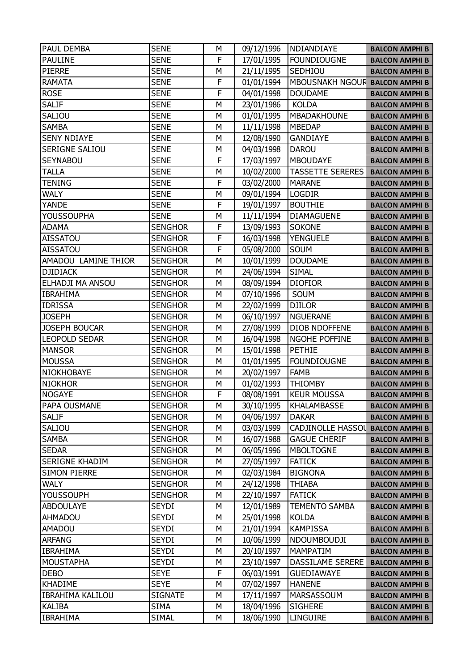| PAUL DEMBA              | <b>SENE</b>    | М | 09/12/1996 | NDIANDIAYE              | <b>BALCON AMPHI B</b> |
|-------------------------|----------------|---|------------|-------------------------|-----------------------|
| <b>PAULINE</b>          | <b>SENE</b>    | F | 17/01/1995 | <b>FOUNDIOUGNE</b>      | <b>BALCON AMPHI B</b> |
| <b>PIERRE</b>           | <b>SENE</b>    | М | 21/11/1995 | SEDHIOU                 | <b>BALCON AMPHI B</b> |
| <b>RAMATA</b>           | <b>SENE</b>    | F | 01/01/1994 | MBOUSNAKH NGOUR         | <b>BALCON AMPHI B</b> |
| <b>ROSE</b>             | <b>SENE</b>    | F | 04/01/1998 | <b>DOUDAME</b>          | <b>BALCON AMPHI B</b> |
| <b>SALIF</b>            | <b>SENE</b>    | M | 23/01/1986 | <b>KOLDA</b>            | <b>BALCON AMPHI B</b> |
| SALIOU                  | <b>SENE</b>    | М | 01/01/1995 | MBADAKHOUNE             | <b>BALCON AMPHI B</b> |
| <b>SAMBA</b>            | <b>SENE</b>    | M | 11/11/1998 | <b>MBEDAP</b>           | <b>BALCON AMPHI B</b> |
| <b>SENY NDIAYE</b>      | <b>SENE</b>    | М | 12/08/1990 | <b>GANDIAYE</b>         | <b>BALCON AMPHI B</b> |
| SERIGNE SALIOU          | <b>SENE</b>    | М | 04/03/1998 | <b>DAROU</b>            | <b>BALCON AMPHI B</b> |
| <b>SEYNABOU</b>         | <b>SENE</b>    | F | 17/03/1997 | <b>MBOUDAYE</b>         | <b>BALCON AMPHI B</b> |
| <b>TALLA</b>            | <b>SENE</b>    | Μ | 10/02/2000 | <b>TASSETTE SERERES</b> | <b>BALCON AMPHI B</b> |
| <b>TENING</b>           | <b>SENE</b>    | F | 03/02/2000 | <b>MARANE</b>           | <b>BALCON AMPHI B</b> |
| <b>WALY</b>             | <b>SENE</b>    | M | 09/01/1994 | <b>LOGDIR</b>           | <b>BALCON AMPHI B</b> |
| <b>YANDE</b>            | <b>SENE</b>    | F | 19/01/1997 | <b>BOUTHIE</b>          | <b>BALCON AMPHI B</b> |
| <b>YOUSSOUPHA</b>       | <b>SENE</b>    | М | 11/11/1994 | <b>DIAMAGUENE</b>       | <b>BALCON AMPHI B</b> |
| <b>ADAMA</b>            | <b>SENGHOR</b> | F | 13/09/1993 | <b>SOKONE</b>           | <b>BALCON AMPHI B</b> |
| <b>AISSATOU</b>         | <b>SENGHOR</b> | F | 16/03/1998 | <b>YENGUELE</b>         | <b>BALCON AMPHI B</b> |
| <b>AISSATOU</b>         | <b>SENGHOR</b> | F | 05/08/2000 | <b>SOUM</b>             | <b>BALCON AMPHI B</b> |
| AMADOU LAMINE THIOR     | <b>SENGHOR</b> | M | 10/01/1999 | <b>DOUDAME</b>          | <b>BALCON AMPHI B</b> |
| <b>DJIDIACK</b>         | <b>SENGHOR</b> | М | 24/06/1994 | <b>SIMAL</b>            | <b>BALCON AMPHI B</b> |
| ELHADJI MA ANSOU        | <b>SENGHOR</b> | М | 08/09/1994 | <b>DIOFIOR</b>          | <b>BALCON AMPHI B</b> |
| <b>IBRAHIMA</b>         | <b>SENGHOR</b> | M | 07/10/1996 | SOUM                    | <b>BALCON AMPHI B</b> |
| <b>IDRISSA</b>          | <b>SENGHOR</b> | M | 22/02/1999 | <b>DJILOR</b>           | <b>BALCON AMPHI B</b> |
| <b>JOSEPH</b>           | <b>SENGHOR</b> | М | 06/10/1997 | <b>NGUERANE</b>         | <b>BALCON AMPHI B</b> |
| <b>JOSEPH BOUCAR</b>    | <b>SENGHOR</b> | M | 27/08/1999 | <b>DIOB NDOFFENE</b>    | <b>BALCON AMPHI B</b> |
| <b>LEOPOLD SEDAR</b>    | <b>SENGHOR</b> | М | 16/04/1998 | <b>NGOHE POFFINE</b>    | <b>BALCON AMPHI B</b> |
| <b>MANSOR</b>           | <b>SENGHOR</b> | М | 15/01/1998 | <b>PETHIE</b>           | <b>BALCON AMPHI B</b> |
| <b>MOUSSA</b>           | <b>SENGHOR</b> | M | 01/01/1995 | <b>FOUNDIOUGNE</b>      | <b>BALCON AMPHI B</b> |
| NIOKHOBAYE              | <b>SENGHOR</b> | М | 20/02/1997 | <b>FAMB</b>             | <b>BALCON AMPHI B</b> |
| <b>NIOKHOR</b>          | <b>SENGHOR</b> | М | 01/02/1993 | <b>THIOMBY</b>          | <b>BALCON AMPHI B</b> |
| <b>NOGAYE</b>           | <b>SENGHOR</b> | F | 08/08/1991 | <b>KEUR MOUSSA</b>      | <b>BALCON AMPHI B</b> |
| PAPA OUSMANE            | <b>SENGHOR</b> | М | 30/10/1995 | <b>KHALAMBASSE</b>      | <b>BALCON AMPHI B</b> |
| <b>SALIF</b>            | <b>SENGHOR</b> | М | 04/06/1997 | <b>DAKAR</b>            | <b>BALCON AMPHI B</b> |
| SALIOU                  | <b>SENGHOR</b> | М | 03/03/1999 | CADJINOLLE HASSOL       | <b>BALCON AMPHI B</b> |
| <b>SAMBA</b>            | <b>SENGHOR</b> | М | 16/07/1988 | <b>GAGUE CHERIF</b>     | <b>BALCON AMPHI B</b> |
| <b>SEDAR</b>            | <b>SENGHOR</b> | М | 06/05/1996 | <b>MBOLTOGNE</b>        | <b>BALCON AMPHI B</b> |
| SERIGNE KHADIM          | <b>SENGHOR</b> | М | 27/05/1997 | <b>FATICK</b>           | <b>BALCON AMPHI B</b> |
| <b>SIMON PIERRE</b>     | <b>SENGHOR</b> | М | 02/03/1984 | <b>BIGNONA</b>          | <b>BALCON AMPHI B</b> |
| <b>WALY</b>             | <b>SENGHOR</b> | М | 24/12/1998 | <b>THIABA</b>           | <b>BALCON AMPHI B</b> |
| <b>YOUSSOUPH</b>        | <b>SENGHOR</b> | М | 22/10/1997 | <b>FATICK</b>           | <b>BALCON AMPHI B</b> |
| <b>ABDOULAYE</b>        | <b>SEYDI</b>   | М | 12/01/1989 | <b>TEMENTO SAMBA</b>    | <b>BALCON AMPHI B</b> |
| AHMADOU                 | <b>SEYDI</b>   | М | 25/01/1998 | <b>KOLDA</b>            | <b>BALCON AMPHI B</b> |
| <b>AMADOU</b>           | <b>SEYDI</b>   | М | 21/01/1994 | <b>KAMPISSA</b>         | <b>BALCON AMPHI B</b> |
| <b>ARFANG</b>           | <b>SEYDI</b>   | М | 10/06/1999 | NDOUMBOUDJI             | <b>BALCON AMPHI B</b> |
| <b>IBRAHIMA</b>         | SEYDI          | М | 20/10/1997 | <b>MAMPATIM</b>         | <b>BALCON AMPHI B</b> |
| <b>MOUSTAPHA</b>        | <b>SEYDI</b>   | М | 23/10/1997 | DASSILAME SERERE        | <b>BALCON AMPHI B</b> |
| <b>DEBO</b>             | <b>SEYE</b>    | F | 06/03/1991 | <b>GUEDIAWAYE</b>       | <b>BALCON AMPHI B</b> |
| <b>KHADIME</b>          | <b>SEYE</b>    | М | 07/02/1997 | <b>HANENE</b>           | <b>BALCON AMPHI B</b> |
| <b>IBRAHIMA KALILOU</b> | <b>SIGNATE</b> | М | 17/11/1997 | MARSASSOUM              | <b>BALCON AMPHI B</b> |
| KALIBA                  | <b>SIMA</b>    | М | 18/04/1996 | <b>SIGHERE</b>          | <b>BALCON AMPHI B</b> |
| <b>IBRAHIMA</b>         | <b>SIMAL</b>   | М | 18/06/1990 | LINGUIRE                | <b>BALCON AMPHI B</b> |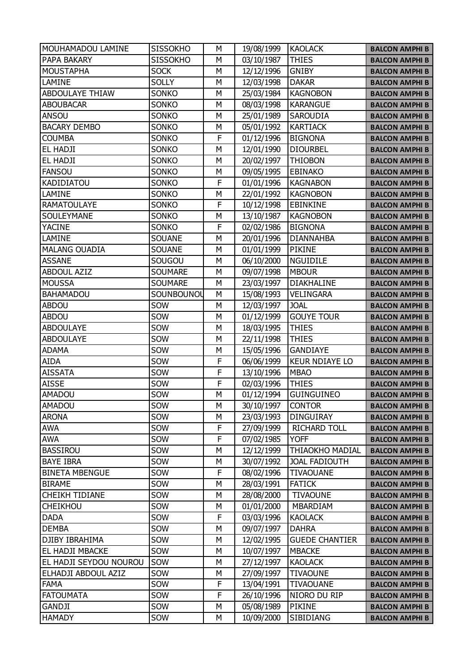| MOUHAMADOU LAMINE      | <b>SISSOKHO</b> | М | 19/08/1999 | <b>KAOLACK</b>         | <b>BALCON AMPHI B</b> |
|------------------------|-----------------|---|------------|------------------------|-----------------------|
| PAPA BAKARY            | <b>SISSOKHO</b> | М | 03/10/1987 | <b>THIES</b>           | <b>BALCON AMPHI B</b> |
| <b>MOUSTAPHA</b>       | <b>SOCK</b>     | M | 12/12/1996 | <b>GNIBY</b>           | <b>BALCON AMPHI B</b> |
| LAMINE                 | <b>SOLLY</b>    | M | 12/03/1998 | <b>DAKAR</b>           | <b>BALCON AMPHI B</b> |
| <b>ABDOULAYE THIAW</b> | <b>SONKO</b>    | M | 25/03/1984 | <b>KAGNOBON</b>        | <b>BALCON AMPHI B</b> |
| <b>ABOUBACAR</b>       | SONKO           | M | 08/03/1998 | <b>KARANGUE</b>        | <b>BALCON AMPHI B</b> |
| ANSOU                  | SONKO           | M | 25/01/1989 | <b>SAROUDIA</b>        | <b>BALCON AMPHI B</b> |
| <b>BACARY DEMBO</b>    | SONKO           | M | 05/01/1992 | <b>KARTIACK</b>        | <b>BALCON AMPHI B</b> |
| <b>COUMBA</b>          | SONKO           | F | 01/12/1996 | <b>BIGNONA</b>         | <b>BALCON AMPHI B</b> |
| EL HADJI               | SONKO           | M | 12/01/1990 | <b>DIOURBEL</b>        | <b>BALCON AMPHI B</b> |
| EL HADJI               | SONKO           | M | 20/02/1997 | <b>THIOBON</b>         | <b>BALCON AMPHI B</b> |
| <b>FANSOU</b>          | SONKO           | M | 09/05/1995 | <b>EBINAKO</b>         | <b>BALCON AMPHI B</b> |
| <b>KADIDIATOU</b>      | SONKO           | F | 01/01/1996 | <b>KAGNABON</b>        | <b>BALCON AMPHI B</b> |
| LAMINE                 | SONKO           | M | 22/01/1992 | <b>KAGNOBON</b>        | <b>BALCON AMPHI B</b> |
| <b>RAMATOULAYE</b>     | SONKO           | F | 10/12/1998 | <b>EBINKINE</b>        | <b>BALCON AMPHI B</b> |
| SOULEYMANE             | SONKO           | Μ | 13/10/1987 | <b>KAGNOBON</b>        | <b>BALCON AMPHI B</b> |
| <b>YACINE</b>          | SONKO           | F | 02/02/1986 | <b>BIGNONA</b>         | <b>BALCON AMPHI B</b> |
| LAMINE                 | <b>SOUANE</b>   | M | 20/01/1996 | <b>DIANNAHBA</b>       | <b>BALCON AMPHI B</b> |
| <b>MALANG OUADIA</b>   | <b>SOUANE</b>   | M | 01/01/1999 | <b>PIKINE</b>          | <b>BALCON AMPHI B</b> |
| <b>ASSANE</b>          | SOUGOU          | M | 06/10/2000 | <b>NGUIDILE</b>        | <b>BALCON AMPHI B</b> |
| <b>ABDOUL AZIZ</b>     | <b>SOUMARE</b>  | M | 09/07/1998 | <b>MBOUR</b>           | <b>BALCON AMPHI B</b> |
| <b>MOUSSA</b>          | <b>SOUMARE</b>  | М | 23/03/1997 | <b>DIAKHALINE</b>      | <b>BALCON AMPHI B</b> |
| <b>BAHAMADOU</b>       | SOUNBOUNOL      | M | 15/08/1993 | <b>VELINGARA</b>       | <b>BALCON AMPHI B</b> |
| <b>ABDOU</b>           | SOW             | M | 12/03/1997 | <b>JOAL</b>            | <b>BALCON AMPHI B</b> |
| <b>ABDOU</b>           | SOW             | M | 01/12/1999 | <b>GOUYE TOUR</b>      | <b>BALCON AMPHI B</b> |
| <b>ABDOULAYE</b>       | SOW             | M | 18/03/1995 | <b>THIES</b>           | <b>BALCON AMPHI B</b> |
| <b>ABDOULAYE</b>       | SOW             | M | 22/11/1998 | <b>THIES</b>           | <b>BALCON AMPHI B</b> |
| <b>ADAMA</b>           | SOW             | M | 15/05/1996 | <b>GANDIAYE</b>        | <b>BALCON AMPHI B</b> |
| <b>AIDA</b>            | SOW             | F | 06/06/1999 | <b>KEUR NDIAYE LO</b>  | <b>BALCON AMPHI B</b> |
| <b>AISSATA</b>         | SOW             | F | 13/10/1996 | <b>MBAO</b>            | <b>BALCON AMPHI B</b> |
| <b>AISSE</b>           | SOW             | F | 02/03/1996 | <b>THIES</b>           | <b>BALCON AMPHI B</b> |
| <b>AMADOU</b>          | SOW             | M | 01/12/1994 | <b>GUINGUINEO</b>      | <b>BALCON AMPHI B</b> |
| <b>AMADOU</b>          | SOW             | M | 30/10/1997 | <b>CONTOR</b>          | <b>BALCON AMPHI B</b> |
| <b>ARONA</b>           | SOW             | М | 23/03/1993 | <b>DINGUIRAY</b>       | <b>BALCON AMPHI B</b> |
| <b>AWA</b>             | SOW             | F | 27/09/1999 | <b>RICHARD TOLL</b>    | <b>BALCON AMPHI B</b> |
| <b>AWA</b>             | SOW             | F | 07/02/1985 | <b>YOFF</b>            | <b>BALCON AMPHI B</b> |
| <b>BASSIROU</b>        | SOW             | М | 12/12/1999 | <b>THIAOKHO MADIAL</b> | <b>BALCON AMPHI B</b> |
| <b>BAYE IBRA</b>       | SOW             | М | 30/07/1992 | <b>JOAL FADIOUTH</b>   | <b>BALCON AMPHI B</b> |
| <b>BINETA MBENGUE</b>  | SOW             | F | 08/02/1996 | <b>TIVAOUANE</b>       | <b>BALCON AMPHI B</b> |
| <b>BIRAME</b>          | SOW             | М | 28/03/1991 | <b>FATICK</b>          | <b>BALCON AMPHI B</b> |
| <b>CHEIKH TIDIANE</b>  | SOW             | М | 28/08/2000 | <b>TIVAOUNE</b>        | <b>BALCON AMPHI B</b> |
| <b>CHEIKHOU</b>        | SOW             | М | 01/01/2000 | MBARDIAM               | <b>BALCON AMPHI B</b> |
| <b>DADA</b>            | SOW             | F | 03/03/1996 | <b>KAOLACK</b>         | <b>BALCON AMPHI B</b> |
| <b>DEMBA</b>           | SOW             | M | 09/07/1997 | <b>DAHRA</b>           | <b>BALCON AMPHI B</b> |
| DJIBY IBRAHIMA         | SOW             | М | 12/02/1995 | <b>GUEDE CHANTIER</b>  | <b>BALCON AMPHI B</b> |
| EL HADJI MBACKE        | SOW             | M | 10/07/1997 | <b>MBACKE</b>          | <b>BALCON AMPHI B</b> |
| EL HADJI SEYDOU NOUROU | SOW             | M | 27/12/1997 | <b>KAOLACK</b>         | <b>BALCON AMPHI B</b> |
| ELHADJI ABDOUL AZIZ    | SOW             | М | 27/09/1997 | <b>TIVAOUNE</b>        | <b>BALCON AMPHI B</b> |
| <b>FAMA</b>            | SOW             | F | 13/04/1991 | <b>TIVAOUANE</b>       | <b>BALCON AMPHI B</b> |
| <b>FATOUMATA</b>       | SOW             | F | 26/10/1996 | NIORO DU RIP           | <b>BALCON AMPHI B</b> |
| GANDJI                 | SOW             | М | 05/08/1989 | <b>PIKINE</b>          | <b>BALCON AMPHI B</b> |
| <b>HAMADY</b>          | SOW             | М | 10/09/2000 | SIBIDIANG              | <b>BALCON AMPHI B</b> |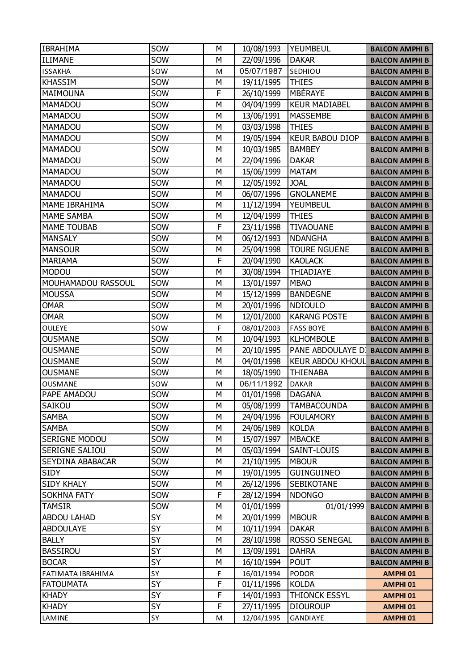| <b>IBRAHIMA</b>      | SOW | М | 10/08/1993 | <b>YEUMBEUL</b>         | <b>BALCON AMPHI B</b> |
|----------------------|-----|---|------------|-------------------------|-----------------------|
| <b>ILIMANE</b>       | SOW | Μ | 22/09/1996 | <b>DAKAR</b>            | <b>BALCON AMPHI B</b> |
| <b>ISSAKHA</b>       | sow | M | 05/07/1987 | SEDHIOU                 | <b>BALCON AMPHI B</b> |
| <b>KHASSIM</b>       | SOW | м | 19/11/1995 | <b>THIES</b>            | <b>BALCON AMPHI B</b> |
| <b>MAIMOUNA</b>      | SOW | F | 26/10/1999 | <b>MBÉRAYE</b>          | <b>BALCON AMPHI B</b> |
| <b>MAMADOU</b>       | SOW | Μ | 04/04/1999 | <b>KEUR MADIABEL</b>    | <b>BALCON AMPHI B</b> |
| <b>MAMADOU</b>       | SOW | М | 13/06/1991 | MASSEMBE                | <b>BALCON AMPHI B</b> |
| MAMADOU              | SOW | Μ | 03/03/1998 | <b>THIES</b>            | <b>BALCON AMPHI B</b> |
| <b>MAMADOU</b>       | SOW | М | 19/05/1994 | <b>KEUR BABOU DIOP</b>  | <b>BALCON AMPHI B</b> |
| MAMADOU              | SOW | М | 10/03/1985 | <b>BAMBEY</b>           | <b>BALCON AMPHI B</b> |
| MAMADOU              | SOW | M | 22/04/1996 | <b>DAKAR</b>            | <b>BALCON AMPHI B</b> |
| MAMADOU              | SOW | Μ | 15/06/1999 | <b>MATAM</b>            | <b>BALCON AMPHI B</b> |
| <b>MAMADOU</b>       | SOW | М | 12/05/1992 | <b>JOAL</b>             | <b>BALCON AMPHI B</b> |
| <b>MAMADOU</b>       | SOW | Μ | 06/07/1996 | <b>GNOLANEME</b>        | <b>BALCON AMPHI B</b> |
| <b>MAME IBRAHIMA</b> | SOW | М | 11/12/1994 | YEUMBEUL                | <b>BALCON AMPHI B</b> |
| <b>MAME SAMBA</b>    | SOW | М | 12/04/1999 | <b>THIES</b>            | <b>BALCON AMPHI B</b> |
| <b>MAME TOUBAB</b>   | SOW | F | 23/11/1998 | <b>TIVAOUANE</b>        | <b>BALCON AMPHI B</b> |
| <b>MANSALY</b>       | SOW | Μ | 06/12/1993 | <b>NDANGHA</b>          | <b>BALCON AMPHI B</b> |
| <b>MANSOUR</b>       | SOW | М | 25/04/1998 | <b>TOURE NGUENE</b>     | <b>BALCON AMPHI B</b> |
| <b>MARIAMA</b>       | SOW | F | 20/04/1990 | <b>KAOLACK</b>          | <b>BALCON AMPHI B</b> |
| <b>MODOU</b>         | SOW | М | 30/08/1994 | THIADIAYE               | <b>BALCON AMPHI B</b> |
| MOUHAMADOU RASSOUL   | SOW | М | 13/01/1997 | <b>MBAO</b>             | <b>BALCON AMPHI B</b> |
| <b>MOUSSA</b>        | SOW | Μ | 15/12/1999 | <b>BANDEGNE</b>         | <b>BALCON AMPHI B</b> |
| <b>OMAR</b>          | SOW | Μ | 20/01/1996 | <b>NDIOULO</b>          | <b>BALCON AMPHI B</b> |
| <b>OMAR</b>          | SOW | М | 12/01/2000 | <b>KARANG POSTE</b>     | <b>BALCON AMPHI B</b> |
| <b>OULEYE</b>        | sow | F | 08/01/2003 | <b>FASS BOYE</b>        | <b>BALCON AMPHI B</b> |
| <b>OUSMANE</b>       | SOW | М | 10/04/1993 | <b>KLHOMBOLE</b>        | <b>BALCON AMPHI B</b> |
| <b>OUSMANE</b>       | SOW | М | 20/10/1995 | PANE ABDOULAYE DI       | <b>BALCON AMPHI B</b> |
| <b>OUSMANE</b>       | SOW | Μ | 04/01/1998 | <b>KEUR ABDOU KHOUL</b> | <b>BALCON AMPHI B</b> |
| <b>OUSMANE</b>       | SOW | М | 18/05/1990 | <b>THIENABA</b>         | <b>BALCON AMPHI B</b> |
| <b>OUSMANE</b>       | sow | M | 06/11/1992 | <b>DAKAR</b>            | <b>BALCON AMPHI B</b> |
| PAPE AMADOU          | SOW | Μ | 01/01/1998 | <b>DAGANA</b>           | <b>BALCON AMPHI B</b> |
| SAIKOU               | SOW | М | 05/08/1999 | <b>TAMBACOUNDA</b>      | <b>BALCON AMPHI B</b> |
| <b>SAMBA</b>         | SOW | М | 24/04/1996 | <b>FOULAMORY</b>        | <b>BALCON AMPHI B</b> |
| <b>SAMBA</b>         | SOW | М | 24/06/1989 | <b>KOLDA</b>            | <b>BALCON AMPHI B</b> |
| SERIGNE MODOU        | SOW | М | 15/07/1997 | <b>MBACKE</b>           | <b>BALCON AMPHI B</b> |
| SERIGNE SALIOU       | SOW | М | 05/03/1994 | SAINT-LOUIS             | <b>BALCON AMPHI B</b> |
| SEYDINA ABABACAR     | SOW | М | 21/10/1995 | <b>MBOUR</b>            | <b>BALCON AMPHI B</b> |
| <b>SIDY</b>          | SOW | М | 19/01/1995 | <b>GUINGUINEO</b>       | <b>BALCON AMPHI B</b> |
| <b>SIDY KHALY</b>    | SOW | М | 26/12/1996 | <b>SEBIKOTANE</b>       | <b>BALCON AMPHI B</b> |
| <b>SOKHNA FATY</b>   | SOW | F | 28/12/1994 | <b>NDONGO</b>           | <b>BALCON AMPHI B</b> |
| <b>TAMSIR</b>        | SOW | Μ | 01/01/1999 | 01/01/1999              | <b>BALCON AMPHI B</b> |
| <b>ABDOU LAHAD</b>   | SY  | М | 20/01/1999 | <b>MBOUR</b>            | <b>BALCON AMPHI B</b> |
| <b>ABDOULAYE</b>     | SY  | M | 10/11/1994 | <b>DAKAR</b>            | <b>BALCON AMPHI B</b> |
| <b>BALLY</b>         | SY  | М | 28/10/1998 | ROSSO SENEGAL           | <b>BALCON AMPHI B</b> |
| <b>BASSIROU</b>      | SY  | М | 13/09/1991 | <b>DAHRA</b>            | <b>BALCON AMPHI B</b> |
| <b>BOCAR</b>         | SY  | М | 16/10/1994 | <b>POUT</b>             | <b>BALCON AMPHI B</b> |
| FATIMATA IBRAHIMA    | SΥ  | F | 16/01/1994 | <b>PODOR</b>            | <b>AMPHI 01</b>       |
| <b>FATOUMATA</b>     | SY  | F | 01/11/1996 | <b>KOLDA</b>            | <b>AMPHI 01</b>       |
| <b>KHADY</b>         | SY  | F | 14/01/1993 | <b>THIONCK ESSYL</b>    | <b>AMPHI 01</b>       |
| <b>KHADY</b>         | SY  | F | 27/11/1995 | <b>DIOUROUP</b>         | <b>AMPHI 01</b>       |
| LAMINE               | SY  | M | 12/04/1995 | GANDIAYE                | <b>AMPHI 01</b>       |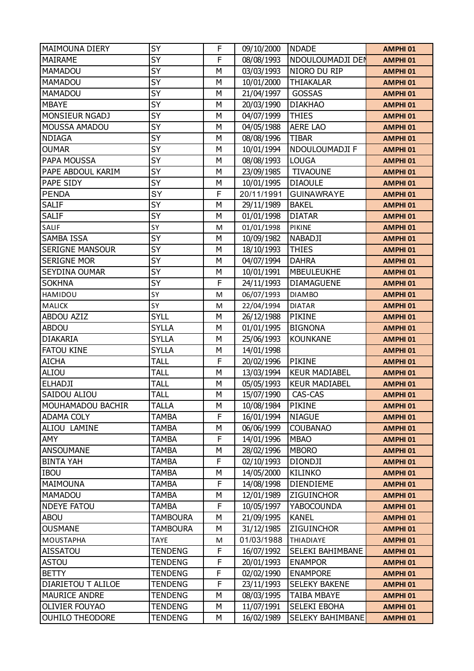| <b>MAIMOUNA DIERY</b>  | SY              | F | 09/10/2000 | <b>NDADE</b>         | <b>AMPHI 01</b> |
|------------------------|-----------------|---|------------|----------------------|-----------------|
| <b>MAIRAME</b>         | SY              | F | 08/08/1993 | NDOULOUMADJI DEN     | <b>AMPHI 01</b> |
| <b>MAMADOU</b>         | SY              | М | 03/03/1993 | NIORO DU RIP         | <b>AMPHI 01</b> |
| <b>MAMADOU</b>         | <b>SY</b>       | М | 10/01/2000 | <b>THIAKALAR</b>     | <b>AMPHI 01</b> |
| MAMADOU                | <b>SY</b>       | M | 21/04/1997 | GOSSAS               | <b>AMPHI 01</b> |
| <b>MBAYE</b>           | <b>SY</b>       | M | 20/03/1990 | <b>DIAKHAO</b>       | <b>AMPHI 01</b> |
| MONSIEUR NGADJ         | SY              | М | 04/07/1999 | <b>THIES</b>         | <b>AMPHI 01</b> |
| MOUSSA AMADOU          | <b>SY</b>       | M | 04/05/1988 | <b>AERE LAO</b>      | <b>AMPHI 01</b> |
| <b>NDIAGA</b>          | SY              | М | 08/08/1996 | <b>TIBAR</b>         | <b>AMPHI 01</b> |
| <b>OUMAR</b>           | <b>SY</b>       | М | 10/01/1994 | NDOULOUMADJI F       | <b>AMPHI 01</b> |
| PAPA MOUSSA            | <b>SY</b>       | M | 08/08/1993 | <b>LOUGA</b>         | <b>AMPHI 01</b> |
| PAPE ABDOUL KARIM      | SY              | M | 23/09/1985 | <b>TIVAOUNE</b>      | <b>AMPHI 01</b> |
| PAPE SIDY              | SY              | М | 10/01/1995 | <b>DIAOULE</b>       | <b>AMPHI 01</b> |
| <b>PENDA</b>           | SY              | F | 20/11/1991 | <b>GUINAWRAYE</b>    | <b>AMPHI 01</b> |
| <b>SALIF</b>           | SY              | М | 29/11/1989 | <b>BAKEL</b>         | <b>AMPHI 01</b> |
| <b>SALIF</b>           | <b>SY</b>       | М | 01/01/1998 | <b>DIATAR</b>        | <b>AMPHI 01</b> |
| SALIF                  | SY              | M | 01/01/1998 | <b>PIKINE</b>        | <b>AMPHI 01</b> |
| SAMBA ISSA             | <b>SY</b>       | M | 10/09/1982 | <b>NABADJI</b>       | <b>AMPHI 01</b> |
| <b>SERIGNE MANSOUR</b> | SY              | М | 18/10/1993 | <b>THIES</b>         | <b>AMPHI 01</b> |
| <b>SERIGNE MOR</b>     | <b>SY</b>       | M | 04/07/1994 | <b>DAHRA</b>         | <b>AMPHI 01</b> |
| SEYDINA OUMAR          | SY              | М | 10/01/1991 | <b>MBEULEUKHE</b>    | <b>AMPHI 01</b> |
| <b>SOKHNA</b>          | <b>SY</b>       | F | 24/11/1993 | <b>DIAMAGUENE</b>    | <b>AMPHI 01</b> |
| HAMIDOU                | SY              | M | 06/07/1993 | <b>DIAMBO</b>        | <b>AMPHI 01</b> |
| <b>MALICK</b>          | SY              | M | 22/04/1994 | <b>DIATAR</b>        | <b>AMPHI 01</b> |
| <b>ABDOU AZIZ</b>      | <b>SYLL</b>     | М | 26/12/1988 | <b>PIKINE</b>        | <b>AMPHI 01</b> |
| <b>ABDOU</b>           | <b>SYLLA</b>    | M | 01/01/1995 | <b>BIGNONA</b>       | <b>AMPHI 01</b> |
| <b>DIAKARIA</b>        | <b>SYLLA</b>    | М | 25/06/1993 | <b>KOUNKANE</b>      | <b>AMPHI 01</b> |
| <b>FATOU KINE</b>      | <b>SYLLA</b>    | М | 14/01/1998 |                      | <b>AMPHI 01</b> |
| <b>AICHA</b>           | <b>TALL</b>     | F | 20/02/1996 | <b>PIKINE</b>        | <b>AMPHI 01</b> |
| ALIOU                  | <b>TALL</b>     | М | 13/03/1994 | <b>KEUR MADIABEL</b> | <b>AMPHI 01</b> |
| <b>ELHADJI</b>         | <b>TALL</b>     | М | 05/05/1993 | <b>KEUR MADIABEL</b> | <b>AMPHI 01</b> |
| SAIDOU ALIOU           | <b>TALL</b>     | М | 15/07/1990 | CAS-CAS              | <b>AMPHI 01</b> |
| MOUHAMADOU BACHIR      | <b>TALLA</b>    | М | 10/08/1984 | <b>PIKINE</b>        | <b>AMPHI 01</b> |
| <b>ADAMA COLY</b>      | <b>TAMBA</b>    | F | 16/01/1994 | <b>NIAGUE</b>        | <b>AMPHI 01</b> |
| ALIOU LAMINE           | <b>TAMBA</b>    | М | 06/06/1999 | <b>COUBANAO</b>      | <b>AMPHI 01</b> |
| AMY                    | TAMBA           | F | 14/01/1996 | <b>MBAO</b>          | <b>AMPHI 01</b> |
| <b>ANSOUMANE</b>       | <b>TAMBA</b>    | М | 28/02/1996 | <b>MBORO</b>         | <b>AMPHI 01</b> |
| <b>BINTA YAH</b>       | <b>TAMBA</b>    | F | 02/10/1993 | <b>DIONDJI</b>       | <b>AMPHI 01</b> |
| <b>IBOU</b>            | TAMBA           | М | 14/05/2000 | <b>KILINKO</b>       | <b>AMPHI 01</b> |
| MAIMOUNA               | <b>TAMBA</b>    | F | 14/08/1998 | <b>DIENDIEME</b>     | <b>AMPHI 01</b> |
| MAMADOU                | <b>TAMBA</b>    | М | 12/01/1989 | <b>ZIGUINCHOR</b>    | <b>AMPHI 01</b> |
| <b>NDEYE FATOU</b>     | TAMBA           | F | 10/05/1997 | <b>YABOCOUNDA</b>    | <b>AMPHI 01</b> |
| <b>ABOU</b>            | <b>TAMBOURA</b> | М | 21/09/1995 | <b>KANEL</b>         | <b>AMPHI 01</b> |
| <b>OUSMANE</b>         | <b>TAMBOURA</b> | М | 31/12/1985 | <b>ZIGUINCHOR</b>    | <b>AMPHI 01</b> |
| MOUSTAPHA              | <b>TAYE</b>     | M | 01/03/1988 | <b>THIADIAYE</b>     | <b>AMPHI 01</b> |
| <b>AISSATOU</b>        | <b>TENDENG</b>  | F | 16/07/1992 | SELEKI BAHIMBANE     | <b>AMPHI 01</b> |
| <b>ASTOU</b>           | <b>TENDENG</b>  | F | 20/01/1993 | <b>ENAMPOR</b>       | <b>AMPHI 01</b> |
| <b>BETTY</b>           | <b>TENDENG</b>  | F | 02/02/1990 | <b>ENAMPORE</b>      | <b>AMPHI 01</b> |
| DIARIETOU T ALILOE     | <b>TENDENG</b>  | F | 23/11/1993 | <b>SELEKY BAKENE</b> | <b>AMPHI 01</b> |
| MAURICE ANDRE          | <b>TENDENG</b>  | М | 08/03/1995 | TAIBA MBAYE          | <b>AMPHI 01</b> |
| <b>OLIVIER FOUYAO</b>  | <b>TENDENG</b>  | М | 11/07/1991 | SELEKI EBOHA         | <b>AMPHI 01</b> |
| <b>OUHILO THEODORE</b> | <b>TENDENG</b>  | М | 16/02/1989 | SELEKY BAHIMBANE     | AMPHI 01        |
|                        |                 |   |            |                      |                 |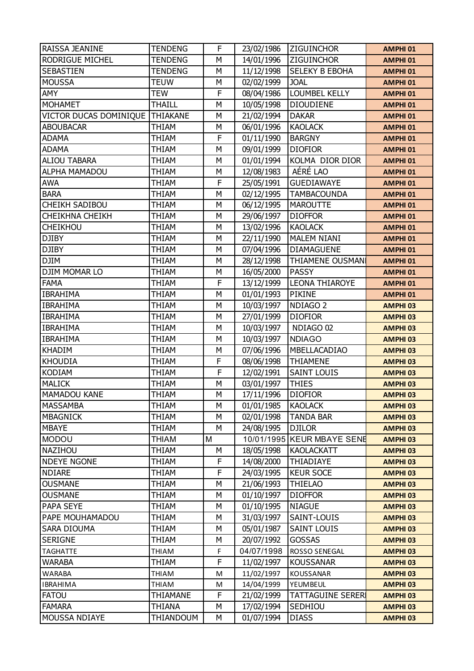| RAISSA JEANINE         | <b>TENDENG</b>  | F              | 23/02/1986 | <b>ZIGUINCHOR</b>          | <b>AMPHI 01</b> |
|------------------------|-----------------|----------------|------------|----------------------------|-----------------|
| <b>RODRIGUE MICHEL</b> | <b>TENDENG</b>  | M              | 14/01/1996 | <b>ZIGUINCHOR</b>          | <b>AMPHI 01</b> |
| <b>SEBASTIEN</b>       | <b>TENDENG</b>  | M              | 11/12/1998 | <b>SELEKY B EBOHA</b>      | <b>AMPHI 01</b> |
| <b>MOUSSA</b>          | <b>TEUW</b>     | M              | 02/02/1999 | <b>JOAL</b>                | <b>AMPHI 01</b> |
| <b>AMY</b>             | <b>TEW</b>      | F              | 08/04/1986 | <b>LOUMBEL KELLY</b>       | <b>AMPHI 01</b> |
| <b>MOHAMET</b>         | <b>THAILL</b>   | M              | 10/05/1998 | <b>DIOUDIENE</b>           | <b>AMPHI 01</b> |
| VICTOR DUCAS DOMINIQUE | <b>THIAKANE</b> | M              | 21/02/1994 | <b>DAKAR</b>               | <b>AMPHI 01</b> |
| <b>ABOUBACAR</b>       | <b>THIAM</b>    | M              | 06/01/1996 | <b>KAOLACK</b>             | <b>AMPHI 01</b> |
| <b>ADAMA</b>           | <b>THIAM</b>    | F              | 01/11/1990 | <b>BARGNY</b>              | <b>AMPHI 01</b> |
| <b>ADAMA</b>           | THIAM           | M              | 09/01/1999 | <b>DIOFIOR</b>             | <b>AMPHI 01</b> |
| <b>ALIOU TABARA</b>    | <b>THIAM</b>    | M              | 01/01/1994 | KOLMA DIOR DIOR            | <b>AMPHI 01</b> |
| <b>ALPHA MAMADOU</b>   | <b>THIAM</b>    | M              | 12/08/1983 | AÉRÉ LAO                   | <b>AMPHI 01</b> |
| <b>AWA</b>             | <b>THIAM</b>    | F              | 25/05/1991 | <b>GUEDIAWAYE</b>          | <b>AMPHI 01</b> |
| <b>BARA</b>            | <b>THIAM</b>    | M              | 02/12/1995 | <b>TAMBACOUNDA</b>         | <b>AMPHI 01</b> |
| <b>CHEIKH SADIBOU</b>  | <b>THIAM</b>    | M              | 06/12/1995 | <b>MAROUTTE</b>            | <b>AMPHI 01</b> |
| <b>CHEIKHNA CHEIKH</b> | <b>THIAM</b>    | M              | 29/06/1997 | <b>DIOFFOR</b>             | <b>AMPHI 01</b> |
| <b>CHEIKHOU</b>        | <b>THIAM</b>    | M              | 13/02/1996 | <b>KAOLACK</b>             | <b>AMPHI 01</b> |
| <b>DJIBY</b>           | <b>THIAM</b>    | M              | 22/11/1990 | <b>MALEM NIANI</b>         | <b>AMPHI 01</b> |
| <b>DJIBY</b>           | <b>THIAM</b>    | M              | 07/04/1996 | <b>DIAMAGUENE</b>          | <b>AMPHI 01</b> |
| <b>DJIM</b>            | <b>THIAM</b>    | M              | 28/12/1998 | <b>THIAMENE OUSMAN</b>     | <b>AMPHI 01</b> |
| DJIM MOMAR LO          | <b>THIAM</b>    | M              | 16/05/2000 | <b>PASSY</b>               | <b>AMPHI 01</b> |
| <b>FAMA</b>            | <b>THIAM</b>    | F              | 13/12/1999 | <b>LEONA THIAROYE</b>      | <b>AMPHI 01</b> |
| <b>IBRAHIMA</b>        | <b>THIAM</b>    | M              | 01/01/1993 | <b>PIKINE</b>              | <b>AMPHI 01</b> |
| <b>IBRAHIMA</b>        | <b>THIAM</b>    | M              | 10/03/1997 | NDIAGO <sub>2</sub>        | <b>AMPHI 03</b> |
| <b>IBRAHIMA</b>        | <b>THIAM</b>    | M              | 27/01/1999 | <b>DIOFIOR</b>             | <b>AMPHI 03</b> |
| <b>IBRAHIMA</b>        | <b>THIAM</b>    | M              | 10/03/1997 | NDIAGO 02                  | <b>AMPHI 03</b> |
| <b>IBRAHIMA</b>        | <b>THIAM</b>    | M              | 10/03/1997 | <b>NDIAGO</b>              | <b>AMPHI 03</b> |
| <b>KHADIM</b>          | <b>THIAM</b>    | M              | 07/06/1996 | MBELLACADIAO               | <b>AMPHI 03</b> |
| <b>KHOUDIA</b>         | <b>THIAM</b>    | F              | 08/06/1998 | <b>THIAMENE</b>            | <b>AMPHI 03</b> |
| <b>KODIAM</b>          | <b>THIAM</b>    | $\overline{F}$ | 12/02/1991 | <b>SAINT LOUIS</b>         | <b>AMPHI 03</b> |
| <b>MALICK</b>          | <b>THIAM</b>    | M              | 03/01/1997 | <b>THIES</b>               | <b>AMPHI 03</b> |
| <b>MAMADOU KANE</b>    | <b>THIAM</b>    | M              | 17/11/1996 | <b>DIOFIOR</b>             | <b>AMPHI 03</b> |
| <b>MASSAMBA</b>        | <b>THIAM</b>    | M              | 01/01/1985 | <b>KAOLACK</b>             | <b>AMPHI 03</b> |
| <b>MBAGNICK</b>        | <b>THIAM</b>    | M              | 02/01/1998 | <b>TANDA BAR</b>           | <b>AMPHI 03</b> |
| <b>MBAYE</b>           | <b>THIAM</b>    | M              | 24/08/1995 | <b>DJILOR</b>              | <b>AMPHI 03</b> |
| <b>MODOU</b>           | <b>THIAM</b>    | M              |            | 10/01/1995 KEUR MBAYE SENE | <b>AMPHI 03</b> |
| NAZIHOU                | THIAM           | М              | 18/05/1998 | <b>KAOLACKATT</b>          | <b>AMPHI 03</b> |
| <b>NDEYE NGONE</b>     | THIAM           | F              | 14/08/2000 | <b>THIADIAYE</b>           | <b>AMPHI 03</b> |
| <b>NDIARE</b>          | THIAM           | F              | 24/03/1995 | <b>KEUR SOCE</b>           | <b>AMPHI 03</b> |
| <b>OUSMANE</b>         | <b>THIAM</b>    | М              | 21/06/1993 | <b>THIELAO</b>             | <b>AMPHI 03</b> |
| <b>OUSMANE</b>         | <b>THIAM</b>    | M              | 01/10/1997 | <b>DIOFFOR</b>             | <b>AMPHI 03</b> |
| PAPA SEYE              | THIAM           | M              | 01/10/1995 | <b>NIAGUE</b>              | <b>AMPHI 03</b> |
| PAPE MOUHAMADOU        | THIAM           | M              | 31/03/1997 | SAINT-LOUIS                | <b>AMPHI 03</b> |
| <b>SARA DIOUMA</b>     | THIAM           | M              | 05/01/1987 | <b>SAINT LOUIS</b>         | <b>AMPHI 03</b> |
| <b>SERIGNE</b>         | <b>THIAM</b>    | M              | 20/07/1992 | <b>GOSSAS</b>              | <b>AMPHI 03</b> |
| <b>TAGHATTE</b>        | THIAM           | F              | 04/07/1998 | ROSSO SENEGAL              | <b>AMPHI 03</b> |
| <b>WARABA</b>          | <b>THIAM</b>    | F              | 11/02/1997 | <b>KOUSSANAR</b>           | <b>AMPHI 03</b> |
| <b>WARABA</b>          | THIAM           | M              | 11/02/1997 | KOUSSANAR                  | <b>AMPHI 03</b> |
| <b>IBRAHIMA</b>        | THIAM           | M              | 14/04/1999 | YEUMBEUL                   | <b>AMPHI 03</b> |
| <b>FATOU</b>           | <b>THIAMANE</b> | F              | 21/02/1999 | <b>TATTAGUINE SERERI</b>   | <b>AMPHI 03</b> |
| <b>FAMARA</b>          | <b>THIANA</b>   | M              | 17/02/1994 | SEDHIOU                    | <b>AMPHI 03</b> |
| MOUSSA NDIAYE          | THIANDOUM       | М              | 01/07/1994 | <b>DIASS</b>               | <b>AMPHI 03</b> |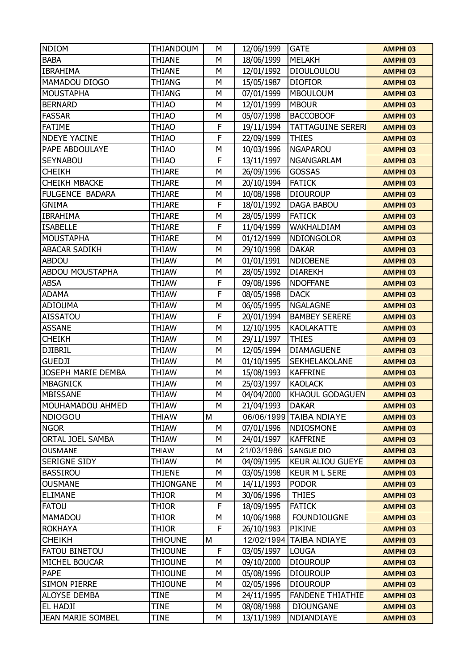| <b>NDIOM</b>             | THIANDOUM        | M | 12/06/1999 | <b>GATE</b>             | <b>AMPHI 03</b>     |
|--------------------------|------------------|---|------------|-------------------------|---------------------|
| <b>BABA</b>              | <b>THIANE</b>    | M | 18/06/1999 | <b>MELAKH</b>           | <b>AMPHI 03</b>     |
| <b>IBRAHIMA</b>          | <b>THIANE</b>    | M | 12/01/1992 | <b>DIOULOULOU</b>       | <b>AMPHI 03</b>     |
| MAMADOU DIOGO            | <b>THIANG</b>    | M | 15/05/1987 | <b>DIOFIOR</b>          | <b>AMPHI 03</b>     |
| <b>MOUSTAPHA</b>         | <b>THIANG</b>    | M | 07/01/1999 | <b>MBOULOUM</b>         | <b>AMPHI 03</b>     |
| <b>BERNARD</b>           | <b>THIAO</b>     | M | 12/01/1999 | <b>MBOUR</b>            | <b>AMPHI 03</b>     |
| <b>FASSAR</b>            | <b>THIAO</b>     | M | 05/07/1998 | <b>BACCOBOOF</b>        | <b>AMPHI 03</b>     |
| <b>FATIME</b>            | <b>THIAO</b>     | F | 19/11/1994 | <b>TATTAGUINE SERER</b> | <b>AMPHI 03</b>     |
| <b>NDEYE YACINE</b>      | <b>THIAO</b>     | F | 22/09/1999 | <b>THIES</b>            | <b>AMPHI 03</b>     |
| PAPE ABDOULAYE           | <b>THIAO</b>     | M | 10/03/1996 | <b>NGAPAROU</b>         | <b>AMPHI 03</b>     |
| <b>SEYNABOU</b>          | <b>THIAO</b>     | F | 13/11/1997 | <b>NGANGARLAM</b>       | <b>AMPHI 03</b>     |
| <b>CHEIKH</b>            | <b>THIARE</b>    | M | 26/09/1996 | <b>GOSSAS</b>           | <b>AMPHI 03</b>     |
| <b>CHEIKH MBACKE</b>     | <b>THIARE</b>    | M | 20/10/1994 | <b>FATICK</b>           | <b>AMPHI 03</b>     |
| FULGENCE BADARA          | <b>THIARE</b>    | M | 10/08/1998 | <b>DIOUROUP</b>         | <b>AMPHI 03</b>     |
| <b>GNIMA</b>             | <b>THIARE</b>    | F | 18/01/1992 | <b>DAGA BABOU</b>       | <b>AMPHI 03</b>     |
| <b>IBRAHIMA</b>          | <b>THIARE</b>    | M | 28/05/1999 | <b>FATICK</b>           | <b>AMPHI 03</b>     |
| <b>ISABELLE</b>          | <b>THIARE</b>    | F | 11/04/1999 | WAKHALDIAM              | <b>AMPHI 03</b>     |
| <b>MOUSTAPHA</b>         | <b>THIARE</b>    | M | 01/12/1999 | <b>NDIONGOLOR</b>       | <b>AMPHI 03</b>     |
| <b>ABACAR SADIKH</b>     | <b>THIAW</b>     | M | 29/10/1998 | <b>DAKAR</b>            | <b>AMPHI 03</b>     |
| ABDOU                    | <b>THIAW</b>     | M | 01/01/1991 | <b>NDIOBENE</b>         | <b>AMPHI 03</b>     |
| <b>ABDOU MOUSTAPHA</b>   | THIAW            | M | 28/05/1992 | <b>DIAREKH</b>          | <b>AMPHI 03</b>     |
| <b>ABSA</b>              | <b>THIAW</b>     | F | 09/08/1996 | <b>NDOFFANE</b>         | <b>AMPHI 03</b>     |
| <b>ADAMA</b>             | <b>THIAW</b>     | F | 08/05/1998 | <b>DACK</b>             | <b>AMPHI 03</b>     |
| <b>ADIOUMA</b>           | <b>THIAW</b>     | M | 06/05/1995 | <b>NGALAGNE</b>         | <b>AMPHI 03</b>     |
| <b>AISSATOU</b>          | <b>THIAW</b>     | F | 20/01/1994 | <b>BAMBEY SERERE</b>    | <b>AMPHI 03</b>     |
| <b>ASSANE</b>            | <b>THIAW</b>     | M | 12/10/1995 | <b>KAOLAKATTE</b>       | <b>AMPHI 03</b>     |
| <b>CHEIKH</b>            | <b>THIAW</b>     | M | 29/11/1997 | <b>THIES</b>            | <b>AMPHI 03</b>     |
| <b>DJIBRIL</b>           | <b>THIAW</b>     | M | 12/05/1994 | <b>DIAMAGUENE</b>       | <b>AMPHI 03</b>     |
| <b>GUEDJI</b>            | <b>THIAW</b>     | M | 01/10/1995 | SEKHELAKOLANE           | <b>AMPHI 03</b>     |
| JOSEPH MARIE DEMBA       | <b>THIAW</b>     | M | 15/08/1993 | <b>KAFFRINE</b>         | <b>AMPHI 03</b>     |
| <b>MBAGNICK</b>          | <b>THIAW</b>     | M | 25/03/1997 | <b>KAOLACK</b>          | <b>AMPHI 03</b>     |
| MBISSANE                 | <b>THIAW</b>     | M | 04/04/2000 | <b>KHAOUL GODAGUEN</b>  | <b>AMPHI 03</b>     |
| MOUHAMADOU AHMED         | THIAW            | M | 21/04/1993 | <b>DAKAR</b>            | <b>AMPHI 03</b>     |
| <b>NDIOGOU</b>           | <b>THIAW</b>     | M |            | 06/06/1999 TAIBA NDIAYE | <b>AMPHI 03</b>     |
| <b>NGOR</b>              | <b>THIAW</b>     | M | 07/01/1996 | NDIOSMONE               | <b>AMPHI 03</b>     |
| ORTAL JOEL SAMBA         | THIAW            | M | 24/01/1997 | <b>KAFFRINE</b>         | AMPHI <sub>03</sub> |
| OUSMANE                  | THIAW            | M | 21/03/1986 | <b>SANGUE DIO</b>       | <b>AMPHI 03</b>     |
| SERIGNE SIDY             | THIAW            | M | 04/09/1995 | <b>KEUR ALIOU GUEYE</b> | <b>AMPHI 03</b>     |
| <b>BASSIROU</b>          | THIENE           | М | 03/05/1998 | <b>KEUR M L SERE</b>    | AMPHI <sub>03</sub> |
| <b>OUSMANE</b>           | <b>THIONGANE</b> | M | 14/11/1993 | <b>PODOR</b>            | <b>AMPHI 03</b>     |
| <b>ELIMANE</b>           | <b>THIOR</b>     | M | 30/06/1996 | <b>THIES</b>            | <b>AMPHI 03</b>     |
| <b>FATOU</b>             | THIOR            | F | 18/09/1995 | <b>FATICK</b>           | <b>AMPHI 03</b>     |
| MAMADOU                  | THIOR            | М | 10/06/1988 | <b>FOUNDIOUGNE</b>      | <b>AMPHI 03</b>     |
| <b>ROKHAYA</b>           | THIOR            | F | 26/10/1983 | PIKINE                  | <b>AMPHI 03</b>     |
| <b>CHEIKH</b>            | <b>THIOUNE</b>   | М | 12/02/1994 | <b>TAIBA NDIAYE</b>     | AMPHI <sub>03</sub> |
| <b>FATOU BINETOU</b>     | <b>THIOUNE</b>   | F | 03/05/1997 | <b>LOUGA</b>            | <b>AMPHI 03</b>     |
| MICHEL BOUCAR            | <b>THIOUNE</b>   | M | 09/10/2000 | <b>DIOUROUP</b>         | <b>AMPHI 03</b>     |
| PAPE                     | <b>THIOUNE</b>   | М | 05/08/1996 | <b>DIOUROUP</b>         | <b>AMPHI 03</b>     |
| <b>SIMON PIERRE</b>      | <b>THIOUNE</b>   | М | 02/05/1996 | <b>DIOUROUP</b>         | <b>AMPHI 03</b>     |
| <b>ALOYSE DEMBA</b>      | <b>TINE</b>      | M | 24/11/1995 | <b>FANDENE THIATHIE</b> | <b>AMPHI 03</b>     |
| EL HADJI                 | TINE             | М | 08/08/1988 | <b>DIOUNGANE</b>        | AMPHI <sub>03</sub> |
| <b>JEAN MARIE SOMBEL</b> | <b>TINE</b>      | М | 13/11/1989 | NDIANDIAYE              | <b>AMPHI 03</b>     |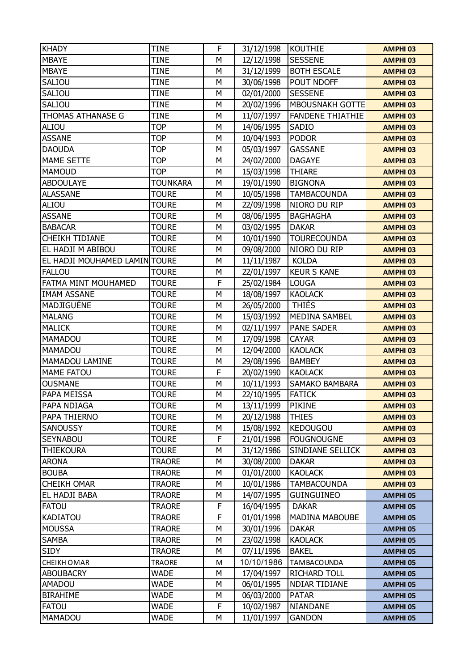| <b>KHADY</b>                  | <b>TINE</b>     | F | 31/12/1998 | <b>KOUTHIE</b>          | <b>AMPHI 03</b> |
|-------------------------------|-----------------|---|------------|-------------------------|-----------------|
| <b>MBAYE</b>                  | <b>TINE</b>     | M | 12/12/1998 | <b>SESSENE</b>          | <b>AMPHI 03</b> |
| <b>MBAYE</b>                  | <b>TINE</b>     | M | 31/12/1999 | <b>BOTH ESCALE</b>      | <b>AMPHI 03</b> |
| SALIOU                        | TINE            | M | 30/06/1998 | POUT NDOFF              | <b>AMPHI 03</b> |
| SALIOU                        | <b>TINE</b>     | M | 02/01/2000 | <b>SESSENE</b>          | <b>AMPHI 03</b> |
| SALIOU                        | <b>TINE</b>     | M | 20/02/1996 | <b>MBOUSNAKH GOTTE</b>  | <b>AMPHI 03</b> |
| THOMAS ATHANASE G             | <b>TINE</b>     | M | 11/07/1997 | <b>FANDENE THIATHIE</b> | <b>AMPHI 03</b> |
| ALIOU                         | <b>TOP</b>      | M | 14/06/1995 | SADIO                   | <b>AMPHI 03</b> |
| <b>ASSANE</b>                 | <b>TOP</b>      | M | 10/04/1993 | <b>PODOR</b>            | <b>AMPHI 03</b> |
| <b>DAOUDA</b>                 | <b>TOP</b>      | M | 05/03/1997 | <b>GASSANE</b>          | <b>AMPHI 03</b> |
| <b>MAME SETTE</b>             | <b>TOP</b>      | M | 24/02/2000 | <b>DAGAYE</b>           | <b>AMPHI 03</b> |
| <b>MAMOUD</b>                 | <b>TOP</b>      | M | 15/03/1998 | <b>THIARE</b>           | <b>AMPHI 03</b> |
| <b>ABDOULAYE</b>              | <b>TOUNKARA</b> | M | 19/01/1990 | <b>BIGNONA</b>          | <b>AMPHI 03</b> |
| <b>ALASSANE</b>               | <b>TOURE</b>    | M | 10/05/1998 | <b>TAMBACOUNDA</b>      | <b>AMPHI 03</b> |
| ALIOU                         | <b>TOURE</b>    | M | 22/09/1998 | NIORO DU RIP            | <b>AMPHI 03</b> |
| <b>ASSANE</b>                 | <b>TOURE</b>    | M | 08/06/1995 | <b>BAGHAGHA</b>         | <b>AMPHI 03</b> |
| <b>BABACAR</b>                | <b>TOURE</b>    | M | 03/02/1995 | <b>DAKAR</b>            | <b>AMPHI 03</b> |
| <b>CHEIKH TIDIANE</b>         | <b>TOURE</b>    | M | 10/01/1990 | <b>TOURECOUNDA</b>      | <b>AMPHI 03</b> |
| EL HADJI M ABIBOU             | <b>TOURE</b>    | M | 09/08/2000 | NIORO DU RIP            | <b>AMPHI 03</b> |
| EL HADJI MOUHAMED LAMIN TOURE |                 | M | 11/11/1987 | <b>KOLDA</b>            | <b>AMPHI 03</b> |
| <b>FALLOU</b>                 | <b>TOURE</b>    | M | 22/01/1997 | <b>KEUR S KANE</b>      | <b>AMPHI 03</b> |
| FATMA MINT MOUHAMED           | <b>TOURE</b>    | F | 25/02/1984 | <b>LOUGA</b>            | <b>AMPHI 03</b> |
| <b>IMAM ASSANE</b>            | <b>TOURE</b>    | M | 18/08/1997 | <b>KAOLACK</b>          | <b>AMPHI 03</b> |
| MADJIGUÉNE                    | <b>TOURE</b>    | M | 26/05/2000 | <b>THIÉS</b>            | <b>AMPHI 03</b> |
| <b>MALANG</b>                 | <b>TOURE</b>    | M | 15/03/1992 | MEDINA SAMBEL           | <b>AMPHI 03</b> |
| <b>MALICK</b>                 | <b>TOURE</b>    | M | 02/11/1997 | <b>PANE SADER</b>       | <b>AMPHI 03</b> |
| <b>MAMADOU</b>                | <b>TOURE</b>    | M | 17/09/1998 | <b>CAYAR</b>            | <b>AMPHI 03</b> |
| <b>MAMADOU</b>                | <b>TOURE</b>    | M | 12/04/2000 | <b>KAOLACK</b>          | <b>AMPHI 03</b> |
| MAMADOU LAMINE                | <b>TOURE</b>    | M | 29/08/1996 | <b>BAMBEY</b>           | <b>AMPHI 03</b> |
| <b>MAME FATOU</b>             | <b>TOURE</b>    | F | 20/02/1990 | <b>KAOLACK</b>          | <b>AMPHI 03</b> |
| <b>OUSMANE</b>                | <b>TOURE</b>    | M | 10/11/1993 | SAMAKO BAMBARA          | <b>AMPHI 03</b> |
| PAPA MEISSA                   | <b>TOURE</b>    | M | 22/10/1995 | <b>FATICK</b>           | <b>AMPHI 03</b> |
| PAPA NDIAGA                   | <b>TOURE</b>    | М | 13/11/1999 | <b>PIKINE</b>           | <b>AMPHI 03</b> |
| PAPA THIERNO                  | <b>TOURE</b>    | M | 20/12/1988 | <b>THIES</b>            | <b>AMPHI 03</b> |
| <b>SANOUSSY</b>               | <b>TOURE</b>    | M | 15/08/1992 | <b>KEDOUGOU</b>         | <b>AMPHI 03</b> |
| <b>SEYNABOU</b>               | <b>TOURE</b>    | F | 21/01/1998 | <b>FOUGNOUGNE</b>       | <b>AMPHI 03</b> |
| <b>THIEKOURA</b>              | <b>TOURE</b>    | М | 31/12/1986 | SINDIANE SELLICK        | <b>AMPHI 03</b> |
| <b>ARONA</b>                  | <b>TRAORE</b>   | M | 30/08/2000 | <b>DAKAR</b>            | <b>AMPHI 03</b> |
| <b>BOUBA</b>                  | <b>TRAORE</b>   | M | 01/01/2000 | <b>KAOLACK</b>          | <b>AMPHI 03</b> |
| <b>CHEIKH OMAR</b>            | <b>TRAORE</b>   | M | 10/01/1986 | <b>TAMBACOUNDA</b>      | <b>AMPHI 03</b> |
| EL HADJI BABA                 | <b>TRAORE</b>   | М | 14/07/1995 | <b>GUINGUINEO</b>       | <b>AMPHI 05</b> |
| <b>FATOU</b>                  | <b>TRAORE</b>   | F | 16/04/1995 | <b>DAKAR</b>            | <b>AMPHI 05</b> |
| <b>KADIATOU</b>               | <b>TRAORE</b>   | F | 01/01/1998 | MADINA MABOUBE          | <b>AMPHI 05</b> |
| <b>MOUSSA</b>                 | <b>TRAORE</b>   | M | 30/01/1996 | <b>DAKAR</b>            | <b>AMPHI 05</b> |
| <b>SAMBA</b>                  | <b>TRAORE</b>   | M | 23/02/1998 | <b>KAOLACK</b>          | <b>AMPHI 05</b> |
| <b>SIDY</b>                   | <b>TRAORE</b>   | М | 07/11/1996 | <b>BAKEL</b>            | <b>AMPHI 05</b> |
| CHEIKH OMAR                   | <b>TRAORE</b>   | M | 10/10/1986 | <b>TAMBACOUNDA</b>      | <b>AMPHI 05</b> |
| <b>ABOUBACRY</b>              | <b>WADE</b>     | M | 17/04/1997 | <b>RICHARD TOLL</b>     | <b>AMPHI 05</b> |
| <b>AMADOU</b>                 | <b>WADE</b>     | М | 06/01/1995 | NDIAR TIDIANE           | <b>AMPHI 05</b> |
| <b>BIRAHIME</b>               | <b>WADE</b>     | М | 06/03/2000 | <b>PATAR</b>            | <b>AMPHI 05</b> |
| <b>FATOU</b>                  | <b>WADE</b>     | F | 10/02/1987 | <b>NIANDANE</b>         | <b>AMPHI 05</b> |
| MAMADOU                       | <b>WADE</b>     | М | 11/01/1997 | <b>GANDON</b>           | <b>AMPHI 05</b> |